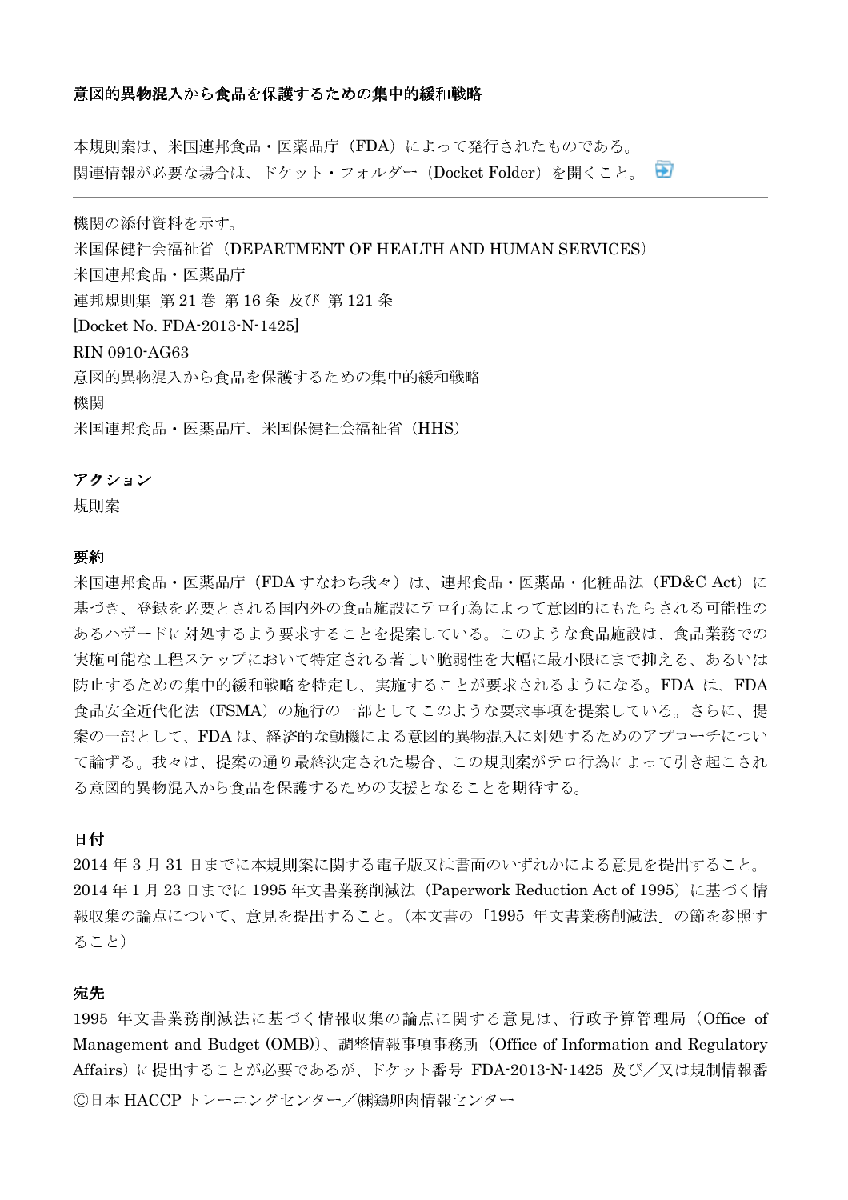## 意図的異物混入から食品を保護するための集中的緩和戦略

本規則案は、米国連邦食品·医薬品庁 (FDA) によって発行されたものである。 関連情報が必要な場合は、ドケット・フォルダー (Docket Folder) を開くこと。 स्त्र

機関の添付資料を示す。 米国保健社会福祉省 (DEPARTMENT OF HEALTH AND HUMAN SERVICES) 米国連邦食品·医薬品庁 連邦規則集 第21巻 第16条 及び 第121条 [Docket No. FDA-2013-N-1425] RIN 0910-AG63 意図的異物混入から食品を保護するための集中的緩和戦略 機関 米国連邦食品·医薬品庁、米国保健社会福祉省 (HHS)

## アクション

規則案

#### 要約

米国連邦食品·医薬品庁 (FDA すなわち我々)は、連邦食品·医薬品·化粧品法 (FD&C Act)に 基づき、登録を必要とされる国内外の食品施設にテロ行為によって意図的にもたらされる可能性の あるハザードに対処するよう要求することを提案している。このような食品施設は、食品業務での 実施可能な工程ステップにおいて特定される著しい脆弱性を大幅に最小限にまで抑える、あるいは 防止するための集中的緩和戦略を特定し、実施することが要求されるようになる。FDA は、FDA 食品安全近代化法 (FSMA) の施行の一部としてこのような要求事項を提案している。さらに、提 案の一部として、FDAは、経済的な動機による意図的異物混入に対処するためのアプローチについ て論ずる。我々は、提案の通り最終決定された場合、この規則案がテロ行為によって引き起こされ る意図的異物混入から食品を保護するための支援となることを期待する。

## 日付

2014年3月31日までに本規則案に関する雷子版又は書面のいずれかによる意見を提出すること。 2014年1月23日までに1995年文書業務削減法 (Paperwork Reduction Act of 1995) に基づく情 報収集の論点について、意見を提出すること。(本文書の「1995 年文書業務削減法」の節を参照す ること)

## 宛先

1995 年文書業務削減法に基づく情報収集の論点に関する意見は、行政予算管理局 (Office of Management and Budget (OMB))、調整情報事項事務所 (Office of Information and Regulatory Affairs)に提出することが必要であるが、ドケット番号 FDA-2013-N-1425 及び/又は規制情報番 ©日本 HACCPトレーニングセンター/㈱鶏卵肉情報センター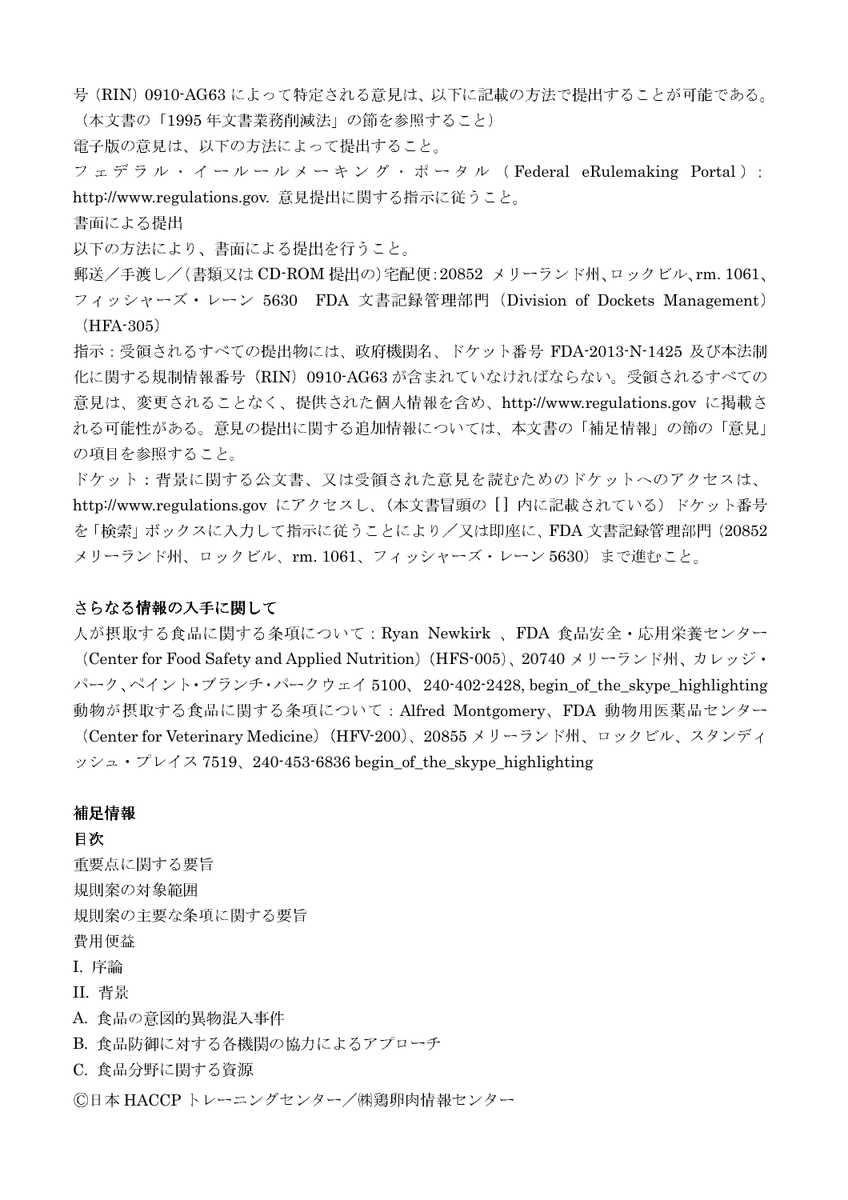号 (RIN) 0910-AG63 によって特定される意見は、以下に記載の方法で提出することが可能である。 (本文書の「1995年文書業務削減法」の節を参照すること)

電子版の意見は、以下の方法によって提出すること。

フェデラル・イールールメーキング・ポータル (Federal eRulemaking Portal): http://www.regulations.gov. 意見提出に関する指示に従うこと。

書面による提出

以下の方法により、書面による提出を行うこと。

郵送/手渡し/(書類又は CD-ROM 提出の)宅配便:20852 メリーランド州、ロックビル、rm. 1061、 フィッシャーズ・レーン 5630 FDA 文書記録管理部門 (Division of Dockets Management)  $(HFA-305)$ 

指示:受領されるすべての提出物には、政府機関名、ドケット番号 FDA-2013-N-1425 及び本法制 化に関する規制情報番号 (RIN) 0910-AG63 が含まれていなければならない。受領されるすべての 意見は、変更されることなく、提供された個人情報を含め、http://www.regulations.gov に掲載さ れる可能性がある。意見の提出に関する追加情報については、本文書の「補足情報」の節の「意見」 の項目を参照すること。

ドケット:背景に関する公文書、又は受領された意見を読むためのドケットへのアクセスは、 http://www.regulations.gov にアクセスし、(本文書冒頭の [] 内に記載されている) ドケット番号 を「検索」ボックスに入力して指示に従うことにより/又は即座に、FDA 文書記録管理部門 (20852 メリーランド州、ロックビル、rm. 1061、フィッシャーズ・レーン 5630)まで進むこと。

## さらなる情報の入手に関して

人が摂取する食品に関する条項について: Ryan Newkirk 、FDA 食品安全・応用栄養センター (Center for Food Safety and Applied Nutrition) (HFS-005)、20740 メリーランド州、カレッジ・ パーク、ペイント・ブランチ・パークウェイ 5100、240-402-2428, begin\_of\_the\_skype\_highlighting 動物が摂取する食品に関する条項について: Alfred Montgomery、FDA 動物用医薬品センター

(Center for Veterinary Medicine) (HFV-200)、20855 メリーランド州、ロックビル、スタンディ  $y \circ z - y' \circ z' - z''$  7519, 240-453-6836 begin of the skype highlighting

## 補足情報

日次

重要点に関する要旨 規則案の対象範囲 規則案の主要な条項に関する要旨 費用便益 **I. 序論 II. 背景** A. 食品の意図的異物混入事件 B. 食品防御に対する各機関の協力によるアプローチ C. 食品分野に関する資源 ©日本 HACCP トレーニングセンター/㈱鶏卵肉情報センター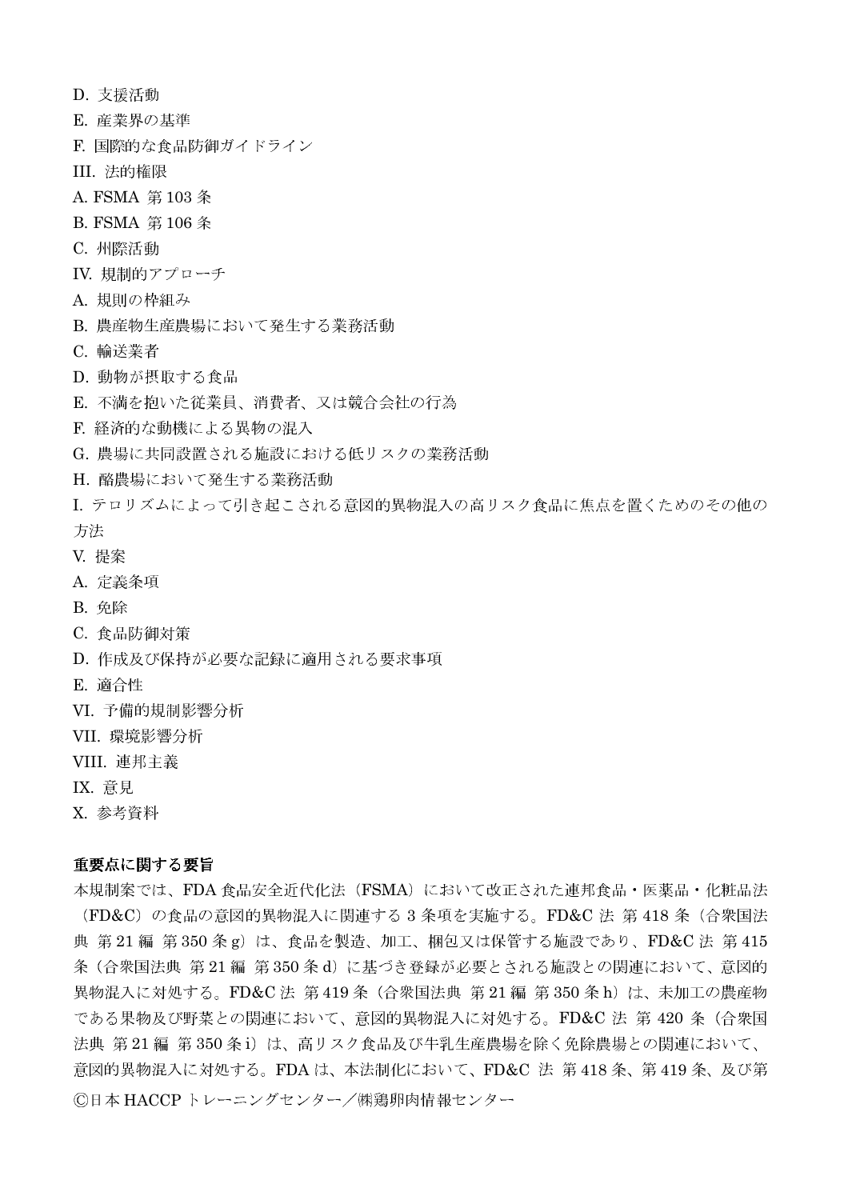- D. 支援活動
- E. 産業界の基準
- F. 国際的な食品防御ガイドライン
- III. 法的権限
- A. FSMA 第103条
- B. FSMA 第106条
- C. 州際活動
- IV. 規制的アプローチ
- A. 規則の枠組み
- B. 農産物生産農場において発生する業務活動
- C. 輸送業者
- D. 動物が摂取する食品
- E. 不満を抱いた従業員、消費者、又は競合会社の行為
- F. 経済的な動機による異物の混入
- G. 農場に共同設置される施設における低リスクの業務活動
- H. 酪農場において発生する業務活動
- I. テロリズムによって引き起こされる意図的異物混入の高リスク食品に焦点を置くためのその他の 方法
- V. 提案
- A. 定義条項
- **B.** 免除
- C. 食品防御対策
- D. 作成及び保持が必要な記録に適用される要求事項
- E. 滴合性
- VI. 予備的規制影響分析
- VII. 環境影響分析
- VIII. 連邦主義
- **IX.** 意見
- X. 参考資料

## 重要点に関する要旨

本規制案では、FDA食品安全近代化法 (FSMA) において改正された連邦食品·医薬品·化粧品法 (FD&C) の食品の意図的異物混入に関連する 3 条項を実施する。FD&C 法 第 418 条 (合衆国法 典 第21編 第350条g)は、食品を製造、加工、梱包又は保管する施設であり、FD&C法 第415 条(合衆国法典 第21編 第350条d)に基づき登録が必要とされる施設との関連において、意図的 異物混入に対処する。FD&C法 第419条 (合衆国法典 第21編 第350条h)は、未加工の農産物 である果物及び野菜との関連において、意図的異物混入に対処する。FD&C 法 第 420 条 (合衆国 法典 第21編 第350条i)は、高リスク食品及び牛乳生産農場を除く免除農場との関連において、 意図的異物混入に対処する。FDAは、本法制化において、FD&C 法 第418条、第419条、及び第 ©日本 HACCPトレーニングセンター/㈱鶏卵肉情報センター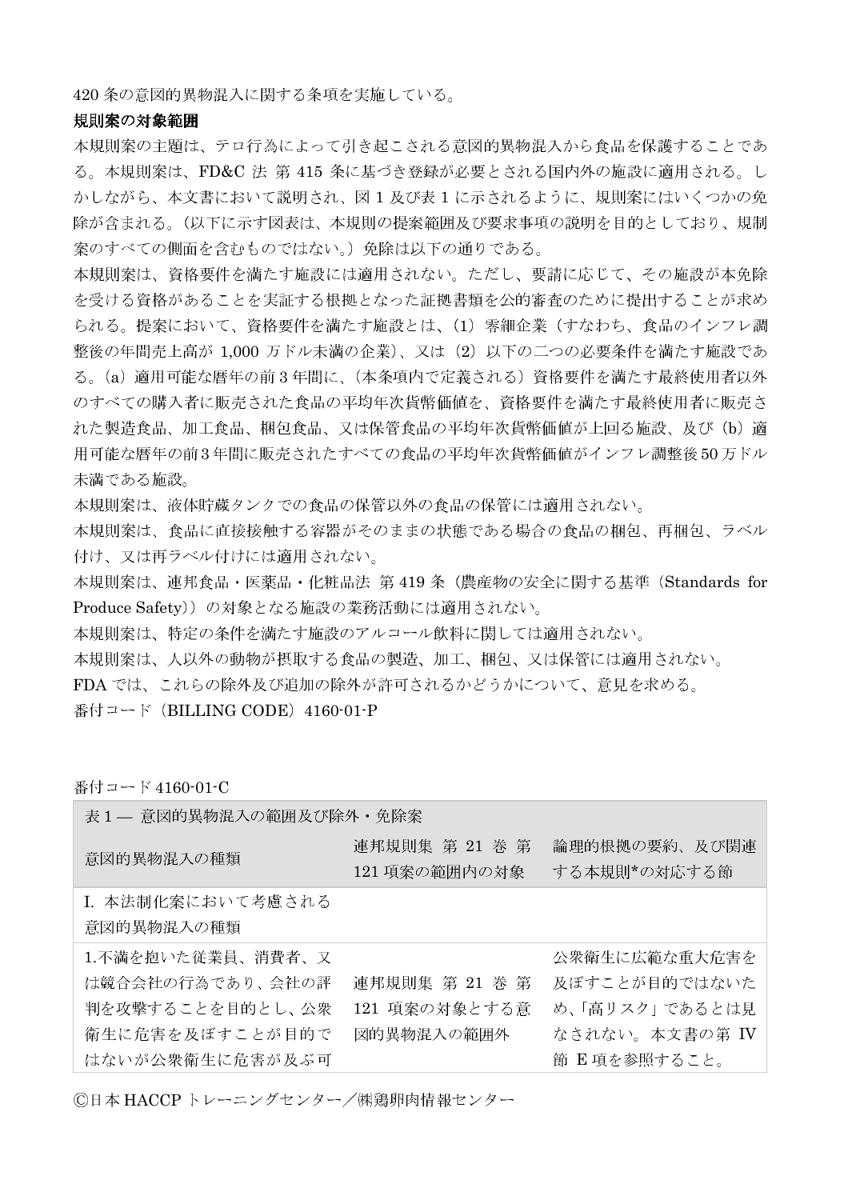420 条の意図的異物混入に関する条項を実施している。

#### 規則案の対象範囲

本規則案の主題は、テロ行為によって引き起こされる意図的異物混入から食品を保護することであ る。本規則案は、FD&C 法 第 415 条に基づき登録が必要とされる国内外の施設に適用される。し かしながら、本文書において説明され、図1及び表1に示されるように、規則案にはいくつかの免 除が含まれる。(以下に示す図表は、本規則の提案範囲及び要求事項の説明を目的としており、規制 案のすべての側面を含むものではない。)免除は以下の通りである。

本規則案は、資格要件を満たす施設には適用されない。ただし、要請に応じて、その施設が本免除 を受ける資格があることを実証する根拠となった証拠書類を公的審査のために提出することが求め られる。提案において、資格要件を満たす施設とは、(1) 零細企業(すなわち、食品のインフレ調 整後の年間売上高が 1,000 万ドル未満の企業)、又は (2) 以下の二つの必要条件を満たす施設であ る。(a) 適用可能な暦年の前3年間に、(本条項内で定義される)資格要件を満たす最終使用者以外 のすべての購入者に販売された食品の平均年次貨幣価値を、資格要件を満たす最終使用者に販売さ れた製造食品、加工食品、梱包食品、又は保管食品の平均年次貨幣価値が上回る施設、及び(b)適 用可能な暦年の前3年間に販売されたすべての食品の平均年次貨幣価値がインフレ調整後50万ドル 未満である施設。

本規則案は、液体貯蔵タンクでの食品の保管以外の食品の保管には適用されない。

本規則案は、食品に直接接触する容器がそのままの状態である場合の食品の梱包、再梱包、ラベル 付け、又は再ラベル付けには適用されない。

本規則案は、連邦食品·医薬品·化粧品法 第 419 条 (農産物の安全に関する基準 (Standards for Produce Safety))の対象となる施設の業務活動には適用されない。

本規則案は、特定の条件を満たす施設のアルコール飲料に関しては適用されない。

本規則案は、人以外の動物が摂取する食品の製造、加工、梱包、又は保管には適用されない。

FDA では、これらの除外及び追加の除外が許可されるかどうかについて、意見を求める。

番付コード (BILLING CODE) 4160-01-P

番付コード 4160-01-C

表1– 意図的異物混入の範囲及び除外・免除案

| 意図的異物混入の種類                                                                                      | 連邦規則集 第 21 巻 第<br>121 項案の範囲内の対象               | 論理的根拠の要約、及び関連<br>する本規則*の対応する節                                                      |
|-------------------------------------------------------------------------------------------------|-----------------------------------------------|------------------------------------------------------------------------------------|
| I. 本法制化案において考慮される<br>意図的異物混入の種類                                                                 |                                               |                                                                                    |
| 1.不満を抱いた従業員、消費者、又<br>は競合会社の行為であり、会社の評<br>判を攻撃することを目的とし、公衆<br>衛生に危害を及ぼすことが目的で<br>はないが公衆衛生に危害が及ぶ可 | 連邦規則集 第 21 巻 第<br>121 項案の対象とする意<br>図的異物混入の範囲外 | 公衆衛生に広範な重大危害を<br>及ぼすことが目的ではないた<br>め、「高リスク」であるとは見<br>なされない。本文書の第 IV<br>節 E項を参照すること。 |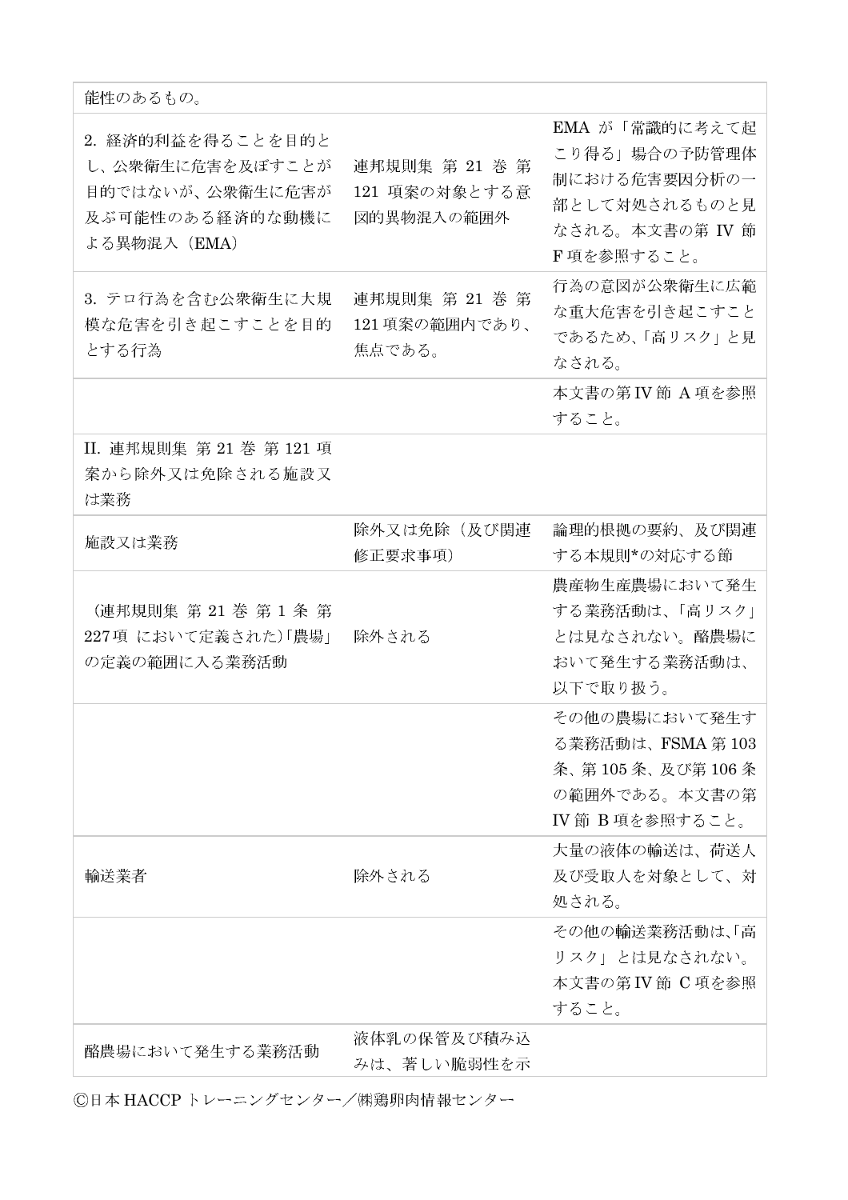| 能性のあるもの。                                                                                     |                                               |                                                                                                    |
|----------------------------------------------------------------------------------------------|-----------------------------------------------|----------------------------------------------------------------------------------------------------|
| 2. 経済的利益を得ることを目的と<br>し、公衆衛生に危害を及ぼすことが<br>目的ではないが、公衆衛生に危害が<br>及ぶ可能性のある経済的な動機に<br>よる異物混入 (EMA) | 連邦規則集 第 21 巻 第<br>121 項案の対象とする意<br>図的異物混入の範囲外 | EMA が「常識的に考えて起<br>こり得る」場合の予防管理体<br>制における危害要因分析の一<br>部として対処されるものと見<br>なされる。本文書の第 IV 節<br>F項を参照すること。 |
| 3. テロ行為を含む公衆衛生に大規<br>模な危害を引き起こすことを目的<br>とする行為                                                | 連邦規則集 第 21 巻 第<br>121項案の範囲内であり、<br>焦点である。     | 行為の意図が公衆衛生に広範<br>な重大危害を引き起こすこと<br>であるため、「高リスク」と見<br>なされる。                                          |
|                                                                                              |                                               | 本文書の第 IV 節 A 項を参照<br>すること。                                                                         |
| II. 連邦規則集 第 21 巻 第 121 項<br>案から除外又は免除される施設又<br>は業務                                           |                                               |                                                                                                    |
| 施設又は業務                                                                                       | 除外又は免除(及び関連<br>修正要求事項)                        | 論理的根拠の要約、及び関連<br>する本規則*の対応する節                                                                      |
| (連邦規則集 第 21 巻 第 1 条 第<br>227項 において定義された)「農場」<br>の定義の範囲に入る業務活動                                | 除外される                                         | 農産物生産農場において発生<br>する業務活動は、「高リスク」<br>とは見なされない。酪農場に<br>おいて発生する業務活動は、<br>以下で取り扱う。                      |
|                                                                                              |                                               | その他の農場において発生す<br>る業務活動は、FSMA 第 103<br>条、第105条、及び第106条<br>の範囲外である。本文書の第<br>Ⅳ 節 B項を参照すること。           |
| 輸送業者                                                                                         | 除外される                                         | 大量の液体の輸送は、荷送人<br>及び受取人を対象として、対<br>処される。                                                            |
|                                                                                              |                                               | その他の輸送業務活動は、「高<br>リスク」とは見なされない。<br>本文書の第 IV 節 C 項を参照<br>すること。                                      |
| 酪農場において発生する業務活動                                                                              | 液体乳の保管及び積み込<br>みは、著しい脆弱性を示                    |                                                                                                    |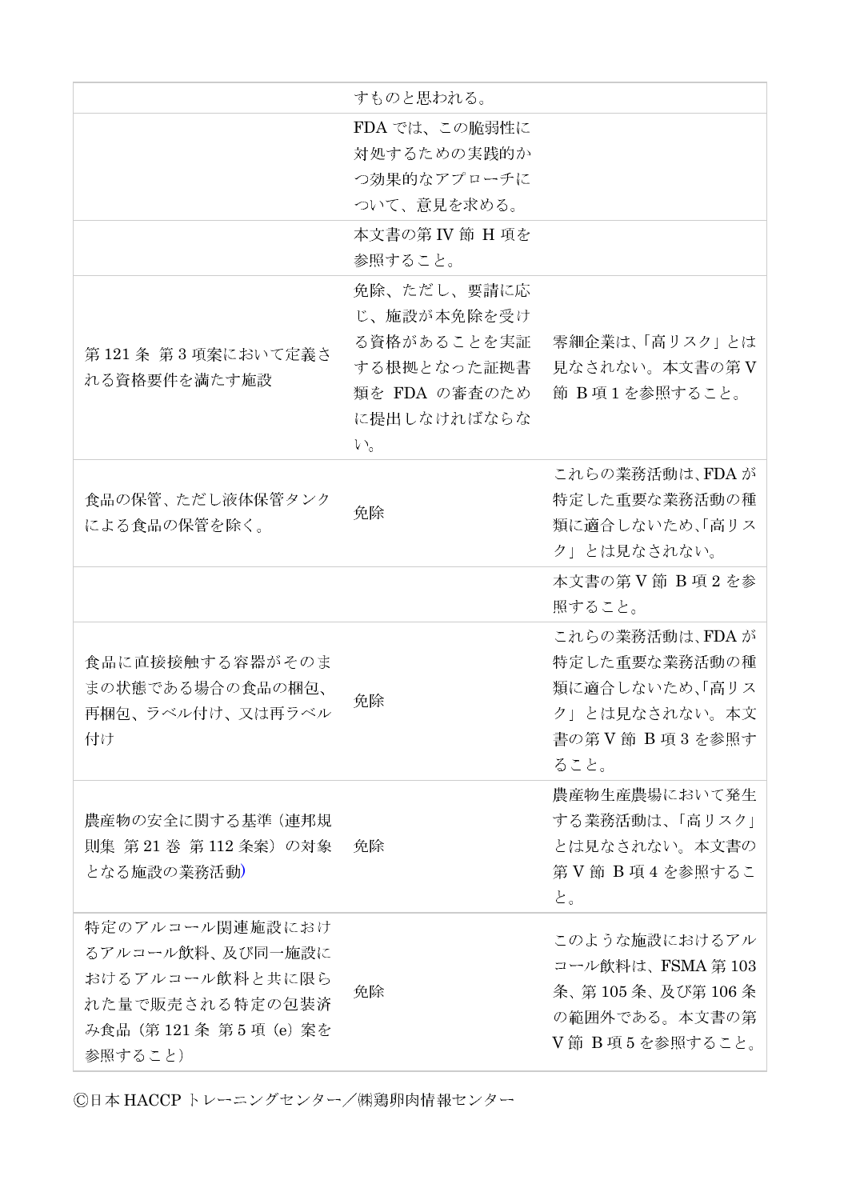|                                                                                                               | すものと思われる。                                                                                               |                                                                                                   |
|---------------------------------------------------------------------------------------------------------------|---------------------------------------------------------------------------------------------------------|---------------------------------------------------------------------------------------------------|
|                                                                                                               | FDA では、この脆弱性に<br>対処するための実践的か<br>つ効果的なアプローチに<br>ついて、意見を求める。                                              |                                                                                                   |
|                                                                                                               | 本文書の第 IV 節 H 項を<br>参照すること。                                                                              |                                                                                                   |
| 第121条 第3項案において定義さ<br>れる資格要件を満たす施設                                                                             | 免除、ただし、要請に応<br>じ、施設が本免除を受け<br>る資格があることを実証<br>する根拠となった証拠書<br>類を FDA の審査のため<br>に提出しなければならな<br>$V_{\circ}$ | 零細企業は、「高リスク」とは<br>見なされない。本文書の第V<br>節 B項1を参照すること。                                                  |
| 食品の保管、ただし液体保管タンク<br>による食品の保管を除く。                                                                              | 免除                                                                                                      | これらの業務活動は、FDA が<br>特定した重要な業務活動の種<br>類に適合しないため、「高リス<br>ク」とは見なされない。                                 |
|                                                                                                               |                                                                                                         | 本文書の第V節 B 項2を参<br>照すること。                                                                          |
| 食品に直接接触する容器がそのま<br>まの状態である場合の食品の梱包、<br>再梱包、ラベル付け、又は再ラベル<br>付け                                                 | 免除                                                                                                      | これらの業務活動は、FDA が<br>特定した重要な業務活動の種<br>類に適合しないため、「高リス<br>ク」とは見なされない。本文<br>書の第 V 節 B 項 3 を参照す<br>ること。 |
| 農産物の安全に関する基準 (連邦規<br>則集 第21巻 第112条案)の対象<br>となる施設の業務活動)                                                        | 免除                                                                                                      | 農産物生産農場において発生<br>する業務活動は、「高リスク」<br>とは見なされない。本文書の<br>第V節 B 項4を参照するこ<br>と。                          |
| 特定のアルコール関連施設におけ<br>るアルコール飲料、及び同一施設に<br>おけるアルコール飲料と共に限ら<br>れた量で販売される特定の包装済<br>み食品 (第121条 第5項 (e) 案を<br>参照すること) | 免除                                                                                                      | このような施設におけるアル<br>コール飲料は、FSMA 第103<br>条、第105条、及び第106条<br>の範囲外である。本文書の第<br>V節 B項5を参照すること。           |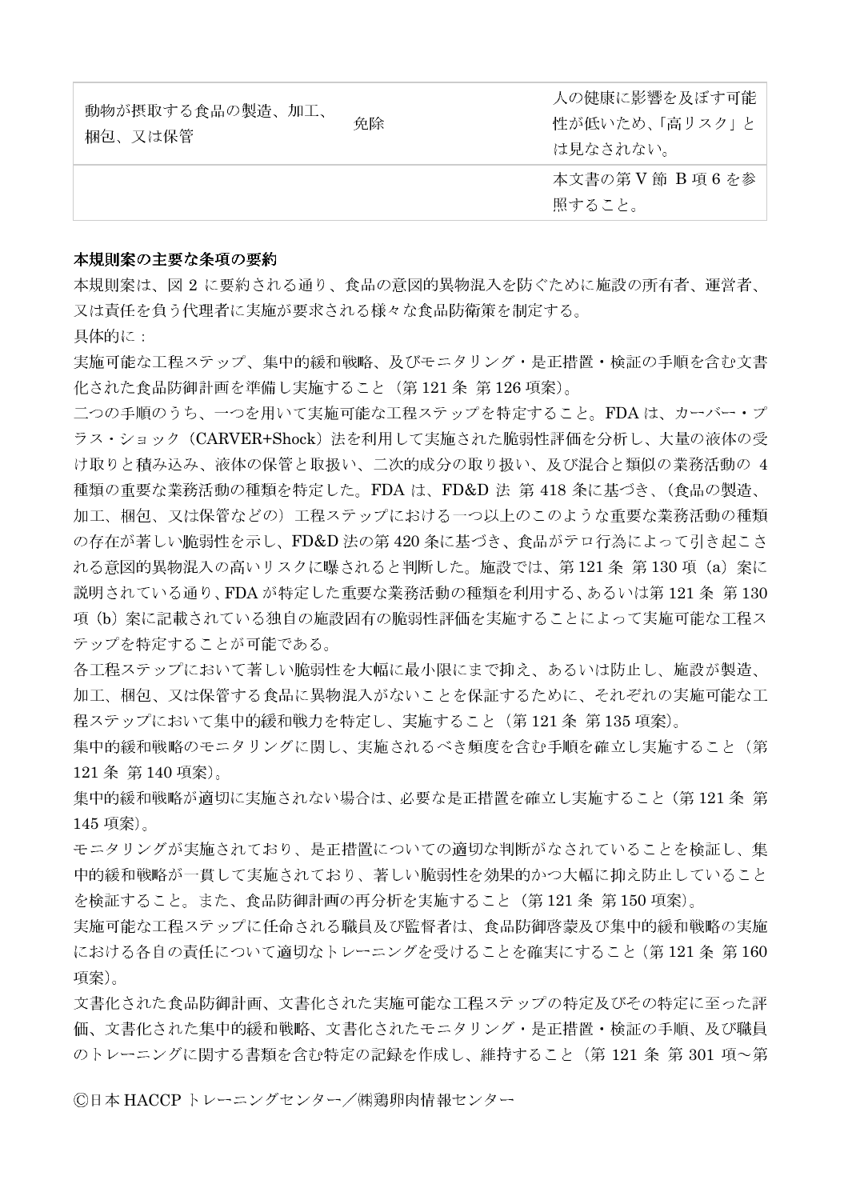| 動物が摂取する食品の製造、加工、<br>梱包、又は保管 | 免除 | 人の健康に影響を及ぼす可能<br>性が低いため、「高リスク」と<br>は見なされない。 |
|-----------------------------|----|---------------------------------------------|
|                             |    | 本文書の第 V 節 B 項 6 を参<br>照すること。                |

## 本規則案の主要な条項の要約

本規則案は、図 2 に要約される通り、食品の意図的異物混入を防ぐために施設の所有者、運営者、 又は責任を負う代理者に実施が要求される様々な食品防衛策を制定する。

具体的に:

実施可能な工程ステップ、集中的緩和戦略、及びモニタリング・是正措置・検証の手順を含む文書 化された食品防御計画を準備し実施すること (第121条 第126 項案)。

二つの手順のうち、一つを用いて実施可能な工程ステップを特定すること。FDAは、カーバー・プ ラス・ショック(CARVER+Shock)法を利用して実施された脆弱性評価を分析し、大量の液体の受 け取りと積み込み、液体の保管と取扱い、二次的成分の取り扱い、及び混合と類似の業務活動の 4 種類の重要な業務活動の種類を特定した。FDA は、FD&D 法 第 418 条に基づき、(食品の製造、 加工、梱包、又は保管などの)工程ステップにおける一つ以上のこのような重要な業務活動の種類 の存在が著しい脆弱性を示し、FD&D法の第420条に基づき、食品がテロ行為によって引き起こさ れる意図的異物混入の高いリスクに曝されると判断した。施設では、第121条第130項 (a) 案に 説明されている通り、FDAが特定した重要な業務活動の種類を利用する、あるいは第121条 第130 項(b) 案に記載されている独自の施設固有の脆弱性評価を実施することによって実施可能な工程ス テップを特定することが可能である。

各工程ステップにおいて著しい脆弱性を大幅に最小限にまで抑え、あるいは防止し、施設が製造、 加工、梱包、又は保管する食品に異物混入がないことを保証するために、それぞれの実施可能な工 程ステップにおいて集中的緩和戦力を特定し、実施すること(第121条第135項案)。

集中的緩和戦略のモニタリングに関し、実施されるべき頻度を含む手順を確立し実施すること(第 121 条 第 140 項案)。

集中的緩和戦略が適切に実施されない場合は、必要な是正措置を確立し実施すること (第121条 第 145 項案)。

モニタリングが実施されており、是正措置についての適切な判断がなされていることを検証し、集 中的緩和戦略が一貫して実施されており、著しい脆弱性を効果的かつ大幅に抑え防止していること を検証すること。また、食品防御計画の再分析を実施すること(第121条第150項案)。

実施可能な工程ステップに任命される職員及び監督者は、食品防御啓蒙及び集中的緩和戦略の実施 における各自の責任について適切なトレーニングを受けることを確実にすること (第121条 第160 項案)。

文書化された食品防御計画、文書化された実施可能な工程ステップの特定及びその特定に至った評 価、文書化された集中的緩和戦略、文書化されたモニタリング・是正措置・検証の手順、及び職員 のトレーニングに関する書類を含む特定の記録を作成し、維持すること (第121条 第301項~第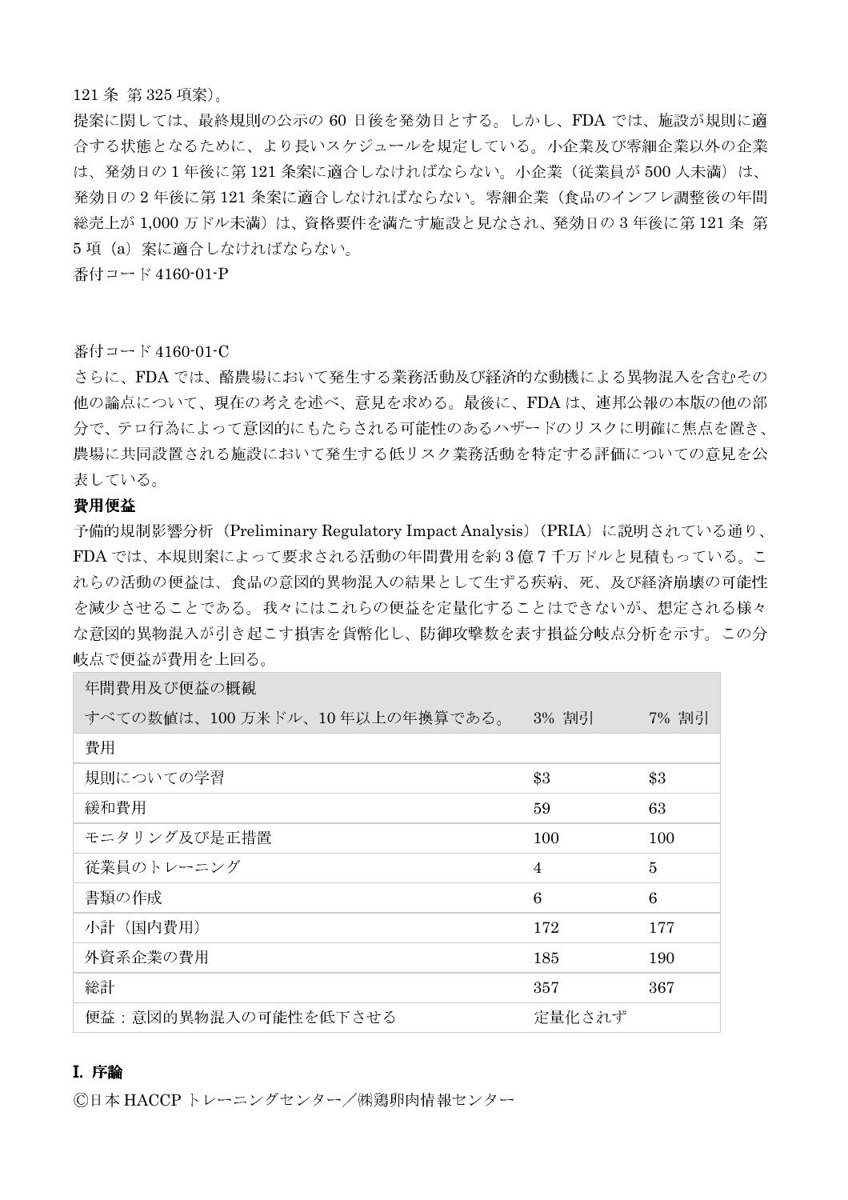#### 121 条 第 325 項案)。

提案に関しては、最終規則の公示の 60 日後を発効日とする。しかし、FDA では、施設が規則に適 合する状態となるために、より長いスケジュールを規定している。小企業及び零細企業以外の企業 は、発効日の1年後に第121条案に適合しなければならない。小企業(従業員が500人未満)は、 発効日の2年後に第121条案に適合しなければならない。零細企業(食品のインフレ調整後の年間 総売上が 1,000 万ドル未満)は、資格要件を満たす施設と見なされ、発効日の3年後に第121条第 5項 (a) 案に適合しなければならない。

番付コード 4160-01-P

#### 番付コード 4160-01-C

さらに、FDA では、酪農場において発生する業務活動及び経済的な動機による異物混入を含むその 他の論点について、現在の考えを述べ、意見を求める。最後に、FDAは、連邦公報の本版の他の部 分で、テロ行為によって意図的にもたらされる可能性のあるハザードのリスクに明確に焦点を置き、 農場に共同設置される施設において発生する低リスク業務活動を特定する評価についての意見を公 表している。

## 費用便益

予備的規制影響分析 (Preliminary Regulatory Impact Analysis) (PRIA) に説明されている通り、 FDA では、本規則案によって要求される活動の年間費用を約3億7千万ドルと見積もっている。こ れらの活動の便益は、食品の意図的異物混入の結果として生ずる疾病、死、及び経済崩壊の可能性 を減少させることである。我々にはこれらの便益を定量化することはできないが、想定される様々 な意図的異物混入が引き起こす損害を貨幣化し、防御攻撃数を表す損益分岐点分析を示す。この分 岐点で便益が費用を上回る。

| 年間費用及び便益の概観                   |                |       |
|-------------------------------|----------------|-------|
| すべての数値は、100万米ドル、10年以上の年換算である。 | 3% 割引          | 7% 割引 |
| 費用                            |                |       |
| 規則についての学習                     | \$3            | \$3   |
| 緩和費用                          | 59             | 63    |
| モニタリング及び是正措置                  | 100            | 100   |
| 従業員のトレーニング                    | $\overline{4}$ | 5     |
| 書類の作成                         | 6              | 6     |
| 小計 (国内費用)                     | 172            | 177   |
| 外資系企業の費用                      | 185            | 190   |
| 総計                            | 357            | 367   |
| 便益: 意図的異物混入の可能性を低下させる         | 定量化されず         |       |

## I. 序論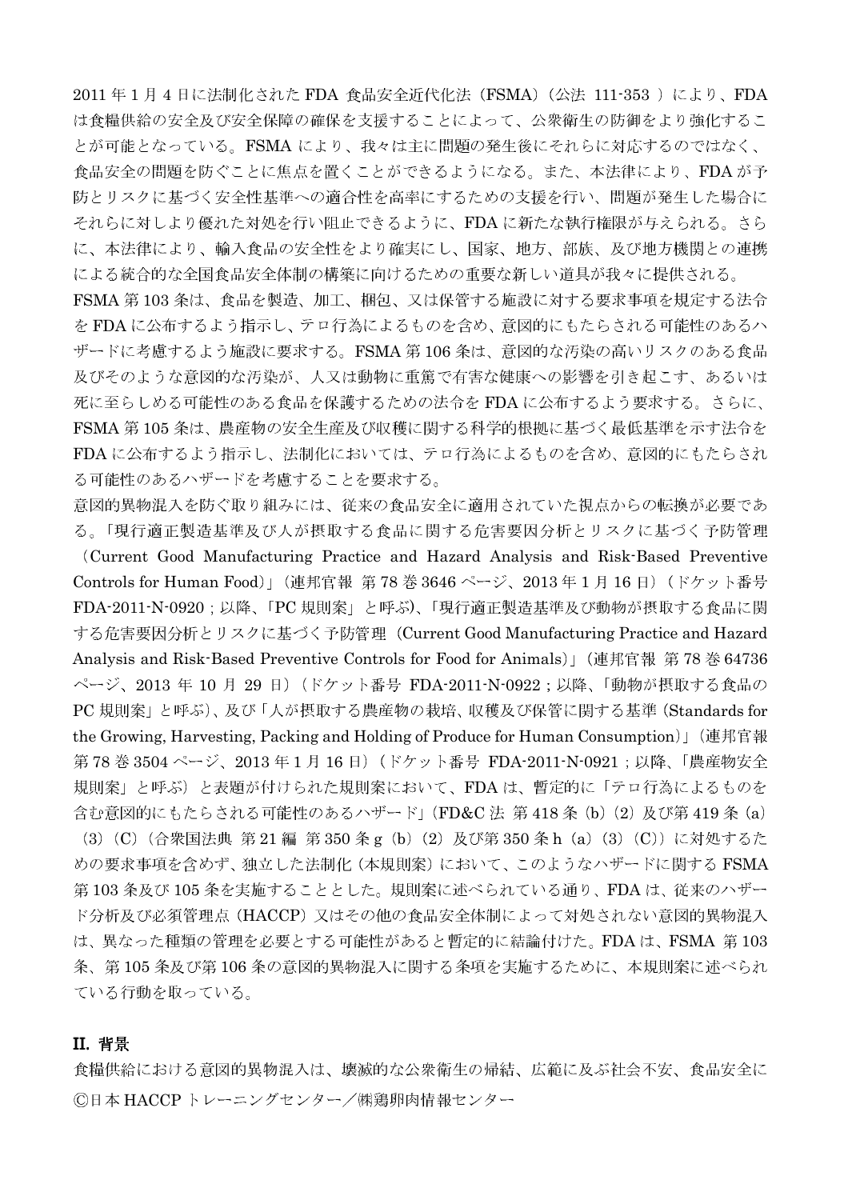2011年1月4日に法制化された FDA 食品安全近代化法 (FSMA) (公法 111-353) により、FDA は食糧供給の安全及び安全保障の確保を支援することによって、公衆衛生の防御をより強化するこ とが可能となっている。FSMA により、我々は主に問題の発生後にそれらに対応するのではなく、 食品安全の問題を防ぐことに焦点を置くことができるようになる。また、本法律により、FDA が予 防とリスクに基づく安全性基準への適合性を高率にするための支援を行い、問題が発生した場合に それらに対しより優れた対処を行い阻止できるように、FDAに新たな執行権限が与えられる。さら に、本法律により、輸入食品の安全性をより確実にし、国家、地方、部族、及び地方機関との連携 による統合的な全国食品安全体制の構築に向けるための重要な新しい道具が我々に提供される。

FSMA 第103条は、食品を製造、加工、梱包、又は保管する施設に対する要求事項を規定する法令 を FDA に公布するよう指示し、テロ行為によるものを含め、意図的にもたらされる可能性のあるハ ザードに考慮するよう施設に要求する。FSMA 第106条は、意図的な汚染の高いリスクのある食品 及びそのような意図的な汚染が、人又は動物に重篤で有害な健康への影響を引き起こす、あるいは 死に至らしめる可能性のある食品を保護するための法令を FDA に公布するよう要求する。さらに、 FSMA 第105条は、農産物の安全生産及び収穫に関する科学的根拠に基づく最低基準を示す法令を FDAに公布するよう指示し、法制化においては、テロ行為によるものを含め、意図的にもたらされ る可能性のあるハザードを考慮することを要求する。

意図的異物混入を防ぐ取り組みには、従来の食品安全に適用されていた視点からの転換が必要であ る。「現行適正製造基準及び人が摂取する食品に関する危害要因分析とリスクに基づく予防管理

(Current Good Manufacturing Practice and Hazard Analysis and Risk-Based Preventive Controls for Human Food)」 (連邦官報 第78巻3646ページ、2013年1月16日) (ドケット番号 FDA-2011-N-0920;以降、「PC規則案」と呼ぶ)、「現行適正製造基準及び動物が摂取する食品に関 する危害要因分析とリスクに基づく予防管理 (Current Good Manufacturing Practice and Hazard Analysis and Risk-Based Preventive Controls for Food for Animals) [ (連邦官報 第 78 巻 64736 ページ、2013年10月29日) (ドケット番号 FDA-2011-N-0922;以降、「動物が摂取する食品の PC規則案」と呼ぶ)、及び「人が摂取する農産物の栽培、収穫及び保管に関する基準 (Standards for the Growing, Harvesting, Packing and Holding of Produce for Human Consumption)」 (連邦官報 第78巻3504ページ、2013年1月16日) (ドケット番号 FDA-2011-N-0921;以降、「農産物安全 規則案」と呼ぶ)と表題が付けられた規則案において、FDAは、暫定的に「テロ行為によるものを 含む意図的にもたらされる可能性のあるハザード」(FD&C 法 第 418 条 (b) (2) 及び第 419 条 (a) (3) (C) (合衆国法典 第21編 第350条g (b) (2) 及び第350条h (a) (3) (C)) に対処するた めの要求事項を含めず、独立した法制化 (本規則案) において、このようなハザードに関する FSMA 第103条及び105条を実施することとした。規則案に述べられている通り、FDAは、従来のハザー ド分析及び必須管理点(HACCP)又はその他の食品安全体制によって対処されない意図的異物混入 は、異なった種類の管理を必要とする可能性があると暫定的に結論付けた。FDAは、FSMA 第103 条、第105条及び第106条の意図的異物混入に関する条項を実施するために、本規則案に述べられ ている行動を取っている。

#### **II. 背景**

食糧供給における意図的異物混入は、壊滅的な公衆衛生の帰結、広範に及ぶ社会不安、食品安全に ©日本 HACCP トレーニングセンター/㈱鶏卵肉情報センター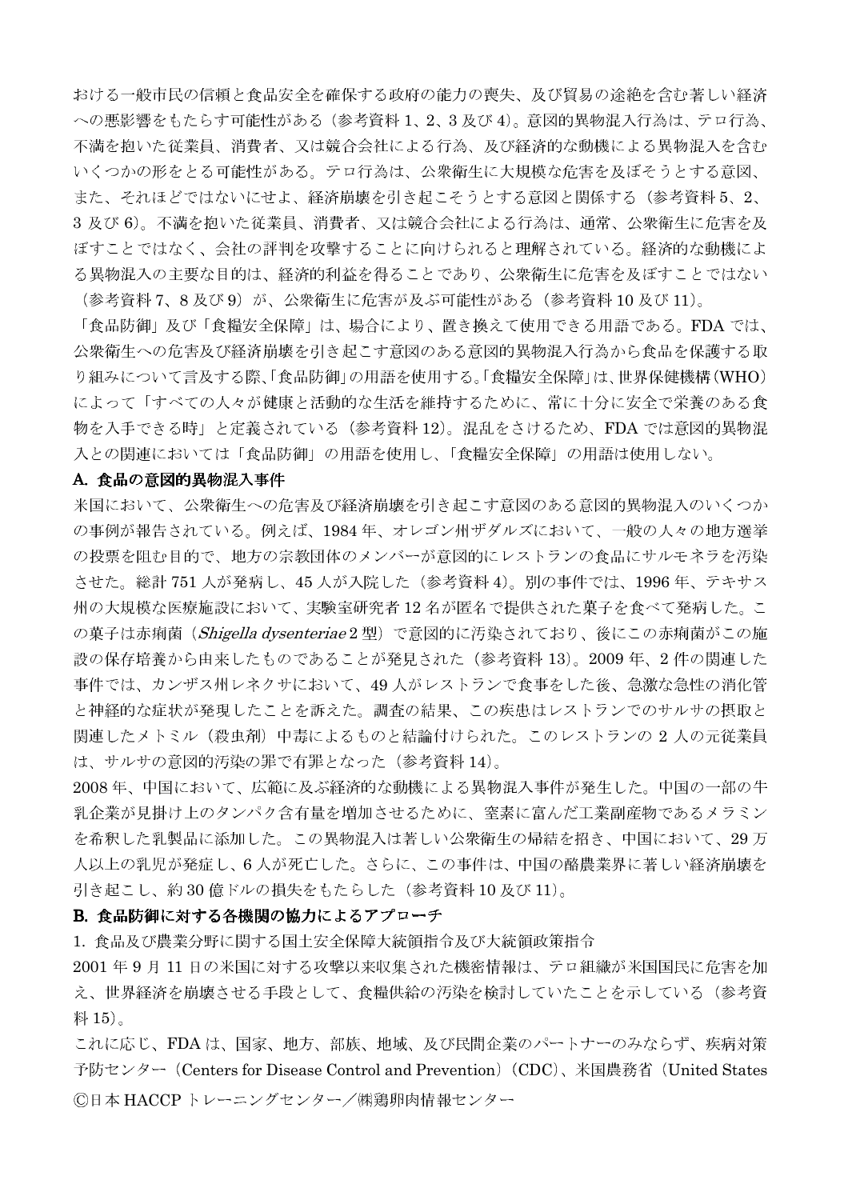おける一般市民の信頼と食品安全を確保する政府の能力の喪失、及び貿易の途絶を含む著しい経済 への悪影響をもたらす可能性がある (参考資料1、2、3及び4)。意図的異物混入行為は、テロ行為、 不満を抱いた従業員、消費者、又は競合会社による行為、及び経済的な動機による異物混入を含む いくつかの形をとる可能性がある。テロ行為は、公衆衛生に大規模な危害を及ぼそうとする意図、 また、それほどではないにせよ、経済崩壊を引き起こそうとする意図と関係する(参考資料5、2、 3 及び6)。不満を抱いた従業員、消費者、又は競合会社による行為は、通常、公衆衛生に危害を及 ぼすことではなく、会社の評判を攻撃することに向けられると理解されている。経済的な動機によ る異物混入の主要な目的は、経済的利益を得ることであり、公衆衛生に危害を及ぼすことではない (参考資料 7、8及び9) が、公衆衛生に危害が及ぶ可能性がある(参考資料 10 及び 11)。

「食品防御」及び「食糧安全保障」は、場合により、置き換えて使用できる用語である。FDA では、 公衆衛生への危害及び経済崩壊を引き起こす意図のある意図的異物混入行為から食品を保護する取 り組みについて言及する際、「食品防御」の用語を使用する。「食糧安全保障」は、世界保健機構(WHO) によって「すべての人々が健康と活動的な生活を維持するために、常に十分に安全で栄養のある食 物を入手できる時」と定義されている(参考資料 12)。混乱をさけるため、FDA では意図的異物混 入との関連においては「食品防御」の用語を使用し、「食糧安全保障」の用語は使用しない。

#### A. 食品の意図的異物混入事件

米国において、公衆衛生への危害及び経済崩壊を引き起こす意図のある意図的異物混入のいくつか の事例が報告されている。例えば、1984年、オレゴン州ザダルズにおいて、一般の人々の地方選挙 の投票を阻む目的で、地方の宗教団体のメンバーが意図的にレストランの食品にサルモネラを汚染 させた。総計751人が発病し、45人が入院した(参考資料4)。別の事件では、1996年、テキサス 州の大規模な医療施設において、実験室研究者12名が匿名で提供された菓子を食べて発病した。こ の菓子は赤痢菌 (Shigella dysenteriae2型) で意図的に汚染されており、後にこの赤痢菌がこの施 設の保存培養から由来したものであることが発見された (参考資料 13)。2009年、2件の関連した 事件では、カンザス州レネクサにおいて、49人がレストランで食事をした後、急激な急性の消化管 と神経的な症状が発現したことを訴えた。調査の結果、この疾患はレストランでのサルサの摂取と 関連したメトミル (殺虫剤) 中毒によるものと結論付けられた。このレストランの 2 人の元従業員 は、サルサの意図的汚染の罪で有罪となった(参考資料14)。

2008年、中国において、広範に及ぶ経済的な動機による異物混入事件が発生した。中国の一部の牛 乳企業が見掛け上のタンパク含有量を増加させるために、窒素に富んだ工業副産物であるメラミン を希釈した乳製品に添加した。この異物混入は著しい公衆衛生の帰結を招き、中国において、29万 人以上の乳児が発症し、6人が死亡した。さらに、この事件は、中国の酪農業界に著しい経済崩壊を 引き起こし、約30億ドルの損失をもたらした(参考資料10及び11)。

#### B. 食品防御に対する各機関の協力によるアプローチ

1. 食品及び農業分野に関する国土安全保障大統領指令及び大統領政策指令

2001年9月11日の米国に対する攻撃以来収集された機密情報は、テロ組織が米国国民に危害を加 え、世界経済を崩壊させる手段として、食糧供給の汚染を検討していたことを示している(参考資 料 15)。

これに応じ、FDAは、国家、地方、部族、地域、及び民間企業のパートナーのみならず、疾病対策 予防センター (Centers for Disease Control and Prevention) (CDC)、米国農務省 (United States ©日本 HACCPトレーニングセンター/㈱鶏卵肉情報センター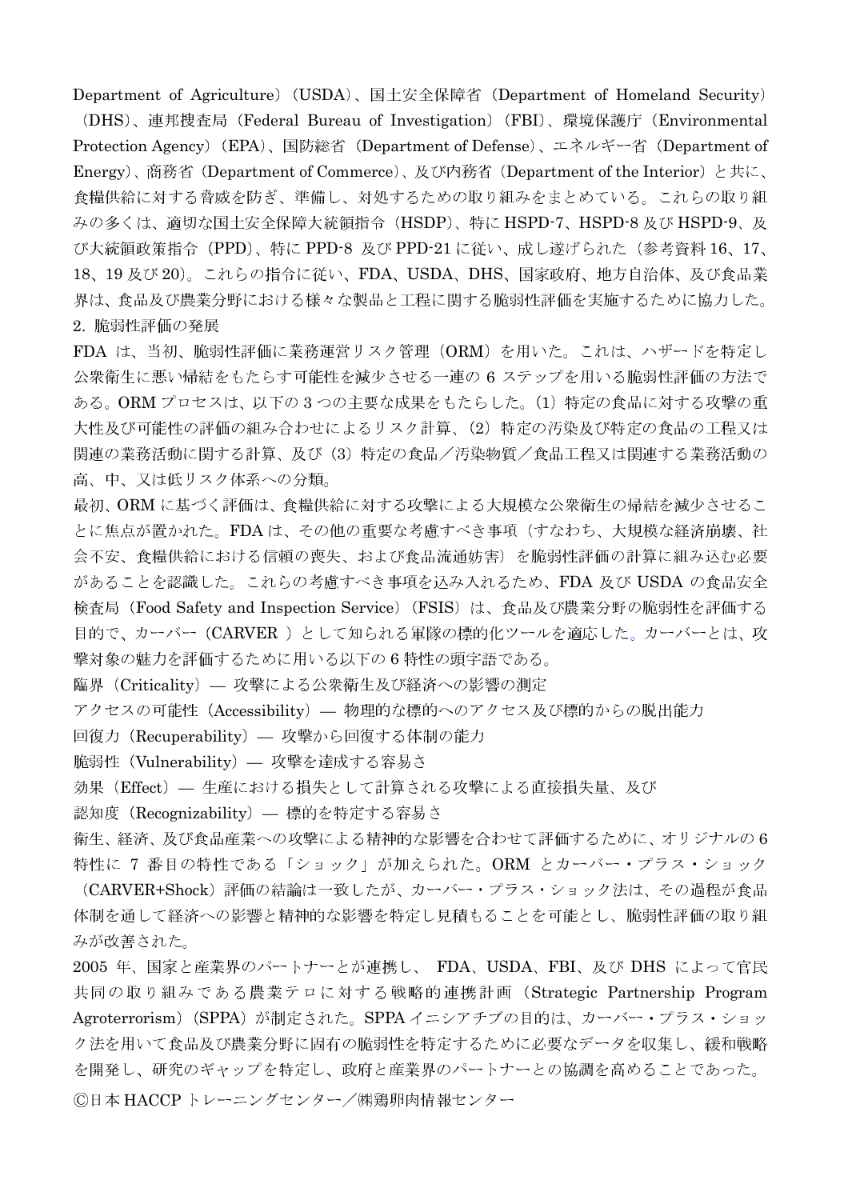Department of Agriculture) (USDA), 国土安全保障省 (Department of Homeland Security) (DHS)、連邦捜査局 (Federal Bureau of Investigation) (FBI)、環境保護庁 (Environmental Protection Agency) (EPA)、国防総省 (Department of Defense)、エネルギー省 (Department of Energy)、商務省 (Department of Commerce)、及び内務省 (Department of the Interior) と共に、 食糧供給に対する脅威を防ぎ、準備し、対処するための取り組みをまとめている。これらの取り組 みの多くは、適切な国土安全保障大統領指令 (HSDP)、特に HSPD-7、HSPD-8 及び HSPD-9、及 び大統領政策指令 (PPD)、特に PPD-8 及び PPD-21 に従い、成し遂げられた(参考資料 16、17、 18、19及び20)。これらの指令に従い、FDA、USDA、DHS、国家政府、地方自治体、及び食品業 界は、食品及び農業分野における様々な製品と工程に関する脆弱性評価を実施するために協力した。 2. 脆弱性評価の発展

FDA は、当初、脆弱性評価に業務運営リスク管理 (ORM) を用いた。これは、ハザードを特定し 公衆衛生に悪い帰結をもたらす可能性を減少させる一連の6ステップを用いる脆弱性評価の方法で ある。ORM プロセスは、以下の3つの主要な成果をもたらした。(1)特定の食品に対する攻撃の重 大性及び可能性の評価の組み合わせによるリスク計算、(2)特定の汚染及び特定の食品の工程又は 関連の業務活動に関する計算、及び(3)特定の食品/汚染物質/食品工程又は関連する業務活動の 高、中、又は低リスク体系への分類。

最初、ORM に基づく評価は、食糧供給に対する攻撃による大規模な公衆衛生の帰結を減少させるこ とに焦点が置かれた。FDAは、その他の重要な考慮すべき事項(すなわち、大規模な経済崩壊、社 会不安、食糧供給における信頼の喪失、および食品流通妨害)を脆弱性評価の計算に組み込む必要 があることを認識した。これらの考慮すべき事項を込み入れるため、FDA 及び USDA の食品安全 検査局 (Food Safety and Inspection Service) (FSIS) は、食品及び農業分野の脆弱性を評価する 目的で、カーバー (CARVER) として知られる軍隊の標的化ツールを適応した。カーバーとは、攻 撃対象の魅力を評価するために用いる以下の6特性の頭字語である。

臨界 (Criticality) – 攻撃による公衆衛生及び経済への影響の測定

アクセスの可能性 (Accessibility) - 物理的な標的へのアクセス及び標的からの脱出能力

回復力 (Recuperability) — 攻撃から回復する体制の能力

脆弱性 (Vulnerability) – 攻撃を達成する容易さ

効果 (Effect) - 生産における損失として計算される攻撃による直接損失量、及び

認知度 (Recognizability) – 標的を特定する容易さ

衛生、経済、及び食品産業への攻撃による精神的な影響を合わせて評価するために、オリジナルの6 特性に 7 番目の特性である「ショック」が加えられた。ORM とカーバー・プラス・ショック (CARVER+Shock)評価の結論は一致したが、カーバー・プラス・ショック法は、その過程が食品

体制を通して経済への影響と精神的な影響を特定し見積もることを可能とし、脆弱性評価の取り組 みが改善された。

2005 年、国家と産業界のパートナーとが連携し、 FDA、USDA、FBI、及び DHS によって官民 共同の取り組みである農業テロに対する戦略的連携計画 (Strategic Partnership Program Agroterrorism) (SPPA) が制定された。SPPA イニシアチブの目的は、カーバー・プラス・ショッ ク法を用いて食品及び農業分野に固有の脆弱性を特定するために必要なデータを収集し、緩和戦略 を開発し、研究のギャップを特定し、政府と産業界のパートナーとの協調を高めることであった。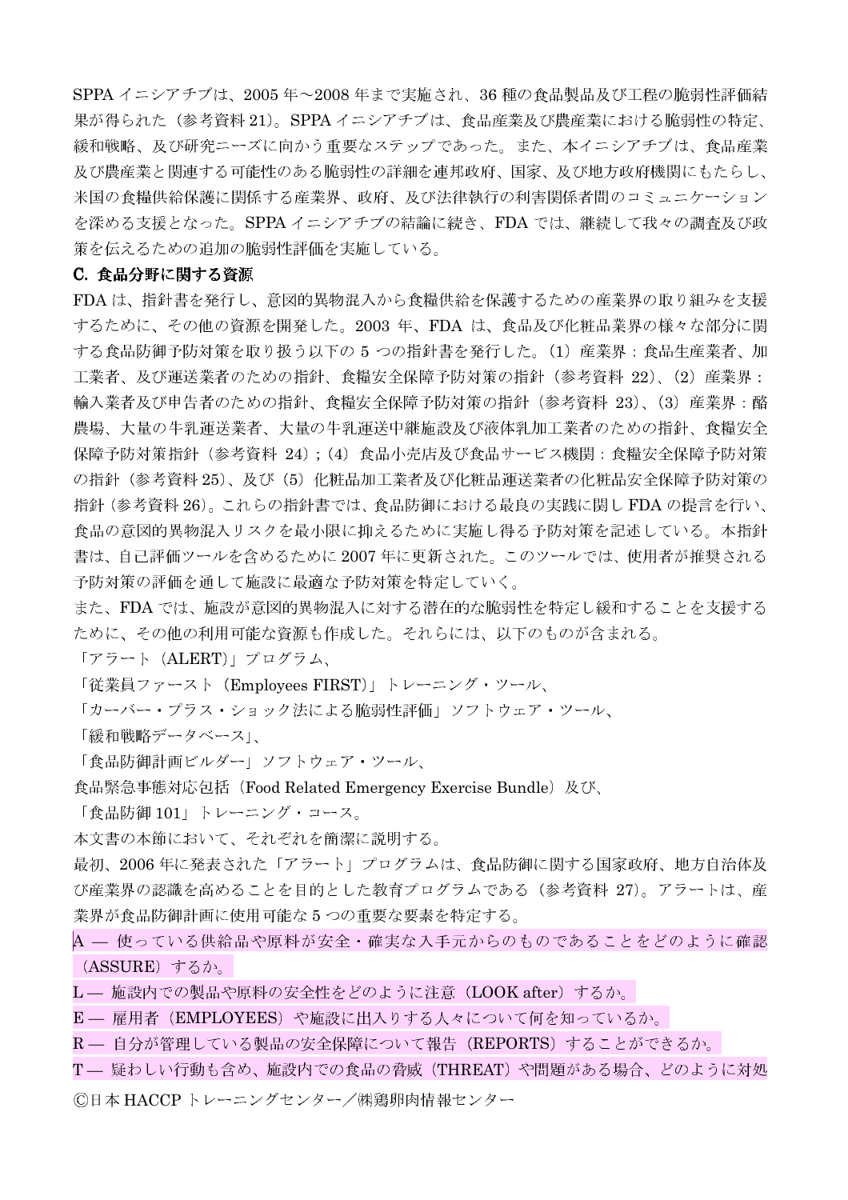SPPA イニシアチブは、2005年~2008年まで実施され、36種の食品製品及び工程の脆弱性評価結 果が得られた (参考資料 21)。SPPA イニシアチブは、食品産業及び農産業における脆弱性の特定、 緩和戦略、及び研究ニーズに向かう重要なステップであった。また、本イニシアチブは、食品産業 及び農産業と関連する可能性のある脆弱性の詳細を連邦政府、国家、及び地方政府機関にもたらし、 米国の食糧供給保護に関係する産業界、政府、及び法律執行の利害関係者間のコミュニケーション を深める支援となった。SPPA イニシアチブの結論に続き、FDA では、継続して我々の調査及び政 策を伝えるための追加の脆弱性評価を実施している。

## C. 食品分野に関する資源

FDA は、指針書を発行し、意図的異物混入から食糧供給を保護するための産業界の取り組みを支援 するために、その他の資源を開発した。2003年、FDAは、食品及び化粧品業界の様々な部分に関 する食品防御予防対策を取り扱う以下の5つの指針書を発行した。(1)産業界:食品生産業者、加 工業者、及び運送業者のための指針、食糧安全保障予防対策の指針 (参考資料 22)、(2) 産業界: 輸入業者及び申告者のための指針、食糧安全保障予防対策の指針(参考資料 23)、(3)産業界:酪 農場、大量の牛乳運送業者、大量の牛乳運送中継施設及び液体乳加工業者のための指針、食糧安全 保障予防対策指針(参考資料 24): (4) 食品小売店及び食品サービス機関:食糧安全保障予防対策 の指針 (参考資料 25)、及び (5) 化粧品加工業者及び化粧品運送業者の化粧品安全保障予防対策の 指針 (参考資料 26)。これらの指針書では、食品防御における最良の実践に関し FDA の提言を行い、 食品の意図的異物混入リスクを最小限に抑えるために実施し得る予防対策を記述している。本指針 書は、自己評価ツールを含めるために 2007年に更新された。このツールでは、使用者が推奨される 予防対策の評価を通して施設に最適な予防対策を特定していく。

また、FDA では、施設が意図的異物混入に対する潜在的な脆弱性を特定し緩和することを支援する ために、その他の利用可能な資源も作成した。それらには、以下のものが含まれる。

「アラート(ALERT)」プログラム、

「従業員ファースト (Employees FIRST)」トレーニング・ツール、

「カーバー・プラス・ショック法による脆弱性評価」ソフトウェア・ツール、

「緩和戦略データベース」、

「食品防御計画ビルダー」ソフトウェア・ツール、

食品緊急事態対応包括 (Food Related Emergency Exercise Bundle) 及び、

「食品防御 101」トレーニング・コース。

本文書の本節において、それぞれを簡潔に説明する。

最初、2006年に発表された「アラート」プログラムは、食品防御に関する国家政府、地方自治体及 び産業界の認識を高めることを目的とした教育プログラムである(参考資料 27)。アラートは、産 業界が食品防御計画に使用可能な5つの重要な要素を特定する。

- A 使っている供給品や原料が安全・確実な入手元からのものであることをどのように確認 (ASSURE) するか。
- L- 施設内での製品や原料の安全性をどのように注意 (LOOK after) するか。
- E 雇用者 (EMPLOYEES) や施設に出入りする人々について何を知っているか。

R - 自分が管理している製品の安全保障について報告 (REPORTS) することができるか。

T- 疑わしい行動も含め、施設内での食品の脅威 (THREAT) や問題がある場合、どのように対処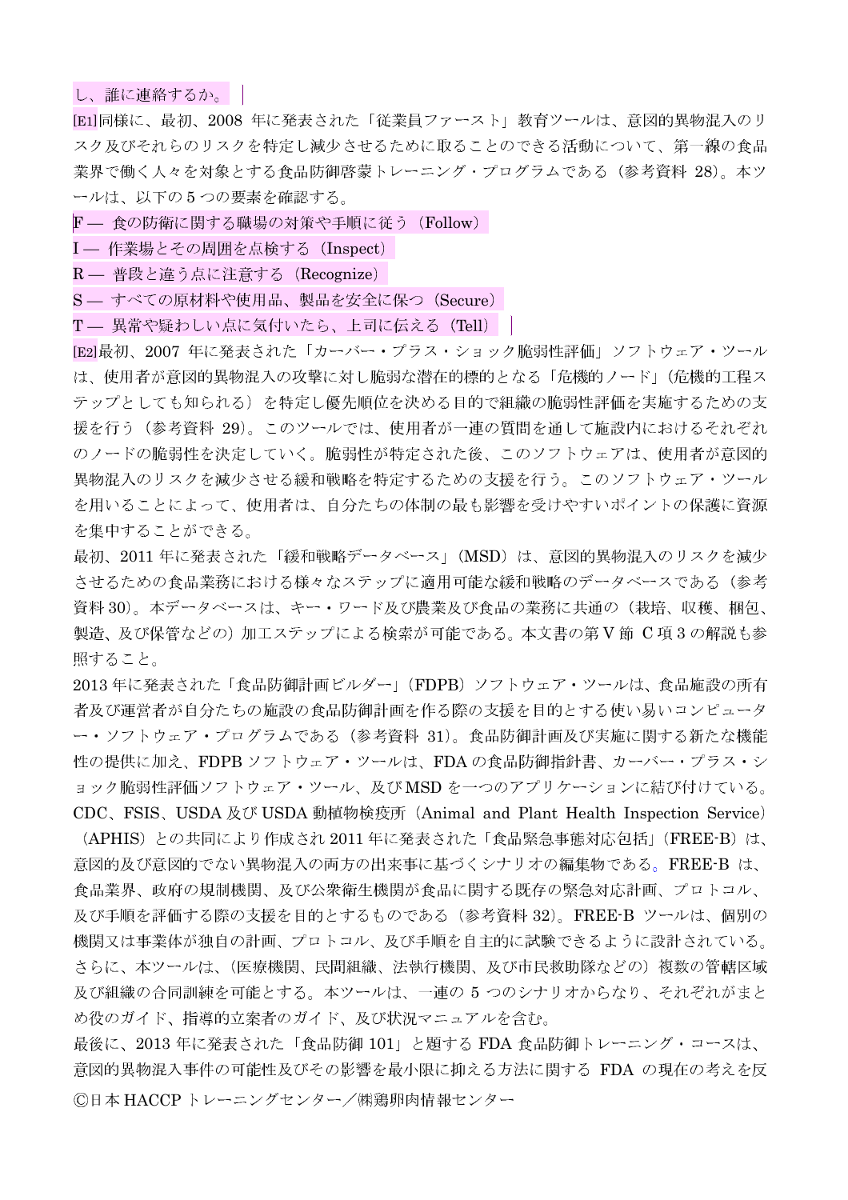し、誰に連絡するか。

[E1]同様に、最初、2008年に発表された「従業員ファースト」教育ツールは、意図的異物混入のリ スク及びそれらのリスクを特定し減少させるために取ることのできる活動について、第一線の食品 業界で働く人々を対象とする食品防御啓蒙トレーニング・プログラムである (参考資料 28)。本ツ ールは、以下の5つの要素を確認する。

- F 食の防衛に関する職場の対策や手順に従う (Follow)
- I 作業場とその周囲を点検する (Inspect)
- R 普段と違う点に注意する (Recognize)
- S すべての原材料や使用品、製品を安全に保つ (Secure)
- T 異常や疑わしい点に気付いたら、上司に伝える (Tell) |

[E2]最初、2007 年に発表された「カーバー・プラス・ショック脆弱性評価」ソフトウェア・ツール は、使用者が意図的異物混入の攻撃に対し脆弱な潜在的標的となる「危機的ノード」(危機的工程ス テップとしても知られる)を特定し優先順位を決める目的で組織の脆弱性評価を実施するための支 援を行う(参考資料 29)。このツールでは、使用者が一連の質問を通して施設内におけるそれぞれ のノードの脆弱性を決定していく。脆弱性が特定された後、このソフトウェアは、使用者が意図的 異物混入のリスクを減少させる緩和戦略を特定するための支援を行う。このソフトウェア・ツール を用いることによって、使用者は、自分たちの体制の最も影響を受けやすいポイントの保護に資源 を集中することができる。

最初、2011年に発表された「緩和戦略データベース」(MSD)は、意図的異物混入のリスクを減少 させるための食品業務における様々なステップに適用可能な緩和戦略のデータベースである(参考 資料 30)。本データベースは、キー・ワード及び農業及び食品の業務に共通の(栽培、収穫、梱包、 製造、及び保管などの) 加工ステップによる検索が可能である。本文書の第V節 C 項3の解説も参 照すること。

2013年に発表された「食品防御計画ビルダー」(FDPB) ソフトウェア・ツールは、食品施設の所有 者及び運営者が自分たちの施設の食品防御計画を作る際の支援を目的とする使い易いコンピュータ ー・ソフトウェア・プログラムである (参考資料 31)。食品防御計画及び実施に関する新たな機能 性の提供に加え、FDPB ソフトウェア・ツールは、FDA の食品防御指針書、カーバー・プラス・シ ョック脆弱性評価ソフトウェア・ツール、及びMSDを一つのアプリケーションに結び付けている。 CDC、FSIS、USDA及び USDA 動植物検疫所 (Animal and Plant Health Inspection Service)

(APHIS)との共同により作成され2011年に発表された「食品緊急事態対応包括」(FREE-B)は、 意図的及び意図的でない異物混入の両方の出来事に基づくシナリオの編集物である。FREE-B は、 食品業界、政府の規制機関、及び公衆衛生機関が食品に関する既存の緊急対応計画、プロトコル、 及び手順を評価する際の支援を目的とするものである (参考資料 32)。FREE-B ツールは、個別の 機関又は事業体が独自の計画、プロトコル、及び手順を自主的に試験できるように設計されている。 さらに、本ツールは、(医療機関、民間組織、法執行機関、及び市民救助隊などの)複数の管轄区域 及び組織の合同訓練を可能とする。本ツールは、一連の5つのシナリオからなり、それぞれがまと め役のガイド、指導的立案者のガイド、及び状況マニュアルを含む。

最後に、2013年に発表された「食品防御 101」と題する FDA 食品防御トレーニング・コースは、 意図的異物混入事件の可能性及びその影響を最小限に抑える方法に関する FDA の現在の考えを反 ©日本 HACCP トレーニングセンター/㈱鶏卵肉情報センター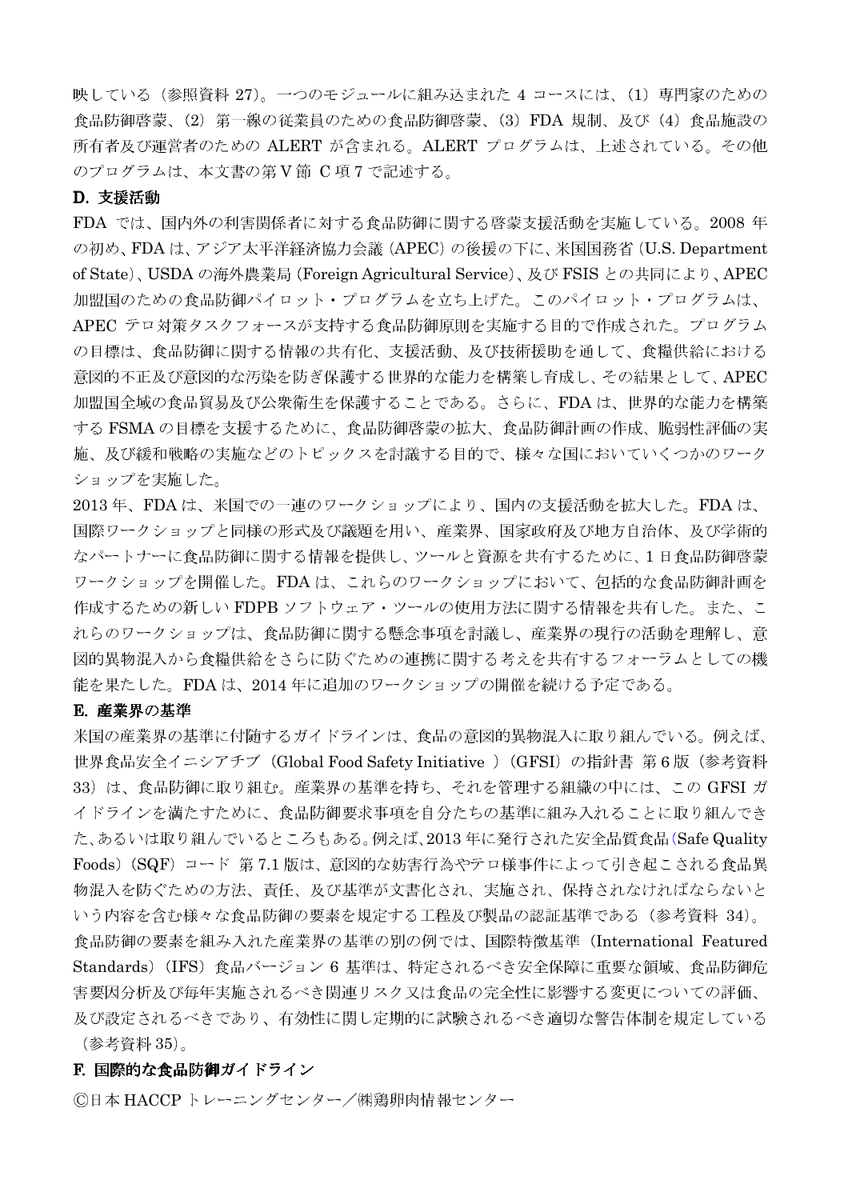映している(参照資料 27)。一つのモジュールに組み込まれた 4 コースには、(1) 専門家のための 食品防御啓蒙、(2) 第一線の従業員のための食品防御啓蒙、(3) FDA 規制、及び (4) 食品施設の 所有者及び運営者のための ALERT が含まれる。ALERT プログラムは、上述されている。その他 のプログラムは、本文書の第V節 C項7で記述する。

## D. 支援活動

FDA では、国内外の利害関係者に対する食品防御に関する啓蒙支援活動を実施している。2008年 の初め、FDAは、アジア太平洋経済協力会議 (APEC)の後援の下に、米国国務省 (U.S. Department of State)、USDA の海外農業局 (Foreign Agricultural Service)、及び FSIS との共同により、APEC 加盟国のための食品防御パイロット・プログラムを立ち上げた。このパイロット・プログラムは、 APEC テロ対策タスクフォースが支持する食品防御原則を実施する目的で作成された。プログラム の目標は、食品防御に関する情報の共有化、支援活動、及び技術援助を通して、食糧供給における 意図的不正及び意図的な汚染を防ぎ保護する世界的な能力を構築し育成し、その結果として、APEC 加盟国全域の食品貿易及び公衆衛生を保護することである。さらに、FDAは、世界的な能力を構築 する FSMA の目標を支援するために、食品防御啓蒙の拡大、食品防御計画の作成、脆弱性評価の実 施、及び緩和戦略の実施などのトピックスを討議する目的で、様々な国においていくつかのワーク ショップを実施した。

2013年、FDAは、米国での一連のワークショップにより、国内の支援活動を拡大した。FDAは、 国際ワークショップと同様の形式及び議題を用い、産業界、国家政府及び地方自治体、及び学術的 なパートナーに食品防御に関する情報を提供し、ツールと資源を共有するために、1日食品防御啓蒙 ワークショップを開催した。FDAは、これらのワークショップにおいて、包括的な食品防御計画を 作成するための新しい FDPB ソフトウェア・ツールの使用方法に関する情報を共有した。また、こ れらのワークショップは、食品防御に関する懸念事項を討議し、産業界の現行の活動を理解し、意 図的異物混入から食糧供給をさらに防ぐための連携に関する考えを共有するフォーラムとしての機 能を果たした。FDAは、2014年に追加のワークショップの開催を続ける予定である。

#### E. 産業界の基準

米国の産業界の基準に付随するガイドラインは、食品の意図的異物混入に取り組んでいる。例えば、 世界食品安全イニシアチブ (Global Food Safety Initiative ) (GFSI) の指針書 第6版 (参考資料 33) は、食品防御に取り組む。産業界の基準を持ち、それを管理する組織の中には、この GFSI ガ イドラインを満たすために、食品防御要求事項を自分たちの基準に組み入れることに取り組んでき た、あるいは取り組んでいるところもある。例えば、2013年に発行された安全品質食品(Safe Quality Foods) (SQF) コード 第7.1版は、意図的な妨害行為やテロ様事件によって引き起こされる食品異 物混入を防ぐための方法、責任、及び基準が文書化され、実施され、保持されなければならないと いう内容を含む様々な食品防御の要素を規定する工程及び製品の認証基準である(参考資料 34)。 食品防御の要素を組み入れた産業界の基準の別の例では、国際特徴基準 (International Featured Standards) (IFS) 食品バージョン 6 基準は、特定されるべき安全保障に重要な領域、食品防御危 害要因分析及び毎年実施されるべき関連リスク又は食品の完全性に影響する変更についての評価、 及び設定されるべきであり、有効性に関し定期的に試験されるべき適切な警告体制を規定している (参考資料 35)。

#### F. 国際的な食品防御ガイドライン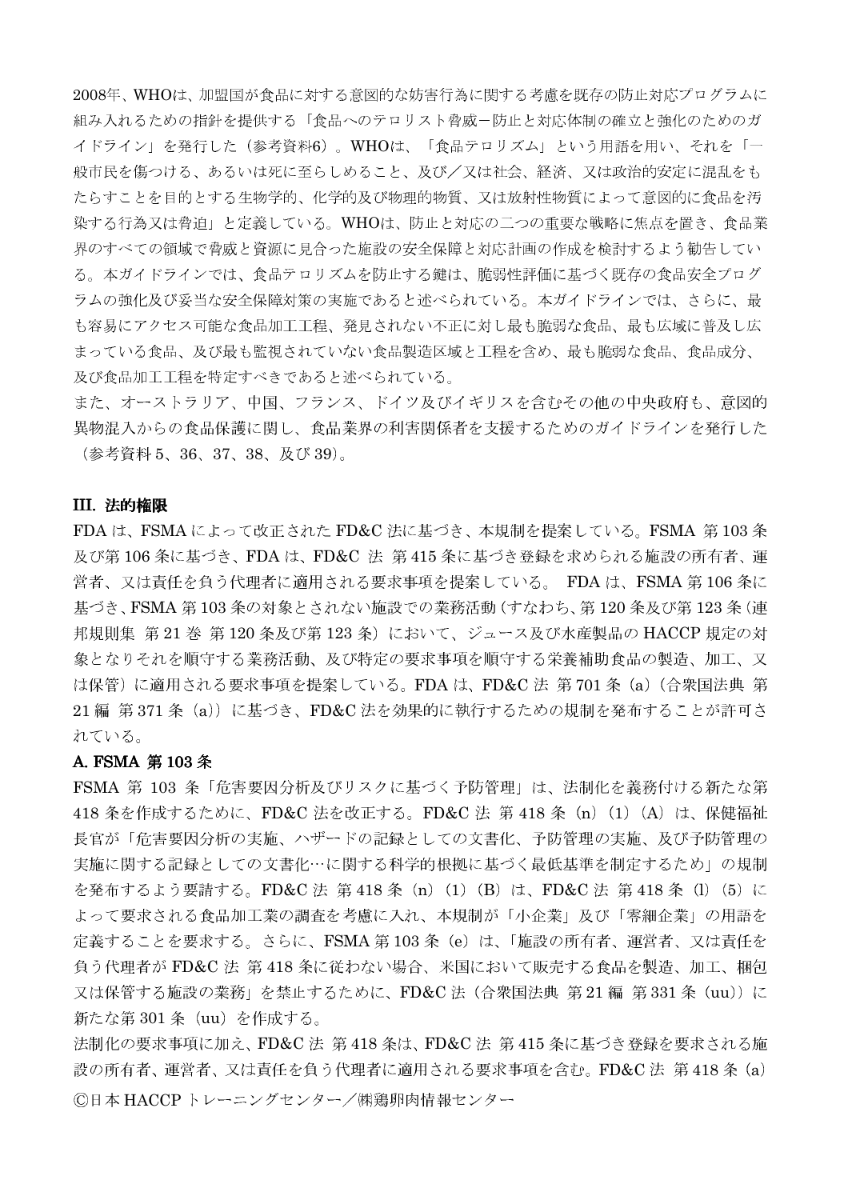2008年、WHOは、加盟国が食品に対する意図的な妨害行為に関する考慮を既存の防止対応プログラムに 組み入れるための指針を提供する「食品へのテロリスト脅威ー防止と対応体制の確立と強化のためのガ イドライン」を発行した(参考資料6)。WHOは、「食品テロリズム」という用語を用い、それを「一 般市民を傷つける、あるいは死に至らしめること、及び/又は社会、経済、又は政治的安定に混乱をも たらすことを目的とする生物学的、化学的及び物理的物質、又は放射性物質によって意図的に食品を汚 染する行為又は脅迫」と定義している。WHOは、防止と対応の二つの重要な戦略に焦点を置き、食品業 界のすべての領域で脅威と資源に見合った施設の安全保障と対応計画の作成を検討するよう勧告してい る。本ガイドラインでは、食品テロリズムを防止する鍵は、脆弱性評価に基づく既存の食品安全プログ ラムの強化及び妥当な安全保障対策の実施であると述べられている。本ガイドラインでは、さらに、最 も容易にアクセス可能な食品加工工程、発見されない不正に対し最も脆弱な食品、最も広域に普及し広 まっている食品、及び最も監視されていない食品製造区域と工程を含め、最も脆弱な食品、食品成分、 及び食品加工工程を特定すべきであると述べられている。

また、オーストラリア、中国、フランス、ドイツ及びイギリスを含むその他の中央政府も、意図的 異物混入からの食品保護に関し、食品業界の利害関係者を支援するためのガイドラインを発行した (参考資料 5、36、37、38、及び39)。

#### III. 法的権限

FDAは、FSMAによって改正されたFD&C法に基づき、本規制を提案している。FSMA第103条 及び第106条に基づき、FDAは、FD&C法第415条に基づき登録を求められる施設の所有者、運 営者、又は責任を負う代理者に適用される要求事項を提案している。FDAは、FSMA 第106 条に 基づき、FSMA 第103条の対象とされない施設での業務活動 (すなわち、第120条及び第123条 (連 邦規則集 第21巻 第120条及び第123条)において、ジュース及び水産製品の HACCP 規定の対 象となりそれを順守する業務活動、及び特定の要求事項を順守する栄養補助食品の製造、加工、又 は保管)に適用される要求事項を提案している。FDAは、FD&C法第701条 (a) (合衆国法典第 21編 第371条 (a)) に基づき、FD&C法を効果的に執行するための規制を発布することが許可さ れている。

## A. FSMA 第103条

FSMA 第 103 条「危害要因分析及びリスクに基づく予防管理」は、法制化を義務付ける新たな第 418 条を作成するために、FD&C 法を改正する。FD&C 法 第 418 条 (n) (1) (A) は、保健福祉 長官が「危害要因分析の実施、ハザードの記録としての文書化、予防管理の実施、及び予防管理の 実施に関する記録としての文書化…に関する科学的根拠に基づく最低基準を制定するため」の規制 を発布するよう要請する。FD&C法 第418条 (n) (1) (B) は、FD&C法 第418条 (l) (5) に よって要求される食品加工業の調査を考慮に入れ、本規制が「小企業」及び「零細企業」の用語を 定義することを要求する。さらに、FSMA 第 103 条(e)は、「施設の所有者、運営者、又は責任を 負う代理者が FD&C 法 第 418 条に従わない場合、米国において販売する食品を製造、加工、梱包 又は保管する施設の業務」を禁止するために、FD&C法(合衆国法典 第21編 第331条 (uu))に 新たな第 301 条 (uu) を作成する。

法制化の要求事項に加え、FD&C法 第418条は、FD&C法 第415条に基づき登録を要求される施 設の所有者、運営者、又は責任を負う代理者に適用される要求事項を含む。FD&C法 第418条 (a) ©日本 HACCP トレーニングセンター/㈱鶏卵肉情報センター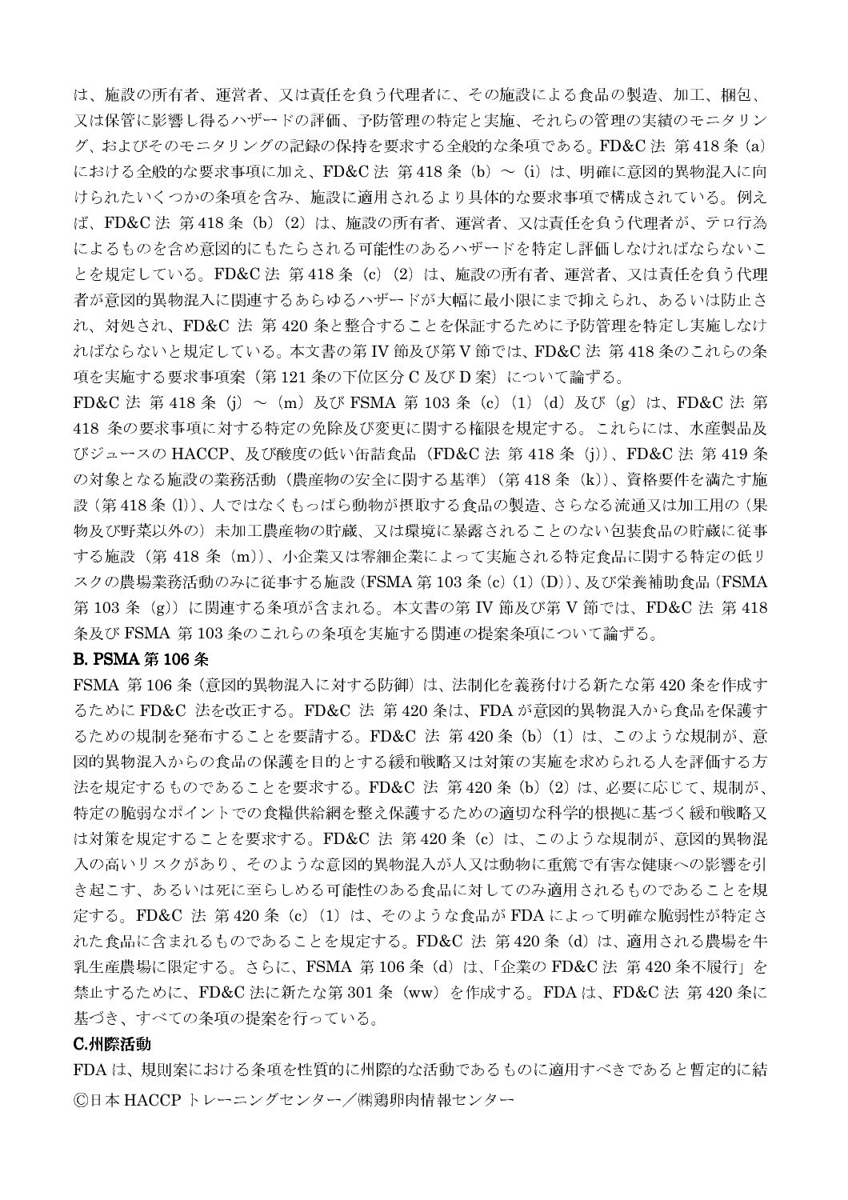は、施設の所有者、運営者、又は責任を負う代理者に、その施設による食品の製造、加工、梱包、 又は保管に影響し得るハザードの評価、予防管理の特定と実施、それらの管理の実績のモニタリン グ、およびそのモニタリングの記録の保持を要求する全般的な条項である。FD&C法 第418条 (a) における全般的な要求事項に加え、FD&C法 第418条 (b) ~ (i) は、明確に意図的異物混入に向 けられたいくつかの条項を含み、施設に適用されるより具体的な要求事項で構成されている。例え ば、FD&C法 第418条 (b) (2) は、施設の所有者、運営者、又は責任を負う代理者が、テロ行為 によるものを含め意図的にもたらされる可能性のあるハザードを特定し評価しなければならないこ とを規定している。FD&C法 第418条 (c) (2) は、施設の所有者、運営者、又は責任を負う代理 者が意図的異物混入に関連するあらゆるハザードが大幅に最小限にまで抑えられ、あるいは防止さ れ、対処され、FD&C 法 第 420 条と整合することを保証するために予防管理を特定し実施しなけ ればならないと規定している。本文書の第 IV 節及び第V 節では、FD&C 法 第418 条のこれらの条 項を実施する要求事項案(第121条の下位区分C及びD案)について論ずる。

FD&C 法 第 418 条 (i) ~ (m) 及び FSMA 第 103 条 (c) (1) (d) 及び (g) は、FD&C 法 第 418 条の要求事項に対する特定の免除及び変更に関する権限を規定する。これらには、水産製品及 びジュースの HACCP、及び酸度の低い缶詰食品 (FD&C 法 第 418 条 (j))、FD&C 法 第 419 条 の対象となる施設の業務活動(農産物の安全に関する基準)(第418条 (k))、資格要件を満たす施 設(第418条(l))、人ではなくもっぱら動物が摂取する食品の製造、さらなる流通又は加工用の(果 物及び野菜以外の)未加工農産物の貯蔵、又は環境に暴露されることのない包装食品の貯蔵に従事 する施設 (第418条 (m))、小企業又は零細企業によって実施される特定食品に関する特定の低リ スクの農場業務活動のみに従事する施設 (FSMA 第 103 条 (c) (1) (D))、及び栄養補助食品 (FSMA 第103条 (g)) に関連する条項が含まれる。本文書の第 IV 節及び第 V 節では、FD&C 法 第418 条及び FSMA 第103条のこれらの条項を実施する関連の提案条項について論ずる。

#### **B. PSMA 第106 条**

FSMA 第106条 (意図的異物混入に対する防御)は、法制化を義務付ける新たな第420条を作成す るために FD&C 法を改正する。FD&C 法 第420 条は、FDA が意図的異物混入から食品を保護す るための規制を発布することを要請する。FD&C 法 第420条 (b) (1) は、このような規制が、意 図的異物混入からの食品の保護を目的とする緩和戦略又は対策の実施を求められる人を評価する方 法を規定するものであることを要求する。FD&C 法 第420条 (b) (2) は、必要に応じて、規制が、 特定の脆弱なポイントでの食糧供給網を整え保護するための適切な科学的根拠に基づく緩和戦略又 は対策を規定することを要求する。FD&C 法 第420条 (c) は、このような規制が、意図的異物混 入の高いリスクがあり、そのような意図的異物混入が人又は動物に重篤で有害な健康への影響を引 き起こす、あるいは死に至らしめる可能性のある食品に対してのみ適用されるものであることを規 定する。FD&C 法 第420条 (c) (1) は、そのような食品が FDA によって明確な脆弱性が特定さ れた食品に含まれるものであることを規定する。FD&C 法 第420条 (d) は、適用される農場を牛 乳生産農場に限定する。さらに、FSMA 第 106 条(d)は、「企業の FD&C 法 第 420 条不履行」を 禁止するために、FD&C 法に新たな第301条 (ww) を作成する。FDAは、FD&C 法 第420 条に 基づき、すべての条項の提案を行っている。

#### C.州際活動

FDAは、規則案における条項を性質的に州際的な活動であるものに適用すべきであると暫定的に結 ©日本 HACCP トレーニングセンター/㈱鶏卵肉情報センター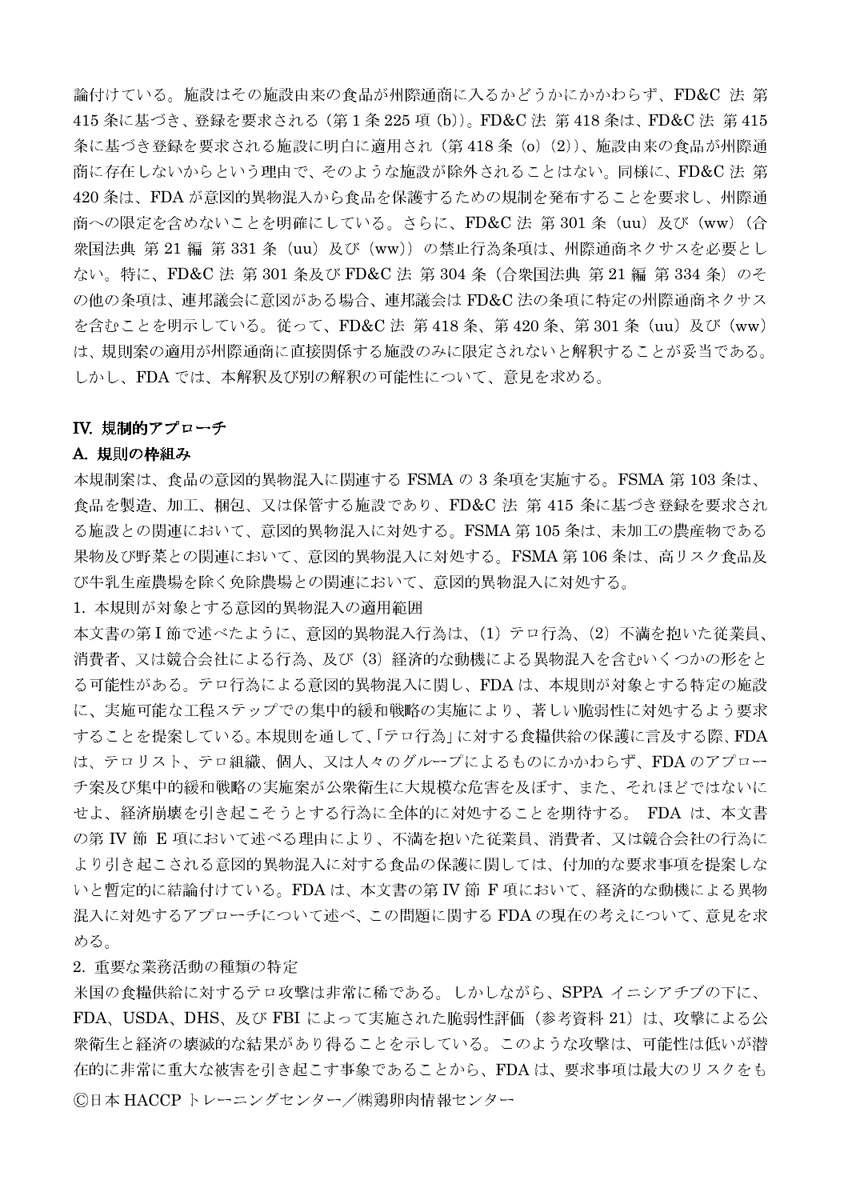論付けている。施設はその施設由来の食品が州際通商に入るかどうかにかかわらず、FD&C 法 第 415 条に基づき、登録を要求される (第1条 225 項 (b))。FD&C 法 第418 条は、FD&C 法 第415 条に基づき登録を要求される施設に明白に適用され(第418条 (o) (2))、施設由来の食品が州際通 商に存在しないからという理由で、そのような施設が除外されることはない。同様に、FD&C法 第 420 条は、FDA が意図的異物混入から食品を保護するための規制を発布することを要求し、州際通 商への限定を含めないことを明確にしている。さらに、FD&C法第301条 (uu)及び (ww) (合 衆国法典 第 21 編 第 331 条 (uu) 及び (ww)) の禁止行為条項は、州際通商ネクサスを必要とし ない。特に、FD&C法 第301条及び FD&C法 第304条 (合衆国法典 第21編 第334条)のそ の他の条項は、連邦議会に意図がある場合、連邦議会は FD&C 法の条項に特定の州際通商ネクサス を含むことを明示している。従って、FD&C法 第418条、第420条、第301条 (uu) 及び (ww) は、規則案の適用が州際通商に直接関係する施設のみに限定されないと解釈することが妥当である。 しかし、FDA では、本解釈及び別の解釈の可能性について、意見を求める。

## IV. 規制的アプローチ

## A. 規則の枠組み

本規制案は、食品の意図的異物混入に関連する FSMAの3条項を実施する。FSMA 第103条は、 食品を製造、加工、梱包、又は保管する施設であり、FD&C 法 第 415 条に基づき登録を要求され る施設との関連において、意図的異物混入に対処する。FSMA 第105条は、未加工の農産物である 果物及び野菜との関連において、意図的異物混入に対処する。FSMA第106条は、高リスク食品及 び牛乳生産農場を除く免除農場との関連において、意図的異物混入に対処する。

1. 本規則が対象とする意図的異物混入の適用範囲

本文書の第I節で述べたように、意図的異物混入行為は、(1)テロ行為、(2)不満を抱いた従業員、 消費者、又は競合会社による行為、及び (3) 経済的な動機による異物混入を含むいくつかの形をと る可能性がある。テロ行為による意図的異物混入に関し、FDAは、本規則が対象とする特定の施設 に、実施可能な工程ステップでの集中的緩和戦略の実施により、著しい脆弱性に対処するよう要求 することを提案している。本規則を通して、「テロ行為」に対する食糧供給の保護に言及する際、FDA は、テロリスト、テロ組織、個人、又は人々のグループによるものにかかわらず、FDAのアプロー チ案及び集中的緩和戦略の実施案が公衆衛生に大規模な危害を及ぼす、また、それほどではないに せよ、経済崩壊を引き起こそうとする行為に全体的に対処することを期待する。 FDA は、本文書 の第IV節 E項において述べる理由により、不満を抱いた従業員、消費者、又は競合会社の行為に より引き起こされる意図的異物混入に対する食品の保護に関しては、付加的な要求事項を提案しな いと暫定的に結論付けている。FDAは、本文書の第IV節 F項において、経済的な動機による異物 混入に対処するアプローチについて述べ、この問題に関するFDAの現在の考えについて、意見を求 める。

## 2. 重要な業務活動の種類の特定

米国の食糧供給に対するテロ攻撃は非常に稀である。しかしながら、SPPA イニシアチブの下に、 FDA、USDA、DHS、及び FBI によって実施された脆弱性評価(参考資料 21)は、攻撃による公 衆衛生と経済の壊滅的な結果があり得ることを示している。このような攻撃は、可能性は低いが潜 在的に非常に重大な被害を引き起こす事象であることから、FDAは、要求事項は最大のリスクをも ©日本 HACCP トレーニングセンター/㈱鶏卵肉情報センター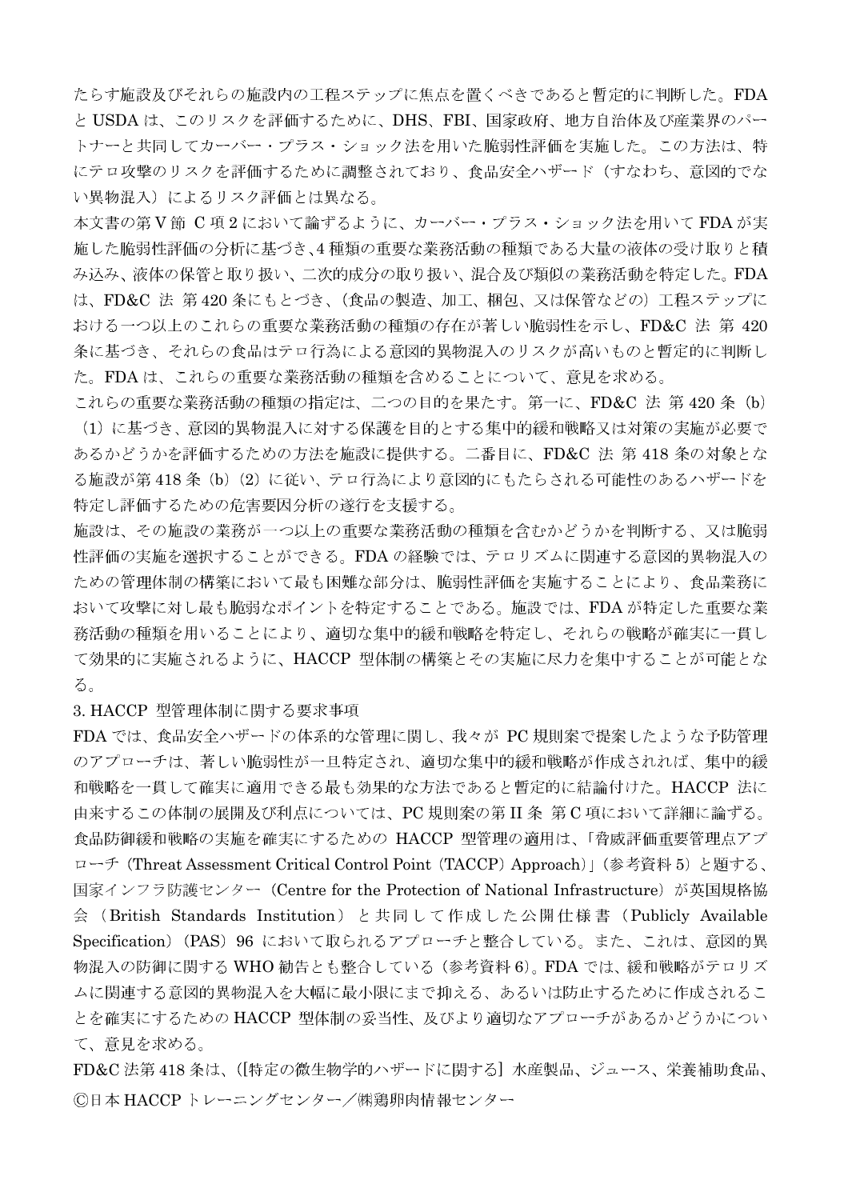たらす施設及びそれらの施設内の工程ステップに焦点を置くべきであると暫定的に判断した。FDA と USDA は、このリスクを評価するために、DHS、FBI、国家政府、地方自治体及び産業界のパー トナーと共同してカーバー・プラス・ショック法を用いた脆弱性評価を実施した。この方法は、特 にテロ攻撃のリスクを評価するために調整されており、食品安全ハザード(すなわち、意図的でな い異物混入)によるリスク評価とは異なる。

本文書の第V節 C 項2において論ずるように、カーバー・プラス・ショック法を用いて FDA が実 施した脆弱性評価の分析に基づき、4種類の重要な業務活動の種類である大量の液体の受け取りと積 み込み、液体の保管と取り扱い、二次的成分の取り扱い、混合及び類似の業務活動を特定した。FDA は、FD&C 法 第420条にもとづき、(食品の製造、加工、梱包、又は保管などの) 工程ステップに おける一つ以上のこれらの重要な業務活動の種類の存在が著しい脆弱性を示し、FD&C 法 第 420 条に基づき、それらの食品はテロ行為による意図的異物混入のリスクが高いものと暫定的に判断し た。FDAは、これらの重要な業務活動の種類を含めることについて、意見を求める。

これらの重要な業務活動の種類の指定は、二つの目的を果たす。第一に、FD&C 法 第 420 条 (b) (1) に基づき、意図的異物混入に対する保護を目的とする集中的緩和戦略又は対策の実施が必要で あるかどうかを評価するための方法を施設に提供する。二番目に、FD&C 法 第 418 条の対象とな る施設が第418条 (b) (2) に従い、テロ行為により意図的にもたらされる可能性のあるハザードを 特定し評価するための危害要因分析の遂行を支援する。

施設は、その施設の業務が一つ以上の重要な業務活動の種類を含むかどうかを判断する、又は脆弱 性評価の実施を選択することができる。FDAの経験では、テロリズムに関連する意図的異物混入の ための管理体制の構築において最も困難な部分は、脆弱性評価を実施することにより、食品業務に おいて攻撃に対し最も脆弱なポイントを特定することである。施設では、FDAが特定した重要な業 務活動の種類を用いることにより、適切な集中的緩和戦略を特定し、それらの戦略が確実に一貫し て効果的に実施されるように、HACCP 型体制の構築とその実施に尽力を集中することが可能とな る。

3. HACCP 型管理体制に関する要求事項

FDA では、食品安全ハザードの体系的な管理に関し、我々が PC 規則案で提案したような予防管理 のアプローチは、著しい脆弱性が一旦特定され、適切な集中的緩和戦略が作成されれば、集中的緩 和戦略を一貫して確実に適用できる最も効果的な方法であると暫定的に結論付けた。HACCP 法に 由来するこの体制の展開及び利点については、PC規則案の第II 条第C項において詳細に論ずる。 食品防御緩和戦略の実施を確実にするための HACCP 型管理の適用は、「脅威評価重要管理点アプ ローチ (Threat Assessment Critical Control Point (TACCP) Approach)」(参考資料 5) と題する、 国家インフラ防護センター (Centre for the Protection of National Infrastructure) が英国規格協 会 (British Standards Institution) と共同して作成した公開仕様書 (Publicly Available Specification) (PAS) 96 において取られるアプローチと整合している。また、これは、意図的異 物混入の防御に関する WHO 勧告とも整合している (参考資料 6)。FDA では、緩和戦略がテロリズ ムに関連する意図的異物混入を大幅に最小限にまで抑える、あるいは防止するために作成されるこ とを確実にするための HACCP 型体制の妥当性、及びより適切なアプローチがあるかどうかについ て、意見を求める。

FD&C法第418条は、(「特定の微生物学的ハザードに関する]水産製品、ジュース、栄養補助食品、 ©日本 HACCP トレーニングセンター/㈱鶏卵肉情報センター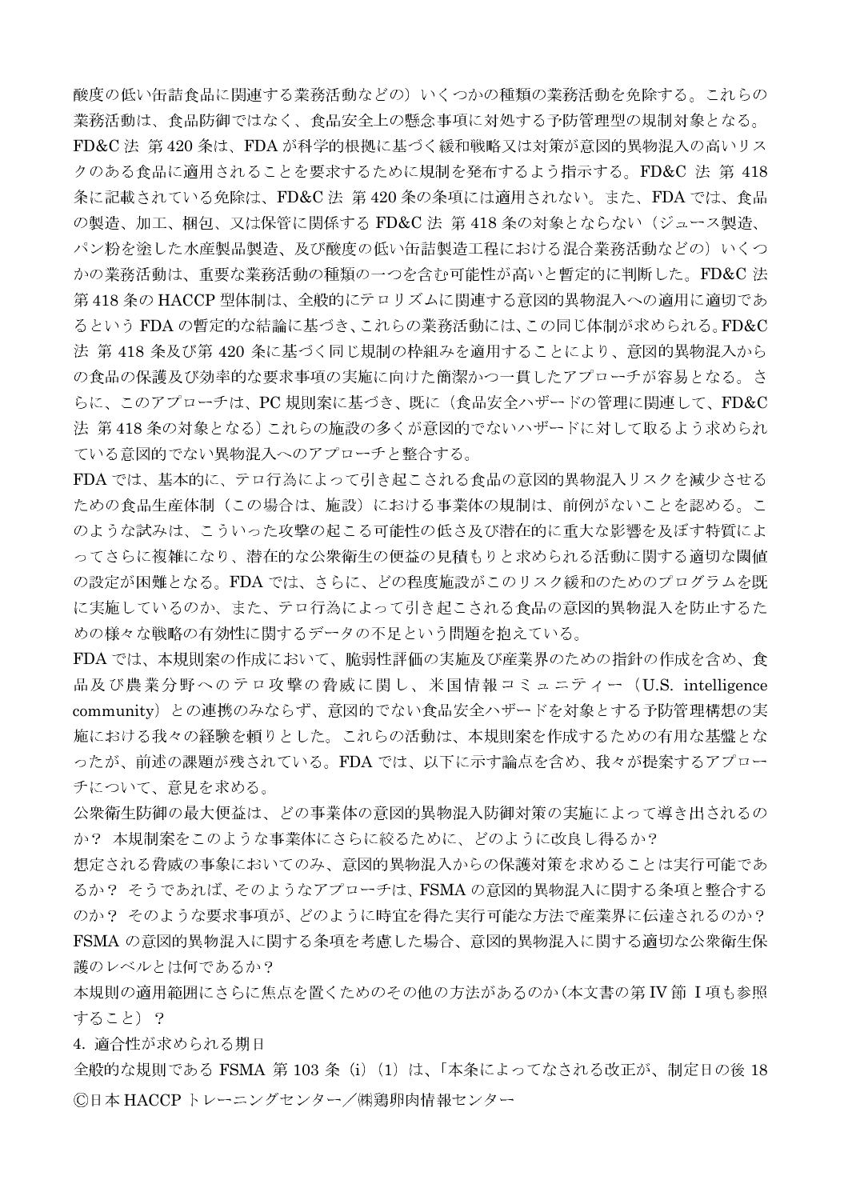酸度の低い缶詰食品に関連する業務活動などの)いくつかの種類の業務活動を免除する。これらの 業務活動は、食品防御ではなく、食品安全上の懸念事項に対処する予防管理型の規制対象となる。 FD&C 法 第 420 条は、FDA が科学的根拠に基づく緩和戦略又は対策が意図的異物混入の高いリス クのある食品に適用されることを要求するために規制を発布するよう指示する。FD&C 法 第 418 条に記載されている免除は、FD&C 法 第420 条の条項には適用されない。また、FDA では、食品 の製造、加工、梱包、又は保管に関係する FD&C 法 第 418 条の対象とならない(ジュース製造、 パン粉を塗した水産製品製造、及び酸度の低い缶詰製造工程における混合業務活動などの)いくつ かの業務活動は、重要な業務活動の種類の一つを含む可能性が高いと暫定的に判断した。FD&C法 第418条の HACCP 型体制は、全般的にテロリズムに関連する意図的異物混入への適用に適切であ るというFDAの暫定的な結論に基づき、これらの業務活動には、この同じ体制が求められる。FD&C 法 第418条及び第420条に基づく同じ規制の枠組みを適用することにより、意図的異物混入から の食品の保護及び効率的な要求事項の実施に向けた簡潔かつ一貫したアプローチが容易となる。さ らに、このアプローチは、PC規則案に基づき、既に(食品安全ハザードの管理に関連して、FD&C 法 第418条の対象となる)これらの施設の多くが意図的でないハザードに対して取るよう求められ ている意図的でない異物混入へのアプローチと整合する。

FDA では、基本的に、テロ行為によって引き起こされる食品の意図的異物混入リスクを減少させる ための食品生産体制(この場合は、施設)における事業体の規制は、前例がないことを認める。こ のような試みは、こういった攻撃の起こる可能性の低さ及び潜在的に重大な影響を及ぼす特質によ ってさらに複雑になり、潜在的な公衆衛生の便益の見積もりと求められる活動に関する適切な閾値 の設定が困難となる。FDA では、さらに、どの程度施設がこのリスク緩和のためのプログラムを既 に実施しているのか、また、テロ行為によって引き起こされる食品の意図的異物混入を防止するた めの様々な戦略の有効性に関するデータの不足という問題を抱えている。

FDA では、本規則案の作成において、脆弱性評価の実施及び産業界のための指針の作成を含め、食 品及び農業分野へのテロ攻撃の脅威に関し、米国情報コミュニティー (U.S. intelligence community)との連携のみならず、意図的でない食品安全ハザードを対象とする予防管理構想の実 施における我々の経験を頼りとした。これらの活動は、本規則案を作成するための有用な基盤とな ったが、前述の課題が残されている。FDA では、以下に示す論点を含め、我々が提案するアプロー チについて、意見を求める。

公衆衛生防御の最大便益は、どの事業体の意図的異物混入防御対策の実施によって導き出されるの か? 本規制案をこのような事業体にさらに絞るために、どのように改良し得るか?

想定される脅威の事象においてのみ、意図的異物混入からの保護対策を求めることは実行可能であ るか? そうであれば、そのようなアプローチは、FSMAの意図的異物混入に関する条項と整合する のか? そのような要求事項が、どのように時官を得た実行可能な方法で産業界に伝達されるのか? FSMA の意図的異物混入に関する条項を考慮した場合、意図的異物混入に関する適切な公衆衛生保 護のレベルとは何であるか?

本規則の適用範囲にさらに焦点を置くためのその他の方法があるのか(本文書の第IV節 I 項も参照 すること)?

4. 適合性が求められる期日

全般的な規則である FSMA 第 103 条 (i) (1) は、「本条によってなされる改正が、制定日の後 18 ©日本 HACCP トレーニングセンター/㈱鶏卵肉情報センター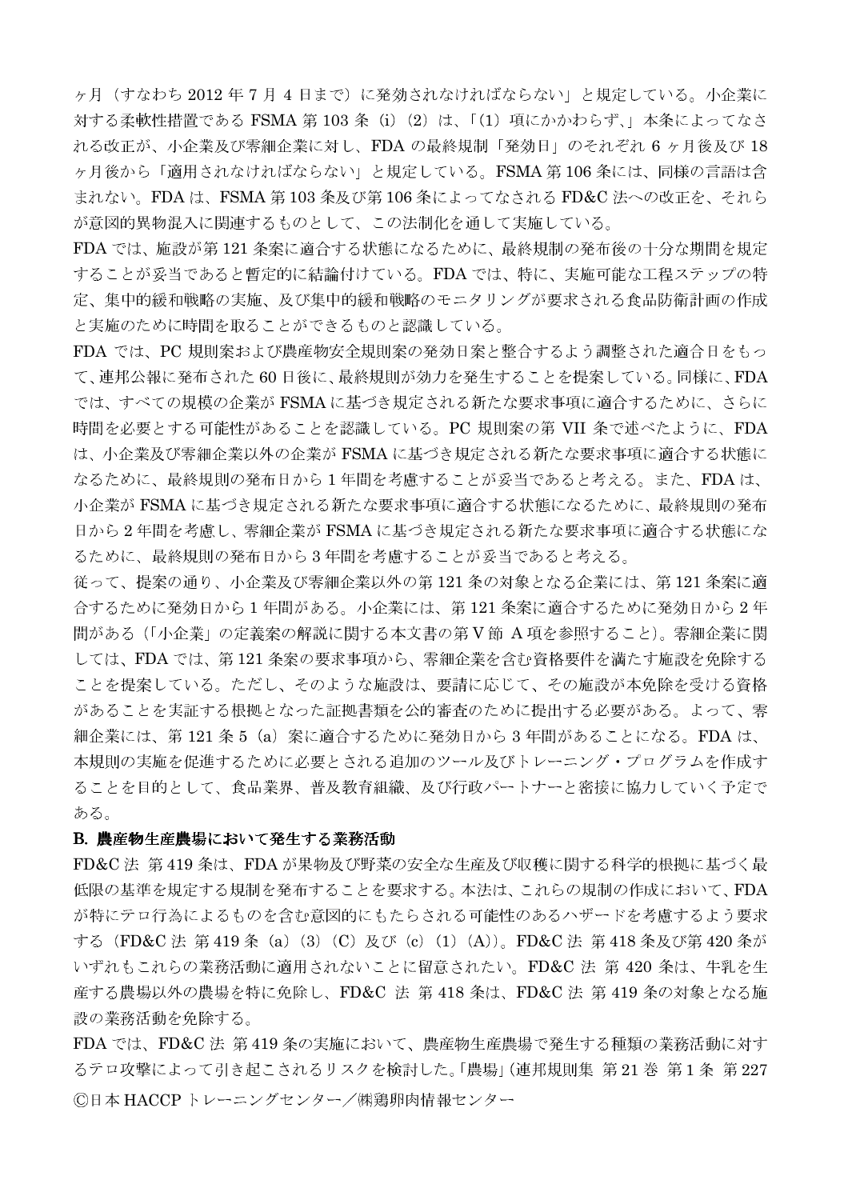ヶ月(すなわち 2012年7月4日まで)に発効されなければならない」と規定している。小企業に 対する柔軟性措置である FSMA 第 103 条 (i) (2) は、「(1) 項にかかわらず、」本条によってなさ れる改正が、小企業及び零細企業に対し、FDA の最終規制「発効日」のそれぞれ 6 ヶ月後及び 18 ヶ月後から「適用されなければならない」と規定している。FSMA 第106条には、同様の言語は含 まれない。FDAは、FSMA 第103 条及び第106 条によってなされる FD&C 法への改正を、それら が意図的異物混入に関連するものとして、この法制化を通して実施している。

FDA では、施設が第121条案に適合する状態になるために、最終規制の発布後の十分な期間を規定 することが妥当であると暫定的に結論付けている。FDAでは、特に、実施可能な工程ステップの特 定、集中的緩和戦略の実施、及び集中的緩和戦略のモニタリングが要求される食品防衛計画の作成 と実施のために時間を取ることができるものと認識している。

FDA では、PC 規則案および農産物安全規則案の発効日案と整合するよう調整された適合日をもっ て、連邦公報に発布された60日後に、最終規則が効力を発生することを提案している。同様に、FDA では、すべての規模の企業が FSMA に基づき規定される新たな要求事項に適合するために、さらに 時間を必要とする可能性があることを認識している。PC 規則案の第 VII 条で述べたように、FDA は、小企業及び零細企業以外の企業がFSMAに基づき規定される新たな要求事項に適合する状態に なるために、最終規則の発布日から1年間を考慮することが妥当であると考える。また、FDAは、 小企業が FSMA に基づき規定される新たな要求事項に適合する状態になるために、最終規則の発布 日から2年間を考慮し、零細企業がFSMAに基づき規定される新たな要求事項に適合する状態にな るために、最終規則の発布日から3年間を考慮することが妥当であると考える。

従って、提案の通り、小企業及び零細企業以外の第121条の対象となる企業には、第121条案に適 合するために発効日から1年間がある。小企業には、第121条案に適合するために発効日から2年 間がある (「小企業」の定義案の解説に関する本文書の第V節 A 項を参照すること)。零細企業に関 しては、FDA では、第121 条案の要求事項から、零細企業を含む資格要件を満たす施設を免除する ことを提案している。ただし、そのような施設は、要請に応じて、その施設が本免除を受ける資格 があることを実証する根拠となった証拠書類を公的審査のために提出する必要がある。よって、零 細企業には、第 121 条 5(a)案に適合するために発効日から 3 年間があることになる。FDA は、 本規則の実施を促進するために必要とされる追加のツール及びトレーニング・プログラムを作成す ることを目的として、食品業界、普及教育組織、及び行政パートナーと密接に協力していく予定で ある。

#### B. 農産物生産農場において発生する業務活動

FD&C法 第419条は、FDAが果物及び野菜の安全な生産及び収穫に関する科学的根拠に基づく最 低限の基準を規定する規制を発布することを要求する。本法は、これらの規制の作成において、FDA が特にテロ行為によるものを含む意図的にもたらされる可能性のあるハザードを考慮するよう要求 する (FD&C 法 第 419 条 (a) (3) (C) 及び (c) (1) (A))。FD&C 法 第 418 条及び第 420 条が いずれもこれらの業務活動に適用されないことに留意されたい。FD&C 法 第 420 条は、牛乳を生 産する農場以外の農場を特に免除し、FD&C 法 第 418 条は、FD&C 法 第 419 条の対象となる施 設の業務活動を免除する。

FDA では、FD&C 法 第419 条の実施において、農産物生産農場で発生する種類の業務活動に対す るテロ攻撃によって引き起こされるリスクを検討した。「農場」(連邦規則集 第21巻 第1条 第227 ©日本 HACCP トレーニングセンター/㈱鶏卵肉情報センター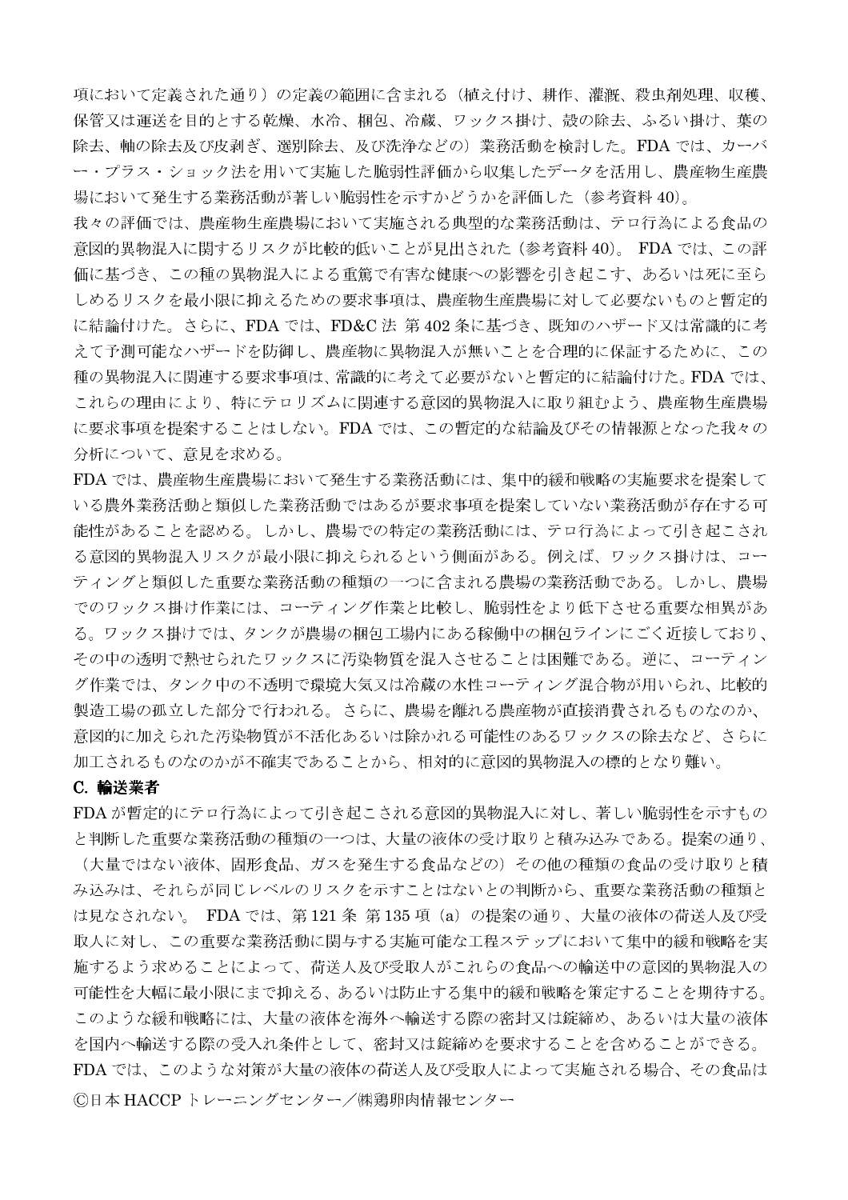項において定義された通り)の定義の範囲に含まれる(植え付け、耕作、灌漑、殺虫剤処理、収穫、 保管又は運送を目的とする乾燥、水冷、梱包、冷蔵、ワックス掛け、殻の除去、ふるい掛け、葉の 除去、軸の除去及び皮剥ぎ、選別除去、及び洗浄などの)業務活動を検討した。FDA では、カーバ ー・プラス・ショック法を用いて実施した脆弱性評価から収集したデータを活用し、農産物生産農 場において発生する業務活動が著しい脆弱性を示すかどうかを評価した(参考資料40)。

我々の評価では、農産物生産農場において実施される典型的な業務活動は、テロ行為による食品の 意図的異物混入に関するリスクが比較的低いことが見出された(参考資料 40)。 FDA では、この評 価に基づき、この種の異物混入による重篤で有害な健康への影響を引き起こす、あるいは死に至ら しめるリスクを最小限に抑えるための要求事項は、農産物生産農場に対して必要ないものと暫定的 に結論付けた。さらに、FDA では、FD&C法 第402条に基づき、既知のハザード又は常識的に考 えて予測可能なハザードを防御し、農産物に異物混入が無いことを合理的に保証するために、この 種の異物混入に関連する要求事項は、常識的に考えて必要がないと暫定的に結論付けた。FDA では、 これらの理由により、特にテロリズムに関連する意図的異物混入に取り組むよう、農産物生産農場 に要求事項を提案することはしない。FDA では、この暫定的な結論及びその情報源となった我々の 分析について、意見を求める。

FDA では、農産物生産農場において発生する業務活動には、集中的緩和戦略の実施要求を提案して いる農外業務活動と類似した業務活動ではあるが要求事項を提案していない業務活動が存在する可 能性があることを認める。しかし、農場での特定の業務活動には、テロ行為によって引き起こされ る意図的異物混入リスクが最小限に抑えられるという側面がある。例えば、ワックス掛けは、コー ティングと類似した重要な業務活動の種類の一つに含まれる農場の業務活動である。しかし、農場 でのワックス掛け作業には、コーティング作業と比較し、脆弱性をより低下させる重要な相異があ る。ワックス掛けでは、タンクが農場の梱包工場内にある稼働中の梱包ラインにごく近接しており、 その中の透明で熱せられたワックスに汚染物質を混入させることは困難である。逆に、コーティン グ作業では、タンク中の不透明で環境大気又は冷蔵の水性コーティング混合物が用いられ、比較的 製造工場の孤立した部分で行われる。さらに、農場を離れる農産物が直接消費されるものなのか、 意図的に加えられた汚染物質が不活化あるいは除かれる可能性のあるワックスの除去など、さらに 加工されるものなのかが不確実であることから、相対的に意図的異物混入の標的となり難い。

#### C. 輸送業者

FDAが暫定的にテロ行為によって引き起こされる意図的異物混入に対し、著しい脆弱性を示すもの と判断した重要な業務活動の種類の一つは、大量の液体の受け取りと積み込みである。提案の通り、 (大量ではない液体、固形食品、ガスを発生する食品などの) その他の種類の食品の受け取りと積 み込みは、それらが同じレベルのリスクを示すことはないとの判断から、重要な業務活動の種類と は見なされない。FDA では、第121条 第135 項(a)の提案の通り、大量の液体の荷送人及び受 取人に対し、この重要な業務活動に関与する実施可能な工程ステップにおいて集中的緩和戦略を実 施するよう求めることによって、荷送人及び受取人がこれらの食品への輸送中の意図的異物混入の 可能性を大幅に最小限にまで抑える、あるいは防止する集中的緩和戦略を策定することを期待する。 このような緩和戦略には、大量の液体を海外へ輸送する際の密封又は錠締め、あるいは大量の液体 を国内へ輸送する際の受入れ条件として、密封又は錠締めを要求することを含めることができる。 FDA では、このような対策が大量の液体の荷送人及び受取人によって実施される場合、その食品は ©日本 HACCP トレーニングセンター/㈱鶏卵肉情報センター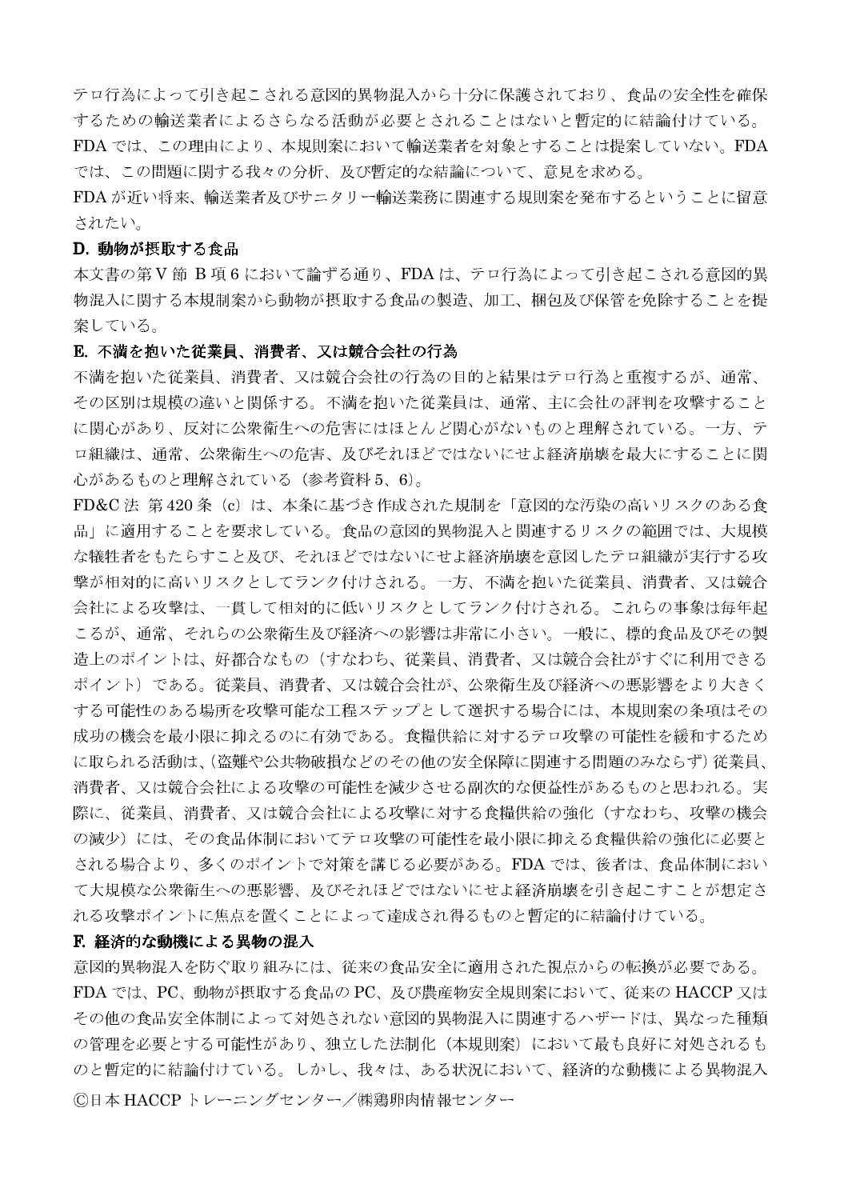テロ行為によって引き起こされる意図的異物混入から十分に保護されており、食品の安全性を確保 するための輸送業者によるさらなる活動が必要とされることはないと暫定的に結論付けている。 FDA では、この理由により、本規則案において輸送業者を対象とすることは提案していない。FDA

では、この問題に関する我々の分析、及び暫定的な結論について、意見を求める。

FDA が近い将来、輸送業者及びサニタリー輸送業務に関連する規則案を発布するということに留意 されたい。

## D. 動物が摂取する食品

本文書の第V節 B項6において論ずる通り、FDAは、テロ行為によって引き起こされる意図的異 物混入に関する本規制案から動物が摂取する食品の製造、加工、梱包及び保管を免除することを提 案している。

## E. 不満を抱いた従業員、消費者、又は競合会社の行為

不満を抱いた従業員、消費者、又は競合会社の行為の目的と結果はテロ行為と重複するが、通常、 その区別は規模の違いと関係する。不満を抱いた従業員は、通常、主に会社の評判を攻撃すること に関心があり、反対に公衆衛生への危害にはほとんど関心がないものと理解されている。一方、テ ロ組織は、通常、公衆衛生への危害、及びそれほどではないにせよ経済崩壊を最大にすることに関 心があるものと理解されている(参考資料5、6)。

FD&C法第420条 (c)は、本条に基づき作成された規制を「意図的な汚染の高いリスクのある食 品」に適用することを要求している。食品の意図的異物混入と関連するリスクの範囲では、大規模 な犠牲者をもたらすこと及び、それほどではないにせよ経済崩壊を意図したテロ組織が実行する攻 撃が相対的に高いリスクとしてランク付けされる。一方、不満を抱いた従業員、消費者、又は競合 会社による攻撃は、一貫して相対的に低いリスクとしてランク付けされる。これらの事象は毎年起 こるが、通常、それらの公衆衛生及び経済への影響は非常に小さい。一般に、標的食品及びその製 造上のポイントは、好都合なもの(すなわち、従業員、消費者、又は競合会社がすぐに利用できる ポイント)である。従業員、消費者、又は競合会社が、公衆衛生及び経済への悪影響をより大きく する可能性のある場所を攻撃可能な工程ステップとして選択する場合には、本規則案の条項はその 成功の機会を最小限に抑えるのに有効である。食糧供給に対するテロ攻撃の可能性を緩和するため に取られる活動は、(盗難や公共物破損などのその他の安全保障に関連する問題のみならず)従業員、 消費者、又は競合会社による攻撃の可能性を減少させる副次的な便益性があるものと思われる。実 際に、従業員、消費者、又は競合会社による攻撃に対する食糧供給の強化(すなわち、攻撃の機会 の減少)には、その食品体制においてテロ攻撃の可能性を最小限に抑える食糧供給の強化に必要と される場合より、多くのポイントで対策を講じる必要がある。FDA では、後者は、食品体制におい て大規模な公衆衛生への悪影響、及びそれほどではないにせよ経済崩壊を引き起こすことが想定さ れる攻撃ポイントに焦点を置くことによって達成され得るものと暫定的に結論付けている。

#### F. 経済的な動機による異物の混入

意図的異物混入を防ぐ取り組みには、従来の食品安全に適用された視点からの転換が必要である。 FDA では、PC、動物が摂取する食品の PC、及び農産物安全規則案において、従来の HACCP 又は その他の食品安全体制によって対処されない意図的異物混入に関連するハザードは、異なった種類 の管理を必要とする可能性があり、独立した法制化(本規則案)において最も良好に対処されるも のと暫定的に結論付けている。しかし、我々は、ある状況において、経済的な動機による異物混入 ©日本 HACCP トレーニングセンター/㈱鶏卵肉情報センター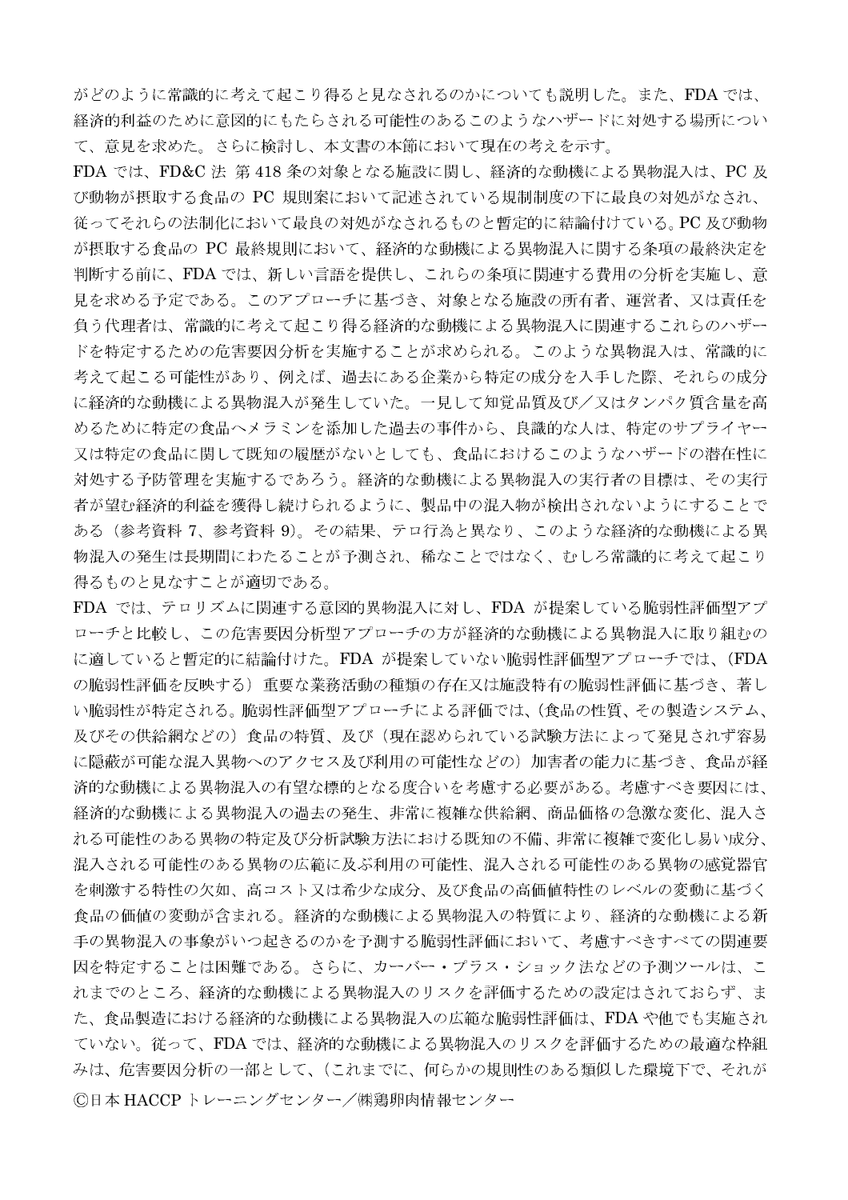がどのように常識的に考えて起こり得ると見なされるのかについても説明した。また、FDA では、 経済的利益のために意図的にもたらされる可能性のあるこのようなハザードに対処する場所につい て、意見を求めた。さらに検討し、本文書の本節において現在の考えを示す。

FDA では、FD&C 法 第418 条の対象となる施設に関し、経済的な動機による異物混入は、PC 及 び動物が摂取する食品の PC 規則案において記述されている規制制度の下に最良の対処がなされ、 従ってそれらの法制化において最良の対処がなされるものと暫定的に結論付けている。PC 及び動物 が摂取する食品の PC 最終規則において、経済的な動機による異物混入に関する条項の最終決定を 判断する前に、FDA では、新しい言語を提供し、これらの条項に関連する費用の分析を実施し、意 見を求める予定である。このアプローチに基づき、対象となる施設の所有者、運営者、又は責任を 負う代理者は、常識的に考えて起こり得る経済的な動機による異物混入に関連するこれらのハザー ドを特定するための危害要因分析を実施することが求められる。このような異物混入は、常識的に 考えて起こる可能性があり、例えば、過去にある企業から特定の成分を入手した際、それらの成分 に経済的な動機による異物混入が発生していた。一見して知覚品質及び/又はタンパク質含量を高 めるために特定の食品ヘメラミンを添加した過去の事件から、良識的な人は、特定のサプライヤー 又は特定の食品に関して既知の履歴がないとしても、食品におけるこのようなハザードの潜在性に 対処する予防管理を実施するであろう。経済的な動機による異物混入の実行者の目標は、その実行 者が望む経済的利益を獲得し続けられるように、製品中の混入物が検出されないようにすることで ある(参考資料7、参考資料9)。その結果、テロ行為と異なり、このような経済的な動機による異 物混入の発生は長期間にわたることが予測され、稀なことではなく、むしろ常識的に考えて起こり 得るものと見なすことが適切である。

FDA では、テロリズムに関連する意図的異物混入に対し、FDA が提案している脆弱性評価型アプ ローチと比較し、この危害要因分析型アプローチの方が経済的な動機による異物混入に取り組むの に適していると暫定的に結論付けた。FDA が提案していない脆弱性評価型アプローチでは、(FDA の脆弱性評価を反映する)重要な業務活動の種類の存在又は施設特有の脆弱性評価に基づき、著し い脆弱性が特定される。脆弱性評価型アプローチによる評価では、(食品の性質、その製造システム、 及びその供給網などの)食品の特質、及び(現在認められている試験方法によって発見されず容易 に隠蔽が可能な混入異物へのアクセス及び利用の可能性などの)加害者の能力に基づき、食品が経 済的な動機による異物混入の有望な標的となる度合いを考慮する必要がある。考慮すべき要因には、 経済的な動機による異物混入の過去の発生、非常に複雑な供給網、商品価格の急激な変化、混入さ れる可能性のある異物の特定及び分析試験方法における既知の不備、非常に複雑で変化し易い成分、 混入される可能性のある異物の広範に及ぶ利用の可能性、混入される可能性のある異物の感覚器官 を刺激する特性の欠如、高コスト又は希少な成分、及び食品の高価値特性のレベルの変動に基づく 食品の価値の変動が含まれる。経済的な動機による異物混入の特質により、経済的な動機による新 手の異物混入の事象がいつ起きるのかを予測する脆弱性評価において、考慮すべきすべての関連要 因を特定することは困難である。さらに、カーバー・プラス・ショック法などの予測ツールは、こ れまでのところ、経済的な動機による異物混入のリスクを評価するための設定はされておらず、ま た、食品製造における経済的な動機による異物混入の広範な脆弱性評価は、FDAや他でも実施され ていない。従って、FDA では、経済的な動機による異物混入のリスクを評価するための最適な枠組 みは、危害要因分析の一部として、(これまでに、何らかの規則性のある類似した環境下で、それが ©日本 HACCPトレーニングセンター/㈱鶏卵肉情報センター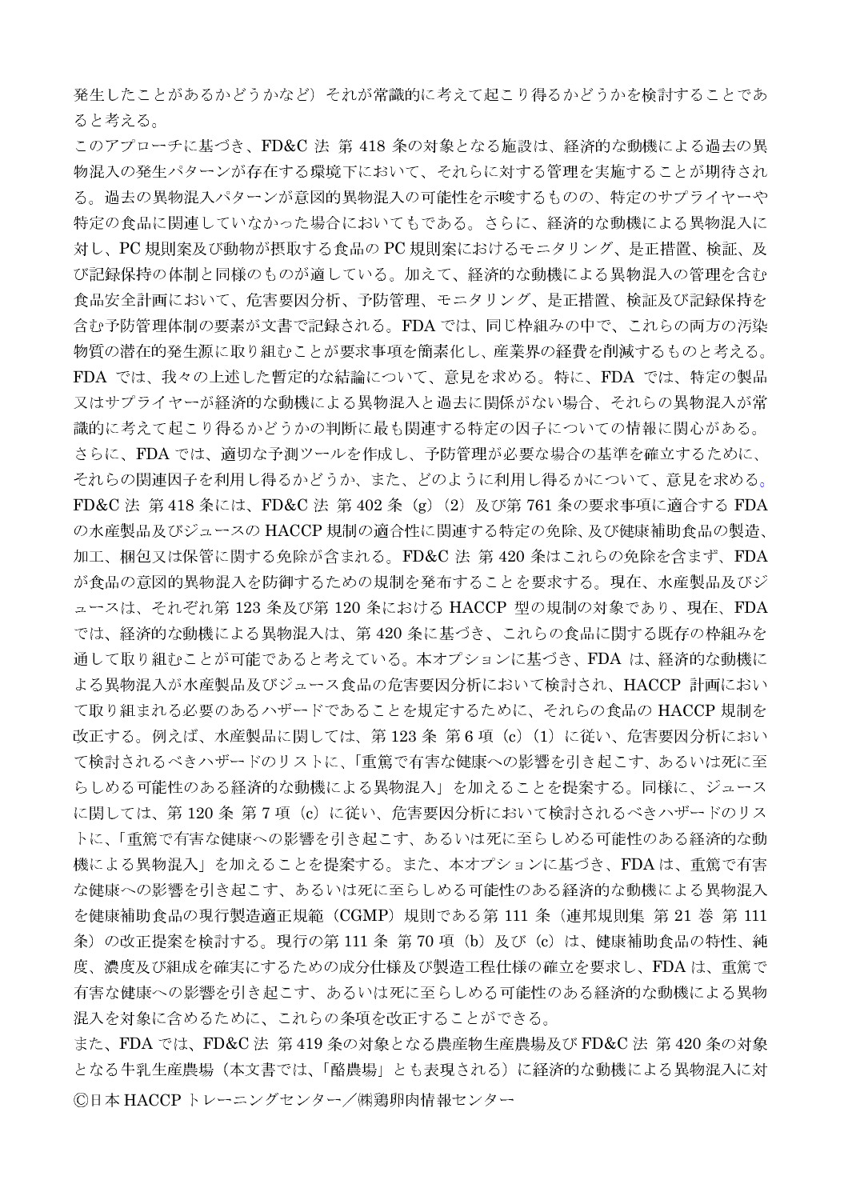発生したことがあるかどうかなど)それが常識的に考えて起こり得るかどうかを検討することであ ると考える。

このアプローチに基づき、FD&C 法 第 418 条の対象となる施設は、経済的な動機による過去の異 物混入の発生パターンが存在する環境下において、それらに対する管理を実施することが期待され る。過去の異物混入パターンが意図的異物混入の可能性を示唆するものの、特定のサプライヤーや 特定の食品に関連していなかった場合においてもである。さらに、経済的な動機による異物混入に 対し、PC規則案及び動物が摂取する食品の PC規則案におけるモニタリング、是正措置、検証、及 び記録保持の体制と同様のものが適している。加えて、経済的な動機による異物混入の管理を含む 食品安全計画において、危害要因分析、予防管理、モニタリング、是正措置、検証及び記録保持を 含む予防管理体制の要素が文書で記録される。FDA では、同じ枠組みの中で、これらの両方の汚染 物質の潜在的発生源に取り組むことが要求事項を簡素化し、産業界の経費を削減するものと考える。 FDA では、我々の上述した暫定的な結論について、意見を求める。特に、FDA では、特定の製品 又はサプライヤーが経済的な動機による異物混入と過去に関係がない場合、それらの異物混入が常 識的に考えて起こり得るかどうかの判断に最も関連する特定の因子についての情報に関心がある。 さらに、FDA では、適切な予測ツールを作成し、予防管理が必要な場合の基準を確立するために、 それらの関連因子を利用し得るかどうか、また、どのように利用し得るかについて、意見を求める。 FD&C 法 第418 条には、FD&C 法 第402 条 (g) (2) 及び第761 条の要求事項に適合する FDA の水産製品及びジュースの HACCP 規制の適合性に関連する特定の免除、及び健康補助食品の製造、 加工、梱包又は保管に関する免除が含まれる。FD&C法 第420 条はこれらの免除を含まず、FDA が食品の意図的異物混入を防御するための規制を発布することを要求する。現在、水産製品及びジ ュースは、それぞれ第123条及び第120条における HACCP 型の規制の対象であり、現在、FDA では、経済的な動機による異物混入は、第420条に基づき、これらの食品に関する既存の枠組みを 通して取り組むことが可能であると考えている。本オプションに基づき、FDAは、経済的な動機に よる異物混入が水産製品及びジュース食品の危害要因分析において検討され、HACCP 計画におい て取り組まれる必要のあるハザードであることを規定するために、それらの食品の HACCP 規制を 改正する。例えば、水産製品に関しては、第123条 第6項 (c) (1) に従い、危害要因分析におい て検討されるべきハザードのリストに、「重篤で有害な健康への影響を引き起こす、あるいは死に至 らしめる可能性のある経済的な動機による異物混入」を加えることを提案する。同様に、ジュース に関しては、第120条 第7項 (c) に従い、危害要因分析において検討されるべきハザードのリス トに、「重篤で有害な健康への影響を引き起こす、あるいは死に至らしめる可能性のある経済的な動 機による異物混入」を加えることを提案する。また、本オプションに基づき、FDAは、重篤で有害 な健康への影響を引き起こす、あるいは死に至らしめる可能性のある経済的な動機による異物混入 を健康補助食品の現行製造適正規範 (CGMP) 規則である第 111 条 (連邦規則集 第 21 巻 第 111 条) の改正提案を検討する。現行の第 111 条 第 70 項 (b) 及び (c) は、健康補助食品の特性、純 度、濃度及び組成を確実にするための成分仕様及び製造工程仕様の確立を要求し、FDAは、重篤で 有害な健康への影響を引き起こす、あるいは死に至らしめる可能性のある経済的な動機による異物 混入を対象に含めるために、これらの条項を改正することができる。

また、FDA では、FD&C法 第419条の対象となる農産物生産農場及び FD&C法 第420条の対象 となる牛乳生産農場(本文書では、「酪農場」とも表現される)に経済的な動機による異物混入に対 ©日本 HACCPトレーニングセンター/㈱鶏卵肉情報センター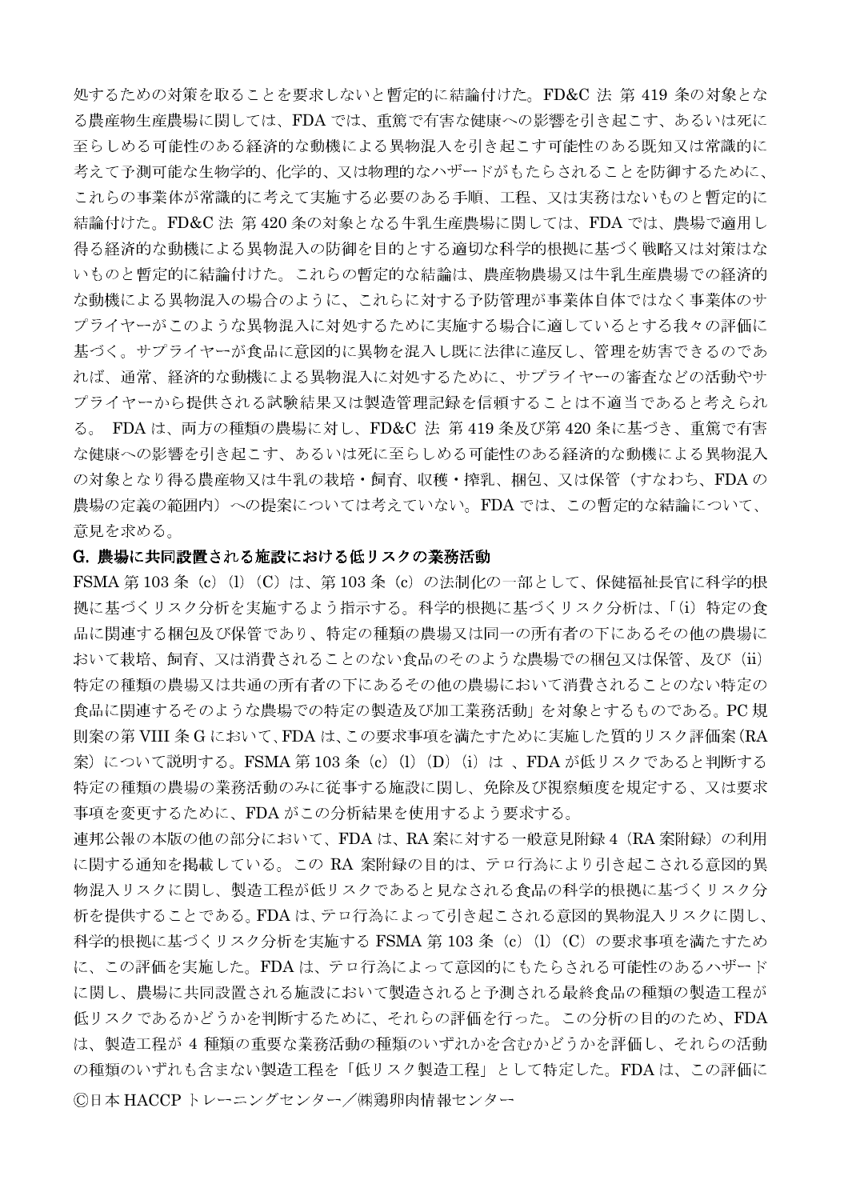処するための対策を取ることを要求しないと暫定的に結論付けた。FD&C法 第 419 条の対象とな る農産物生産農場に関しては、FDAでは、重篤で有害な健康への影響を引き起こす、あるいは死に 至らしめる可能性のある経済的な動機による異物混入を引き起こす可能性のある既知又は常識的に 考えて予測可能な生物学的、化学的、又は物理的なハザードがもたらされることを防御するために、 これらの事業体が常識的に考えて実施する必要のある手順、工程、又は実務はないものと暫定的に 結論付けた。FD&C 法 第420 条の対象となる牛乳生産農場に関しては、FDA では、農場で適用し 得る経済的な動機による異物混入の防御を目的とする適切な科学的根拠に基づく戦略又は対策はな いものと暫定的に結論付けた。これらの暫定的な結論は、農産物農場又は牛乳生産農場での経済的 な動機による異物混入の場合のように、これらに対する予防管理が事業体自体ではなく事業体のサ プライヤーがこのような異物混入に対処するために実施する場合に適しているとする我々の評価に 基づく。サプライヤーが食品に意図的に異物を混入し既に法律に違反し、管理を妨害できるのであ れば、通常、経済的な動機による異物混入に対処するために、サプライヤーの審査などの活動やサ プライヤーから提供される試験結果又は製造管理記録を信頼することは不適当であると考えられ る。 FDA は、両方の種類の農場に対し、FD&C 法 第 419 条及び第 420 条に基づき、重篤で有害 な健康への影響を引き起こす、あるいは死に至らしめる可能性のある経済的な動機による異物混入 の対象となり得る農産物又は牛乳の栽培·飼育、収穫·搾乳、梱包、又は保管(すなわち、FDAの 農場の定義の範囲内)への提案については考えていない。FDAでは、この暫定的な結論について、 意見を求める。

## G. 農場に共同設置される施設における低リスクの業務活動

FSMA 第103条 (c) (l) (C) は、第103条 (c) の法制化の一部として、保健福祉長官に科学的根 拠に基づくリスク分析を実施するよう指示する。科学的根拠に基づくリスク分析は、「(i) 特定の食 品に関連する梱包及び保管であり、特定の種類の農場又は同一の所有者の下にあるその他の農場に おいて栽培、飼育、又は消費されることのない食品のそのような農場での梱包又は保管、及び (ii) 特定の種類の農場又は共通の所有者の下にあるその他の農場において消費されることのない特定の 食品に関連するそのような農場での特定の製造及び加工業務活動」を対象とするものである。PC規 則案の第VIII 条 G において、FDA は、この要求事項を満たすために実施した質的リスク評価案(RA 案)について説明する。FSMA 第103 条 (c) (l) (D) (i) は、FDA が低リスクであると判断する 特定の種類の農場の業務活動のみに従事する施設に関し、免除及び視察頻度を規定する、又は要求 事項を変更するために、FDAがこの分析結果を使用するよう要求する。

連邦公報の本版の他の部分において、FDAは、RA 案に対する一般意見附録 4 (RA 案附録) の利用 に関する通知を掲載している。この RA 案附録の目的は、テロ行為により引き起こされる意図的異 物混入リスクに関し、製造工程が低リスクであると見なされる食品の科学的根拠に基づくリスク分 析を提供することである。FDAは、テロ行為によって引き起こされる意図的異物混入リスクに関し、 科学的根拠に基づくリスク分析を実施する FSMA 第 103 条(c)(l)(C)の要求事項を満たすため に、この評価を実施した。FDAは、テロ行為によって意図的にもたらされる可能性のあるハザード に関し、農場に共同設置される施設において製造されると予測される最終食品の種類の製造工程が 低リスクであるかどうかを判断するために、それらの評価を行った。この分析の目的のため、FDA は、製造工程が4種類の重要な業務活動の種類のいずれかを含むかどうかを評価し、それらの活動 の種類のいずれも含まない製造工程を「低リスク製造工程」として特定した。FDAは、この評価に ©日本 HACCP トレーニングセンター/㈱鶏卵肉情報センター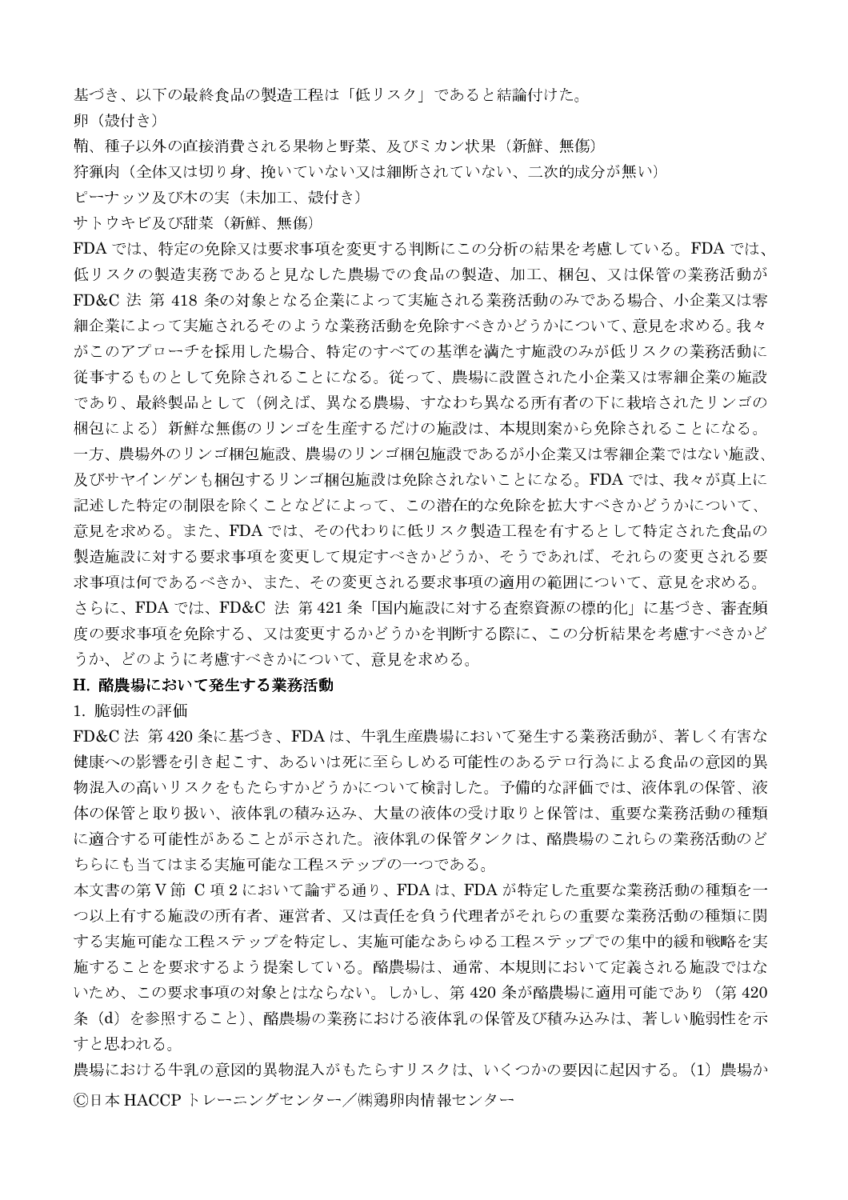基づき、以下の最終食品の製造工程は「低リスク」であると結論付けた。

卵 (殻付き)

鞘、種子以外の直接消費される果物と野菜、及びミカン状果 (新鮮、無傷)

狩猟肉(全体又は切り身、挽いていない又は細断されていない、二次的成分が無い)

ピーナッツ及び木の実(未加工、殻付き)

サトウキビ及び甜菜 (新鮮、無傷)

FDA では、特定の免除又は要求事項を変更する判断にこの分析の結果を考慮している。FDA では、 低リスクの製造実務であると見なした農場での食品の製造、加工、梱包、又は保管の業務活動が FD&C 法 第 418 条の対象となる企業によって実施される業務活動のみである場合、小企業又は零 細企業によって実施されるそのような業務活動を免除すべきかどうかについて、意見を求める。我々 がこのアプローチを採用した場合、特定のすべての基準を満たす施設のみが低リスクの業務活動に 従事するものとして免除されることになる。従って、農場に設置された小企業又は零細企業の施設 であり、最終製品として(例えば、異なる農場、すなわち異なる所有者の下に栽培されたリンゴの 梱包による)新鮮な無傷のリンゴを生産するだけの施設は、本規則案から免除されることになる。 一方、農場外のリンゴ梱包施設、農場のリンゴ梱包施設であるが小企業又は零細企業ではない施設、 及びサヤインゲンも梱包するリンゴ梱包施設は免除されないことになる。FDA では、我々が真上に 記述した特定の制限を除くことなどによって、この潜在的な免除を拡大すべきかどうかについて、 意見を求める。また、FDA では、その代わりに低リスク製造工程を有するとして特定された食品の 製造施設に対する要求事項を変更して規定すべきかどうか、そうであれば、それらの変更される要 求事項は何であるべきか、また、その変更される要求事項の適用の範囲について、意見を求める。 さらに、FDA では、FD&C 法 第421条「国内施設に対する査察資源の標的化」に基づき、審査頻 度の要求事項を免除する、又は変更するかどうかを判断する際に、この分析結果を考慮すべきかど うか、どのように考慮すべきかについて、意見を求める。

## H. 酪農場において発生する業務活動

1. 脆弱性の評価

FD&C法 第420条に基づき、FDAは、牛乳生産農場において発生する業務活動が、著しく有害な 健康への影響を引き起こす、あるいは死に至らしめる可能性のあるテロ行為による食品の意図的異 物混入の高いリスクをもたらすかどうかについて検討した。予備的な評価では、液体乳の保管、液 体の保管と取り扱い、液体乳の積み込み、大量の液体の受け取りと保管は、重要な業務活動の種類 に適合する可能性があることが示された。液体乳の保管タンクは、酪農場のこれらの業務活動のど ちらにも当てはまる実施可能な工程ステップの一つである。

本文書の第V節 C項2において論ずる通り、FDAは、FDAが特定した重要な業務活動の種類を一 つ以上有する施設の所有者、運営者、又は責任を負う代理者がそれらの重要な業務活動の種類に関 する実施可能な工程ステップを特定し、実施可能なあらゆる工程ステップでの集中的緩和戦略を実 施することを要求するよう提案している。酪農場は、通常、本規則において定義される施設ではな いため、この要求事項の対象とはならない。しかし、第420条が酪農場に適用可能であり(第420 条(d)を参照すること)、酪農場の業務における液体乳の保管及び積み込みは、著しい脆弱性を示 すと思われる。

農場における牛乳の意図的異物混入がもたらすリスクは、いくつかの要因に起因する。(1) 農場か ©日本 HACCP トレーニングセンター/㈱鶏卵肉情報センター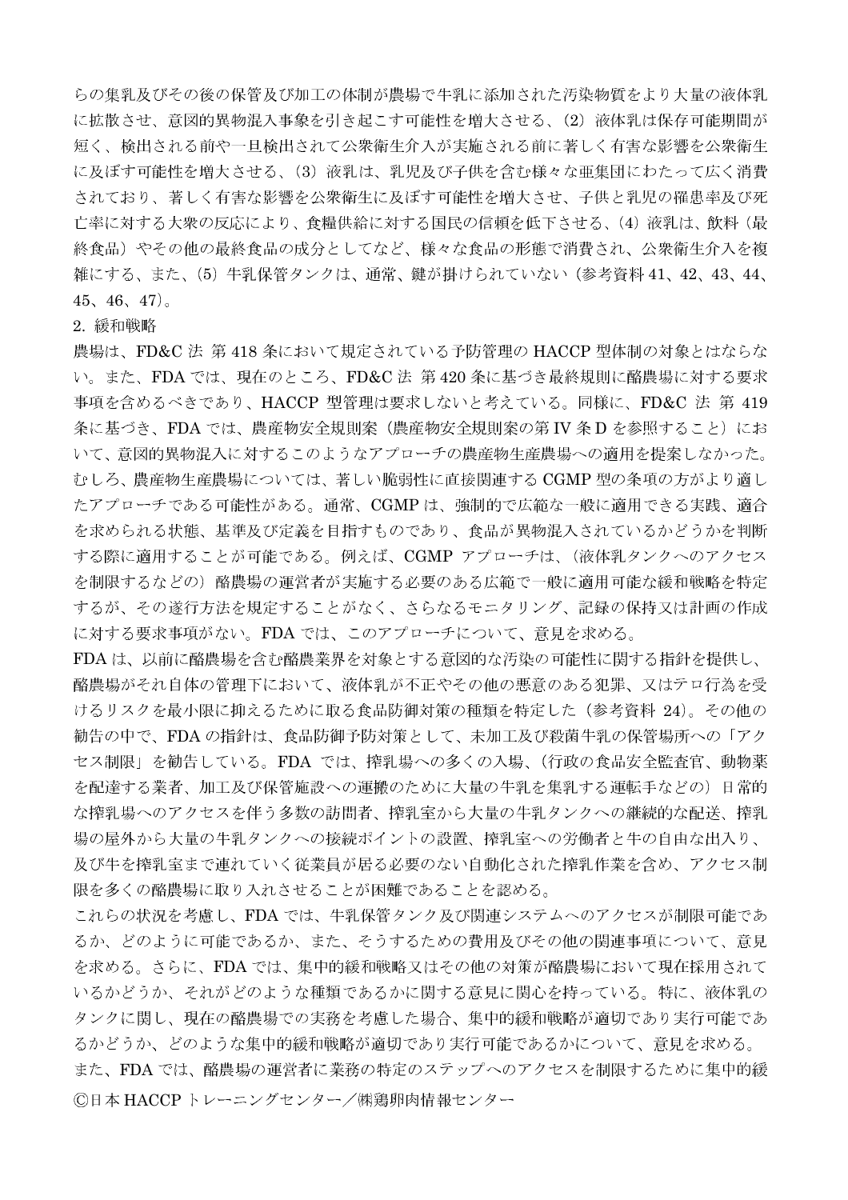らの集乳及びその後の保管及び加工の体制が農場で牛乳に添加された汚染物質をより大量の液体乳 に拡散させ、意図的異物混入事象を引き起こす可能性を増大させる、(2) 液体乳は保存可能期間が 短く、検出される前や一旦検出されて公衆衛生介入が実施される前に著しく有害な影響を公衆衛生 に及ぼす可能性を増大させる、(3) 液乳は、乳児及び子供を含む様々な亜集団にわたって広く消費 されており、著しく有害な影響を公衆衛生に及ぼす可能性を増大させ、子供と乳児の罹患率及び死 亡率に対する大衆の反応により、食糧供給に対する国民の信頼を低下させる、(4) 液乳は、飲料(最 終食品)やその他の最終食品の成分としてなど、様々な食品の形態で消費され、公衆衛生介入を複 雑にする、また、(5) 牛乳保管タンクは、通常、鍵が掛けられていない(参考資料41、42、43、44、  $45, 46, 47$ .

## 2. 緩和戦略

農場は、FD&C法 第418条において規定されている予防管理の HACCP 型体制の対象とはならな い。また、FDA では、現在のところ、FD&C法 第420 条に基づき最終規則に酪農場に対する要求 事項を含めるべきであり、HACCP 型管理は要求しないと考えている。同様に、FD&C 法 第 419 条に基づき、FDA では、農産物安全規則案(農産物安全規則案の第 IV 条 D を参照すること) にお いて、意図的異物混入に対するこのようなアプローチの農産物生産農場への適用を提案しなかった。 むしろ、農産物生産農場については、著しい脆弱性に直接関連する CGMP 型の条項の方がより適し たアプローチである可能性がある。通常、CGMPは、強制的で広範な一般に適用できる実践、適合 を求められる状態、基準及び定義を目指すものであり、食品が異物混入されているかどうかを判断 する際に適用することが可能である。例えば、CGMP アプローチは、(液体乳タンクへのアクセス を制限するなどの) 酪農場の運営者が実施する必要のある広範で一般に適用可能な緩和戦略を特定 するが、その遂行方法を規定することがなく、さらなるモニタリング、記録の保持又は計画の作成 に対する要求事項がない。FDA では、このアプローチについて、意見を求める。

FDAは、以前に酪農場を含む酪農業界を対象とする意図的な汚染の可能性に関する指針を提供し、 酪農場がそれ自体の管理下において、液体乳が不正やその他の悪意のある犯罪、又はテロ行為を受 けるリスクを最小限に抑えるために取る食品防御対策の種類を特定した(参考資料 24)。その他の 勧告の中で、FDAの指針は、食品防御予防対策として、未加工及び殺菌牛乳の保管場所への「アク セス制限」を勧告している。FDA では、搾乳場への多くの入場、(行政の食品安全監査官、動物薬 を配達する業者、加工及び保管施設への運搬のために大量の牛乳を集乳する運転手などの)日常的 な搾乳場へのアクセスを伴う多数の訪問者、搾乳室から大量の牛乳タンクへの継続的な配送、搾乳 場の屋外から大量の牛乳タンクへの接続ポイントの設置、搾乳室への労働者と牛の自由な出入り、 及び牛を搾乳室まで連れていく従業員が居る必要のない自動化された搾乳作業を含め、アクセス制 限を多くの酪農場に取り入れさせることが困難であることを認める。

これらの状況を考慮し、FDAでは、牛乳保管タンク及び関連システムへのアクセスが制限可能であ るか、どのように可能であるか、また、そうするための費用及びその他の関連事項について、意見 を求める。さらに、FDA では、集中的緩和戦略又はその他の対策が酪農場において現在採用されて いるかどうか、それがどのような種類であるかに関する意見に関心を持っている。特に、液体乳の タンクに関し、現在の酪農場での実務を考慮した場合、集中的緩和戦略が適切であり実行可能であ るかどうか、どのような集中的緩和戦略が適切であり実行可能であるかについて、意見を求める。 また、FDA では、酪農場の運営者に業務の特定のステップへのアクセスを制限するために集中的緩 ©日本 HACCP トレーニングセンター/㈱鶏卵肉情報センター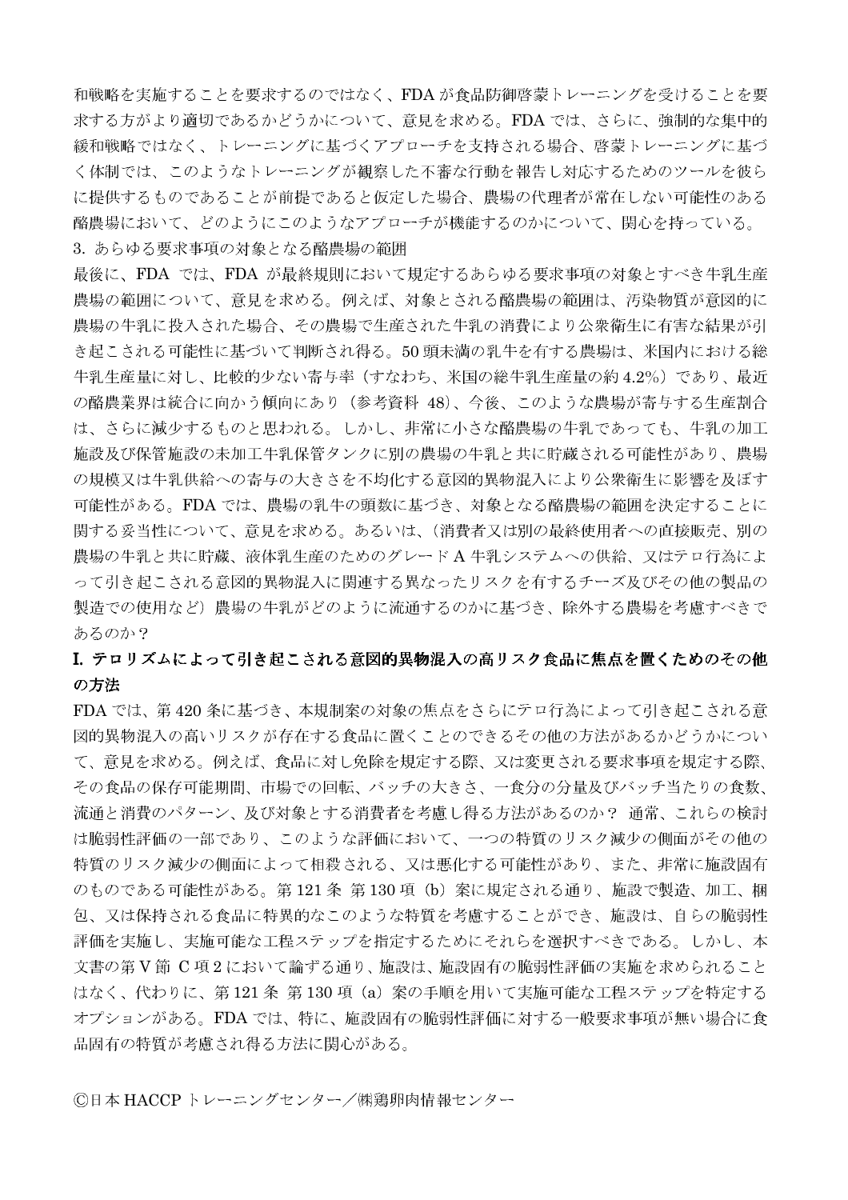和戦略を実施することを要求するのではなく、FDAが食品防御啓蒙トレーニングを受けることを要 求する方がより適切であるかどうかについて、意見を求める。FDA では、さらに、強制的な集中的 緩和戦略ではなく、トレーニングに基づくアプローチを支持される場合、啓蒙トレーニングに基づ く体制では、このようなトレーニングが観察した不審な行動を報告し対応するためのツールを彼ら に提供するものであることが前提であると仮定した場合、農場の代理者が常在しない可能性のある 酪農場において、どのようにこのようなアプローチが機能するのかについて、関心を持っている。 3. あらゆる要求事項の対象となる酪農場の範囲

最後に、FDA では、FDA が最終規則において規定するあらゆる要求事項の対象とすべき牛乳生産 農場の範囲について、意見を求める。例えば、対象とされる酪農場の範囲は、汚染物質が意図的に 農場の牛乳に投入された場合、その農場で生産された牛乳の消費により公衆衛生に有害な結果が引 き起こされる可能性に基づいて判断され得る。50頭未満の乳牛を有する農場は、米国内における総 牛乳生産量に対し、比較的少ない寄与率(すなわち、米国の総牛乳生産量の約4.2%)であり、最近 の酪農業界は統合に向かう傾向にあり (参考資料 48)、今後、このような農場が寄与する生産割合 は、さらに減少するものと思われる。しかし、非常に小さな酪農場の牛乳であっても、牛乳の加工 施設及び保管施設の未加工牛乳保管タンクに別の農場の牛乳と共に貯蔵される可能性があり、農場 の規模又は牛乳供給への寄与の大きさを不均化する意図的異物混入により公衆衛生に影響を及ぼす 可能性がある。FDA では、農場の乳牛の頭数に基づき、対象となる酪農場の範囲を決定することに 関する妥当性について、意見を求める。あるいは、(消費者又は別の最終使用者への直接販売、別の 農場の牛乳と共に貯蔵、液体乳生産のためのグレードA牛乳システムへの供給、又はテロ行為によ って引き起こされる意図的異物混入に関連する異なったリスクを有するチーズ及びその他の製品の 製造での使用など)農場の牛乳がどのように流通するのかに基づき、除外する農場を考慮すべきで あるのか?

# I. テロリズムによって引き起こされる意図的異物混入の高リスク食品に焦点を置くためのその他 の方法

FDA では、第420条に基づき、本規制案の対象の焦点をさらにテロ行為によって引き起こされる意 図的異物混入の高いリスクが存在する食品に置くことのできるその他の方法があるかどうかについ て、意見を求める。例えば、食品に対し免除を規定する際、又は変更される要求事項を規定する際、 その食品の保存可能期間、市場での回転、バッチの大きさ、一食分の分量及びバッチ当たりの食数、 流通と消費のパターン、及び対象とする消費者を考慮し得る方法があるのか? 通常、これらの検討 は脆弱性評価の一部であり、このような評価において、一つの特質のリスク減少の側面がその他の 特質のリスク減少の側面によって相殺される、又は悪化する可能性があり、また、非常に施設固有 のものである可能性がある。第121条 第130項 (b) 案に規定される通り、施設で製造、加工、梱 包、又は保持される食品に特異的なこのような特質を考慮することができ、施設は、自らの脆弱性 評価を実施し、実施可能な工程ステップを指定するためにそれらを選択すべきである。しかし、本 文書の第V節 C 項2において論ずる通り、施設は、施設固有の脆弱性評価の実施を求められること はなく、代わりに、第121条第130項 (a) 案の手順を用いて実施可能な工程ステップを特定する オプションがある。FDA では、特に、施設固有の脆弱性評価に対する一般要求事項が無い場合に食 品固有の特質が考慮され得る方法に関心がある。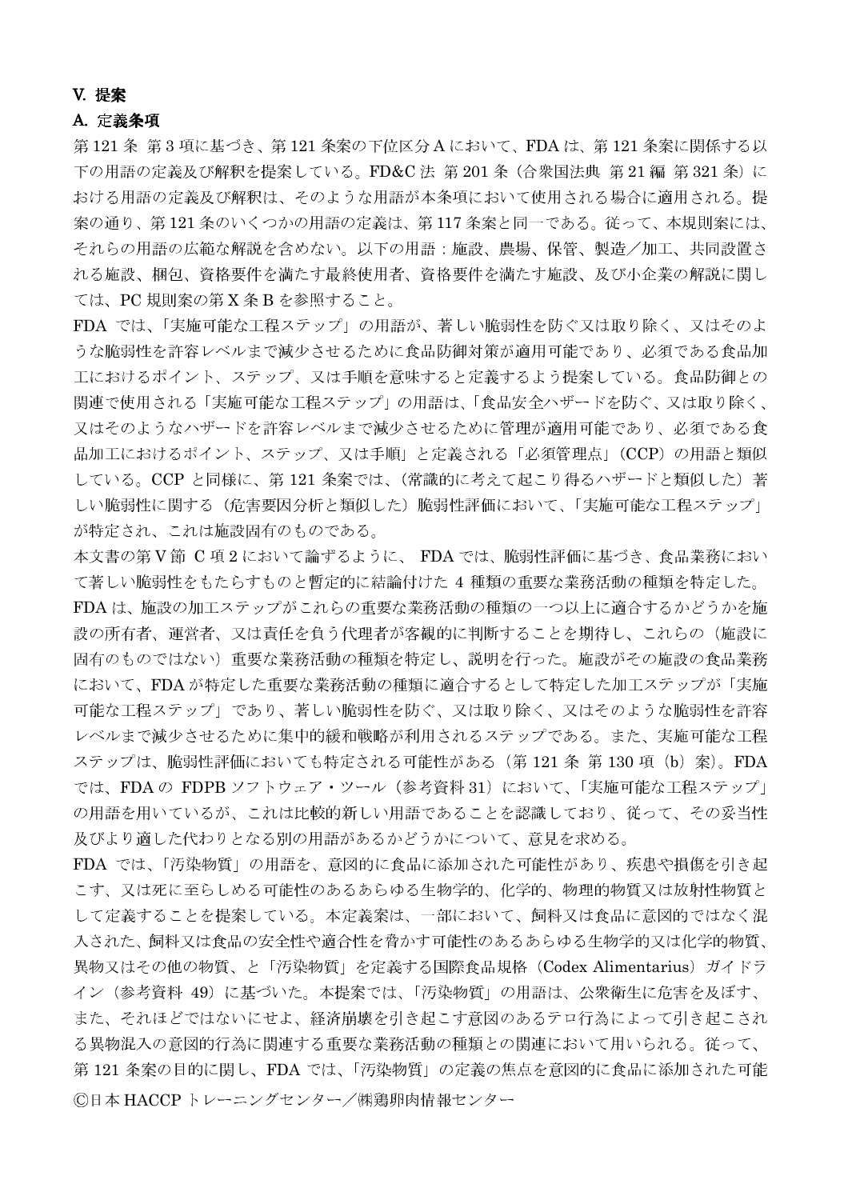## **V. 提案**

## A. 定義条項

第 121 条 第 3 項に基づき、第 121 条案の下位区分 A において、FDA は、第 121 条案に関係する以 下の用語の定義及び解釈を提案している。FD&C法 第201条 (合衆国法典 第21編 第321条)に おける用語の定義及び解釈は、そのような用語が本条項において使用される場合に適用される。提 案の通り、第121条のいくつかの用語の定義は、第117条案と同一である。従って、本規則案には、 それらの用語の広範な解説を含めない。以下の用語:施設、農場、保管、製造/加工、共同設置さ れる施設、梱包、資格要件を満たす最終使用者、資格要件を満たす施設、及び小企業の解説に関し ては、PC規則案の第X条Bを参照すること。

FDA では、「実施可能な工程ステップ」の用語が、著しい脆弱性を防ぐ又は取り除く、又はそのよ うな脆弱性を許容レベルまで減少させるために食品防御対策が適用可能であり、必須である食品加 工におけるポイント、ステップ、又は手順を意味すると定義するよう提案している。食品防御との 関連で使用される「実施可能な工程ステップ」の用語は、「食品安全ハザードを防ぐ、又は取り除く、 又はそのようなハザードを許容レベルまで減少させるために管理が適用可能であり、必須である食 品加工におけるポイント、ステップ、又は手順」と定義される「必須管理点」(CCP)の用語と類似 している。CCP と同様に、第121 条案では、(常識的に考えて起こり得るハザードと類似した)著 しい脆弱性に関する(危害要因分析と類似した)脆弱性評価において、「実施可能な工程ステップ」 が特定され、これは施設固有のものである。

本文書の第V節 C項2において論ずるように、FDAでは、脆弱性評価に基づき、食品業務におい て著しい脆弱性をもたらすものと暫定的に結論付けた 4 種類の重要な業務活動の種類を特定した。 FDA は、施設の加工ステップがこれらの重要な業務活動の種類の一つ以上に適合するかどうかを施 設の所有者、運営者、又は責任を負う代理者が客観的に判断することを期待し、これらの(施設に 固有のものではない)重要な業務活動の種類を特定し、説明を行った。施設がその施設の食品業務 において、FDAが特定した重要な業務活動の種類に適合するとして特定した加工ステップが「実施 可能な工程ステップ」であり、著しい脆弱性を防ぐ、又は取り除く、又はそのような脆弱性を許容 レベルまで減少させるために集中的緩和戦略が利用されるステップである。また、実施可能な工程 ステップは、脆弱性評価においても特定される可能性がある (第121条 第130項 (b) 案)。FDA では、FDAの FDPB ソフトウェア・ツール (参考資料 31) において、「実施可能な工程ステップ」 の用語を用いているが、これは比較的新しい用語であることを認識しており、従って、その妥当性 及びより適した代わりとなる別の用語があるかどうかについて、意見を求める。

FDA では、「汚染物質」の用語を、意図的に食品に添加された可能性があり、疾患や損傷を引き起 こす、又は死に至らしめる可能性のあるあらゆる生物学的、化学的、物理的物質又は放射性物質と して定義することを提案している。本定義案は、一部において、飼料又は食品に意図的ではなく混 入された、飼料又は食品の安全性や適合性を脅かす可能性のあるあらゆる生物学的又は化学的物質、 異物又はその他の物質、と「汚染物質」を定義する国際食品規格 (Codex Alimentarius) ガイドラ イン(参考資料 49)に基づいた。本提案では、「汚染物質」の用語は、公衆衛生に危害を及ぼす、 また、それほどではないにせよ、経済崩壊を引き起こす意図のあるテロ行為によって引き起こされ る異物混入の意図的行為に関連する重要な業務活動の種類との関連において用いられる。従って、 第121条案の目的に関し、FDA では、「汚染物質」の定義の焦点を意図的に食品に添加された可能 ©日本 HACCPトレーニングセンター/㈱鶏卵肉情報センター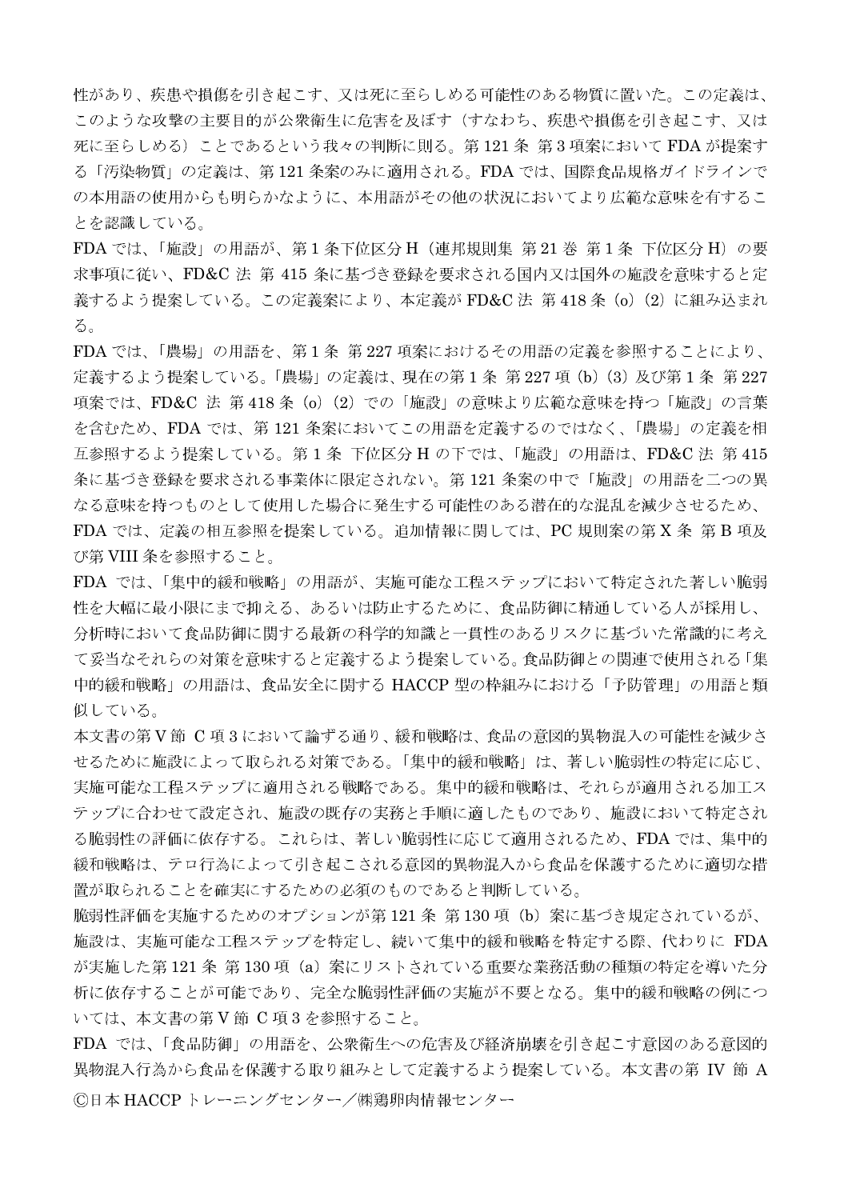性があり、疾患や損傷を引き起こす、又は死に至らしめる可能性のある物質に置いた。この定義は、 このような攻撃の主要目的が公衆衛生に危害を及ぼす(すなわち、疾患や損傷を引き起こす、又は 死に至らしめる)ことであるという我々の判断に則る。第121条 第3項案において FDA が提案す る「汚染物質」の定義は、第121条案のみに適用される。FDA では、国際食品規格ガイドラインで の本用語の使用からも明らかなように、本用語がその他の状況においてより広範な意味を有するこ とを認識している。

FDA では、「施設」の用語が、第1条下位区分 H (連邦規則集 第21巻 第1条 下位区分 H) の要 求事項に従い、FD&C法 第415 条に基づき登録を要求される国内又は国外の施設を意味すると定 義するよう提案している。この定義案により、本定義が FD&C 法 第 418 条 (o) (2) に組み込まれ る。

FDA では、「農場」の用語を、第1条 第227 項案におけるその用語の定義を参照することにより、 定義するよう提案している。「農場」の定義は、現在の第1条 第227項 (b) (3) 及び第1条 第227 項案では、FD&C 法 第418条 (o) (2) での「施設」の意味より広範な意味を持つ「施設」の言葉 を含むため、FDA では、第121 条案においてこの用語を定義するのではなく、「農場」の定義を相 互参照するよう提案している。第1条 下位区分 H の下では、「施設」の用語は、FD&C 法 第 415 条に基づき登録を要求される事業体に限定されない。第121条案の中で「施設」の用語を二つの異 なる意味を持つものとして使用した場合に発生する可能性のある潜在的な混乱を減少させるため、 FDA では、定義の相互参照を提案している。追加情報に関しては、PC 規則案の第 X 条 第 B 項及 び第 VIII 条を参照すること。

FDA では、「集中的緩和戦略」の用語が、実施可能な工程ステップにおいて特定された著しい脆弱 性を大幅に最小限にまで抑える、あるいは防止するために、食品防御に精通している人が採用し、 分析時において食品防御に関する最新の科学的知識と一貫性のあるリスクに基づいた常識的に考え て妥当なそれらの対策を意味すると定義するよう提案している。食品防御との関連で使用される「集 中的緩和戦略」の用語は、食品安全に関する HACCP 型の枠組みにおける「予防管理」の用語と類 似している。

本文書の第V節 C項3において論ずる通り、緩和戦略は、食品の意図的異物混入の可能性を減少さ せるために施設によって取られる対策である。「集中的緩和戦略」は、著しい脆弱性の特定に応じ、 実施可能な工程ステップに適用される戦略である。集中的緩和戦略は、それらが適用される加工ス テップに合わせて設定され、施設の既存の実務と手順に適したものであり、施設において特定され る脆弱性の評価に依存する。これらは、著しい脆弱性に応じて適用されるため、FDAでは、集中的 緩和戦略は、テロ行為によって引き起こされる意図的異物混入から食品を保護するために適切な措 置が取られることを確実にするための必須のものであると判断している。

脆弱性評価を実施するためのオプションが第121条 第130項 (b) 案に基づき規定されているが、 施設は、実施可能な工程ステップを特定し、続いて集中的緩和戦略を特定する際、代わりに FDA が実施した第121条 第130項 (a) 案にリストされている重要な業務活動の種類の特定を導いた分 析に依存することが可能であり、完全な脆弱性評価の実施が不要となる。集中的緩和戦略の例につ いては、本文書の第V節 C 項3を参照すること。

FDA では、「食品防御」の用語を、公衆衛生への危害及び経済崩壊を引き起こす意図のある意図的 異物混入行為から食品を保護する取り組みとして定義するよう提案している。本文書の第 IV 節 A ©日本 HACCP トレーニングセンター/㈱鶏卵肉情報センター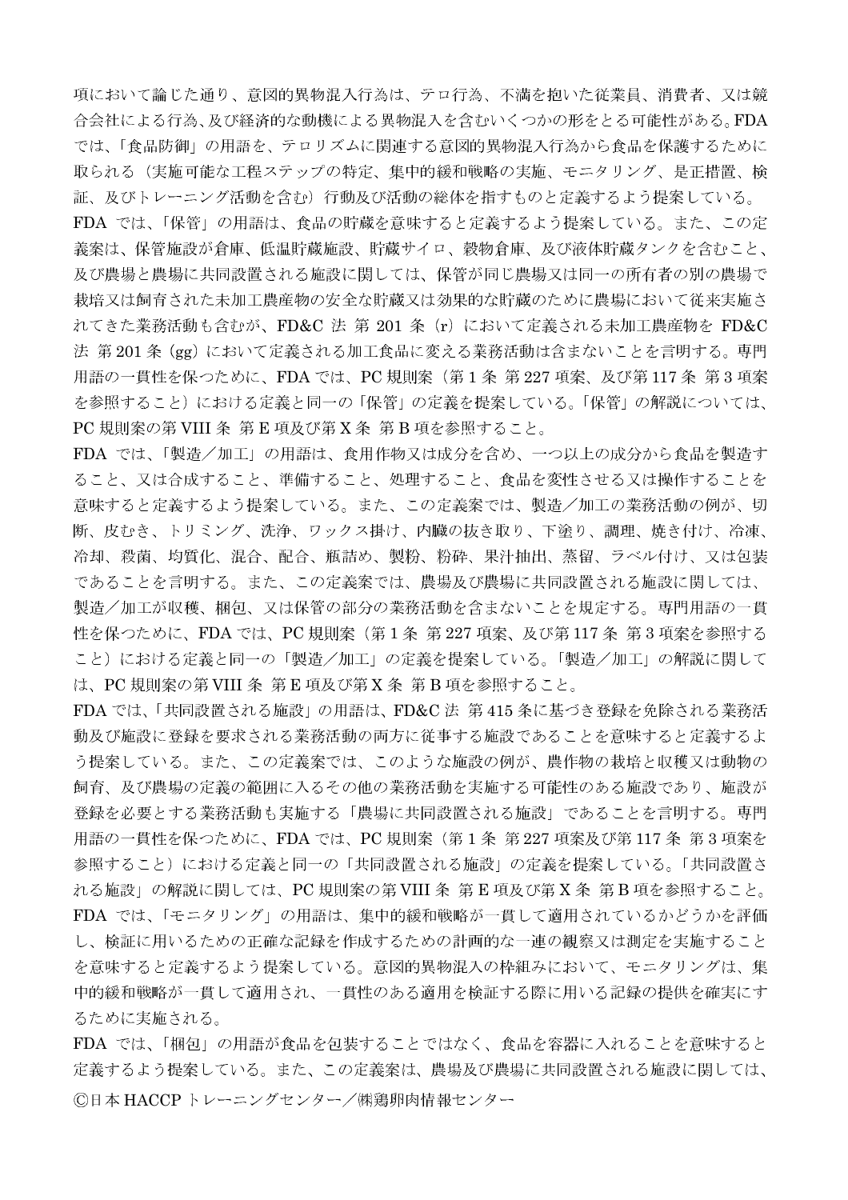項において論じた通り、意図的異物混入行為は、テロ行為、不満を抱いた従業員、消費者、又は競 合会社による行為、及び経済的な動機による異物混入を含むいくつかの形をとる可能性がある。FDA では、「食品防御」の用語を、テロリズムに関連する意図的異物混入行為から食品を保護するために 取られる(実施可能な工程ステップの特定、集中的緩和戦略の実施、モニタリング、是正措置、検 証、及びトレーニング活動を含む)行動及び活動の総体を指すものと定義するよう提案している。 FDA では、「保管」の用語は、食品の貯蔵を意味すると定義するよう提案している。また、この定 義案は、保管施設が倉庫、低温貯蔵施設、貯蔵サイロ、穀物倉庫、及び液体貯蔵タンクを含むこと、 及び農場と農場に共同設置される施設に関しては、保管が同じ農場又は同一の所有者の別の農場で 栽培又は飼育された未加工農産物の安全な貯蔵又は効果的な貯蔵のために農場において従来実施さ れてきた業務活動も含むが、FD&C 法 第 201 条 (r) において定義される未加工農産物を FD&C 法 第201条 (gg) において定義される加工食品に変える業務活動は含まないことを言明する。専門 用語の一貫性を保つために、FDA では、PC 規則案(第1条 第 227 項案、及び第 117 条 第 3 項案 を参照すること)における定義と同一の「保管」の定義を提案している。「保管」の解説については、 PC 規則案の第VIII 条 第E 項及び第X条 第B 項を参照すること。

FDA では、「製造/加工」の用語は、食用作物又は成分を含め、一つ以上の成分から食品を製造す ること、又は合成すること、準備すること、処理すること、食品を変性させる又は操作することを 意味すると定義するよう提案している。また、この定義案では、製造/加工の業務活動の例が、切 断、皮むき、トリミング、洗浄、ワックス掛け、内臓の抜き取り、下塗り、調理、焼き付け、冷凍、 冷却、殺菌、均質化、混合、配合、瓶詰め、製粉、粉砕、果汁抽出、蒸留、ラベル付け、又は包装 であることを言明する。また、この定義案では、農場及び農場に共同設置される施設に関しては、 製造/加工が収穫、梱包、又は保管の部分の業務活動を含まないことを規定する。専門用語の一貫 性を保つために、FDA では、PC 規則案 (第1条 第227 項案、及び第117条 第3 項案を参照する こと)における定義と同一の「製造/加工」の定義を提案している。「製造/加工」の解説に関して は、PC 規則案の第VIII 条 第E 項及び第X条 第B 項を参照すること。

FDA では、「共同設置される施設」の用語は、FD&C法 第415 条に基づき登録を免除される業務活 動及び施設に登録を要求される業務活動の両方に従事する施設であることを意味すると定義するよ う提案している。また、この定義案では、このような施設の例が、農作物の栽培と収穫又は動物の 飼育、及び農場の定義の範囲に入るその他の業務活動を実施する可能性のある施設であり、施設が 登録を必要とする業務活動も実施する「農場に共同設置される施設」であることを言明する。専門 用語の一貫性を保つために、FDA では、PC 規則案 (第1条 第227 項案及び第117条 第3 項案を 参照すること)における定義と同一の「共同設置される施設」の定義を提案している。「共同設置さ れる施設」の解説に関しては、PC 規則案の第 VIII 条 第 E 項及び第 X 条 第 B 項を参照すること。 FDA では、「モニタリング」の用語は、集中的緩和戦略が一貫して適用されているかどうかを評価 し、検証に用いるための正確な記録を作成するための計画的な一連の観察又は測定を実施すること を意味すると定義するよう提案している。意図的異物混入の枠組みにおいて、モニタリングは、集 中的緩和戦略が一貫して適用され、一貫性のある適用を検証する際に用いる記録の提供を確実にす るために実施される。

FDA では、「梱包」の用語が食品を包装することではなく、食品を容器に入れることを意味すると 定義するよう提案している。また、この定義案は、農場及び農場に共同設置される施設に関しては、 ©日本 HACCP トレーニングセンター/㈱鶏卵肉情報センター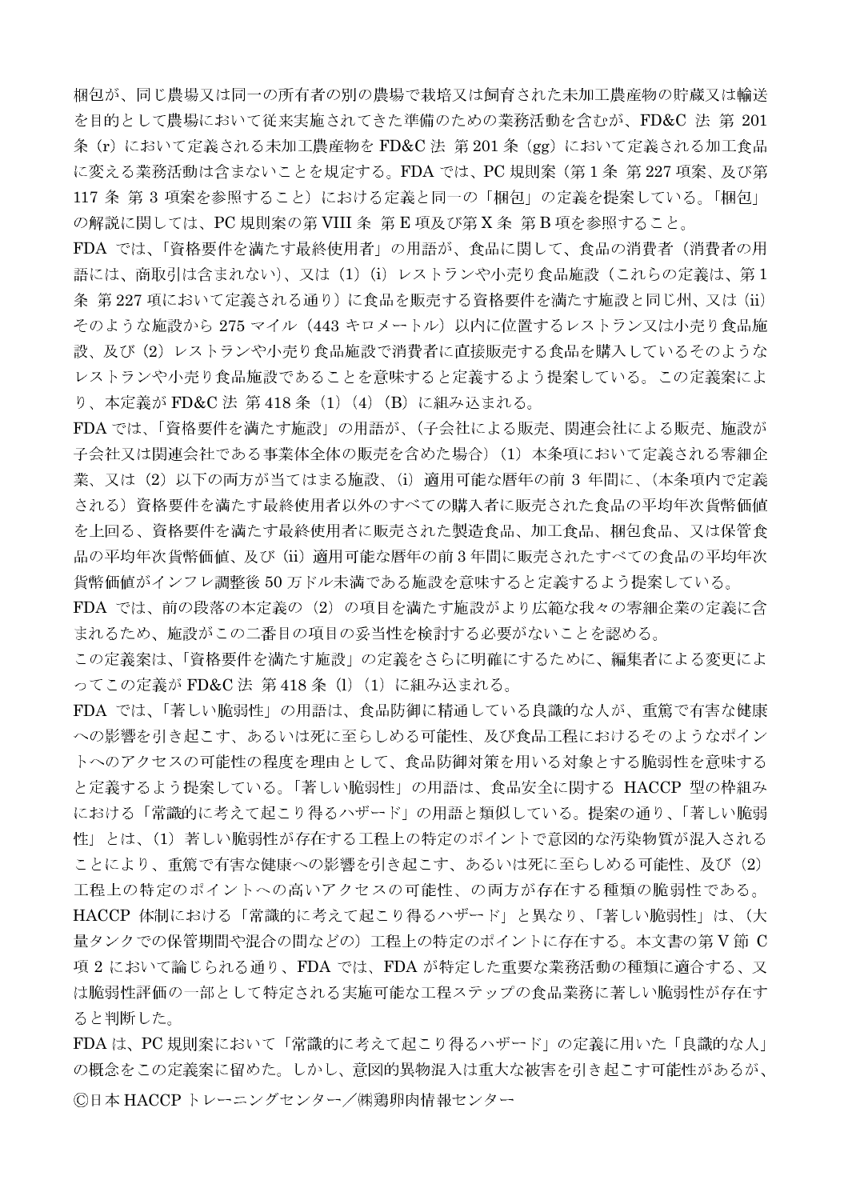梱包が、同じ農場又は同一の所有者の別の農場で栽培又は飼育された未加工農産物の貯蔵又は輸送 を目的として農場において従来実施されてきた準備のための業務活動を含むが、FD&C 法 第 201 条 (r) において定義される未加工農産物を FD&C 法 第201条 (gg) において定義される加工食品 に変える業務活動は含まないことを規定する。FDA では、PC 規則案(第1条 第227 項案、及び第 117 条 第 3 項案を参照すること)における定義と同一の「梱包」の定義を提案している。「梱包」 の解説に関しては、PC 規則案の第VIII 条 第E 項及び第X条 第B 項を参照すること。

FDA では、「資格要件を満たす最終使用者」の用語が、食品に関して、食品の消費者(消費者の用 語には、商取引は含まれない)、又は (1) (i) レストランや小売り食品施設 (これらの定義は、第1 条 第227 項において定義される通り)に食品を販売する資格要件を満たす施設と同じ州、又は (ii) そのような施設から 275 マイル (443 キロメートル) 以内に位置するレストラン又は小売り食品施 設、及び(2) レストランや小売り食品施設で消費者に直接販売する食品を購入しているそのような レストランや小売り食品施設であることを意味すると定義するよう提案している。この定義案によ り、本定義が FD&C 法 第418条 (1) (4) (B) に組み込まれる。

FDA では、「資格要件を満たす施設」の用語が、(子会社による販売、関連会社による販売、施設が 子会社又は関連会社である事業体全体の販売を含めた場合)(1) 本条項において定義される零細企 業、又は (2) 以下の両方が当てはまる施設、(i) 適用可能な暦年の前 3 年間に、(本条項内で定義 される)資格要件を満たす最終使用者以外のすべての購入者に販売された食品の平均年次貨幣価値 を上回る、資格要件を満たす最終使用者に販売された製造食品、加工食品、梱包食品、又は保管食 品の平均年次貨幣価値、及び (ii) 適用可能な暦年の前3年間に販売されたすべての食品の平均年次 貨幣価値がインフレ調整後 50 万ドル未満である施設を意味すると定義するよう提案している。

FDA では、前の段落の本定義の (2) の項目を満たす施設がより広範な我々の零細企業の定義に含 まれるため、施設がこの二番目の項目の妥当性を検討する必要がないことを認める。

この定義案は、「資格要件を満たす施設」の定義をさらに明確にするために、編集者による変更によ ってこの定義が FD&C 法 第418 条 (1) (1) に組み込まれる。

FDA では、「著しい脆弱性」の用語は、食品防御に精通している良識的な人が、重篤で有害な健康 への影響を引き起こす、あるいは死に至らしめる可能性、及び食品工程におけるそのようなポイン トへのアクセスの可能性の程度を理由として、食品防御対策を用いる対象とする脆弱性を意味する と定義するよう提案している。「著しい脆弱性」の用語は、食品安全に関する HACCP 型の枠組み における「常識的に考えて起こり得るハザード」の用語と類似している。提案の通り、「著しい脆弱 性」とは、(1) 著しい脆弱性が存在する工程上の特定のポイントで意図的な汚染物質が混入される ことにより、重篤で有害な健康への影響を引き起こす、あるいは死に至らしめる可能性、及び(2) 工程上の特定のポイントへの高いアクセスの可能性、の両方が存在する種類の脆弱性である。 HACCP 体制における「常識的に考えて起こり得るハザード」と異なり、「著しい脆弱性」は、(大 量タンクでの保管期間や混合の間などの)工程上の特定のポイントに存在する。本文書の第V節 C 項2において論じられる通り、FDA では、FDA が特定した重要な業務活動の種類に適合する、又 は脆弱性評価の一部として特定される実施可能な工程ステップの食品業務に著しい脆弱性が存在す ると判断した。

FDAは、PC規則案において「常識的に考えて起こり得るハザード」の定義に用いた「良識的な人」 の概念をこの定義案に留めた。しかし、意図的異物混入は重大な被害を引き起こす可能性があるが、 ©日本 HACCP トレーニングセンター/㈱鶏卵肉情報センター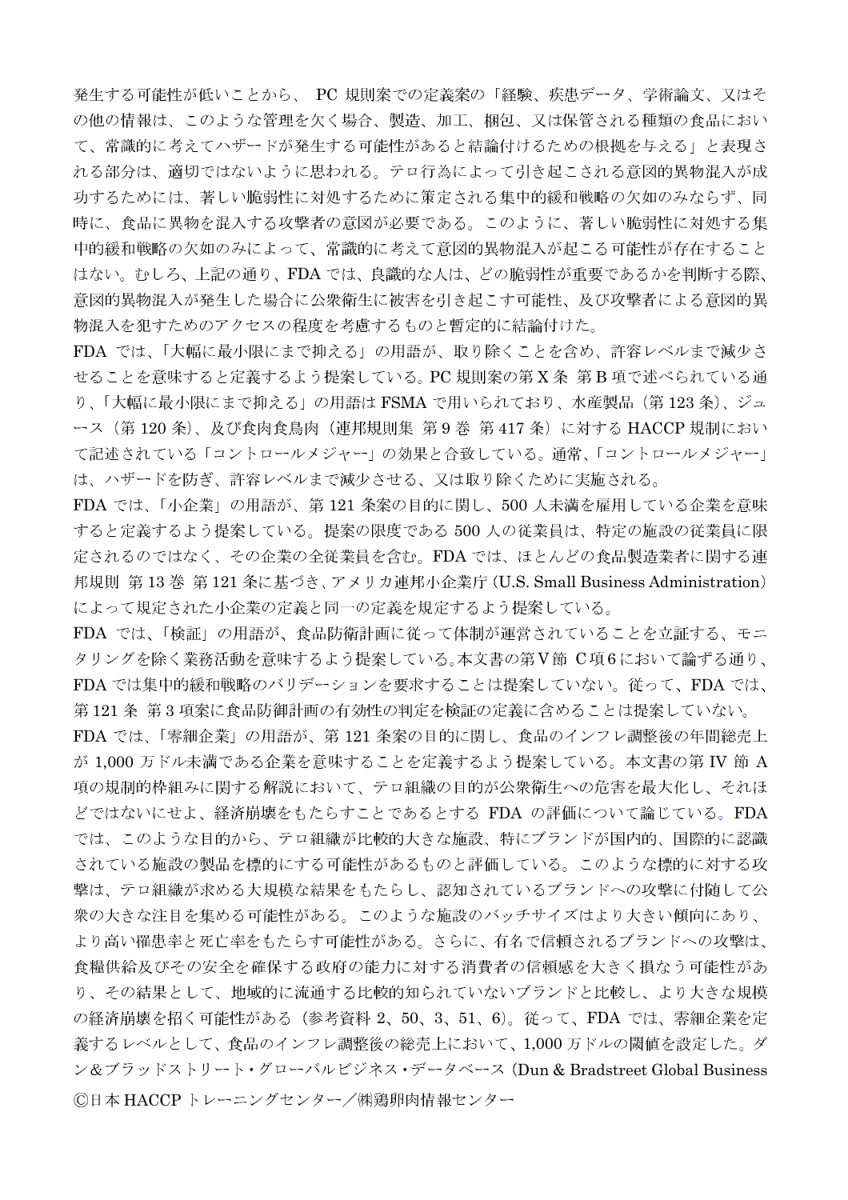発生する可能性が低いことから、 PC 規則案での定義案の「経験、疾患データ、学術論文、又はそ の他の情報は、このような管理を欠く場合、製造、加工、梱包、又は保管される種類の食品におい て、常識的に考えてハザードが発生する可能性があると結論付けるための根拠を与える」と表現さ れる部分は、適切ではないように思われる。テロ行為によって引き起こされる意図的異物混入が成 功するためには、著しい脆弱性に対処するために策定される集中的緩和戦略の欠如のみならず、同 時に、食品に異物を混入する攻撃者の意図が必要である。このように、著しい脆弱性に対処する集 中的緩和戦略の欠如のみによって、常識的に考えて意図的異物混入が起こる可能性が存在すること はない。むしろ、上記の通り、FDAでは、良識的な人は、どの脆弱性が重要であるかを判断する際、 意図的異物混入が発生した場合に公衆衛生に被害を引き起こす可能性、及び攻撃者による意図的異 物混入を犯すためのアクセスの程度を考慮するものと暫定的に結論付けた。

FDA では、「大幅に最小限にまで抑える」の用語が、取り除くことを含め、許容レベルまで減少さ せることを意味すると定義するよう提案している。PC規則案の第X条 第B項で述べられている通 り、「大幅に最小限にまで抑える」の用語は FSMA で用いられており、水産製品(第123 条)、ジュ ース (第120条)、及び食肉食鳥肉 (連邦規則集 第9巻 第417条) に対する HACCP 規制におい て記述されている「コントロールメジャー」の効果と合致している。通常、「コントロールメジャー」 は、ハザードを防ぎ、許容レベルまで減少させる、又は取り除くために実施される。

FDA では、「小企業」の用語が、第121 条案の目的に関し、500 人未満を雇用している企業を意味 すると定義するよう提案している。提案の限度である 500 人の従業員は、特定の施設の従業員に限 定されるのではなく、その企業の全従業員を含む。FDA では、ほとんどの食品製造業者に関する連 邦規則 第13巻 第121 条に基づき、アメリカ連邦小企業庁 (U.S. Small Business Administration) によって規定された小企業の定義と同一の定義を規定するよう提案している。

FDA では、「検証」の用語が、食品防衛計画に従って体制が運営されていることを立証する、モニ タリングを除く業務活動を意味するよう提案している。本文書の第V節 C項6において論ずる通り、 FDA では集中的緩和戦略のバリデーションを要求することは提案していない。従って、FDA では、 第121条 第3項案に食品防御計画の有効性の判定を検証の定義に含めることは提案していない。

FDA では、「零細企業」の用語が、第121 条案の目的に関し、食品のインフレ調整後の年間総売上 が 1,000 万ドル未満である企業を意味することを定義するよう提案している。本文書の第 IV 節 A 項の規制的枠組みに関する解説において、テロ組織の目的が公衆衛生への危害を最大化し、それほ どではないにせよ、経済崩壊をもたらすことであるとする FDA の評価について論じている。FDA では、このような目的から、テロ組織が比較的大きな施設、特にブランドが国内的、国際的に認識 されている施設の製品を標的にする可能性があるものと評価している。このような標的に対する攻 撃は、テロ組織が求める大規模な結果をもたらし、認知されているブランドへの攻撃に付随して公 衆の大きな注目を集める可能性がある。このような施設のバッチサイズはより大きい傾向にあり、 より高い罹患率と死亡率をもたらす可能性がある。さらに、有名で信頼されるブランドへの攻撃は、 食糧供給及びその安全を確保する政府の能力に対する消費者の信頼感を大きく損なう可能性があ り、その結果として、地域的に流通する比較的知られていないブランドと比較し、より大きな規模 の経済崩壊を招く可能性がある(参考資料 2、50、3、51、6)。従って、FDA では、零細企業を定 義するレベルとして、食品のインフレ調整後の総売上において、1,000万ドルの閾値を設定した。ダ ン&ブラッドストリート・グローバルビジネス・データベース (Dun & Bradstreet Global Business ©日本 HACCP トレーニングセンター/㈱鶏卵肉情報センター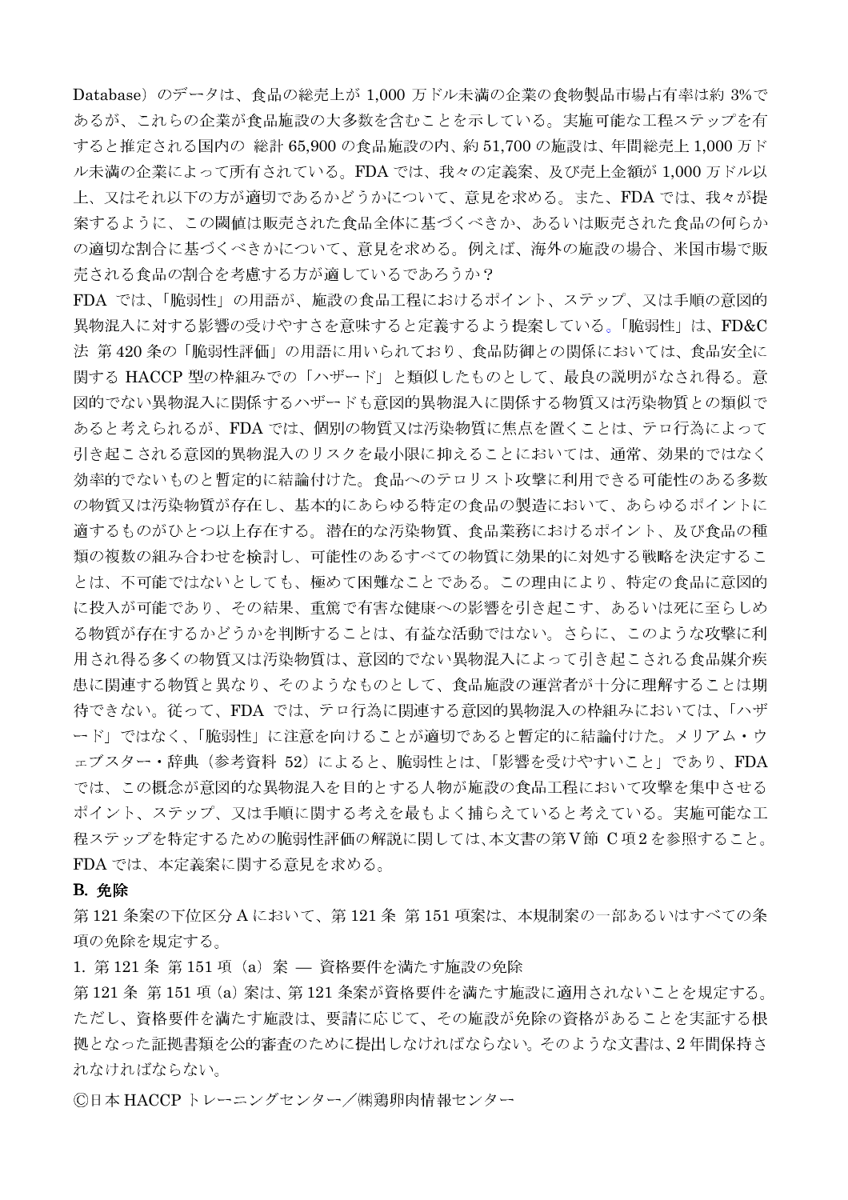Database) のデータは、食品の総売上が 1,000 万ドル未満の企業の食物製品市場占有率は約 3%で あるが、これらの企業が食品施設の大多数を含むことを示している。実施可能な工程ステップを有 すると推定される国内の 総計 65,900 の食品施設の内、約 51,700 の施設は、年間総売上 1,000 万ド ル未満の企業によって所有されている。FDA では、我々の定義案、及び売上金額が1,000 万ドル以 上、又はそれ以下の方が適切であるかどうかについて、意見を求める。また、FDA では、我々が提 案するように、この閾値は販売された食品全体に基づくべきか、あるいは販売された食品の何らか の適切な割合に基づくべきかについて、意見を求める。例えば、海外の施設の場合、米国市場で販 売される食品の割合を考慮する方が適しているであろうか?

FDA では、「脆弱性」の用語が、施設の食品工程におけるポイント、ステップ、又は手順の意図的 異物混入に対する影響の受けやすさを意味すると定義するよう提案している。「脆弱性」は、FD&C 法 第420条の「脆弱性評価」の用語に用いられており、食品防御との関係においては、食品安全に 関する HACCP 型の枠組みでの「ハザード」と類似したものとして、最良の説明がなされ得る。意 図的でない異物混入に関係するハザードも意図的異物混入に関係する物質又は汚染物質との類似で あると考えられるが、FDAでは、個別の物質又は汚染物質に焦点を置くことは、テロ行為によって 引き起こされる意図的異物混入のリスクを最小限に抑えることにおいては、通常、効果的ではなく 効率的でないものと暫定的に結論付けた。食品へのテロリスト攻撃に利用できる可能性のある多数 の物質又は汚染物質が存在し、基本的にあらゆる特定の食品の製造において、あらゆるポイントに 適するものがひとつ以上存在する。潜在的な汚染物質、食品業務におけるポイント、及び食品の種 類の複数の組み合わせを検討し、可能性のあるすべての物質に効果的に対処する戦略を決定するこ とは、不可能ではないとしても、極めて困難なことである。この理由により、特定の食品に意図的 に投入が可能であり、その結果、重篤で有害な健康への影響を引き起こす、あるいは死に至らしめ る物質が存在するかどうかを判断することは、有益な活動ではない。さらに、このような攻撃に利 用され得る多くの物質又は汚染物質は、意図的でない異物混入によって引き起こされる食品媒介疾 患に関連する物質と異なり、そのようなものとして、食品施設の運営者が十分に理解することは期 待できない。従って、FDA では、テロ行為に関連する意図的異物混入の枠組みにおいては、「ハザ ード」ではなく、「脆弱性」に注意を向けることが適切であると暫定的に結論付けた。メリアム・ウ ェブスター・辞典 (参考資料 52) によると、脆弱性とは、「影響を受けやすいこと」であり、FDA では、この概念が意図的な異物混入を目的とする人物が施設の食品工程において攻撃を集中させる ポイント、ステップ、又は手順に関する考えを最もよく捕らえていると考えている。実施可能な工 程ステップを特定するための脆弱性評価の解説に関しては、本文書の第V節 C項2を参照すること。 FDA では、本定義案に関する意見を求める。

#### **B.** 免除

第121条案の下位区分Aにおいて、第121条第151項案は、本規制案の一部あるいはすべての条 項の免除を規定する。

1. 第121条 第151 項 (a) 案 – 資格要件を満たす施設の免除

第121条第151項(a)案は、第121条案が資格要件を満たす施設に適用されないことを規定する。 ただし、資格要件を満たす施設は、要請に応じて、その施設が免除の資格があることを実証する根 拠となった証拠書類を公的審査のために提出しなければならない。そのような文書は、2年間保持さ れなければならない。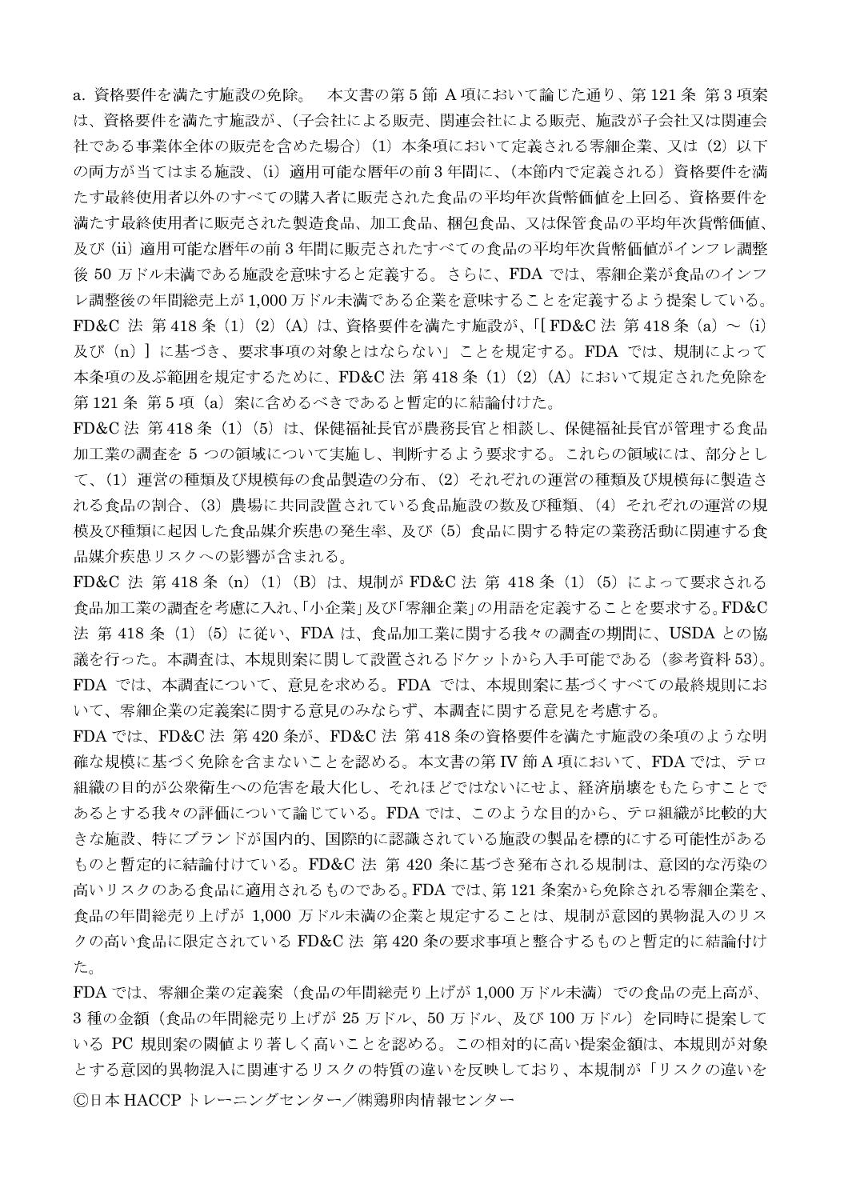a. 資格要件を満たす施設の免除。 本文書の第5節 A 項において論じた通り、第121条 第3項案 は、資格要件を満たす施設が、(子会社による販売、関連会社による販売、施設が子会社又は関連会 社である事業体全体の販売を含めた場合) (1) 本条項において定義される零細企業、又は (2) 以下 の両方が当てはまる施設、(i) 適用可能な暦年の前3年間に、(本節内で定義される)資格要件を満 たす最終使用者以外のすべての購入者に販売された食品の平均年次貨幣価値を上回る、資格要件を 満たす最終使用者に販売された製造食品、加工食品、梱包食品、又は保管食品の平均年次貨幣価値、 及び(ii)適用可能な暦年の前3年間に販売されたすべての食品の平均年次貨幣価値がインフレ調整 後 50 万ドル未満である施設を意味すると定義する。さらに、FDA では、零細企業が食品のインフ レ調整後の年間総売上が1,000万ドル未満である企業を意味することを定義するよう提案している。 FD&C 法 第418条 (1) (2) (A) は、資格要件を満たす施設が、「[FD&C 法 第418条 (a) ~ (i) 及び (n) ] に基づき、要求事項の対象とはならない」ことを規定する。FDA では、規制によって 本条項の及ぶ範囲を規定するために、FD&C法 第418条 (1) (2) (A) において規定された免除を 第121条 第5項 (a) 案に含めるべきであると暫定的に結論付けた。

FD&C 法 第418条 (1) (5) は、保健福祉長官が農務長官と相談し、保健福祉長官が管理する食品 加工業の調査を5つの領域について実施し、判断するよう要求する。これらの領域には、部分とし て、(1) 運営の種類及び規模毎の食品製造の分布、(2) それぞれの運営の種類及び規模毎に製造さ れる食品の割合、(3)農場に共同設置されている食品施設の数及び種類、(4)それぞれの運営の規 模及び種類に起因した食品媒介疾患の発生率、及び(5)食品に関する特定の業務活動に関連する食 品媒介疾患リスクへの影響が含まれる。

FD&C 法 第 418 条 (n) (1) (B) は、規制が FD&C 法 第 418 条 (1) (5) によって要求される 食品加工業の調査を考慮に入れ、「小企業」及び「零細企業」の用語を定義することを要求する。FD&C 法第418条 (1) (5) に従い、FDA は、食品加工業に関する我々の調査の期間に、USDA との協 議を行った。本調査は、本規則案に関して設置されるドケットから入手可能である(参考資料 53)。 FDA では、本調査について、意見を求める。FDA では、本規則案に基づくすべての最終規則にお いて、零細企業の定義案に関する意見のみならず、本調査に関する意見を考慮する。

FDA では、FD&C 法 第420 条が、FD&C 法 第418 条の資格要件を満たす施設の条項のような明 確な規模に基づく免除を含まないことを認める。本文書の第 IV 節 A 項において、FDA では、テロ 組織の目的が公衆衛生への危害を最大化し、それほどではないにせよ、経済崩壊をもたらすことで あるとする我々の評価について論じている。FDAでは、このような目的から、テロ組織が比較的大 きな施設、特にブランドが国内的、国際的に認識されている施設の製品を標的にする可能性がある ものと暫定的に結論付けている。FD&C 法 第 420 条に基づき発布される規制は、意図的な汚染の 高いリスクのある食品に適用されるものである。FDA では、第121 条案から免除される零細企業を、 食品の年間総売り上げが 1,000 万ドル未満の企業と規定することは、規制が意図的異物混入のリス クの高い食品に限定されている FD&C 法 第420 条の要求事項と整合するものと暫定的に結論付け た。

FDA では、零細企業の定義案(食品の年間総売り上げが 1,000 万ドル未満)での食品の売上高が、 3 種の金額(食品の年間総売り上げが 25 万ドル、50 万ドル、及び 100 万ドル)を同時に提案して いる PC 規則案の閾値より著しく高いことを認める。この相対的に高い提案金額は、本規則が対象 とする意図的異物混入に関連するリスクの特質の違いを反映しており、本規制が「リスクの違いを ©日本 HACCP トレーニングセンター/㈱鶏卵肉情報センター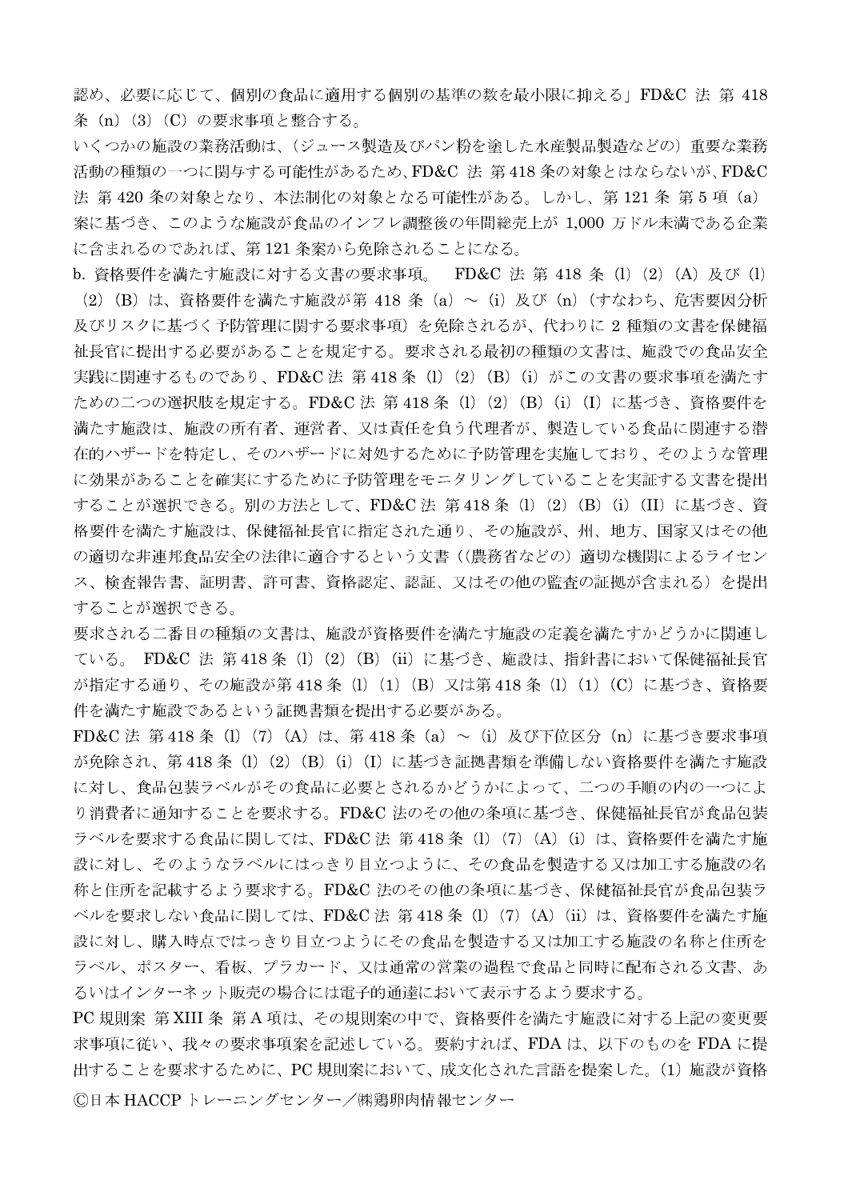認め、必要に応じて、個別の食品に適用する個別の基準の数を最小限に抑える」FD&C 法 第 418 条 (n) (3) (C) の要求事項と整合する。

いくつかの施設の業務活動は、(ジュース製造及びパン粉を塗した水産製品製造などの)重要な業務 活動の種類の一つに関与する可能性があるため、FD&C 法 第418条の対象とはならないが、FD&C 法 第420条の対象となり、本法制化の対象となる可能性がある。しかし、第121条 第5項 (a) 案に基づき、このような施設が食品のインフレ調整後の年間総売上が 1,000 万ドル未満である企業 に含まれるのであれば、第121条案から免除されることになる。

b. 資格要件を満たす施設に対する文書の要求事項。 FD&C 法 第 418 条 (1) (2) (A) 及び (1) (2) (B) は、資格要件を満たす施設が第 418 条 (a) ~ (i) 及び (n) (すなわち、危害要因分析 及びリスクに基づく予防管理に関する要求事項)を免除されるが、代わりに2種類の文書を保健福 祉長官に提出する必要があることを規定する。要求される最初の種類の文書は、施設での食品安全 実践に関連するものであり、FD&C法 第418条 (1) (2) (B) (i) がこの文書の要求事項を満たす ための二つの選択肢を規定する。FD&C 法 第 418 条 (1) (2) (B) (i) (I) に基づき、資格要件を 満たす施設は、施設の所有者、運営者、又は責任を負う代理者が、製造している食品に関連する潜 在的ハザードを特定し、そのハザードに対処するために予防管理を実施しており、そのような管理 に効果があることを確実にするために予防管理をモニタリングしていることを実証する文書を提出 することが選択できる。別の方法として、FD&C 法 第 418 条 (1) (2) (B) (i) (II) に基づき、資 格要件を満たす施設は、保健福祉長官に指定された通り、その施設が、州、地方、国家又はその他 の適切な非連邦食品安全の法律に適合するという文書((農務省などの)適切な機関によるライセン ス、検査報告書、証明書、許可書、資格認定、認証、又はその他の監査の証拠が含まれる)を提出 することが選択できる。

要求される二番目の種類の文書は、施設が資格要件を満たす施設の定義を満たすかどうかに関連し ている。 FD&C 法 第418条 (l) (2) (B) (ii) に基づき、施設は、指針書において保健福祉長官 が指定する通り、その施設が第418条 (l) (1) (B) 又は第418条 (l) (1) (C) に基づき、資格要 件を満たす施設であるという証拠書類を提出する必要がある。

FD&C 法 第 418 条 (1) (7) (A) は、第 418 条 (a) ~ (i) 及び下位区分 (n) に基づき要求事項 が免除され、第418条 (1) (2) (B) (i) (I) に基づき証拠書類を準備しない資格要件を満たす施設 に対し、食品包装ラベルがその食品に必要とされるかどうかによって、二つの手順の内の一つによ り消費者に通知することを要求する。FD&C法のその他の条項に基づき、保健福祉長官が食品包装 ラベルを要求する食品に関しては、FD&C法 第418条 (1) (7) (A) (i) は、資格要件を満たす施 設に対し、そのようなラベルにはっきり目立つように、その食品を製造する又は加工する施設の名 称と住所を記載するよう要求する。FD&C法のその他の条項に基づき、保健福祉長官が食品包装ラ ベルを要求しない食品に関しては、FD&C法 第418条 (1) (7) (A) (ii) は、資格要件を満たす施 設に対し、購入時点ではっきり目立つようにその食品を製造する又は加工する施設の名称と住所を ラベル、ポスター、看板、プラカード、又は通常の営業の過程で食品と同時に配布される文書、あ るいはインターネット販売の場合には電子的通達において表示するよう要求する。

PC 規則案 第 XIII 条 第 A 項は、その規則案の中で、資格要件を満たす施設に対する上記の変更要 求事項に従い、我々の要求事項案を記述している。要約すれば、FDAは、以下のものを FDA に提 出することを要求するために、PC規則案において、成文化された言語を提案した。(1)施設が資格 ©日本 HACCP トレーニングセンター/㈱鶏卵肉情報センター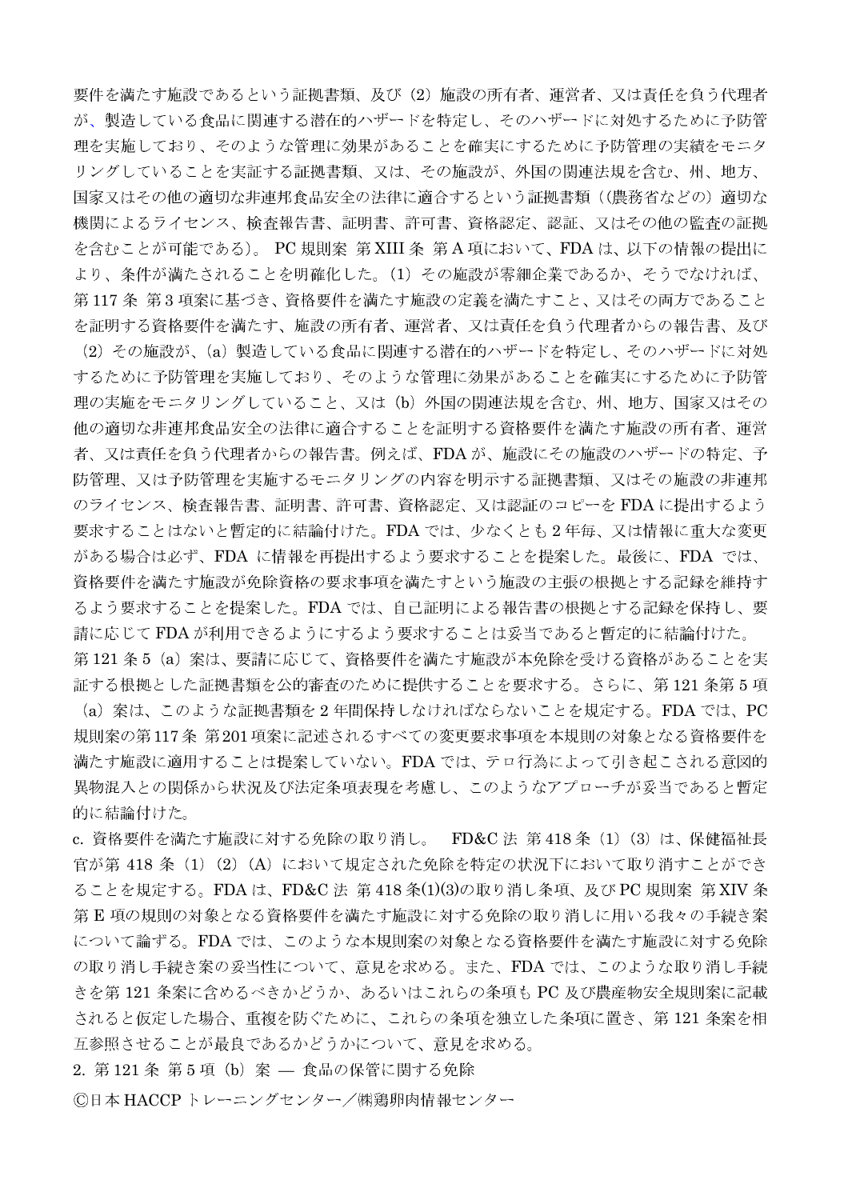要件を満たす施設であるという証拠書類、及び(2)施設の所有者、運営者、又は責任を負う代理者 が、製造している食品に関連する潜在的ハザードを特定し、そのハザードに対処するために予防管 理を実施しており、そのような管理に効果があることを確実にするために予防管理の実績をモニタ リングしていることを実証する証拠書類、又は、その施設が、外国の関連法規を含む、州、地方、 国家又はその他の適切な非連邦食品安全の法律に適合するという証拠書類((農務省などの)適切な 機関によるライセンス、検査報告書、証明書、許可書、資格認定、認証、又はその他の監査の証拠 を含むことが可能である)。 PC 規則案 第 XIII 条 第 A 項において、FDA は、以下の情報の提出に より、条件が満たされることを明確化した。(1) その施設が零細企業であるか、そうでなければ、 第117条 第3項案に基づき、資格要件を満たす施設の定義を満たすこと、又はその両方であること を証明する資格要件を満たす、施設の所有者、運営者、又は責任を負う代理者からの報告書、及び

(2) その施設が、(a) 製造している食品に関連する潜在的ハザードを特定し、そのハザードに対処 するために予防管理を実施しており、そのような管理に効果があることを確実にするために予防管 理の実施をモニタリングしていること、又は(b)外国の関連法規を含む、州、地方、国家又はその 他の適切な非連邦食品安全の法律に適合することを証明する資格要件を満たす施設の所有者、運営 者、又は責任を負う代理者からの報告書。例えば、FDAが、施設にその施設のハザードの特定、予 防管理、又は予防管理を実施するモニタリングの内容を明示する証拠書類、又はその施設の非連邦 のライセンス、検査報告書、証明書、許可書、資格認定、又は認証のコピーを FDA に提出するよう 要求することはないと暫定的に結論付けた。FDAでは、少なくとも2年毎、又は情報に重大な変更 がある場合は必ず、FDA に情報を再提出するよう要求することを提案した。最後に、FDA では、 資格要件を満たす施設が免除資格の要求事項を満たすという施設の主張の根拠とする記録を維持す るよう要求することを提案した。FDAでは、自己証明による報告書の根拠とする記録を保持し、要 請に応じてFDAが利用できるようにするよう要求することは妥当であると暫定的に結論付けた。 第121条5 (a) 案は、要請に応じて、資格要件を満たす施設が本免除を受ける資格があることを実

証する根拠とした証拠書類を公的審査のために提供することを要求する。さらに、第121条第5項 (a) 案は、このような証拠書類を2年間保持しなければならないことを規定する。FDA では、PC 規則案の第117条 第201項案に記述されるすべての変更要求事項を本規則の対象となる資格要件を 満たす施設に適用することは提案していない。FDAでは、テロ行為によって引き起こされる意図的 異物混入との関係から状況及び法定条項表現を考慮し、このようなアプローチが妥当であると暫定 的に結論付けた。

c. 資格要件を満たす施設に対する免除の取り消し。 FD&C法 第418条 (1) (3) は、保健福祉長 官が第418条 (1) (2) (A) において規定された免除を特定の状況下において取り消すことができ ることを規定する。FDA は、FD&C 法 第 418 条(1)(3)の取り消し条項、及び PC 規則案 第 XIV 条 第E項の規則の対象となる資格要件を満たす施設に対する免除の取り消しに用いる我々の手続き案 について論ずる。FDA では、このような本規則案の対象となる資格要件を満たす施設に対する免除 の取り消し手続き案の妥当性について、意見を求める。また、FDA では、このような取り消し手続 きを第 121 条案に含めるべきかどうか、あるいはこれらの条項も PC 及び農産物安全規則案に記載 されると仮定した場合、重複を防ぐために、これらの条項を独立した条項に置き、第121条案を相 互参照させることが最良であるかどうかについて、意見を求める。

2. 第121条 第5項 (b) 案 - 食品の保管に関する免除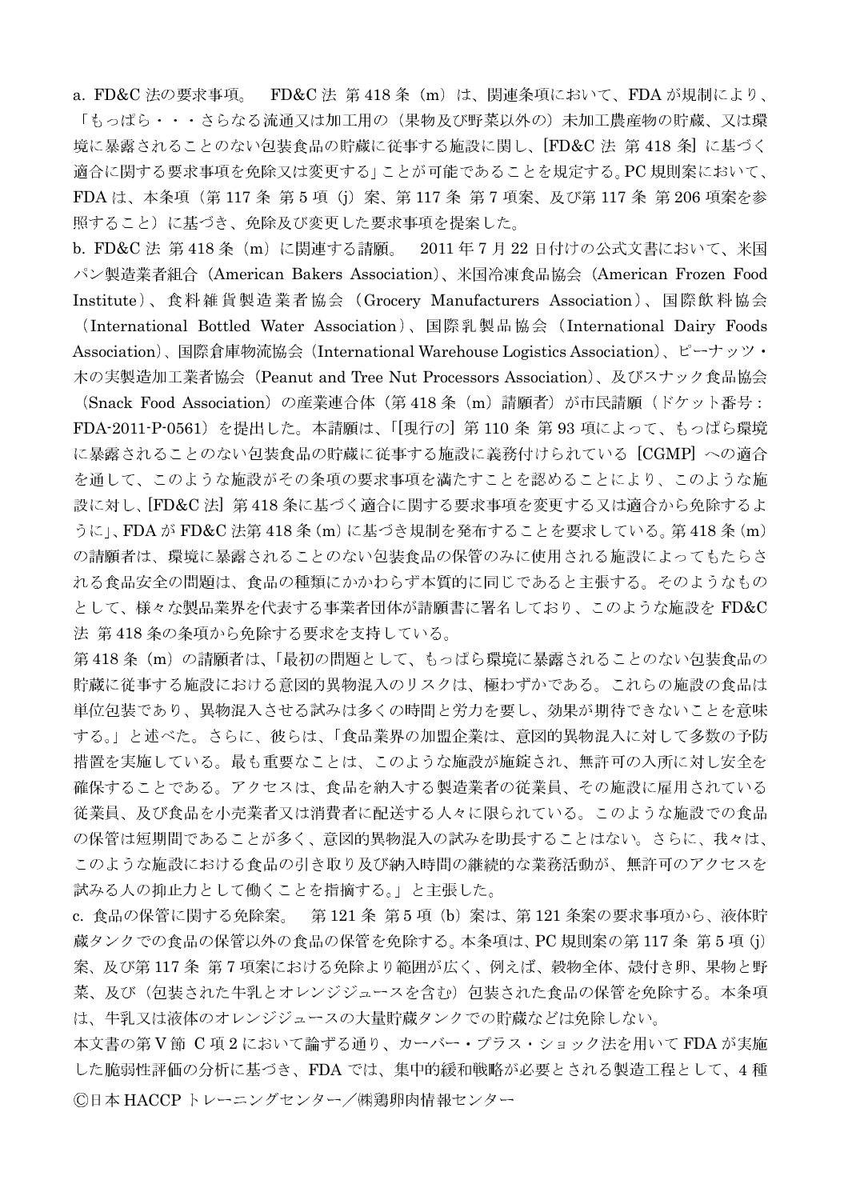a. FD&C 法の要求事項。 FD&C 法 第418条 (m) は、関連条項において、FDA が規制により、 「もっぱら・・・さらなる流通又は加工用の(果物及び野菜以外の)未加工農産物の貯蔵、又は環 境に暴露されることのない包装食品の貯蔵に従事する施設に関し、[FD&C 法 第 418 条] に基づく 適合に関する要求事項を免除又は変更する」ことが可能であることを規定する。PC規則案において、 FDA は、本条項 (第 117 条 第 5 項 (j) 案、第 117 条 第 7 項案、及び第 117 条 第 206 項案を参 照すること)に基づき、免除及び変更した要求事項を提案した。

b. FD&C 法 第418条 (m) に関連する請願。 2011年7月22日付けの公式文書において、米国 パン製造業者組合 (American Bakers Association)、米国冷凍食品協会 (American Frozen Food Institute)、食料雑貨製造業者協会 (Grocery Manufacturers Association)、国際飲料協会

(International Bottled Water Association)、国際乳製品協会 (International Dairy Foods Association)、国際倉庫物流協会 (International Warehouse Logistics Association)、ピーナッツ・ 木の実製造加工業者協会(Peanut and Tree Nut Processors Association)、及びスナック食品協会

(Snack Food Association) の産業連合体 (第418条 (m) 請願者) が市民請願 (ドケット番号: FDA-2011-P-0561) を提出した。本請願は、「[現行の] 第 110 条 第 93 項によって、もっぱら環境 に暴露されることのない包装食品の貯蔵に従事する施設に義務付けられている [CGMP] への適合 を通して、このような施設がその条項の要求事項を満たすことを認めることにより、このような施 設に対し、[FD&C法] 第418条に基づく適合に関する要求事項を変更する又は適合から免除するよ うに」、FDA が FD&C 法第 418 条 (m) に基づき規制を発布することを要求している。第 418 条 (m) の請願者は、環境に暴露されることのない包装食品の保管のみに使用される施設によってもたらさ れる食品安全の問題は、食品の種類にかかわらず本質的に同じであると主張する。そのようなもの として、様々な製品業界を代表する事業者団体が請願書に署名しており、このような施設を FD&C 法 第418条の条項から免除する要求を支持している。

第418条 (m) の請願者は、「最初の問題として、もっぱら環境に暴露されることのない包装食品の 貯蔵に従事する施設における意図的異物混入のリスクは、極わずかである。これらの施設の食品は 単位包装であり、異物混入させる試みは多くの時間と労力を要し、効果が期待できないことを意味 する。」と述べた。さらに、彼らは、「食品業界の加盟企業は、意図的異物混入に対して多数の予防 措置を実施している。最も重要なことは、このような施設が施錠され、無許可の入所に対し安全を 確保することである。アクセスは、食品を納入する製造業者の従業員、その施設に雇用されている 従業員、及び食品を小売業者又は消費者に配送する人々に限られている。このような施設での食品 の保管は短期間であることが多く、意図的異物混入の試みを助長することはない。さらに、我々は、 このような施設における食品の引き取り及び納入時間の継続的な業務活動が、無許可のアクセスを 試みる人の抑止力として働くことを指摘する。」と主張した。

c. 食品の保管に関する免除案。 第121条 第5項 (b) 案は、第121条案の要求事項から、液体貯 蔵タンクでの食品の保管以外の食品の保管を免除する。本条項は、PC規則案の第117条 第5項(j) 案、及び第117条 第7項案における免除より範囲が広く、例えば、穀物全体、殻付き卵、果物と野 菜、及び(包装された牛乳とオレンジジュースを含む)包装された食品の保管を免除する。本条項 は、牛乳又は液体のオレンジジュースの大量貯蔵タンクでの貯蔵などは免除しない。

本文書の第V節 C 項2において論ずる通り、カーバー・プラス・ショック法を用いて FDA が実施 した脆弱性評価の分析に基づき、FDA では、集中的緩和戦略が必要とされる製造工程として、4種 ©日本 HACCPトレーニングセンター/㈱鶏卵肉情報センター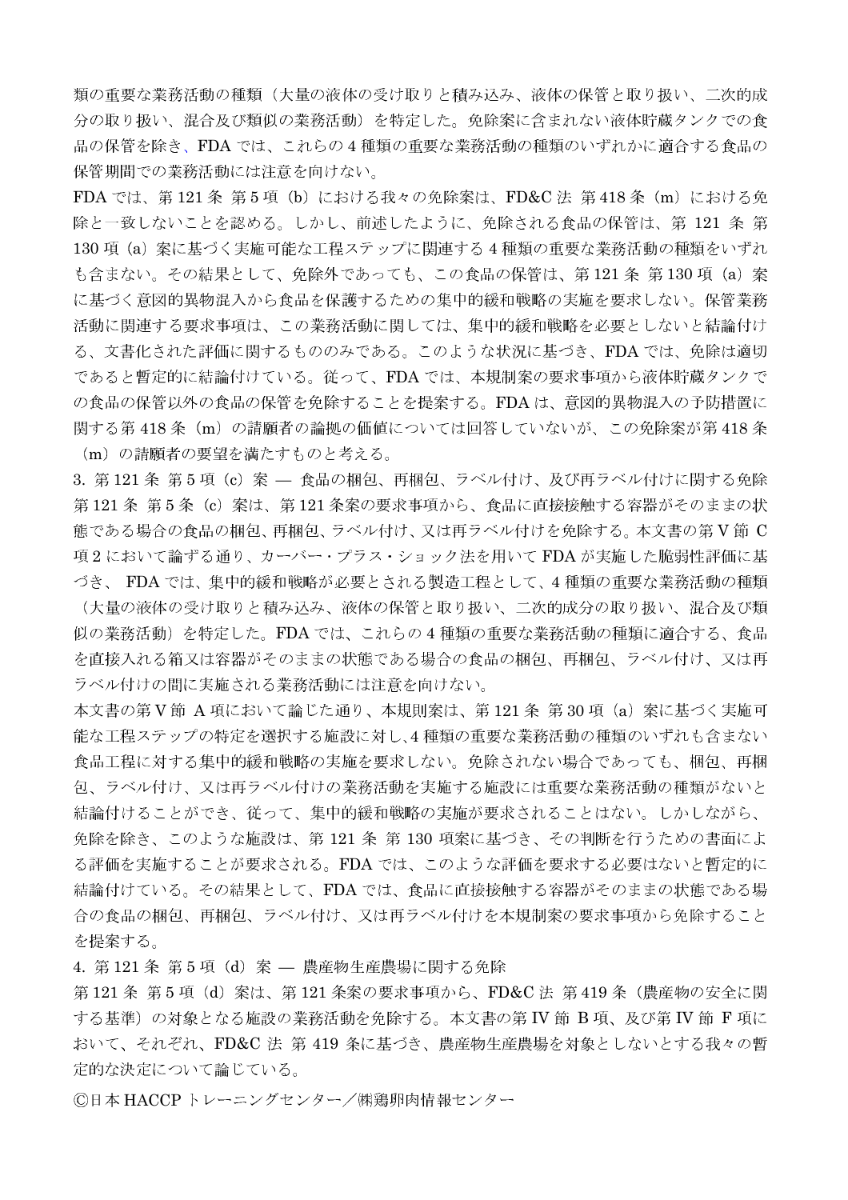類の重要な業務活動の種類(大量の液体の受け取りと積み込み、液体の保管と取り扱い、二次的成 分の取り扱い、混合及び類似の業務活動)を特定した。免除案に含まれない液体貯蔵タンクでの食 品の保管を除き、FDA では、これらの4種類の重要な業務活動の種類のいずれかに適合する食品の 保管期間での業務活動には注意を向けない。

FDA では、第121条 第5項 (b) における我々の免除案は、FD&C法 第418条 (m) における免 除と一致しないことを認める。しかし、前述したように、免除される食品の保管は、第121 条第 130 項 (a) 案に基づく実施可能な工程ステップに関連する4種類の重要な業務活動の種類をいずれ も含まない。その結果として、免除外であっても、この食品の保管は、第121条第130項 (a) 案 に基づく意図的異物混入から食品を保護するための集中的緩和戦略の実施を要求しない。保管業務 活動に関連する要求事項は、この業務活動に関しては、集中的緩和戦略を必要としないと結論付け る、文書化された評価に関するもののみである。このような状況に基づき、FDA では、免除は適切 であると暫定的に結論付けている。従って、FDA では、本規制案の要求事項から液体貯蔵タンクで の食品の保管以外の食品の保管を免除することを提案する。FDAは、意図的異物混入の予防措置に 関する第418条 (m)の請願者の論拠の価値については回答していないが、この免除案が第418条 (m) の請願者の要望を満たすものと考える。

3. 第121条 第5項 (c) 案 - 食品の梱包、再梱包、ラベル付け、及び再ラベル付けに関する免除 第121条 第5条 (c) 案は、第121条案の要求事項から、食品に直接接触する容器がそのままの状 態である場合の食品の梱包、再梱包、ラベル付け、又は再ラベル付けを免除する。本文書の第V節 C 項2において論ずる通り、カーバー・プラス・ショック法を用いて FDA が実施した脆弱性評価に基 づき、FDAでは、集中的緩和戦略が必要とされる製造工程として、4種類の重要な業務活動の種類

(大量の液体の受け取りと積み込み、液体の保管と取り扱い、二次的成分の取り扱い、混合及び類 似の業務活動)を特定した。FDA では、これらの4種類の重要な業務活動の種類に適合する、食品 を直接入れる箱又は容器がそのままの状態である場合の食品の梱包、再梱包、ラベル付け、又は再 ラベル付けの間に実施される業務活動には注意を向けない。

本文書の第V節 A項において論じた通り、本規則案は、第121条第30項 (a)案に基づく実施可 能な工程ステップの特定を選択する施設に対し、4種類の重要な業務活動の種類のいずれも含まない 食品工程に対する集中的緩和戦略の実施を要求しない。免除されない場合であっても、梱包、再梱 包、ラベル付け、又は再ラベル付けの業務活動を実施する施設には重要な業務活動の種類がないと 結論付けることができ、従って、集中的緩和戦略の実施が要求されることはない。しかしながら、 免除を除き、このような施設は、第121 条 第130 項案に基づき、その判断を行うための書面によ る評価を実施することが要求される。FDA では、このような評価を要求する必要はないと暫定的に 結論付けている。その結果として、FDA では、食品に直接接触する容器がそのままの状態である場 合の食品の梱包、再梱包、ラベル付け、又は再ラベル付けを本規制案の要求事項から免除すること を提案する。

4. 第121 条 第5項 (d) 案 — 農産物生産農場に関する免除

第121条 第5項 (d) 案は、第121条案の要求事項から、FD&C法 第419条 (農産物の安全に関 する基準)の対象となる施設の業務活動を免除する。本文書の第 IV 節 B 項、及び第 IV 節 F 項に おいて、それぞれ、FD&C 法 第 419 条に基づき、農産物生産農場を対象としないとする我々の暫 定的な決定について論じている。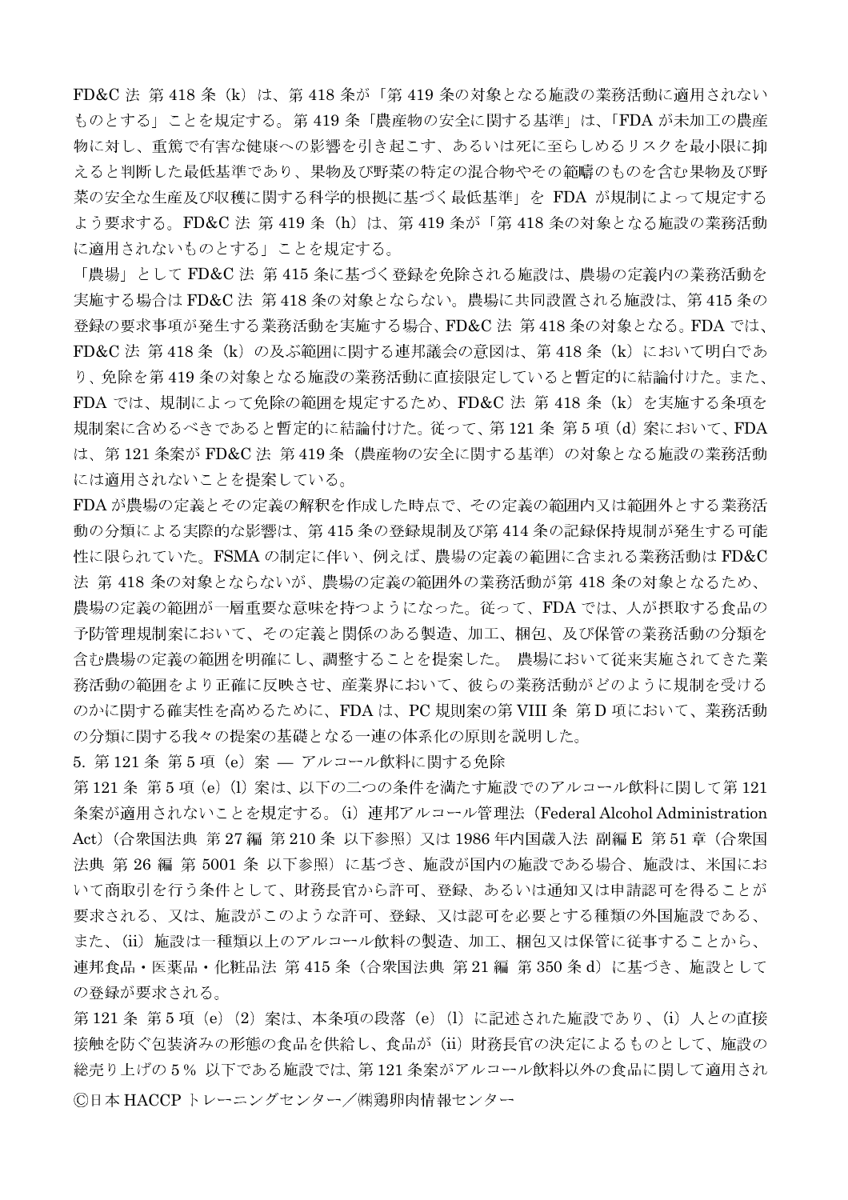FD&C 法 第418条 (k) は、第418条が「第419条の対象となる施設の業務活動に適用されない ものとする」ことを規定する。第419条「農産物の安全に関する基準」は、「FDA が未加工の農産 物に対し、重篤で有害な健康への影響を引き起こす、あるいは死に至らしめるリスクを最小限に抑 えると判断した最低基準であり、果物及び野菜の特定の混合物やその範疇のものを含む果物及び野 菜の安全な生産及び収穫に関する科学的根拠に基づく最低基準」を FDA が規制によって規定する よう要求する。FD&C 法 第 419 条 (h) は、第 419 条が「第 418 条の対象となる施設の業務活動 に適用されないものとする」ことを規定する。

「農場」として FD&C 法 第 415 条に基づく登録を免除される施設は、農場の定義内の業務活動を 実施する場合は FD&C法 第418 条の対象とならない。農場に共同設置される施設は、第415 条の 登録の要求事項が発生する業務活動を実施する場合、FD&C法 第418条の対象となる。FDA では、 FD&C 法 第418条 (k) の及ぶ範囲に関する連邦議会の意図は、第418条 (k) において明白であ り、免除を第419条の対象となる施設の業務活動に直接限定していると暫定的に結論付けた。また、 FDA では、規制によって免除の範囲を規定するため、FD&C 法 第 418 条 (k) を実施する条項を 規制案に含めるべきであると暫定的に結論付けた。従って、第121条第5項(d)案において、FDA は、第121条案が FD&C法 第419条 (農産物の安全に関する基準) の対象となる施設の業務活動 には適用されないことを提案している。

FDA が農場の定義とその定義の解釈を作成した時点で、その定義の範囲内又は範囲外とする業務活 動の分類による実際的な影響は、第415条の登録規制及び第414条の記録保持規制が発生する可能 性に限られていた。FSMAの制定に伴い、例えば、農場の定義の範囲に含まれる業務活動はFD&C 法 第418条の対象とならないが、農場の定義の範囲外の業務活動が第418条の対象となるため、 農場の定義の範囲が一層重要な意味を持つようになった。従って、FDAでは、人が摂取する食品の 予防管理規制案において、その定義と関係のある製造、加工、梱包、及び保管の業務活動の分類を 含む農場の定義の範囲を明確にし、調整することを提案した。 農場において従来実施されてきた業 務活動の範囲をより正確に反映させ、産業界において、彼らの業務活動がどのように規制を受ける のかに関する確実性を高めるために、FDAは、PC規則案の第VIII 条第D項において、業務活動 の分類に関する我々の提案の基礎となる一連の体系化の原則を説明した。

5. 第121 条 第5 項 (e) 案 – アルコール飲料に関する免除

第121条 第5項 (e) (l) 案は、以下の二つの条件を満たす施設でのアルコール飲料に関して第121 条案が適用されないことを規定する。(i) 連邦アルコール管理法 (Federal Alcohol Administration Act) (合衆国法典 第27編 第210条 以下参照) 又は 1986年内国歳入法 副編 E 第51章 (合衆国 法典 第 26 編 第 5001 条 以下参照) に基づき、施設が国内の施設である場合、施設は、米国にお いて商取引を行う条件として、財務長官から許可、登録、あるいは通知又は申請認可を得ることが 要求される、又は、施設がこのような許可、登録、又は認可を必要とする種類の外国施設である、 また、(ii) 施設は一種類以上のアルコール飲料の製造、加工、梱包又は保管に従事することから、 連邦食品・医薬品・化粧品法 第 415 条(合衆国法典 第 21 編 第 350 条 d)に基づき、施設として の登録が要求される。

第121条 第5項 (e) (2) 案は、本条項の段落 (e) (l) に記述された施設であり、(i) 人との直接 接触を防ぐ包装済みの形態の食品を供給し、食品が(ii)財務長官の決定によるものとして、施設の 総売り上げの5%以下である施設では、第121条案がアルコール飲料以外の食品に関して適用され ©日本 HACCPトレーニングセンター/㈱鶏卵肉情報センター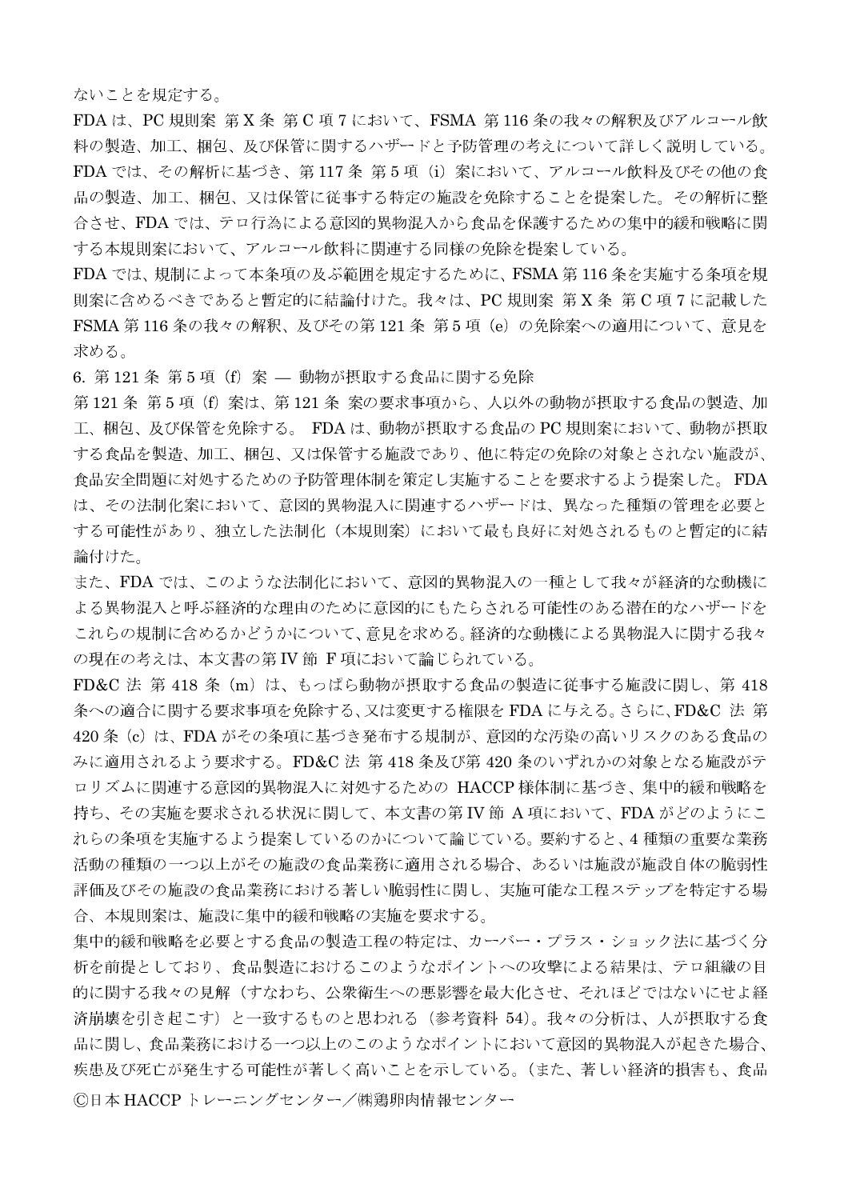ないことを規定する。

FDA は、PC 規則案 第X条 第C 項7において、FSMA 第116条の我々の解釈及びアルコール飲 料の製造、加工、梱包、及び保管に関するハザードと予防管理の考えについて詳しく説明している。 FDA では、その解析に基づき、第117条第5項(i)案において、アルコール飲料及びその他の食 品の製造、加工、梱包、又は保管に従事する特定の施設を免除することを提案した。その解析に整 合させ、FDA では、テロ行為による意図的異物混入から食品を保護するための集中的緩和戦略に関 する本規則案において、アルコール飲料に関連する同様の免除を提案している。

FDA では、規制によって本条項の及ぶ範囲を規定するために、FSMA 第116 条を実施する条項を規 則案に含めるべきであると暫定的に結論付けた。我々は、PC規則案第X条第C項7に記載した FSMA 第116条の我々の解釈、及びその第121条 第5項 (e) の免除案への適用について、意見を 求める。

6. 第121 条 第5 項 (f) 案 — 動物が摂取する食品に関する免除

第121条 第5項(f)案は、第121条 案の要求事項から、人以外の動物が摂取する食品の製造、加 工、梱包、及び保管を免除する。 FDA は、動物が摂取する食品の PC 規則案において、動物が摂取 する食品を製造、加工、梱包、又は保管する施設であり、他に特定の免除の対象とされない施設が、 食品安全問題に対処するための予防管理体制を策定し実施することを要求するよう提案した。FDA は、その法制化案において、意図的異物混入に関連するハザードは、異なった種類の管理を必要と する可能性があり、独立した法制化(本規則案)において最も良好に対処されるものと暫定的に結 論付けた。

また、FDA では、このような法制化において、意図的異物混入の一種として我々が経済的な動機に よる異物混入と呼ぶ経済的な理由のために意図的にもたらされる可能性のある潜在的なハザードを これらの規制に含めるかどうかについて、意見を求める。経済的な動機による異物混入に関する我々 の現在の考えは、本文書の第IV節 F項において論じられている。

FD&C 法 第 418 条 (m) は、もっぱら動物が摂取する食品の製造に従事する施設に関し、第 418 条への適合に関する要求事項を免除する、又は変更する権限を FDA に与える。さらに、FD&C 法 第 420 条 (c) は、FDA がその条項に基づき発布する規制が、意図的な汚染の高いリスクのある食品の みに適用されるよう要求する。FD&C 法 第 418 条及び第 420 条のいずれかの対象となる施設がテ ロリズムに関連する意図的異物混入に対処するための HACCP 様体制に基づき、集中的緩和戦略を 持ち、その実施を要求される状況に関して、本文書の第 IV 節 A 項において、FDA がどのようにこ れらの条項を実施するよう提案しているのかについて論じている。要約すると、4種類の重要な業務 活動の種類の一つ以上がその施設の食品業務に適用される場合、あるいは施設が施設自体の脆弱性 評価及びその施設の食品業務における著しい脆弱性に関し、実施可能な工程ステップを特定する場 合、本規則案は、施設に集中的緩和戦略の実施を要求する。

集中的緩和戦略を必要とする食品の製造工程の特定は、カーバー・プラス・ショック法に基づく分 析を前提としており、食品製造におけるこのようなポイントへの攻撃による結果は、テロ組織の目 的に関する我々の見解(すなわち、公衆衛生への悪影響を最大化させ、それほどではないにせよ経 済崩壊を引き起こす)と一致するものと思われる(参考資料 54)。我々の分析は、人が摂取する食 品に関し、食品業務における一つ以上のこのようなポイントにおいて意図的異物混入が起きた場合、 疾患及び死亡が発生する可能性が著しく高いことを示している。(また、著しい経済的損害も、食品 ©日本 HACCP トレーニングセンター/㈱鶏卵肉情報センター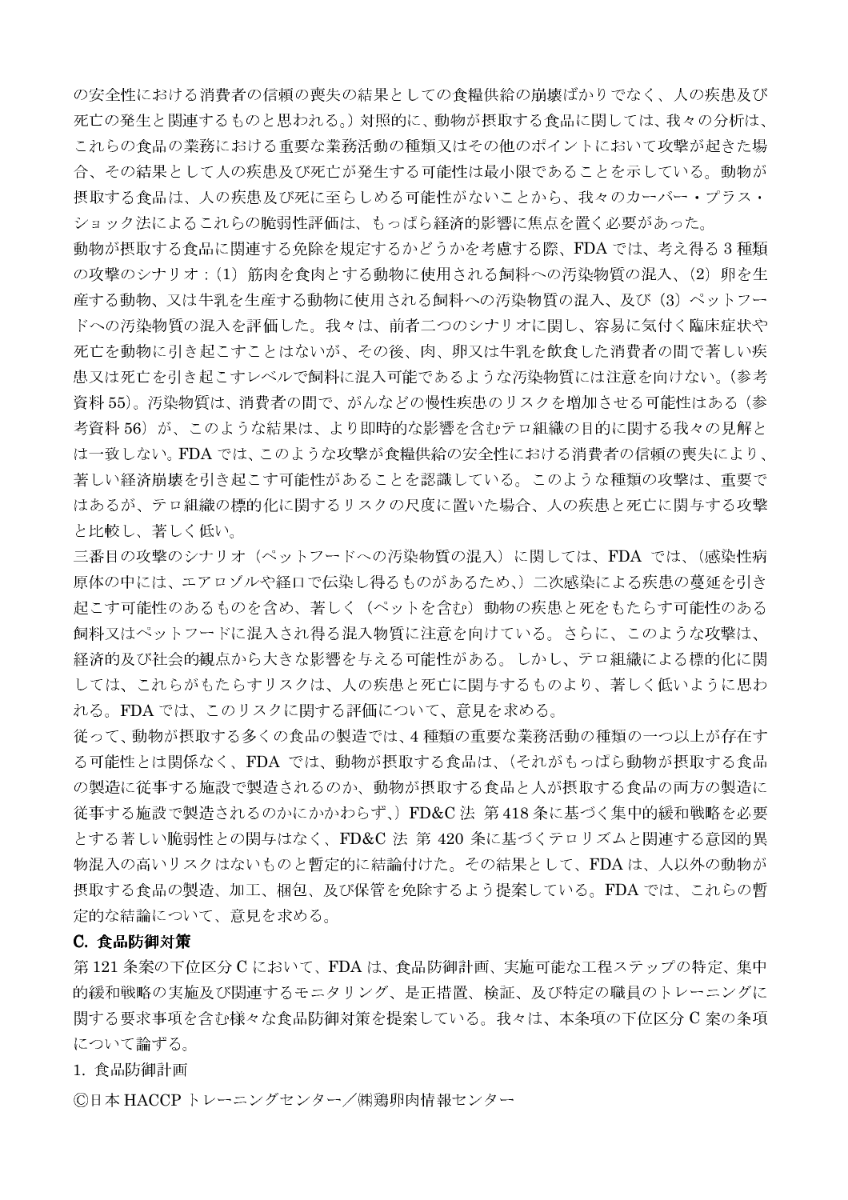の安全性における消費者の信頼の喪失の結果としての食糧供給の崩壊ばかりでなく、人の疾患及び 死亡の発生と関連するものと思われる。)対照的に、動物が摂取する食品に関しては、我々の分析は、 これらの食品の業務における重要な業務活動の種類又はその他のポイントにおいて攻撃が起きた場 合、その結果として人の疾患及び死亡が発生する可能性は最小限であることを示している。動物が 摂取する食品は、人の疾患及び死に至らしめる可能性がないことから、我々のカーバー・プラス・ ショック法によるこれらの脆弱性評価は、もっぱら経済的影響に焦点を置く必要があった。

動物が摂取する食品に関連する免除を規定するかどうかを考慮する際、FDA では、考え得る3種類 の攻撃のシナリオ: (1) 筋肉を食肉とする動物に使用される飼料への汚染物質の混入、(2) 卵を生 産する動物、又は牛乳を生産する動物に使用される飼料への汚染物質の混入、及び(3)ペットフー ドへの汚染物質の混入を評価した。我々は、前者二つのシナリオに関し、容易に気付く臨床症状や 死亡を動物に引き起こすことはないが、その後、肉、卵又は牛乳を飲食した消費者の間で著しい疾 患又は死亡を引き起こすレベルで飼料に混入可能であるような汚染物質には注意を向けない。(参考 資料 55)。汚染物質は、消費者の間で、がんなどの慢性疾患のリスクを増加させる可能性はある(参 考資料56)が、このような結果は、より即時的な影響を含むテロ組織の目的に関する我々の見解と は一致しない。FDA では、このような攻撃が食糧供給の安全性における消費者の信頼の喪失により、 著しい経済崩壊を引き起こす可能性があることを認識している。このような種類の攻撃は、重要で はあるが、テロ組織の標的化に関するリスクの尺度に置いた場合、人の疾患と死亡に関与する攻撃 と比較し、著しく低い。

三番目の攻撃のシナリオ(ペットフードへの汚染物質の混入)に関しては、FDA では、(感染性病 原体の中には、エアロゾルや経口で伝染し得るものがあるため、)二次感染による疾患の蔓延を引き 起こす可能性のあるものを含め、著しく(ペットを含む)動物の疾患と死をもたらす可能性のある 飼料又はペットフードに混入され得る混入物質に注意を向けている。さらに、このような攻撃は、 経済的及び社会的観点から大きな影響を与える可能性がある。しかし、テロ組織による標的化に関 しては、これらがもたらすリスクは、人の疾患と死亡に関与するものより、著しく低いように思わ れる。FDAでは、このリスクに関する評価について、意見を求める。

従って、動物が摂取する多くの食品の製造では、4種類の重要な業務活動の種類の一つ以上が存在す る可能性とは関係なく、FDA では、動物が摂取する食品は、(それがもっぱら動物が摂取する食品 の製造に従事する施設で製造されるのか、動物が摂取する食品と人が摂取する食品の両方の製造に 従事する施設で製造されるのかにかかわらず、) FD&C 法 第 418 条に基づく集中的緩和戦略を必要 とする著しい脆弱性との関与はなく、FD&C 法 第 420 条に基づくテロリズムと関連する意図的異 物混入の高いリスクはないものと暫定的に結論付けた。その結果として、FDAは、人以外の動物が 摂取する食品の製造、加工、梱包、及び保管を免除するよう提案している。FDA では、これらの暫 定的な結論について、意見を求める。

## C. 食品防御対策

第121条案の下位区分 C において、FDA は、食品防御計画、実施可能な工程ステップの特定、集中 的緩和戦略の実施及び関連するモニタリング、是正措置、検証、及び特定の職員のトレーニングに 関する要求事項を含む様々な食品防御対策を提案している。我々は、本条項の下位区分 C 案の条項 について論ずる。

1. 食品防御計画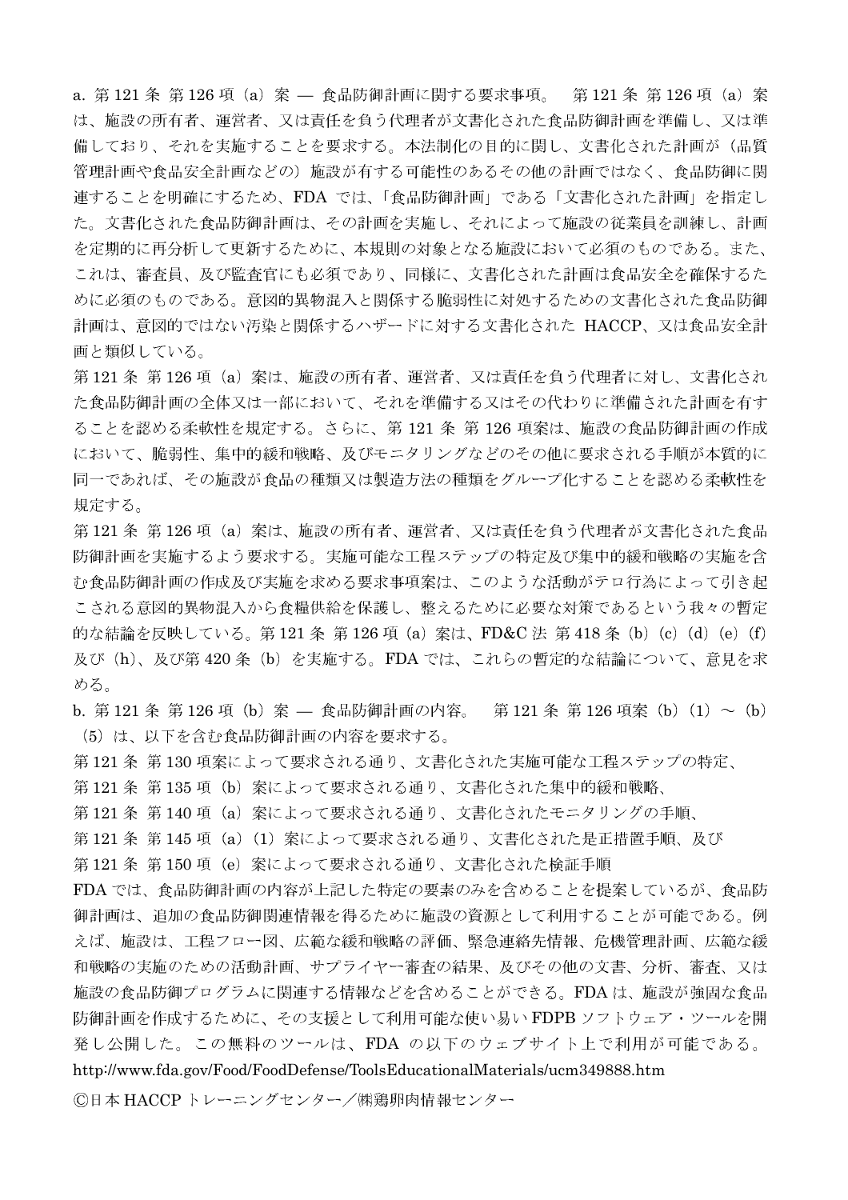a. 第121条 第126 項 (a) 案 – 食品防御計画に関する要求事項。 第121 条 第126 項 (a) 案 は、施設の所有者、運営者、又は責任を負う代理者が文書化された食品防御計画を準備し、又は準 備しており、それを実施することを要求する。本法制化の目的に関し、文書化された計画が(品質 管理計画や食品安全計画などの)施設が有する可能性のあるその他の計画ではなく、食品防御に関 連することを明確にするため、FDA では、「食品防御計画」である「文書化された計画」を指定し た。文書化された食品防御計画は、その計画を実施し、それによって施設の従業員を訓練し、計画 を定期的に再分析して更新するために、本規則の対象となる施設において必須のものである。また、 これは、審査員、及び監査官にも必須であり、同様に、文書化された計画は食品安全を確保するた めに必須のものである。意図的異物混入と関係する脆弱性に対処するための文書化された食品防御 計画は、意図的ではない汚染と関係するハザードに対する文書化された HACCP、又は食品安全計 画と類似している。

第121条 第126項 (a) 案は、施設の所有者、運営者、又は責任を負う代理者に対し、文書化され た食品防御計画の全体又は一部において、それを準備する又はその代わりに準備された計画を有す ることを認める柔軟性を規定する。さらに、第121 条 第126 項案は、施設の食品防御計画の作成 において、脆弱性、集中的緩和戦略、及びモニタリングなどのその他に要求される手順が本質的に 同一であれば、その施設が食品の種類又は製造方法の種類をグループ化することを認める柔軟性を 規定する。

第121条 第126項 (a) 案は、施設の所有者、運営者、又は責任を負う代理者が文書化された食品 防御計画を実施するよう要求する。実施可能な工程ステップの特定及び集中的緩和戦略の実施を含 む食品防御計画の作成及び実施を求める要求事項案は、このような活動がテロ行為によって引き起 こされる意図的異物混入から食糧供給を保護し、整えるために必要な対策であるという我々の暫定 的な結論を反映している。第121条 第126 項 (a) 案は、FD&C 法 第418 条 (b) (c) (d) (e) (f) 及び(h)、及び第 420 条(b)を実施する。FDA では、これらの暫定的な結論について、意見を求 める。

b. 第121条 第126 項 (b) 案 — 食品防御計画の内容。 第121 条 第126 項案 (b) (1) ~ (b) (5) は、以下を含む食品防御計画の内容を要求する。

第121条 第130 項案によって要求される通り、文書化された実施可能な工程ステップの特定、

第121条 第135 項 (b) 案によって要求される通り、文書化された集中的緩和戦略、

第 121 条 第 140 項(a)案によって要求される通り、文書化されたモニタリングの手順、

第121条 第145項 (a) (1) 案によって要求される通り、文書化された是正措置手順、及び

第121 条 第150 項 (e) 案によって要求される通り、文書化された検証手順

FDA では、食品防御計画の内容が上記した特定の要素のみを含めることを提案しているが、食品防 御計画は、追加の食品防御関連情報を得るために施設の資源として利用することが可能である。例 えば、施設は、工程フロー図、広範な緩和戦略の評価、緊急連絡先情報、危機管理計画、広範な緩 和戦略の実施のための活動計画、サプライヤー審査の結果、及びその他の文書、分析、審査、又は 施設の食品防御プログラムに関連する情報などを含めることができる。FDAは、施設が強固な食品 防御計画を作成するために、その支援として利用可能な使い易い FDPB ソフトウェア・ツールを開 発し公開した。この無料のツールは、FDA の以下のウェブサイト上で利用が可能である。

http://www.fda.gov/Food/FoodDefense/ToolsEducationalMaterials/ucm349888.htm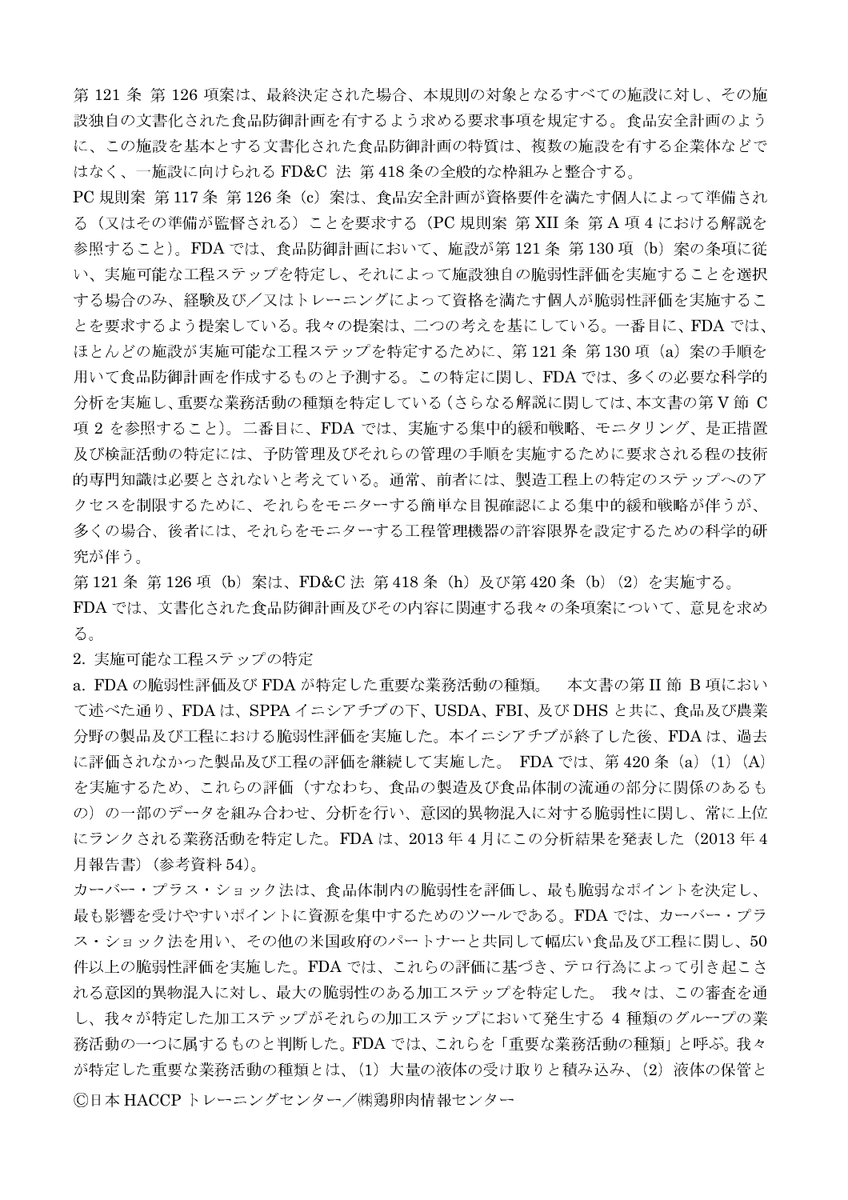第121条第126項案は、最終決定された場合、本規則の対象となるすべての施設に対し、その施 設独自の文書化された食品防御計画を有するよう求める要求事項を規定する。食品安全計画のよう に、この施設を基本とする文書化された食品防御計画の特質は、複数の施設を有する企業体などで はなく、一施設に向けられる FD&C 法 第418条の全般的な枠組みと整合する。

PC 規則案 第117条 第126条 (c) 案は、食品安全計画が資格要件を満たす個人によって準備され る (又はその準備が監督される) ことを要求する (PC 規則案 第 XII 条 第 A 項 4 における解説を 参照すること)。FDA では、食品防御計画において、施設が第121条 第130 項 (b) 案の条項に従 い、実施可能な工程ステップを特定し、それによって施設独自の脆弱性評価を実施することを選択 する場合のみ、経験及び/又はトレーニングによって資格を満たす個人が脆弱性評価を実施するこ とを要求するよう提案している。我々の提案は、二つの考えを基にしている。一番目に、FDA では、 ほとんどの施設が実施可能な工程ステップを特定するために、第121条第130項 (a) 案の手順を 用いて食品防御計画を作成するものと予測する。この特定に関し、FDAでは、多くの必要な科学的 分析を実施し、重要な業務活動の種類を特定している(さらなる解説に関しては、本文書の第V節 C 項2を参照すること)。二番目に、FDA では、実施する集中的緩和戦略、モニタリング、是正措置 及び検証活動の特定には、予防管理及びそれらの管理の手順を実施するために要求される程の技術 的専門知識は必要とされないと考えている。通常、前者には、製造工程上の特定のステップへのア クセスを制限するために、それらをモニターする簡単な目視確認による集中的緩和戦略が伴うが、 多くの場合、後者には、それらをモニターする工程管理機器の許容限界を設定するための科学的研 究が伴う。

第 121 条 第 126 項(b)案は、FD&C 法 第 418 条(h)及び第 420 条(b)(2)を実施する。 FDA では、文書化された食品防御計画及びその内容に関連する我々の条項案について、意見を求め る。

2. 実施可能な工程ステップの特定

a. FDA の脆弱性評価及び FDA が特定した重要な業務活動の種類。 本文書の第 II 節 B 項におい て述べた通り、FDAは、SPPA イニシアチブの下、USDA、FBI、及びDHS と共に、食品及び農業 分野の製品及び工程における脆弱性評価を実施した。本イニシアチブが終了した後、FDAは、過去 に評価されなかった製品及び工程の評価を継続して実施した。 FDA では、第420 条 (a) (1) (A) を実施するため、これらの評価(すなわち、食品の製造及び食品体制の流通の部分に関係のあるも の)の一部のデータを組み合わせ、分析を行い、意図的異物混入に対する脆弱性に関し、常に上位 にランクされる業務活動を特定した。FDAは、2013年4月にこの分析結果を発表した (2013年4 月報告書) (参考資料 54)。

カーバー・プラス・ショック法は、食品体制内の脆弱性を評価し、最も脆弱なポイントを決定し、 最も影響を受けやすいポイントに資源を集中するためのツールである。FDA では、カーバー・プラ ス・ショック法を用い、その他の米国政府のパートナーと共同して幅広い食品及び工程に関し、50 件以上の脆弱性評価を実施した。FDA では、これらの評価に基づき、テロ行為によって引き起こさ れる意図的異物混入に対し、最大の脆弱性のある加工ステップを特定した。 我々は、この審査を通 し、我々が特定した加工ステップがそれらの加工ステップにおいて発生する4種類のグループの業 務活動の一つに属するものと判断した。FDA では、これらを「重要な業務活動の種類」と呼ぶ。我々 が特定した重要な業務活動の種類とは、(1) 大量の液体の受け取りと積み込み、(2) 液体の保管と ©日本 HACCP トレーニングセンター/㈱鶏卵肉情報センター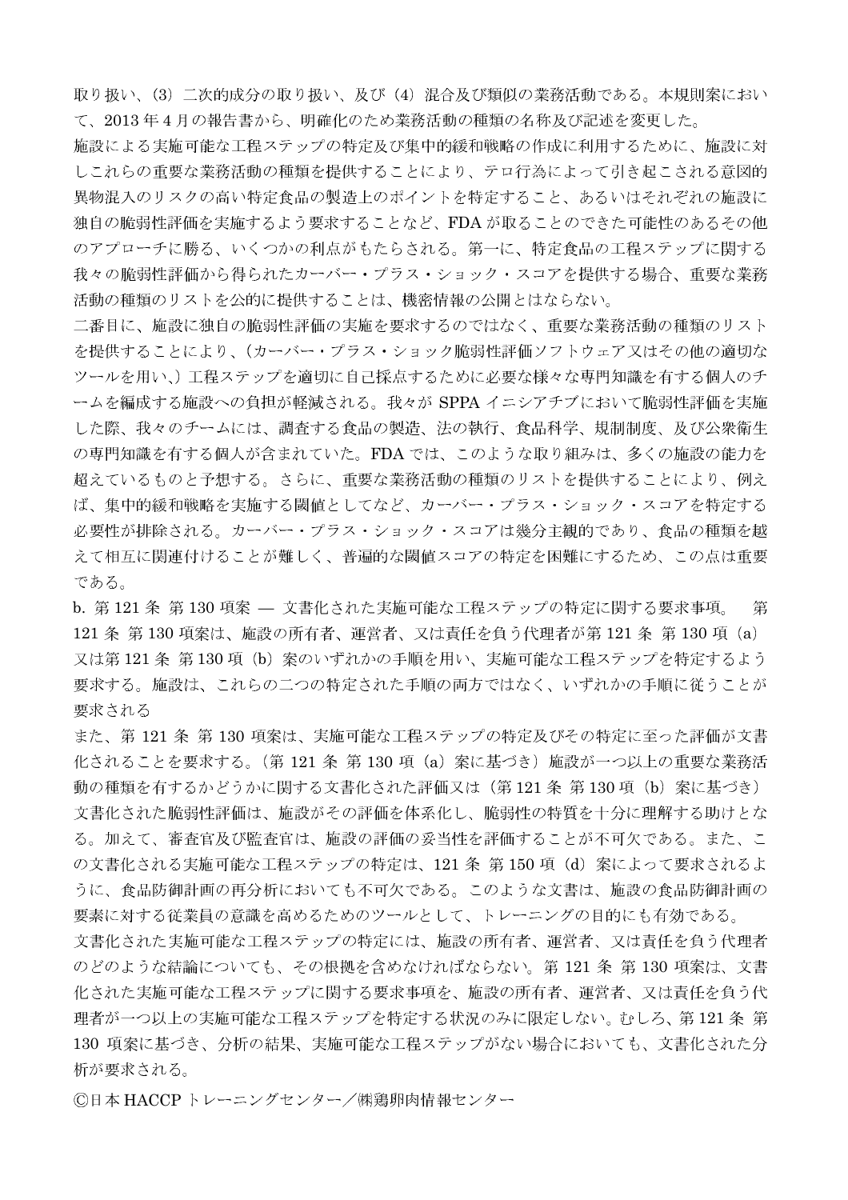取り扱い、(3) 二次的成分の取り扱い、及び(4) 混合及び類似の業務活動である。本規則案におい て、2013年4月の報告書から、明確化のため業務活動の種類の名称及び記述を変更した。

施設による実施可能な工程ステップの特定及び集中的緩和戦略の作成に利用するために、施設に対 しこれらの重要な業務活動の種類を提供することにより、テロ行為によって引き起こされる意図的 異物混入のリスクの高い特定食品の製造上のポイントを特定すること、あるいはそれぞれの施設に 独自の脆弱性評価を実施するよう要求することなど、FDAが取ることのできた可能性のあるその他 のアプローチに勝る、いくつかの利点がもたらされる。第一に、特定食品の工程ステップに関する 我々の脆弱性評価から得られたカーバー・プラス・ショック・スコアを提供する場合、重要な業務 活動の種類のリストを公的に提供することは、機密情報の公開とはならない。

二番目に、施設に独自の脆弱性評価の実施を要求するのではなく、重要な業務活動の種類のリスト を提供することにより、(カーバー・プラス・ショック脆弱性評価ソフトウェア又はその他の適切な ツールを用い、)工程ステップを適切に自己採点するために必要な様々な専門知識を有する個人のチ ームを編成する施設への負担が軽減される。我々が SPPA イニシアチブにおいて脆弱性評価を実施 した際、我々のチームには、調査する食品の製造、法の執行、食品科学、規制制度、及び公衆衛生 の専門知識を有する個人が含まれていた。FDAでは、このような取り組みは、多くの施設の能力を 超えているものと予想する。さらに、重要な業務活動の種類のリストを提供することにより、例え ば、集中的緩和戦略を実施する閾値としてなど、カーバー・プラス・ショック・スコアを特定する 必要性が排除される。カーバー・プラス・ショック・スコアは幾分主観的であり、食品の種類を越 えて相互に関連付けることが難しく、普遍的な閾値スコアの特定を困難にするため、この点は重要 である。

b. 第121 条 第130 項案 – 文書化された実施可能な工程ステップの特定に関する要求事項。 第 121 条 第130 項案は、施設の所有者、運営者、又は責任を負う代理者が第121 条 第130 項 (a) 又は第121条 第130項 (b) 案のいずれかの手順を用い、実施可能な工程ステップを特定するよう 要求する。施設は、これらの二つの特定された手順の両方ではなく、いずれかの手順に従うことが 要求される

また、第121条 第130項案は、実施可能な工程ステップの特定及びその特定に至った評価が文書 化されることを要求する。(第121 条 第130 項 (a) 案に基づき) 施設が一つ以上の重要な業務活 動の種類を有するかどうかに関する文書化された評価又は(第121 条 第130 項(b)案に基づき) 文書化された脆弱性評価は、施設がその評価を体系化し、脆弱性の特質を十分に理解する助けとな る。加えて、審査官及び監査官は、施設の評価の妥当性を評価することが不可欠である。また、こ の文書化される実施可能な工程ステップの特定は、121 条 第 150 項 (d) 案によって要求されるよ うに、食品防御計画の再分析においても不可欠である。このような文書は、施設の食品防御計画の 要素に対する従業員の意識を高めるためのツールとして、トレーニングの目的にも有効である。

文書化された実施可能な工程ステップの特定には、施設の所有者、運営者、又は責任を負う代理者 のどのような結論についても、その根拠を含めなければならない。第121 条 第130 項案は、文書 化された実施可能な工程ステップに関する要求事項を、施設の所有者、運営者、又は責任を負う代 理者が一つ以上の実施可能な工程ステップを特定する状況のみに限定しない。むしろ、第121条第 130 項案に基づき、分析の結果、実施可能な工程ステップがない場合においても、文書化された分 析が要求される。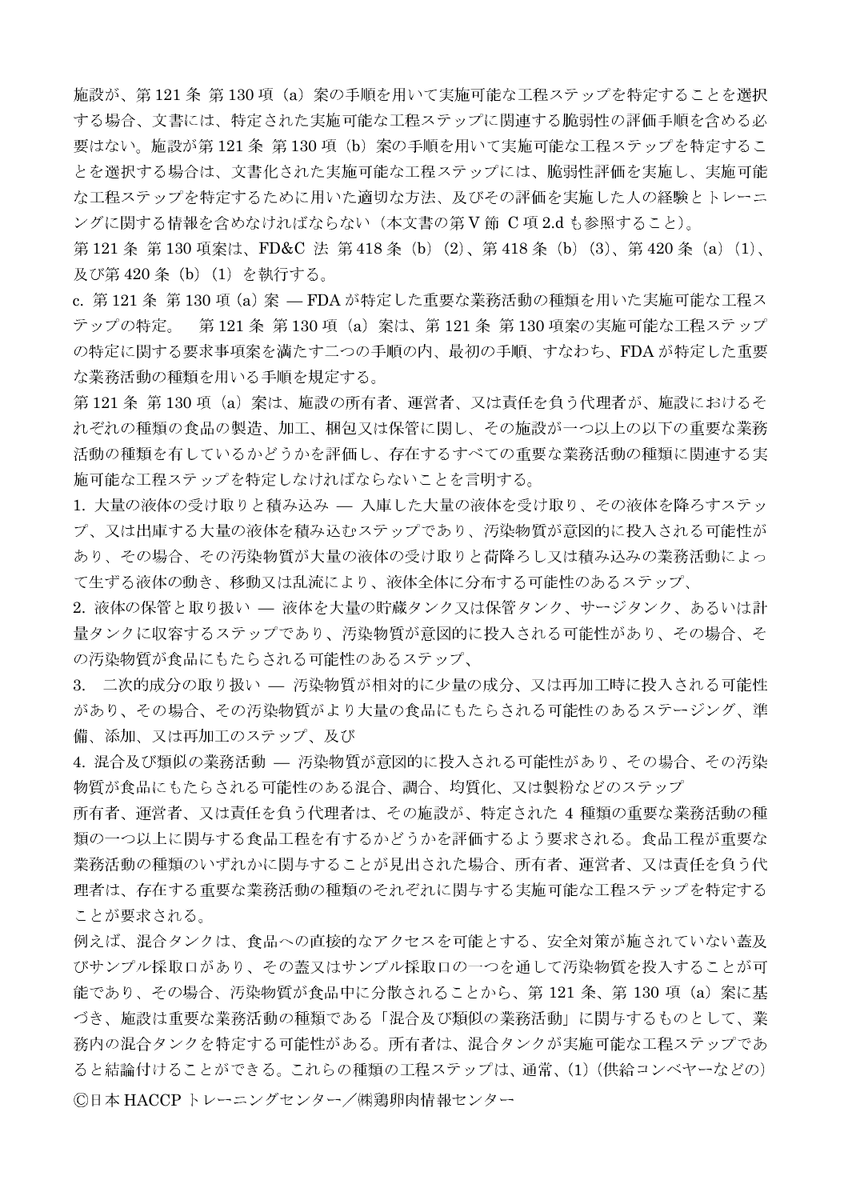施設が、第121条 第130項 (a) 案の手順を用いて実施可能な工程ステップを特定することを選択 する場合、文書には、特定された実施可能な工程ステップに関連する脆弱性の評価手順を含める必 要はない。施設が第121条 第130項 (b) 案の手順を用いて実施可能な工程ステップを特定するこ とを選択する場合は、文書化された実施可能な工程ステップには、脆弱性評価を実施し、実施可能 な工程ステップを特定するために用いた適切な方法、及びその評価を実施した人の経験とトレーニ ングに関する情報を含めなければならない(本文書の第V節 C項2.dも参照すること)。

第121条第130項案は、FD&C 法第418条 (b) (2)、第418条 (b) (3)、第420条 (a) (1)、 及び第420条 (b) (1) を執行する。

c. 第121条 第130 項 (a) 案 — FDA が特定した重要な業務活動の種類を用いた実施可能な工程ス テップの特定。 - 第121 条 第130 項 (a) 案は、第121 条 第130 項案の実施可能な工程ステップ の特定に関する要求事項案を満たす二つの手順の内、最初の手順、すなわち、FDAが特定した重要 な業務活動の種類を用いる手順を規定する。

第121条 第130 項 (a) 案は、施設の所有者、運営者、又は責任を負う代理者が、施設におけるそ れぞれの種類の食品の製造、加工、梱包又は保管に関し、その施設が一つ以上の以下の重要な業務 活動の種類を有しているかどうかを評価し、存在するすべての重要な業務活動の種類に関連する実 施可能な工程ステップを特定しなければならないことを言明する。

1. 大量の液体の受け取りと積み込み – 入庫した大量の液体を受け取り、その液体を降ろすステッ プ、又は出庫する大量の液体を積み込むステップであり、汚染物質が意図的に投入される可能性が あり、その場合、その汚染物質が大量の液体の受け取りと荷降ろし又は積み込みの業務活動によっ て生ずる液体の動き、移動又は乱流により、液体全体に分布する可能性のあるステップ、

2. 液体の保管と取り扱い - 液体を大量の貯蔵タンク又は保管タンク、サージタンク、あるいは計 量タンクに収容するステップであり、汚染物質が意図的に投入される可能性があり、その場合、そ の汚染物質が食品にもたらされる可能性のあるステップ、

3. 二次的成分の取り扱い - 汚染物質が相対的に少量の成分、又は再加工時に投入される可能性 があり、その場合、その汚染物質がより大量の食品にもたらされる可能性のあるステージング、準 備、添加、又は再加工のステップ、及び

4. 混合及び類似の業務活動 — 汚染物質が意図的に投入される可能性があり、その場合、その汚染 物質が食品にもたらされる可能性のある混合、調合、均質化、又は製粉などのステップ

所有者、運営者、又は責任を負う代理者は、その施設が、特定された4種類の重要な業務活動の種 類の一つ以上に関与する食品工程を有するかどうかを評価するよう要求される。食品工程が重要な 業務活動の種類のいずれかに関与することが見出された場合、所有者、運営者、又は責任を負う代 理者は、存在する重要な業務活動の種類のそれぞれに関与する実施可能な工程ステップを特定する ことが要求される。

例えば、混合タンクは、食品への直接的なアクセスを可能とする、安全対策が施されていない蓋及 びサンプル採取口があり、その蓋又はサンプル採取口の一つを通して汚染物質を投入することが可 能であり、その場合、汚染物質が食品中に分散されることから、第121 条、第130 項 (a) 案に基 づき、施設は重要な業務活動の種類である「混合及び類似の業務活動」に関与するものとして、業 務内の混合タンクを特定する可能性がある。所有者は、混合タンクが実施可能な工程ステップであ ると結論付けることができる。これらの種類の工程ステップは、通常、(1)(供給コンベヤーなどの) ©日本 HACCP トレーニングセンター/㈱鶏卵肉情報センター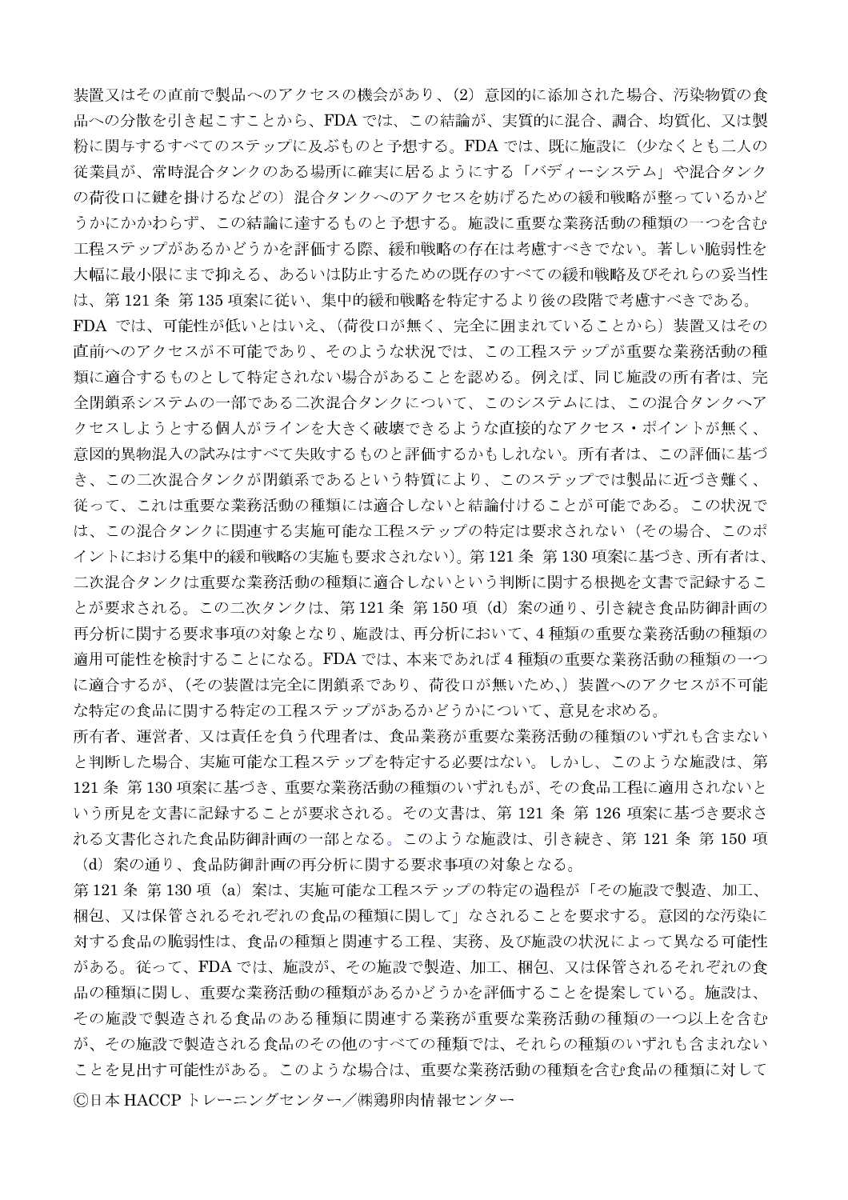装置又はその直前で製品へのアクセスの機会があり、(2)意図的に添加された場合、汚染物質の食 品への分散を引き起こすことから、FDA では、この結論が、実質的に混合、調合、均質化、又は製 粉に関与するすべてのステップに及ぶものと予想する。FDAでは、既に施設に(少なくとも二人の 従業員が、常時混合タンクのある場所に確実に居るようにする「バディーシステム」や混合タンク の荷役口に鍵を掛けるなどの)混合タンクへのアクセスを妨げるための緩和戦略が整っているかど うかにかかわらず、この結論に達するものと予想する。施設に重要な業務活動の種類の一つを含む 工程ステップがあるかどうかを評価する際、緩和戦略の存在は考慮すべきでない。著しい脆弱性を 大幅に最小限にまで抑える、あるいは防止するための既存のすべての緩和戦略及びそれらの妥当性 は、第121条 第135 項案に従い、集中的緩和戦略を特定するより後の段階で考慮すべきである。 FDA では、可能性が低いとはいえ、(荷役口が無く、完全に囲まれていることから)装置又はその 直前へのアクセスが不可能であり、そのような状況では、この工程ステップが重要な業務活動の種 類に適合するものとして特定されない場合があることを認める。例えば、同じ施設の所有者は、完 全閉鎖系システムの一部である二次混合タンクについて、このシステムには、この混合タンクへア クセスしようとする個人がラインを大きく破壊できるような直接的なアクセス・ポイントが無く、 意図的異物混入の試みはすべて失敗するものと評価するかもしれない。所有者は、この評価に基づ き、この二次混合タンクが閉鎖系であるという特質により、このステップでは製品に近づき難く、 従って、これは重要な業務活動の種類には適合しないと結論付けることが可能である。この状況で は、この混合タンクに関連する実施可能な工程ステップの特定は要求されない(その場合、このポ イントにおける集中的緩和戦略の実施も要求されない)。第121条 第130項案に基づき、所有者は、 二次混合タンクは重要な業務活動の種類に適合しないという判断に関する根拠を文書で記録するこ とが要求される。この二次タンクは、第121条 第150項 (d) 案の通り、引き続き食品防御計画の 再分析に関する要求事項の対象となり、施設は、再分析において、4種類の重要な業務活動の種類の 適用可能性を検討することになる。FDA では、本来であれば4種類の重要な業務活動の種類の一つ に適合するが、(その装置は完全に閉鎖系であり、荷役口が無いため、)装置へのアクセスが不可能 な特定の食品に関する特定の工程ステップがあるかどうかについて、意見を求める。

所有者、運営者、又は責任を負う代理者は、食品業務が重要な業務活動の種類のいずれも含まない と判断した場合、実施可能な工程ステップを特定する必要はない。しかし、このような施設は、第 121 条 第130 項案に基づき、重要な業務活動の種類のいずれもが、その食品工程に適用されないと いう所見を文書に記録することが要求される。その文書は、第121条第126項案に基づき要求さ れる文書化された食品防御計画の一部となる。このような施設は、引き続き、第121条第150項 (d) 案の通り、食品防御計画の再分析に関する要求事項の対象となる。

第121条 第130項 (a) 案は、実施可能な工程ステップの特定の過程が「その施設で製造、加工、 梱包、又は保管されるそれぞれの食品の種類に関して」なされることを要求する。意図的な汚染に 対する食品の脆弱性は、食品の種類と関連する工程、実務、及び施設の状況によって異なる可能性 がある。従って、FDA では、施設が、その施設で製造、加工、梱包、又は保管されるそれぞれの食 品の種類に関し、重要な業務活動の種類があるかどうかを評価することを提案している。施設は、 その施設で製造される食品のある種類に関連する業務が重要な業務活動の種類の一つ以上を含む が、その施設で製造される食品のその他のすべての種類では、それらの種類のいずれも含まれない ことを見出す可能性がある。このような場合は、重要な業務活動の種類を含む食品の種類に対して ©日本 HACCPトレーニングセンター/㈱鶏卵肉情報センター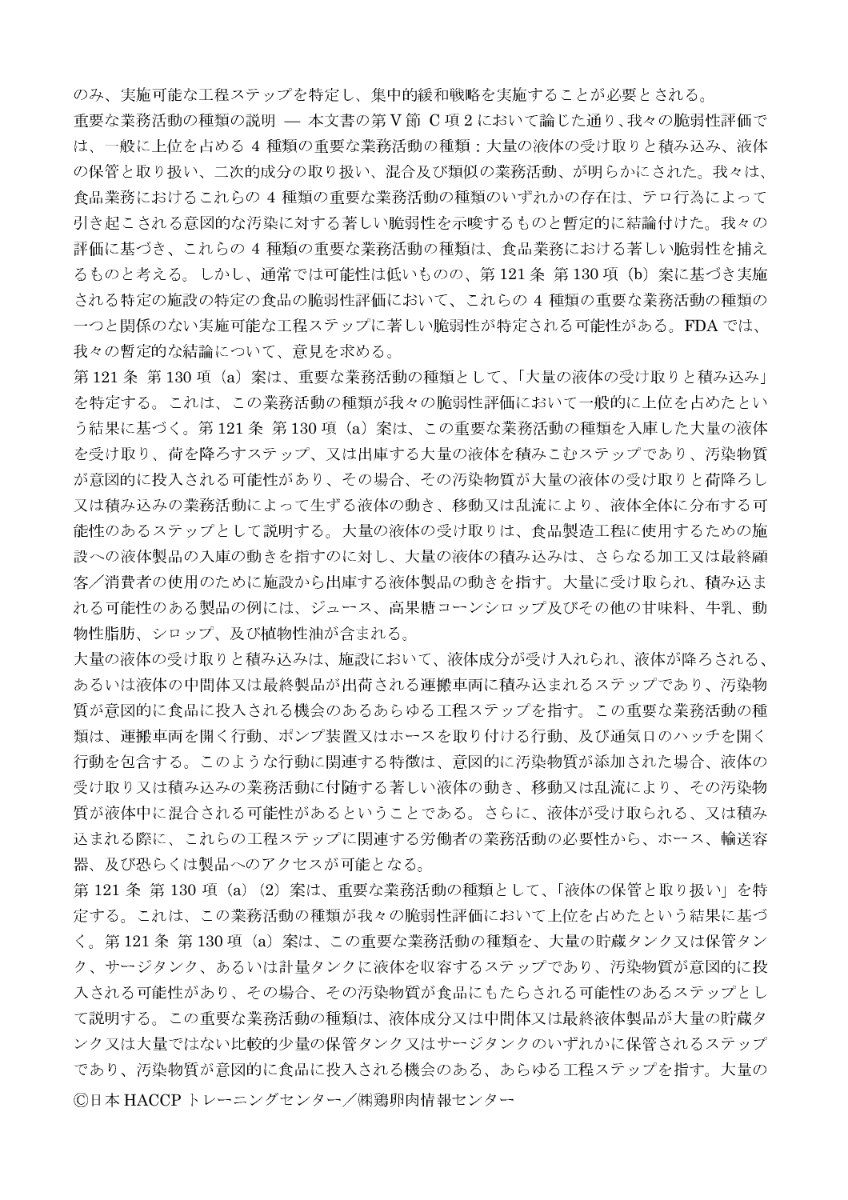のみ、実施可能な工程ステップを特定し、集中的緩和戦略を実施することが必要とされる。

重要な業務活動の種類の説明 - 本文書の第V節 C 項2において論じた通り、我々の脆弱性評価で は、一般に上位を占める 4 種類の重要な業務活動の種類:大量の液体の受け取りと積み込み、液体 の保管と取り扱い、二次的成分の取り扱い、混合及び類似の業務活動、が明らかにされた。我々は、 食品業務におけるこれらの 4 種類の重要な業務活動の種類のいずれかの存在は、テロ行為によって 引き起こされる意図的な汚染に対する著しい脆弱性を示唆するものと暫定的に結論付けた。我々の 評価に基づき、これらの 4 種類の重要な業務活動の種類は、食品業務における著しい脆弱性を捕え るものと考える。しかし、通常では可能性は低いものの、第121条 第130項 (b) 案に基づき実施 される特定の施設の特定の食品の脆弱性評価において、これらの 4 種類の重要な業務活動の種類の 一つと関係のない実施可能な工程ステップに著しい脆弱性が特定される可能性がある。FDA では、 我々の暫定的な結論について、意見を求める。

第121条 第130項 (a) 案は、重要な業務活動の種類として、「大量の液体の受け取りと積み込み」 を特定する。これは、この業務活動の種類が我々の脆弱性評価において一般的に上位を占めたとい う結果に基づく。第121条 第130項 (a) 案は、この重要な業務活動の種類を入庫した大量の液体 を受け取り、荷を降ろすステップ、又は出庫する大量の液体を積みこむステップであり、汚染物質 が意図的に投入される可能性があり、その場合、その汚染物質が大量の液体の受け取りと荷降ろし 又は積み込みの業務活動によって生ずる液体の動き、移動又は乱流により、液体全体に分布する可 能性のあるステップとして説明する。大量の液体の受け取りは、食品製造工程に使用するための施 設への液体製品の入庫の動きを指すのに対し、大量の液体の積み込みは、さらなる加工又は最終顧 客/消費者の使用のために施設から出庫する液体製品の動きを指す。大量に受け取られ、積み込ま れる可能性のある製品の例には、ジュース、高果糖コーンシロップ及びその他の甘味料、牛乳、動 物性脂肪、シロップ、及び植物性油が含まれる。

大量の液体の受け取りと積み込みは、施設において、液体成分が受け入れられ、液体が降ろされる、 あるいは液体の中間体又は最終製品が出荷される運搬車両に積み込まれるステップであり、汚染物 質が意図的に食品に投入される機会のあるあらゆる工程ステップを指す。この重要な業務活動の種 類は、運搬車両を開く行動、ポンプ装置又はホースを取り付ける行動、及び通気口のハッチを開く 行動を包含する。このような行動に関連する特徴は、意図的に汚染物質が添加された場合、液体の 受け取り又は積み込みの業務活動に付随する著しい液体の動き、移動又は乱流により、その汚染物 質が液体中に混合される可能性があるということである。さらに、液体が受け取られる、又は積み 込まれる際に、これらの工程ステップに関連する労働者の業務活動の必要性から、ホース、輸送容 器、及び恐らくは製品へのアクセスが可能となる。

第 121 条 第 130 項(a)(2)案は、重要な業務活動の種類として、「液体の保管と取り扱い」を特 定する。これは、この業務活動の種類が我々の脆弱性評価において上位を占めたという結果に基づ く。第121条 第130項 (a) 案は、この重要な業務活動の種類を、大量の貯蔵タンク又は保管タン ク、サージタンク、あるいは計量タンクに液体を収容するステップであり、汚染物質が意図的に投 入される可能性があり、その場合、その汚染物質が食品にもたらされる可能性のあるステップとし て説明する。この重要な業務活動の種類は、液体成分又は中間体又は最終液体製品が大量の貯蔵タ ンク又は大量ではない比較的少量の保管タンク又はサージタンクのいずれかに保管されるステップ であり、汚染物質が意図的に食品に投入される機会のある、あらゆる工程ステップを指す。大量の ©日本 HACCPトレーニングセンター/㈱鶏卵肉情報センター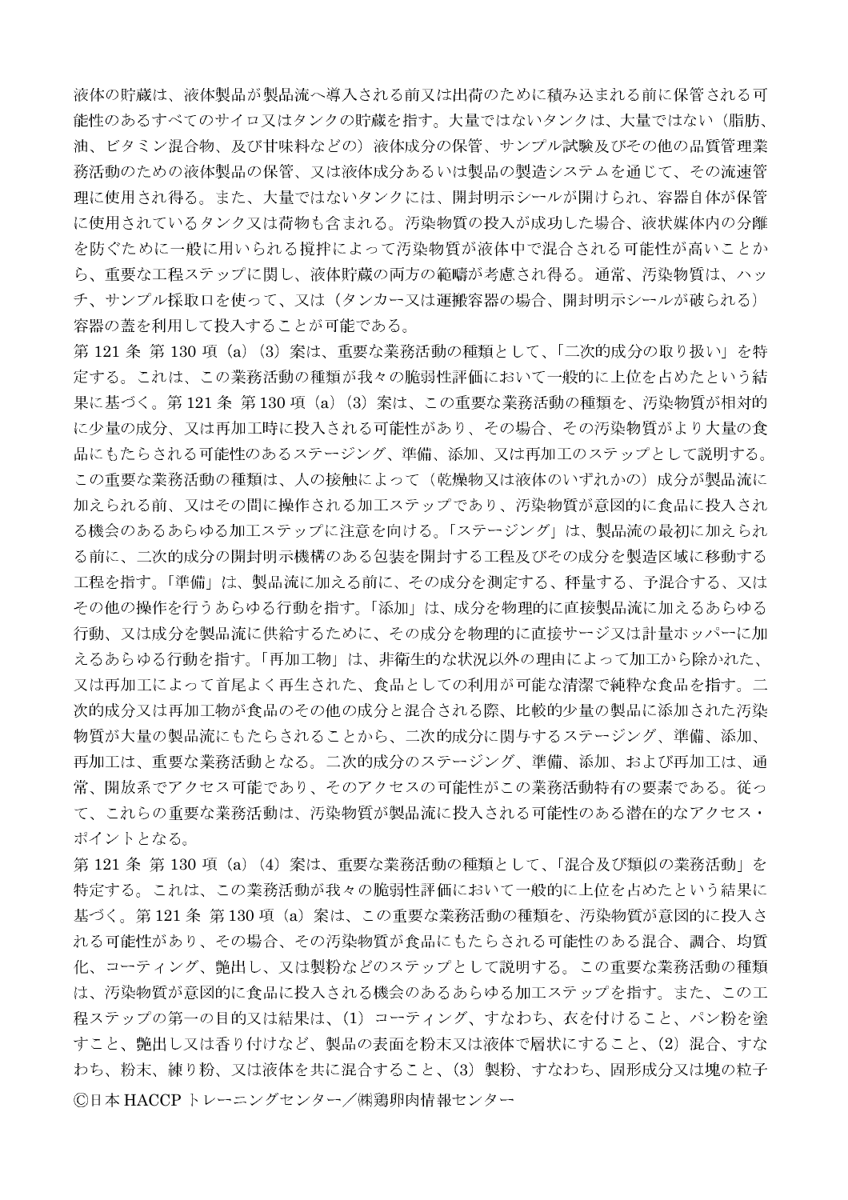液体の貯蔵は、液体製品が製品流へ導入される前又は出荷のために積み込まれる前に保管される可 能性のあるすべてのサイロ又はタンクの貯蔵を指す。大量ではないタンクは、大量ではない(脂肪、 油、ビタミン混合物、及び甘味料などの)液体成分の保管、サンプル試験及びその他の品質管理業 務活動のための液体製品の保管、又は液体成分あるいは製品の製造システムを通じて、その流速管 理に使用され得る。また、大量ではないタンクには、開封明示シールが開けられ、容器自体が保管 に使用されているタンク又は荷物も含まれる。汚染物質の投入が成功した場合、液状媒体内の分離 を防ぐために一般に用いられる撹拌によって汚染物質が液体中で混合される可能性が高いことか ら、重要な工程ステップに関し、液体貯蔵の両方の範疇が考慮され得る。通常、汚染物質は、ハッ チ、サンプル採取口を使って、又は(タンカー又は運搬容器の場合、開封明示シールが破られる) 容器の蓋を利用して投入することが可能である。

第121条 第130項 (a) (3) 案は、重要な業務活動の種類として、「二次的成分の取り扱い」を特 定する。これは、この業務活動の種類が我々の脆弱性評価において一般的に上位を占めたという結 果に基づく。第121条 第130項(a)(3)案は、この重要な業務活動の種類を、汚染物質が相対的 に少量の成分、又は再加工時に投入される可能性があり、その場合、その汚染物質がより大量の食 品にもたらされる可能性のあるステージング、準備、添加、又は再加工のステップとして説明する。 この重要な業務活動の種類は、人の接触によって(乾燥物又は液体のいずれかの)成分が製品流に 加えられる前、又はその間に操作される加工ステップであり、汚染物質が意図的に食品に投入され る機会のあるあらゆる加工ステップに注意を向ける。「ステージング」は、製品流の最初に加えられ る前に、二次的成分の開封明示機構のある包装を開封する工程及びその成分を製造区域に移動する 工程を指す。「準備」は、製品流に加える前に、その成分を測定する、秤量する、予混合する、又は その他の操作を行うあらゆる行動を指す。「添加」は、成分を物理的に直接製品流に加えるあらゆる 行動、又は成分を製品流に供給するために、その成分を物理的に直接サージ又は計量ホッパーに加 えるあらゆる行動を指す。「再加工物」は、非衛生的な状況以外の理由によって加工から除かれた、 又は再加工によって首尾よく再生された、食品としての利用が可能な清潔で純粋な食品を指す。二 次的成分又は再加工物が食品のその他の成分と混合される際、比較的少量の製品に添加された汚染 物質が大量の製品流にもたらされることから、二次的成分に関与するステージング、準備、添加、 再加工は、重要な業務活動となる。二次的成分のステージング、準備、添加、および再加工は、通 常、開放系でアクセス可能であり、そのアクセスの可能性がこの業務活動特有の要素である。従っ て、これらの重要な業務活動は、汚染物質が製品流に投入される可能性のある潜在的なアクセス· ポイントとなる。

第121条 第130 項 (a) (4) 案は、重要な業務活動の種類として、「混合及び類似の業務活動」を 特定する。これは、この業務活動が我々の脆弱性評価において一般的に上位を占めたという結果に 基づく。第121条 第130項 (a) 案は、この重要な業務活動の種類を、汚染物質が意図的に投入さ れる可能性があり、その場合、その汚染物質が食品にもたらされる可能性のある混合、調合、均質 化、コーティング、艶出し、又は製粉などのステップとして説明する。この重要な業務活動の種類 は、汚染物質が意図的に食品に投入される機会のあるあらゆる加工ステップを指す。また、この工 程ステップの第一の目的又は結果は、(1) コーティング、すなわち、衣を付けること、パン粉を塗 すこと、艶出し又は香り付けなど、製品の表面を粉末又は液体で層状にすること、(2)混合、すな わち、粉末、練り粉、又は液体を共に混合すること、(3) 製粉、すなわち、固形成分又は塊の粒子 ©日本 HACCPトレーニングセンター/㈱鶏卵肉情報センター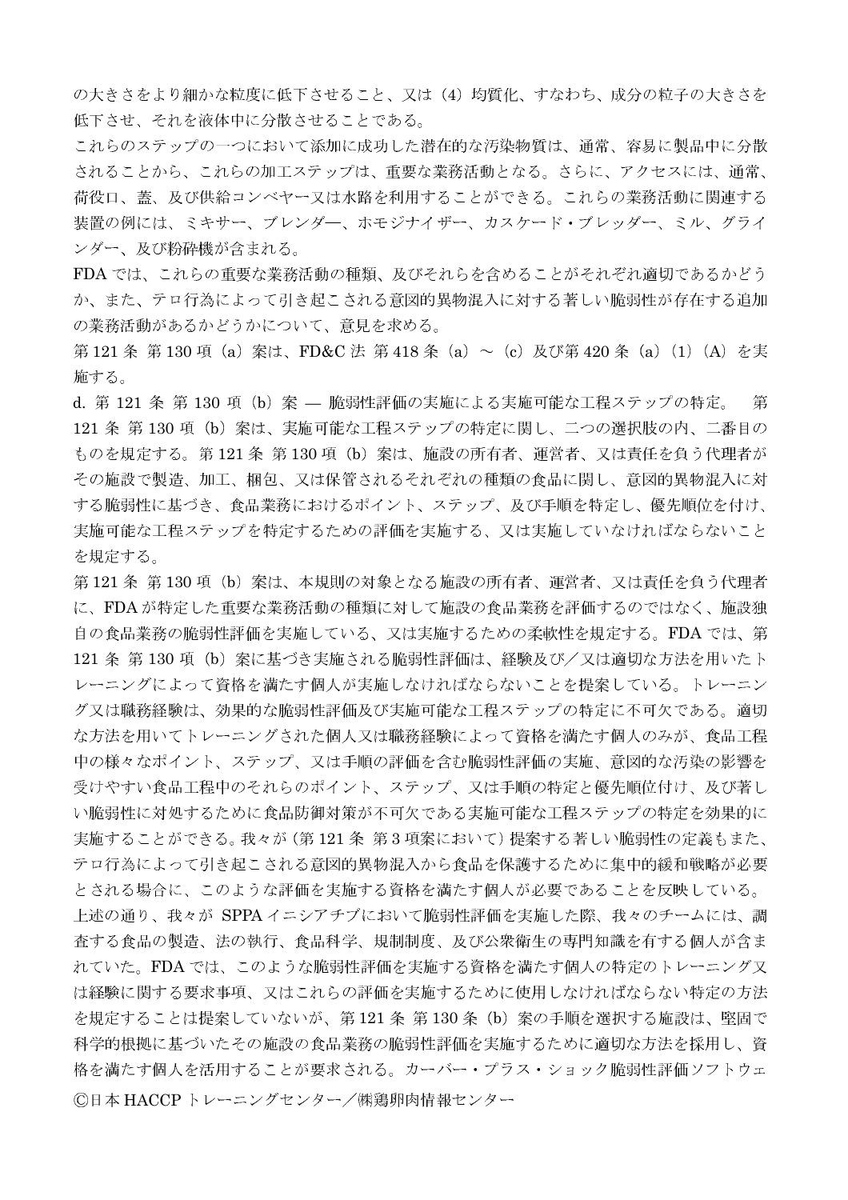の大きさをより細かな粒度に低下させること、又は(4)均質化、すなわち、成分の粒子の大きさを 低下させ、それを液体中に分散させることである。

これらのステップの一つにおいて添加に成功した潜在的な汚染物質は、通常、容易に製品中に分散 されることから、これらの加工ステップは、重要な業務活動となる。さらに、アクセスには、通常、 荷役口、蓋、及び供給コンベヤー又は水路を利用することができる。これらの業務活動に関連する 装置の例には、ミキサー、ブレンダー、ホモジナイザー、カスケード・ブレッダー、ミル、グライ ンダー、及び粉砕機が含まれる。

FDA では、これらの重要な業務活動の種類、及びそれらを含めることがそれぞれ適切であるかどう か、また、テロ行為によって引き起こされる意図的異物混入に対する著しい脆弱性が存在する追加 の業務活動があるかどうかについて、意見を求める。

第121条 第130 項 (a) 案は、FD&C 法 第418 条 (a) ~ (c) 及び第420 条 (a) (1) (A) を実 施する。

d. 第 121 条 第 130 項 (b) 案 – 脆弱性評価の実施による実施可能な工程ステップの特定。 第 121 条 第130 項 (b) 案は、実施可能な工程ステップの特定に関し、二つの選択肢の内、二番目の ものを規定する。第121条 第130項 (b) 案は、施設の所有者、運営者、又は責任を負う代理者が その施設で製造、加工、梱包、又は保管されるそれぞれの種類の食品に関し、意図的異物混入に対 する脆弱性に基づき、食品業務におけるポイント、ステップ、及び手順を特定し、優先順位を付け、 実施可能な工程ステップを特定するための評価を実施する、又は実施していなければならないこと を規定する。

第121条 第130項 (b) 案は、本規則の対象となる施設の所有者、運営者、又は責任を負う代理者 に、FDAが特定した重要な業務活動の種類に対して施設の食品業務を評価するのではなく、施設独 自の食品業務の脆弱性評価を実施している、又は実施するための柔軟性を規定する。FDA では、第 121 条 第 130 項(b)案に基づき実施される脆弱性評価は、経験及び/又は適切な方法を用いたト レーニングによって資格を満たす個人が実施しなければならないことを提案している。トレーニン グ又は職務経験は、効果的な脆弱性評価及び実施可能な工程ステップの特定に不可欠である。適切 な方法を用いてトレーニングされた個人又は職務経験によって資格を満たす個人のみが、食品工程 中の様々なポイント、ステップ、又は手順の評価を含む脆弱性評価の実施、意図的な汚染の影響を 受けやすい食品工程中のそれらのポイント、ステップ、又は手順の特定と優先順位付け、及び著し い脆弱性に対処するために食品防御対策が不可欠である実施可能な工程ステップの特定を効果的に 実施することができる。我々が(第121条 第3項案において)提案する著しい脆弱性の定義もまた、 テロ行為によって引き起こされる意図的異物混入から食品を保護するために集中的緩和戦略が必要 とされる場合に、このような評価を実施する資格を満たす個人が必要であることを反映している。 上述の通り、我々が SPPA イニシアチブにおいて脆弱性評価を実施した際、我々のチームには、調 査する食品の製造、法の執行、食品科学、規制制度、及び公衆衛生の専門知識を有する個人が含ま れていた。FDA では、このような脆弱性評価を実施する資格を満たす個人の特定のトレーニング又 は経験に関する要求事項、又はこれらの評価を実施するために使用しなければならない特定の方法 を規定することは提案していないが、第121 条 第130 条 (b) 案の手順を選択する施設は、堅固で 科学的根拠に基づいたその施設の食品業務の脆弱性評価を実施するために適切な方法を採用し、資 格を満たす個人を活用することが要求される。カーバー・プラス・ショック脆弱性評価ソフトウェ ©日本 HACCP トレーニングセンター/㈱鶏卵肉情報センター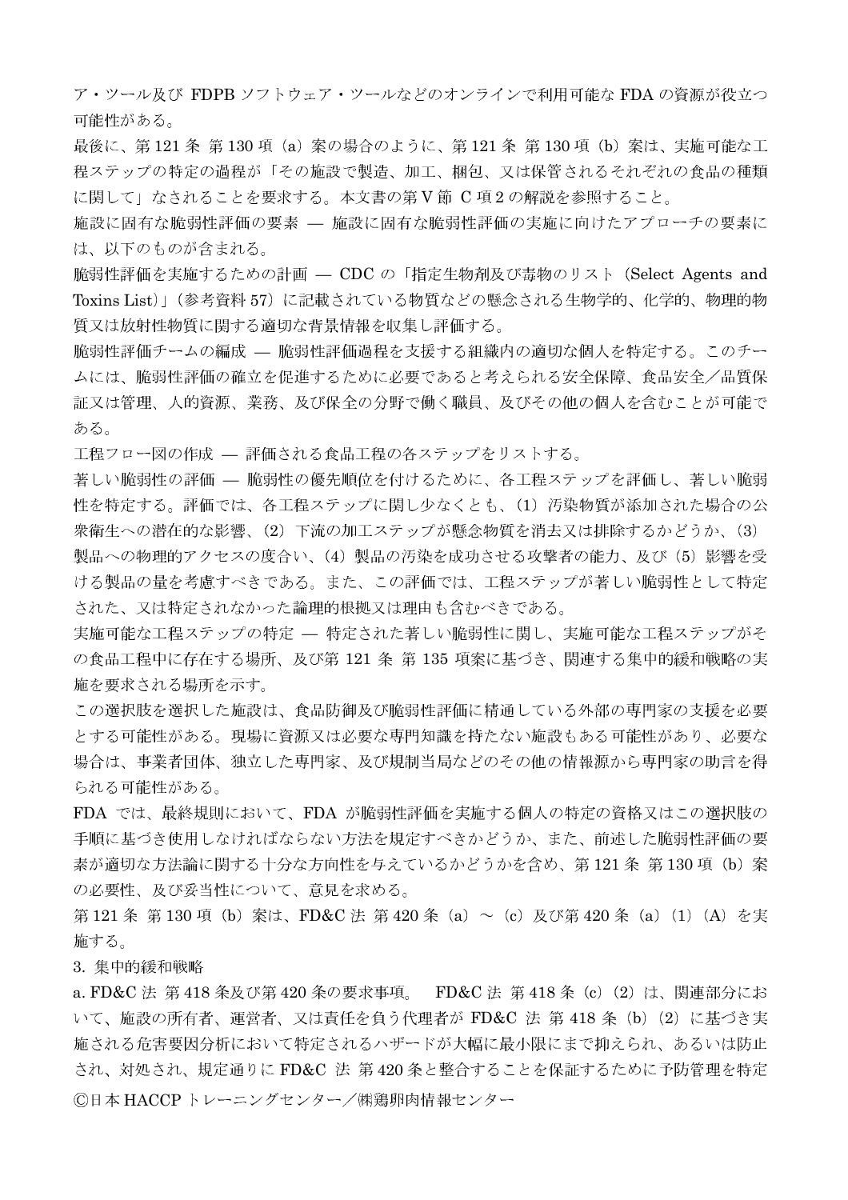ア・ツール及び FDPB ソフトウェア・ツールなどのオンラインで利用可能な FDA の資源が役立つ 可能性がある。

最後に、第121条 第130項 (a) 案の場合のように、第121条 第130項 (b) 案は、実施可能な工 程ステップの特定の過程が「その施設で製造、加工、梱包、又は保管されるそれぞれの食品の種類 に関して」なされることを要求する。本文書の第V節 C項2の解説を参照すること。

施設に固有な脆弱性評価の要素 — 施設に固有な脆弱性評価の実施に向けたアプローチの要素に は、以下のものが含まれる。

脆弱性評価を実施するための計画 – CDC の「指定生物剤及び毒物のリスト (Select Agents and Toxins List)」(参考資料 57) に記載されている物質などの懸念される生物学的、化学的、物理的物 質又は放射性物質に関する適切な背景情報を収集し評価する。

脆弱性評価チームの編成 – 脆弱性評価過程を支援する組織内の適切な個人を特定する。このチー ムには、脆弱性評価の確立を促進するために必要であると考えられる安全保障、食品安全/品質保 証又は管理、人的資源、業務、及び保全の分野で働く職員、及びその他の個人を含むことが可能で ある。

工程フロー図の作成 — 評価される食品工程の各ステップをリストする。

著しい脆弱性の評価 –– 脆弱性の優先順位を付けるために、各工程ステップを評価し、著しい脆弱 性を特定する。評価では、各工程ステップに関し少なくとも、(1) 汚染物質が添加された場合の公 衆衛生への潜在的な影響、(2) 下流の加工ステップが懸念物質を消去又は排除するかどうか、(3) 製品への物理的アクセスの度合い、(4) 製品の汚染を成功させる攻撃者の能力、及び(5)影響を受 ける製品の量を考慮すべきである。また、この評価では、工程ステップが著しい脆弱性として特定 された、又は特定されなかった論理的根拠又は理由も含むべきである。

実施可能な工程ステップの特定 – 特定された著しい脆弱性に関し、実施可能な工程ステップがそ の食品工程中に存在する場所、及び第 121 条 第 135 項案に基づき、関連する集中的緩和戦略の実 施を要求される場所を示す。

この選択肢を選択した施設は、食品防御及び脆弱性評価に精通している外部の専門家の支援を必要 とする可能性がある。現場に資源又は必要な専門知識を持たない施設もある可能性があり、必要な 場合は、事業者団体、独立した専門家、及び規制当局などのその他の情報源から専門家の助言を得 られる可能性がある。

FDA では、最終規則において、FDA が脆弱性評価を実施する個人の特定の資格又はこの選択肢の 手順に基づき使用しなければならない方法を規定すべきかどうか、また、前述した脆弱性評価の要 素が適切な方法論に関する十分な方向性を与えているかどうかを含め、第121条 第130項 (b) 案 の必要性、及び妥当性について、意見を求める。

第121条 第130 項 (b) 案は、FD&C 法 第420 条 (a) ~ (c) 及び第420 条 (a) (1) (A) を実 施する。

3. 集中的緩和戦略

a. FD&C法 第418条及び第420条の要求事項。 FD&C法 第418条 (c) (2) は、関連部分にお いて、施設の所有者、運営者、又は責任を負う代理者が FD&C 法 第 418 条(b)(2)に基づき実 施される危害要因分析において特定されるハザードが大幅に最小限にまで抑えられ、あるいは防止 され、対処され、規定通りに FD&C 法 第420条と整合することを保証するために予防管理を特定 ©日本 HACCP トレーニングセンター/㈱鶏卵肉情報センター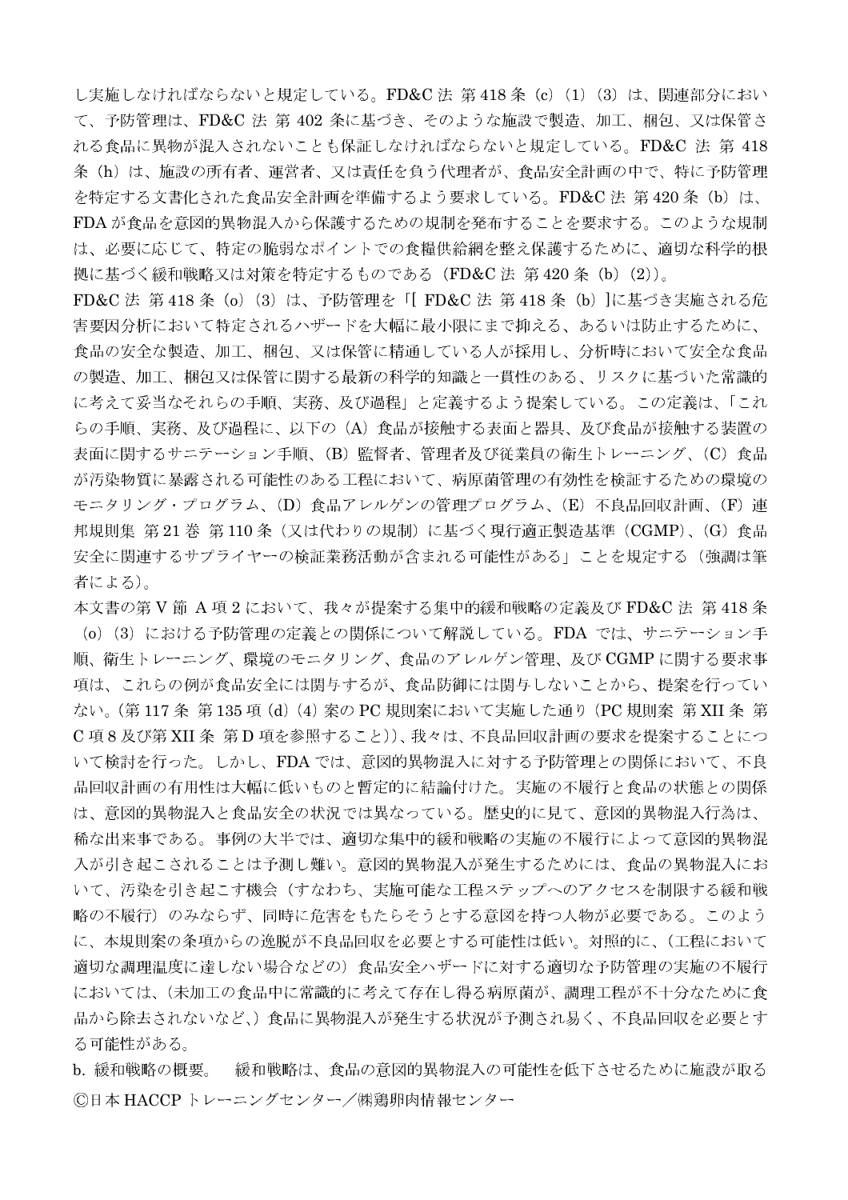し実施しなければならないと規定している。FD&C法 第418条 (c) (1) (3) は、関連部分におい て、予防管理は、FD&C 法 第 402 条に基づき、そのような施設で製造、加工、梱包、又は保管さ れる食品に異物が混入されないことも保証しなければならないと規定している。FD&C 法 第 418 条(h)は、施設の所有者、運営者、又は責任を負う代理者が、食品安全計画の中で、特に予防管理 を特定する文書化された食品安全計画を準備するよう要求している。FD&C法 第420条 (b) は、 FDA が食品を意図的異物混入から保護するための規制を発布することを要求する。このような規制 は、必要に応じて、特定の脆弱なポイントでの食糧供給網を整え保護するために、適切な科学的根 拠に基づく緩和戦略又は対策を特定するものである (FD&C法 第420条 (b) (2))。

FD&C 法 第 418 条 (o) (3) は、予防管理を「[FD&C 法 第 418 条 (b) ]に基づき実施される危 害要因分析において特定されるハザードを大幅に最小限にまで抑える、あるいは防止するために、 食品の安全な製造、加工、梱包、又は保管に精通している人が採用し、分析時において安全な食品 の製造、加工、梱包又は保管に関する最新の科学的知識と一貫性のある、リスクに基づいた常識的 に考えて妥当なそれらの手順、実務、及び過程」と定義するよう提案している。この定義は、「これ らの手順、実務、及び過程に、以下の(A)食品が接触する表面と器具、及び食品が接触する装置の 表面に関するサニテーション手順、(B) 監督者、管理者及び従業員の衛生トレーニング、(C) 食品 が汚染物質に暴露される可能性のある工程において、病原菌管理の有効性を検証するための環境の モニタリング・プログラム、(D) 食品アレルゲンの管理プログラム、(E) 不良品回収計画、(F) 連 邦規則集 第21巻 第110条 (又は代わりの規制)に基づく現行適正製造基準 (CGMP)、(G) 食品 安全に関連するサプライヤーの検証業務活動が含まれる可能性がある」ことを規定する(強調は筆 者による)。

本文書の第V節 A項2において、我々が提案する集中的緩和戦略の定義及び FD&C法 第418条 (o) (3) における予防管理の定義との関係について解説している。FDA では、サニテーション手 順、衛生トレーニング、環境のモニタリング、食品のアレルゲン管理、及び CGMP に関する要求事 項は、これらの例が食品安全には関与するが、食品防御には関与しないことから、提案を行ってい ない。(第117条 第135 項(d)(4)案のPC規則案において実施した通り(PC規則案 第XII条 第 C項8及び第 XII 条 第D 項を参照すること))、我々は、不良品回収計画の要求を提案することにつ いて検討を行った。しかし、FDAでは、意図的異物混入に対する予防管理との関係において、不良 品回収計画の有用性は大幅に低いものと暫定的に結論付けた。実施の不履行と食品の状態との関係 は、意図的異物混入と食品安全の状況では異なっている。歴史的に見て、意図的異物混入行為は、 稀な出来事である。事例の大半では、適切な集中的緩和戦略の実施の不履行によって意図的異物混 入が引き起こされることは予測し難い。意図的異物混入が発生するためには、食品の異物混入にお いて、汚染を引き起こす機会(すなわち、実施可能な工程ステップへのアクセスを制限する緩和戦 略の不履行)のみならず、同時に危害をもたらそうとする意図を持つ人物が必要である。このよう に、本規則案の条項からの逸脱が不良品回収を必要とする可能性は低い。対照的に、(工程において 適切な調理温度に達しない場合などの)食品安全ハザードに対する適切な予防管理の実施の不履行 においては、(未加工の食品中に常識的に考えて存在し得る病原菌が、調理工程が不十分なために食 品から除去されないなど、)食品に異物混入が発生する状況が予測され易く、不良品回収を必要とす る可能性がある。

b. 緩和戦略の概要。 緩和戦略は、食品の意図的異物混入の可能性を低下させるために施設が取る ©日本 HACCP トレーニングセンター/㈱鶏卵肉情報センター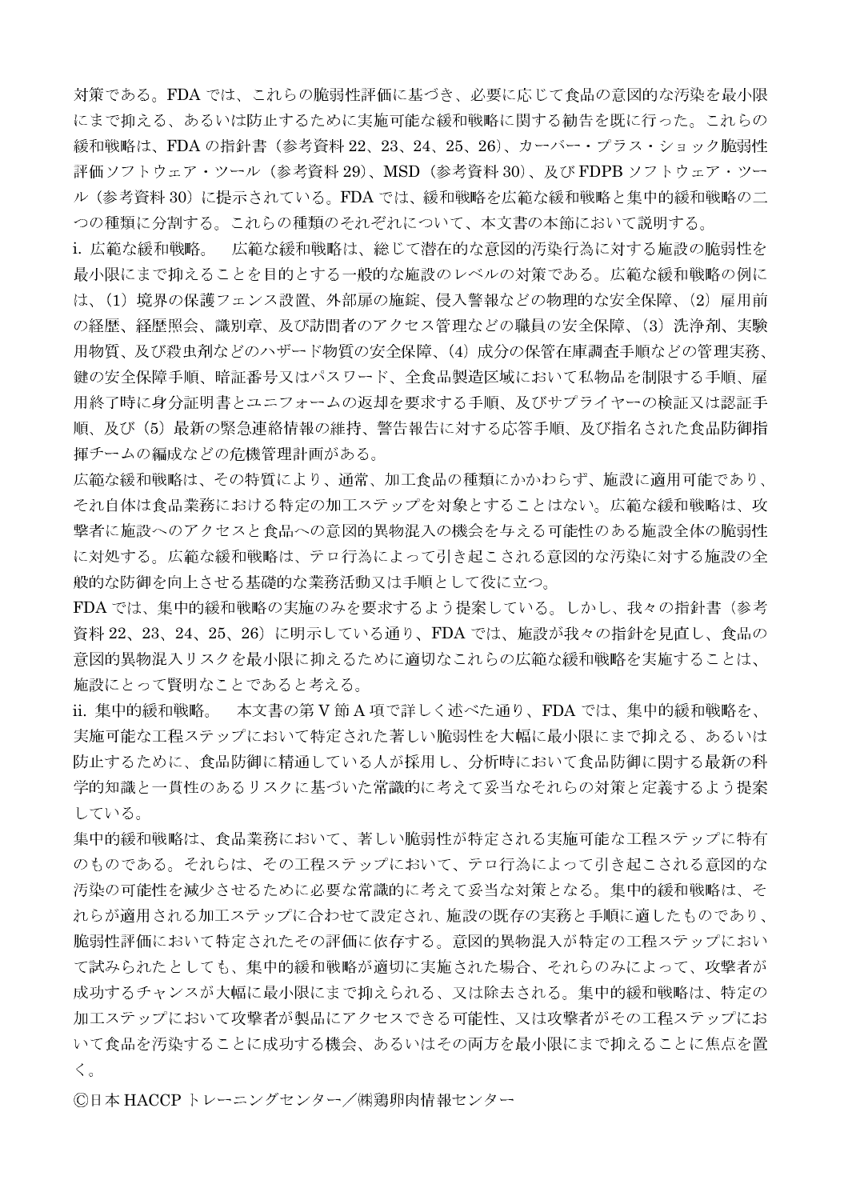対策である。FDA では、これらの脆弱性評価に基づき、必要に応じて食品の意図的な汚染を最小限 にまで抑える、あるいは防止するために実施可能な緩和戦略に関する勧告を既に行った。これらの 緩和戦略は、FDA の指針書 (参考資料 22、23、24、25、26)、カーバー・プラス・ショック脆弱性 評価ソフトウェア・ツール(参考資料 29)、MSD(参考資料 30)、及び FDPB ソフトウェア・ツー ル (参考資料 30) に提示されている。FDA では、緩和戦略を広範な緩和戦略と集中的緩和戦略の二 つの種類に分割する。これらの種類のそれぞれについて、本文書の本節において説明する。

i. 広範な緩和戦略。 広範な緩和戦略は、総じて潜在的な意図的汚染行為に対する施設の脆弱性を 最小限にまで抑えることを目的とする一般的な施設のレベルの対策である。広範な緩和戦略の例に は、(1) 境界の保護フェンス設置、外部扉の施錠、侵入警報などの物理的な安全保障、(2) 雇用前 の経歴、経歴照会、識別章、及び訪問者のアクセス管理などの職員の安全保障、(3) 洗浄剤、実験 用物質、及び殺虫剤などのハザード物質の安全保障、(4) 成分の保管在庫調査手順などの管理実務、 鍵の安全保障手順、暗証番号又はパスワード、全食品製造区域において私物品を制限する手順、雇 用終了時に身分証明書とユニフォームの返却を要求する手順、及びサプライヤーの検証又は認証手 順、及び(5)最新の緊急連絡情報の維持、警告報告に対する応答手順、及び指名された食品防御指 揮チームの編成などの危機管理計画がある。

広範な緩和戦略は、その特質により、通常、加工食品の種類にかかわらず、施設に適用可能であり、 それ自体は食品業務における特定の加工ステップを対象とすることはない。広範な緩和戦略は、攻 撃者に施設へのアクセスと食品への意図的異物混入の機会を与える可能性のある施設全体の脆弱性 に対処する。広範な緩和戦略は、テロ行為によって引き起こされる意図的な汚染に対する施設の全 般的な防御を向上させる基礎的な業務活動又は手順として役に立つ。

FDA では、集中的緩和戦略の実施のみを要求するよう提案している。しかし、我々の指針書(参考 資料 22、23、24、25、26)に明示している通り、FDA では、施設が我々の指針を見直し、食品の 意図的異物混入リスクを最小限に抑えるために適切なこれらの広範な緩和戦略を実施することは、 施設にとって賢明なことであると考える。

ii. 集中的緩和戦略。本文書の第V節A項で詳しく述べた通り、FDAでは、集中的緩和戦略を、 実施可能な工程ステップにおいて特定された著しい脆弱性を大幅に最小限にまで抑える、あるいは 防止するために、食品防御に精通している人が採用し、分析時において食品防御に関する最新の科 学的知識と一貫性のあるリスクに基づいた常識的に考えて妥当なそれらの対策と定義するよう提案 している。

集中的緩和戦略は、食品業務において、著しい脆弱性が特定される実施可能な工程ステップに特有 のものである。それらは、その工程ステップにおいて、テロ行為によって引き起こされる意図的な 汚染の可能性を減少させるために必要な常識的に考えて妥当な対策となる。集中的緩和戦略は、そ れらが適用される加工ステップに合わせて設定され、施設の既存の実務と手順に適したものであり、 脆弱性評価において特定されたその評価に依存する。意図的異物混入が特定の工程ステップにおい て試みられたとしても、集中的緩和戦略が適切に実施された場合、それらのみによって、攻撃者が 成功するチャンスが大幅に最小限にまで抑えられる、又は除去される。集中的緩和戦略は、特定の 加工ステップにおいて攻撃者が製品にアクセスできる可能性、又は攻撃者がその工程ステップにお いて食品を汚染することに成功する機会、あるいはその両方を最小限にまで抑えることに焦点を置  $\langle \cdot \rangle$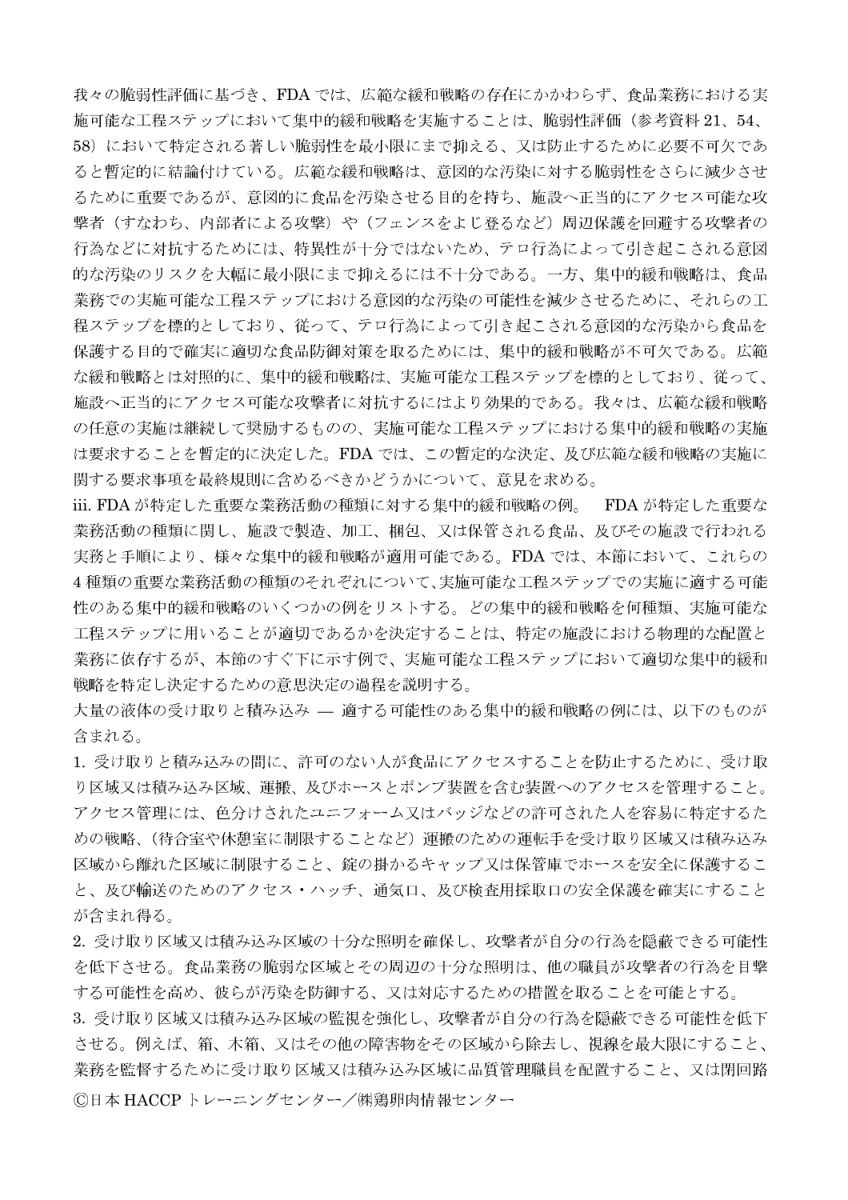我々の脆弱性評価に基づき、FDAでは、広範な緩和戦略の存在にかかわらず、食品業務における実 施可能な工程ステップにおいて集中的緩和戦略を実施することは、脆弱性評価(参考資料 21、54、 58)において特定される著しい脆弱性を最小限にまで抑える、又は防止するために必要不可欠であ ると暫定的に結論付けている。広範な緩和戦略は、意図的な汚染に対する脆弱性をさらに減少させ るために重要であるが、意図的に食品を汚染させる目的を持ち、施設へ正当的にアクセス可能な攻 撃者(すなわち、内部者による攻撃)や(フェンスをよじ登るなど)周辺保護を回避する攻撃者の 行為などに対抗するためには、特異性が十分ではないため、テロ行為によって引き起こされる意図 的な汚染のリスクを大幅に最小限にまで抑えるには不十分である。一方、集中的緩和戦略は、食品 業務での実施可能な工程ステップにおける意図的な汚染の可能性を減少させるために、それらの工 程ステップを標的としており、従って、テロ行為によって引き起こされる意図的な汚染から食品を 保護する目的で確実に適切な食品防御対策を取るためには、集中的緩和戦略が不可欠である。広範 な緩和戦略とは対照的に、集中的緩和戦略は、実施可能な工程ステップを標的としており、従って、 施設へ正当的にアクセス可能な攻撃者に対抗するにはより効果的である。我々は、広範な緩和戦略 の任意の実施は継続して奨励するものの、実施可能な工程ステップにおける集中的緩和戦略の実施 は要求することを暫定的に決定した。FDA では、この暫定的な決定、及び広範な緩和戦略の実施に 関する要求事項を最終規則に含めるべきかどうかについて、意見を求める。

iii. FDA が特定した重要な業務活動の種類に対する集中的緩和戦略の例。 FDA が特定した重要な 業務活動の種類に関し、施設で製造、加工、梱包、又は保管される食品、及びその施設で行われる 実務と手順により、様々な集中的緩和戦略が適用可能である。FDAでは、本節において、これらの 4種類の重要な業務活動の種類のそれぞれについて、実施可能な工程ステップでの実施に適する可能 性のある集中的緩和戦略のいくつかの例をリストする。どの集中的緩和戦略を何種類、実施可能な 工程ステップに用いることが適切であるかを決定することは、特定の施設における物理的な配置と 業務に依存するが、本節のすぐ下に示す例で、実施可能な工程ステップにおいて適切な集中的緩和 戦略を特定し決定するための意思決定の過程を説明する。

大量の液体の受け取りと積み込み – 適する可能性のある集中的緩和戦略の例には、以下のものが 含まれる。

1. 受け取りと積み込みの間に、許可のない人が食品にアクセスすることを防止するために、受け取 り区域又は積み込み区域、運搬、及びホースとポンプ装置を含む装置へのアクセスを管理すること。 アクセス管理には、色分けされたユニフォーム又はバッジなどの許可された人を容易に特定するた めの戦略、(待合室や休憩室に制限することなど)運搬のための運転手を受け取り区域又は積み込み 区域から離れた区域に制限すること、錠の掛かるキャップ又は保管庫でホースを安全に保護するこ と、及び輸送のためのアクセス・ハッチ、通気口、及び検査用採取口の安全保護を確実にすること が含まれ得る。

2. 受け取り区域又は積み込み区域の十分な照明を確保し、攻撃者が自分の行為を隠蔽できる可能性 を低下させる。食品業務の脆弱な区域とその周辺の十分な照明は、他の職員が攻撃者の行為を目撃 する可能性を高め、彼らが汚染を防御する、又は対応するための措置を取ることを可能とする。

3. 受け取り区域又は積み込み区域の監視を強化し、攻撃者が自分の行為を隠蔽できる可能性を低下 させる。例えば、箱、木箱、又はその他の障害物をその区域から除去し、視線を最大限にすること、 業務を監督するために受け取り区域又は積み込み区域に品質管理職員を配置すること、又は閉回路 ©日本 HACCP トレーニングセンター/㈱鶏卵肉情報センター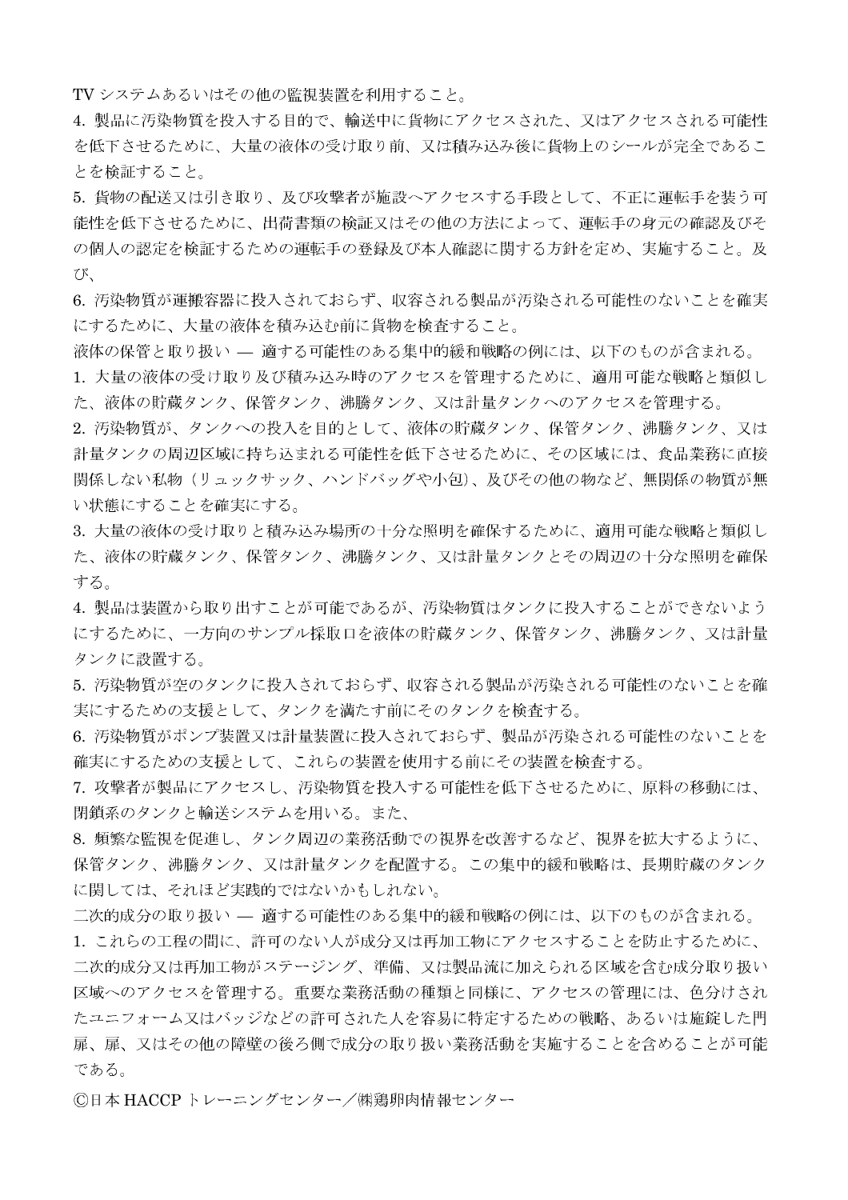TV システムあるいはその他の監視装置を利用すること。

4. 製品に汚染物質を投入する目的で、輸送中に貨物にアクセスされた、又はアクセスされる可能性 を低下させるために、大量の液体の受け取り前、又は積み込み後に貨物上のシールが完全であるこ とを検証すること。

5. 貨物の配送又は引き取り、及び攻撃者が施設へアクセスする手段として、不正に運転手を装う可 能性を低下させるために、出荷書類の検証又はその他の方法によって、運転手の身元の確認及びそ の個人の認定を検証するための運転手の登録及び本人確認に関する方針を定め、実施すること。及  $U^{\circ}$ 

6. 汚染物質が運搬容器に投入されておらず、収容される製品が汚染される可能性のないことを確実 にするために、大量の液体を積み込む前に貨物を検査すること。

液体の保管と取り扱い – 適する可能性のある集中的緩和戦略の例には、以下のものが含まれる。

1. 大量の液体の受け取り及び積み込み時のアクセスを管理するために、適用可能な戦略と類似し た、液体の貯蔵タンク、保管タンク、沸騰タンク、又は計量タンクへのアクセスを管理する。

2. 汚染物質が、タンクへの投入を目的として、液体の貯蔵タンク、保管タンク、沸騰タンク、又は 計量タンクの周辺区域に持ち込まれる可能性を低下させるために、その区域には、食品業務に直接 関係しない私物(リュックサック、ハンドバッグや小包)、及びその他の物など、無関係の物質が無 い状態にすることを確実にする。

3. 大量の液体の受け取りと積み込み場所の十分な照明を確保するために、適用可能な戦略と類似し た、液体の貯蔵タンク、保管タンク、沸騰タンク、又は計量タンクとその周辺の十分な照明を確保 する。

4. 製品は装置から取り出すことが可能であるが、汚染物質はタンクに投入することができないよう にするために、一方向のサンプル採取口を液体の貯蔵タンク、保管タンク、沸騰タンク、又は計量 タンクに設置する。

5. 汚染物質が空のタンクに投入されておらず、収容される製品が汚染される可能性のないことを確 実にするための支援として、タンクを満たす前にそのタンクを検査する。

6. 汚染物質がポンプ装置又は計量装置に投入されておらず、製品が汚染される可能性のないことを 確実にするための支援として、これらの装置を使用する前にその装置を検査する。

7. 攻撃者が製品にアクセスし、汚染物質を投入する可能性を低下させるために、原料の移動には、 閉鎖系のタンクと輸送システムを用いる。また、

8. 頻繁な監視を促進し、タンク周辺の業務活動での視界を改善するなど、視界を拡大するように、 保管タンク、沸騰タンク、又は計量タンクを配置する。この集中的緩和戦略は、長期貯蔵のタンク に関しては、それほど実践的ではないかもしれない。

二次的成分の取り扱い — 適する可能性のある集中的緩和戦略の例には、以下のものが含まれる。

1. これらの工程の間に、許可のない人が成分又は再加工物にアクセスすることを防止するために、 二次的成分又は再加工物がステージング、準備、又は製品流に加えられる区域を含む成分取り扱い 区域へのアクセスを管理する。重要な業務活動の種類と同様に、アクセスの管理には、色分けされ たユニフォーム又はバッジなどの許可された人を容易に特定するための戦略、あるいは施錠した門 扉、扉、又はその他の障壁の後ろ側で成分の取り扱い業務活動を実施することを含めることが可能 である。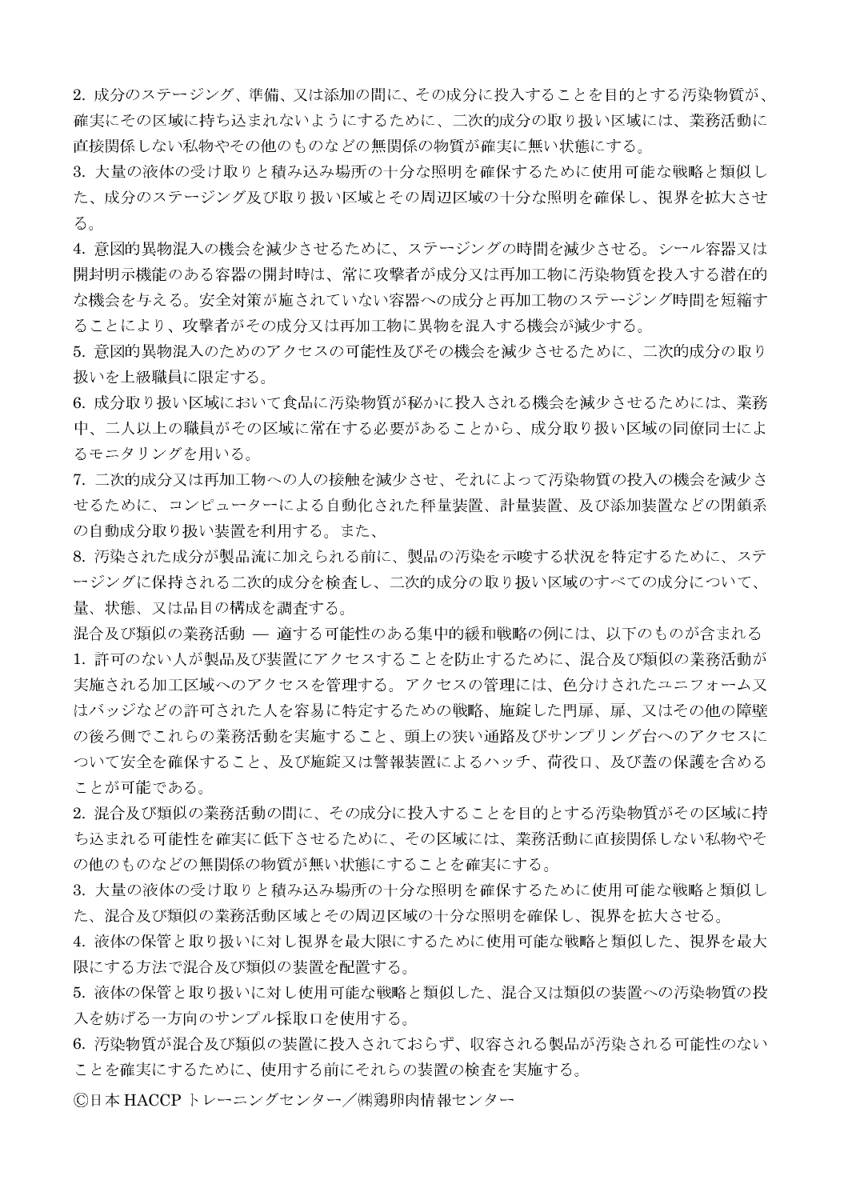2. 成分のステージング、準備、又は添加の間に、その成分に投入することを目的とする汚染物質が、 確実にその区域に持ち込まれないようにするために、二次的成分の取り扱い区域には、業務活動に 直接関係しない私物やその他のものなどの無関係の物質が確実に無い状態にする。

3. 大量の液体の受け取りと積み込み場所の十分な照明を確保するために使用可能な戦略と類似し た、成分のステージング及び取り扱い区域とその周辺区域の十分な照明を確保し、視界を拡大させ る。

4. 意図的異物混入の機会を減少させるために、ステージングの時間を減少させる。シール容器又は 開封明示機能のある容器の開封時は、常に攻撃者が成分又は再加工物に汚染物質を投入する潜在的 な機会を与える。安全対策が施されていない容器への成分と再加工物のステージング時間を短縮す ることにより、攻撃者がその成分又は再加工物に異物を混入する機会が減少する。

5. 意図的異物混入のためのアクセスの可能性及びその機会を減少させるために、二次的成分の取り 扱いを上級職員に限定する。

6. 成分取り扱い区域において食品に汚染物質が秘かに投入される機会を減少させるためには、業務 中、二人以上の職員がその区域に常在する必要があることから、成分取り扱い区域の同僚同士によ るモニタリングを用いる。

7. 二次的成分又は再加工物への人の接触を減少させ、それによって汚染物質の投入の機会を減少さ せるために、コンピューターによる自動化された秤量装置、計量装置、及び添加装置などの閉鎖系 の自動成分取り扱い装置を利用する。また、

8. 汚染された成分が製品流に加えられる前に、製品の汚染を示唆する状況を特定するために、ステ ージングに保持される二次的成分を検査し、二次的成分の取り扱い区域のすべての成分について、 量、状態、又は品目の構成を調査する。

混合及び類似の業務活動 – 適する可能性のある集中的緩和戦略の例には、以下のものが含まれる 1. 許可のない人が製品及び装置にアクセスすることを防止するために、混合及び類似の業務活動が 実施される加工区域へのアクセスを管理する。アクセスの管理には、色分けされたユニフォーム又 はバッジなどの許可された人を容易に特定するための戦略、施錠した門扉、扉、又はその他の障壁 の後ろ側でこれらの業務活動を実施すること、頭上の狭い通路及びサンプリング台へのアクセスに ついて安全を確保すること、及び施錠又は警報装置によるハッチ、荷役口、及び蓋の保護を含める ことが可能である。

2. 混合及び類似の業務活動の間に、その成分に投入することを目的とする汚染物質がその区域に持 ち込まれる可能性を確実に低下させるために、その区域には、業務活動に直接関係しない私物やそ の他のものなどの無関係の物質が無い状態にすることを確実にする。

3. 大量の液体の受け取りと積み込み場所の十分な照明を確保するために使用可能な戦略と類似し た、混合及び類似の業務活動区域とその周辺区域の十分な照明を確保し、視界を拡大させる。

4. 液体の保管と取り扱いに対し視界を最大限にするために使用可能な戦略と類似した、視界を最大 限にする方法で混合及び類似の装置を配置する。

5. 液体の保管と取り扱いに対し使用可能な戦略と類似した、混合又は類似の装置への汚染物質の投 入を妨げる一方向のサンプル採取口を使用する。

6. 汚染物質が混合及び類似の装置に投入されておらず、収容される製品が汚染される可能性のない ことを確実にするために、使用する前にそれらの装置の検査を実施する。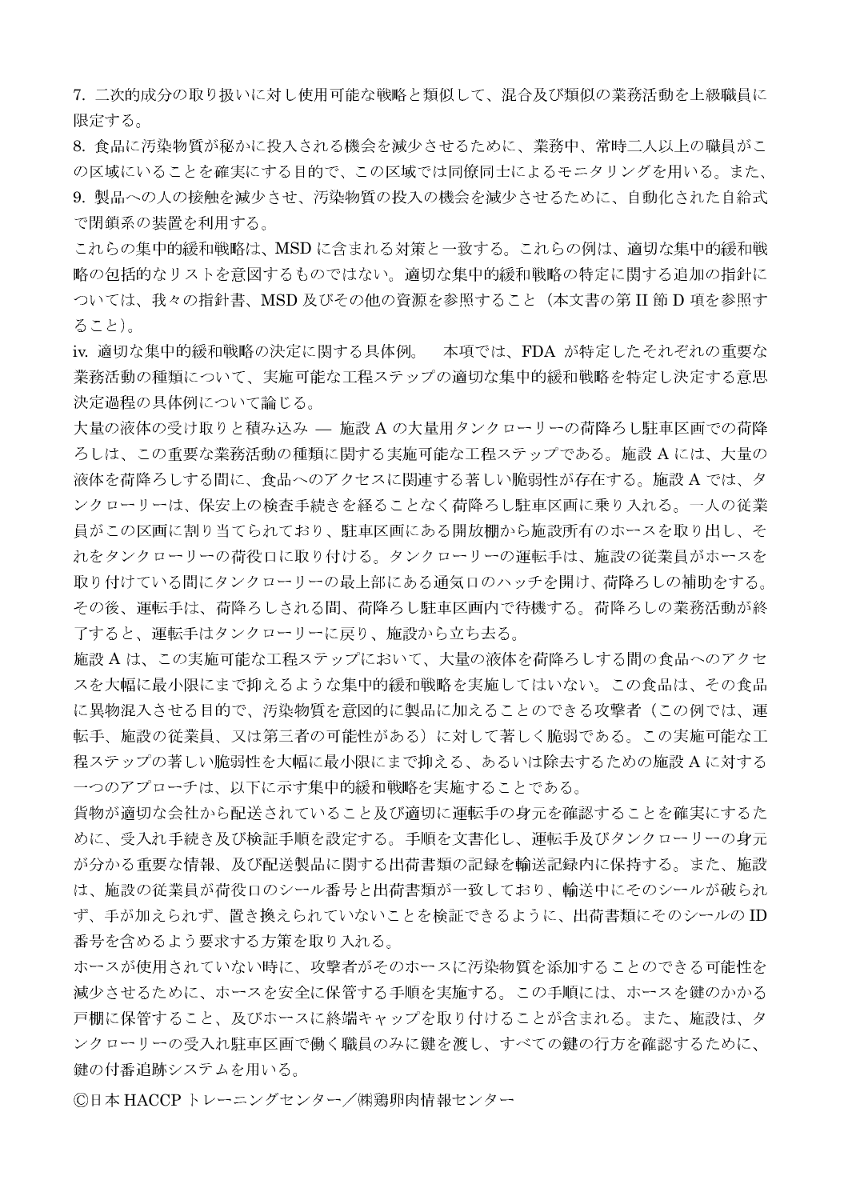7. 二次的成分の取り扱いに対し使用可能な戦略と類似して、混合及び類似の業務活動を上級職員に 限定する。

8.食品に汚染物質が秘かに投入される機会を減少させるために、業務中、常時二人以上の職員がこ の区域にいることを確実にする目的で、この区域では同僚同士によるモニタリングを用いる。また、 9. 製品への人の接触を減少させ、汚染物質の投入の機会を減少させるために、自動化された自給式 で閉鎖系の装置を利用する。

これらの集中的緩和戦略は、MSD に含まれる対策と一致する。これらの例は、適切な集中的緩和戦 略の包括的なリストを意図するものではない。適切な集中的緩和戦略の特定に関する追加の指針に ついては、我々の指針書、MSD 及びその他の資源を参照すること(本文書の第 II 節 D 項を参照す ること)。

iv. 適切な集中的緩和戦略の決定に関する具体例。 本項では、FDA が特定したそれぞれの重要な 業務活動の種類について、実施可能な工程ステップの適切な集中的緩和戦略を特定し決定する意思 決定過程の具体例について論じる。

大量の液体の受け取りと積み込み – 施設 A の大量用タンクローリーの荷降ろし駐車区画での荷降 ろしは、この重要な業務活動の種類に関する実施可能な工程ステップである。施設 A には、大量の 液体を荷降ろしする間に、食品へのアクセスに関連する著しい脆弱性が存在する。施設 A では、タ ンクローリーは、保安上の検査手続きを経ることなく荷降ろし駐車区画に乗り入れる。一人の従業 員がこの区画に割り当てられており、駐車区画にある開放棚から施設所有のホースを取り出し、そ れをタンクローリーの荷役口に取り付ける。タンクローリーの運転手は、施設の従業員がホースを 取り付けている間にタンクローリーの最上部にある通気口のハッチを開け、荷降ろしの補助をする。 その後、運転手は、荷降ろしされる間、荷降ろし駐車区画内で待機する。荷降ろしの業務活動が終 了すると、運転手はタンクローリーに戻り、施設から立ち去る。

施設 A は、この実施可能な工程ステップにおいて、大量の液体を荷降ろしする間の食品へのアクセ スを大幅に最小限にまで抑えるような集中的緩和戦略を実施してはいない。この食品は、その食品 に異物混入させる目的で、汚染物質を意図的に製品に加えることのできる攻撃者(この例では、運 転手、施設の従業員、又は第三者の可能性がある)に対して著しく脆弱である。この実施可能な工 程ステップの著しい脆弱性を大幅に最小限にまで抑える、あるいは除去するための施設 A に対する 一つのアプローチは、以下に示す集中的緩和戦略を実施することである。

貨物が適切な会社から配送されていること及び適切に運転手の身元を確認することを確実にするた めに、受入れ手続き及び検証手順を設定する。手順を文書化し、運転手及びタンクローリーの身元 が分かる重要な情報、及び配送製品に関する出荷書類の記録を輸送記録内に保持する。また、施設 は、施設の従業員が荷役口のシール番号と出荷書類が一致しており、輸送中にそのシールが破られ ず、手が加えられず、置き換えられていないことを検証できるように、出荷書類にそのシールのID 番号を含めるよう要求する方策を取り入れる。

ホースが使用されていない時に、攻撃者がそのホースに汚染物質を添加することのできる可能性を 減少させるために、ホースを安全に保管する手順を実施する。この手順には、ホースを鍵のかかる 戸棚に保管すること、及びホースに終端キャップを取り付けることが含まれる。また、施設は、タ ンクローリーの受入れ駐車区画で働く職員のみに鍵を渡し、すべての鍵の行方を確認するために、 鍵の付番追跡システムを用いる。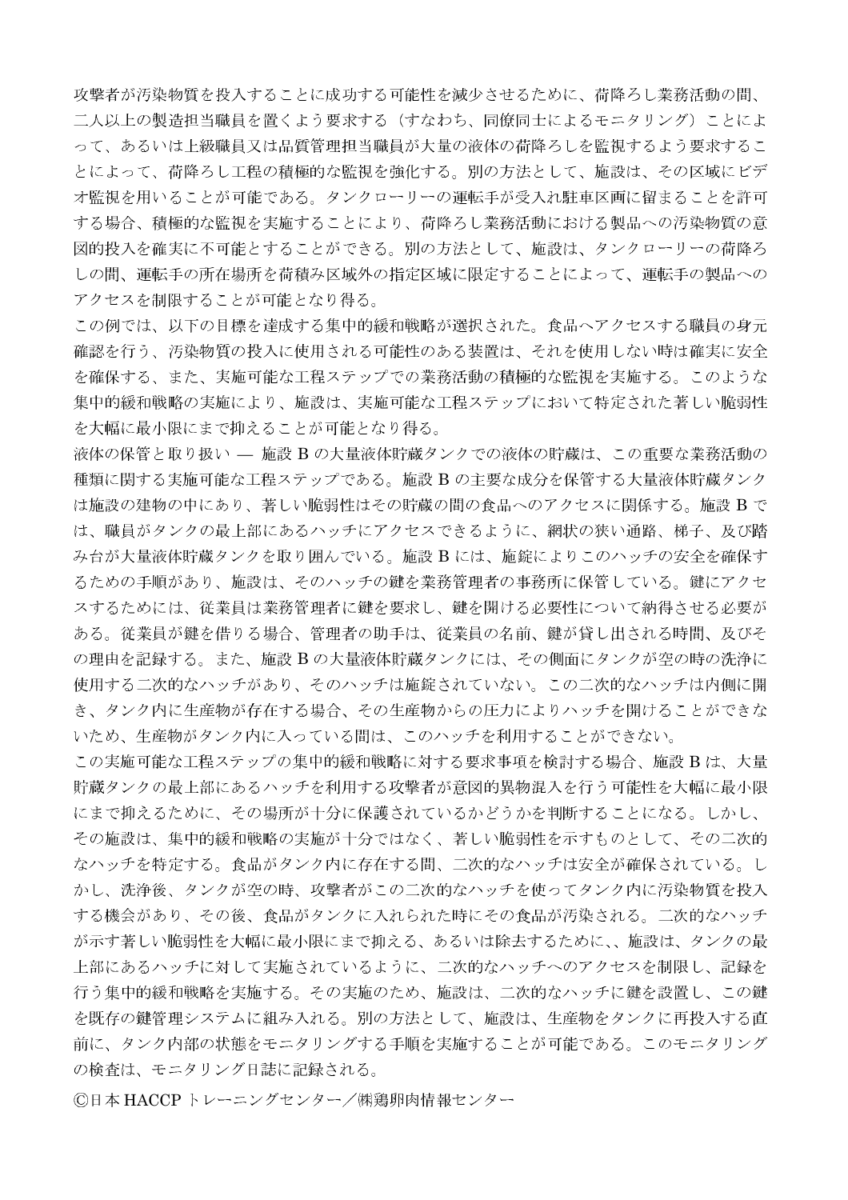攻撃者が汚染物質を投入することに成功する可能性を減少させるために、荷降ろし業務活動の間、 二人以上の製造担当職員を置くよう要求する(すなわち、同僚同士によるモニタリング)ことによ って、あるいは上級職員又は品質管理担当職員が大量の液体の荷降ろしを監視するよう要求するこ とによって、荷降ろし工程の積極的な監視を強化する。別の方法として、施設は、その区域にビデ オ監視を用いることが可能である。タンクローリーの運転手が受入れ駐車区画に留まることを許可 する場合、積極的な監視を実施することにより、荷降ろし業務活動における製品への汚染物質の意 図的投入を確実に不可能とすることができる。別の方法として、施設は、タンクローリーの荷降ろ しの間、運転手の所在場所を荷積み区域外の指定区域に限定することによって、運転手の製品への アクセスを制限することが可能となり得る。

この例では、以下の目標を達成する集中的緩和戦略が選択された。食品へアクセスする職員の身元 確認を行う、汚染物質の投入に使用される可能性のある装置は、それを使用しない時は確実に安全 を確保する、また、実施可能な工程ステップでの業務活動の積極的な監視を実施する。このような 集中的緩和戦略の実施により、施設は、実施可能な工程ステップにおいて特定された著しい脆弱性 を大幅に最小限にまで抑えることが可能となり得る。

液体の保管と取り扱い - 施設 B の大量液体貯蔵タンクでの液体の貯蔵は、この重要な業務活動の 種類に関する実施可能な工程ステップである。施設 B の主要な成分を保管する大量液体貯蔵タンク は施設の建物の中にあり、著しい脆弱性はその貯蔵の間の食品へのアクセスに関係する。施設 B で は、職員がタンクの最上部にあるハッチにアクセスできるように、網状の狭い通路、梯子、及び踏 み台が大量液体貯蔵タンクを取り囲んでいる。施設 B には、施錠によりこのハッチの安全を確保す るための手順があり、施設は、そのハッチの鍵を業務管理者の事務所に保管している。鍵にアクセ スするためには、従業員は業務管理者に鍵を要求し、鍵を開ける必要性について納得させる必要が ある。従業員が鍵を借りる場合、管理者の助手は、従業員の名前、鍵が貸し出される時間、及びそ の理由を記録する。また、施設 B の大量液体貯蔵タンクには、その側面にタンクが空の時の洗浄に 使用する二次的なハッチがあり、そのハッチは施錠されていない。この二次的なハッチは内側に開 き、タンク内に生産物が存在する場合、その生産物からの圧力によりハッチを開けることができな いため、生産物がタンク内に入っている間は、このハッチを利用することができない。

この実施可能な工程ステップの集中的緩和戦略に対する要求事項を検討する場合、施設 B は、大量 貯蔵タンクの最上部にあるハッチを利用する攻撃者が意図的異物混入を行う可能性を大幅に最小限 にまで抑えるために、その場所が十分に保護されているかどうかを判断することになる。しかし、 その施設は、集中的緩和戦略の実施が十分ではなく、著しい脆弱性を示すものとして、その二次的 なハッチを特定する。食品がタンク内に存在する間、二次的なハッチは安全が確保されている。し かし、洗浄後、タンクが空の時、攻撃者がこの二次的なハッチを使ってタンク内に汚染物質を投入 する機会があり、その後、食品がタンクに入れられた時にその食品が汚染される。二次的なハッチ が示す著しい脆弱性を大幅に最小限にまで抑える、あるいは除去するために、、施設は、タンクの最 上部にあるハッチに対して実施されているように、二次的なハッチへのアクセスを制限し、記録を 行う集中的緩和戦略を実施する。その実施のため、施設は、二次的なハッチに鍵を設置し、この鍵 を既存の鍵管理システムに組み入れる。別の方法として、施設は、生産物をタンクに再投入する直 前に、タンク内部の状態をモニタリングする手順を実施することが可能である。このモニタリング の検査は、モニタリング日誌に記録される。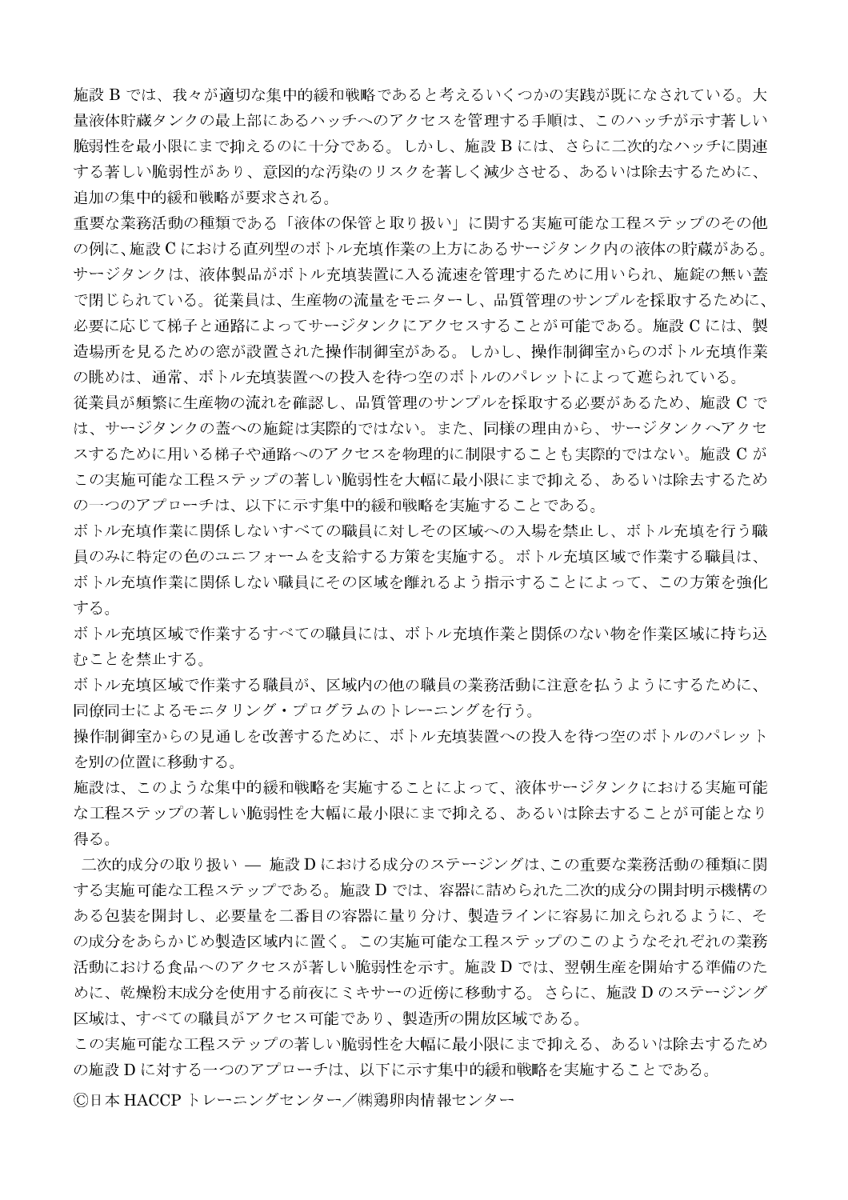施設 B では、我々が適切な集中的緩和戦略であると考えるいくつかの実践が既になされている。大 量液体貯蔵タンクの最上部にあるハッチへのアクセスを管理する手順は、このハッチが示す著しい 脆弱性を最小限にまで抑えるのに十分である。しかし、施設 B には、さらに二次的なハッチに関連 する著しい脆弱性があり、意図的な汚染のリスクを著しく減少させる、あるいは除去するために、 追加の集中的緩和戦略が要求される。

重要な業務活動の種類である「液体の保管と取り扱い」に関する実施可能な工程ステップのその他 の例に、施設 C における直列型のボトル充填作業の上方にあるサージタンク内の液体の貯蔵がある。 サージタンクは、液体製品がボトル充填装置に入る流速を管理するために用いられ、施錠の無い蓋 で閉じられている。従業員は、生産物の流量をモニターし、品質管理のサンプルを採取するために、 必要に応じて梯子と通路によってサージタンクにアクセスすることが可能である。施設 C には、製 造場所を見るための窓が設置された操作制御室がある。しかし、操作制御室からのボトル充填作業 の眺めは、通常、ボトル充填装置への投入を待つ空のボトルのパレットによって遮られている。

従業員が頻繁に生産物の流れを確認し、品質管理のサンプルを採取する必要があるため、施設 C で は、サージタンクの蓋への施錠は実際的ではない。また、同様の理由から、サージタンクへアクセ スするために用いる梯子や通路へのアクセスを物理的に制限することも実際的ではない。施設 C が この実施可能な工程ステップの著しい脆弱性を大幅に最小限にまで抑える、あるいは除去するため の一つのアプローチは、以下に示す集中的緩和戦略を実施することである。

ボトル充填作業に関係しないすべての職員に対しその区域への入場を禁止し、ボトル充填を行う職 員のみに特定の色のユニフォームを支給する方策を実施する。ボトル充填区域で作業する職員は、 ボトル充填作業に関係しない職員にその区域を離れるよう指示することによって、この方策を強化 する。

ボトル充填区域で作業するすべての職員には、ボトル充填作業と関係のない物を作業区域に持ち込 むことを禁止する。

ボトル充填区域で作業する職員が、区域内の他の職員の業務活動に注意を払うようにするために、 同僚同士によるモニタリング・プログラムのトレーニングを行う。

操作制御室からの見通しを改善するために、ボトル充填装置への投入を待つ空のボトルのパレット を別の位置に移動する。

施設は、このような集中的緩和戦略を実施することによって、液体サージタンクにおける実施可能 な工程ステップの著しい脆弱性を大幅に最小限にまで抑える、あるいは除去することが可能となり 得る。

二次的成分の取り扱い — 施設 D における成分のステージングは、この重要な業務活動の種類に関 する実施可能な工程ステップである。施設 D では、容器に詰められた二次的成分の開封明示機構の ある包装を開封し、必要量を二番目の容器に量り分け、製造ラインに容易に加えられるように、そ の成分をあらかじめ製造区域内に置く。この実施可能な工程ステップのこのようなそれぞれの業務 活動における食品へのアクセスが著しい脆弱性を示す。施設 D では、翌朝生産を開始する準備のた めに、乾燥粉末成分を使用する前夜にミキサーの近傍に移動する。さらに、施設 D のステージング 区域は、すべての職員がアクセス可能であり、製造所の開放区域である。

この実施可能な工程ステップの著しい脆弱性を大幅に最小限にまで抑える、あるいは除去するため の施設 D に対する一つのアプローチは、以下に示す集中的緩和戦略を実施することである。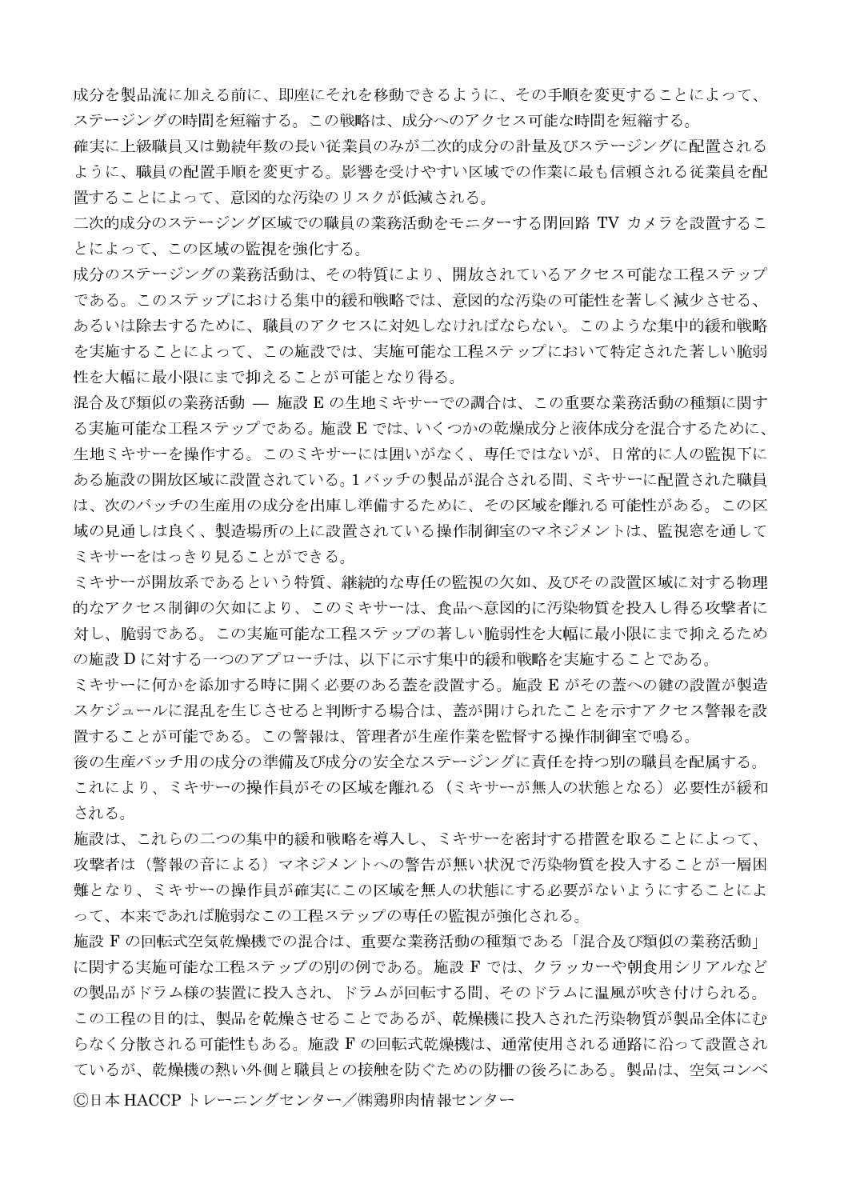成分を製品流に加える前に、即座にそれを移動できるように、その手順を変更することによって、 ステージングの時間を短縮する。この戦略は、成分へのアクセス可能な時間を短縮する。

確実に上級職員又は勤続年数の長い従業員のみが二次的成分の計量及びステージングに配置される ように、職員の配置手順を変更する。影響を受けやすい区域での作業に最も信頼される従業員を配 置することによって、意図的な汚染のリスクが低減される。

二次的成分のステージング区域での職員の業務活動をモニターする閉回路 TV カメラを設置するこ とによって、この区域の監視を強化する。

成分のステージングの業務活動は、その特質により、開放されているアクセス可能な工程ステップ である。このステップにおける集中的緩和戦略では、意図的な汚染の可能性を著しく減少させる、 あるいは除去するために、職員のアクセスに対処しなければならない。このような集中的緩和戦略 を実施することによって、この施設では、実施可能な工程ステップにおいて特定された著しい脆弱 性を大幅に最小限にまで抑えることが可能となり得る。

混合及び類似の業務活動 – 施設 E の生地ミキサーでの調合は、この重要な業務活動の種類に関す る実施可能な工程ステップである。施設Eでは、いくつかの乾燥成分と液体成分を混合するために、 生地ミキサーを操作する。このミキサーには囲いがなく、専任ではないが、日常的に人の監視下に ある施設の開放区域に設置されている。1バッチの製品が混合される間、ミキサーに配置された職員 は、次のバッチの生産用の成分を出庫し準備するために、その区域を離れる可能性がある。この区 域の見通しは良く、製造場所の上に設置されている操作制御室のマネジメントは、監視窓を通して ミキサーをはっきり見ることができる。

ミキサーが開放系であるという特質、継続的な専任の監視の欠如、及びその設置区域に対する物理 的なアクセス制御の欠如により、このミキサーは、食品へ意図的に汚染物質を投入し得る攻撃者に 対し、脆弱である。この実施可能な工程ステップの著しい脆弱性を大幅に最小限にまで抑えるため の施設 D に対する一つのアプローチは、以下に示す集中的緩和戦略を実施することである。

ミキサーに何かを添加する時に開く必要のある蓋を設置する。施設 E がその蓋への鍵の設置が製造 スケジュールに混乱を生じさせると判断する場合は、蓋が開けられたことを示すアクセス警報を設 置することが可能である。この警報は、管理者が生産作業を監督する操作制御室で鳴る。

後の生産バッチ用の成分の準備及び成分の安全なステージングに責任を持つ別の職員を配属する。 これにより、ミキサーの操作員がその区域を離れる(ミキサーが無人の状態となる)必要性が緩和 される。

施設は、これらの二つの集中的緩和戦略を導入し、ミキサーを密封する措置を取ることによって、 攻撃者は(警報の音による)マネジメントへの警告が無い状況で汚染物質を投入することが一層困 難となり、ミキサーの操作員が確実にこの区域を無人の状態にする必要がないようにすることによ って、本来であれば脆弱なこの工程ステップの専任の監視が強化される。

施設 F の回転式空気乾燥機での混合は、重要な業務活動の種類である「混合及び類似の業務活動」 に関する実施可能な工程ステップの別の例である。施設 F では、クラッカーや朝食用シリアルなど の製品がドラム様の装置に投入され、ドラムが回転する間、そのドラムに温風が吹き付けられる。 この工程の目的は、製品を乾燥させることであるが、乾燥機に投入された汚染物質が製品全体にむ らなく分散される可能性もある。施設 F の回転式乾燥機は、通常使用される通路に沿って設置され ているが、乾燥機の熱い外側と職員との接触を防ぐための防柵の後ろにある。製品は、空気コンベ ©日本 HACCP トレーニングセンター/㈱鶏卵肉情報センター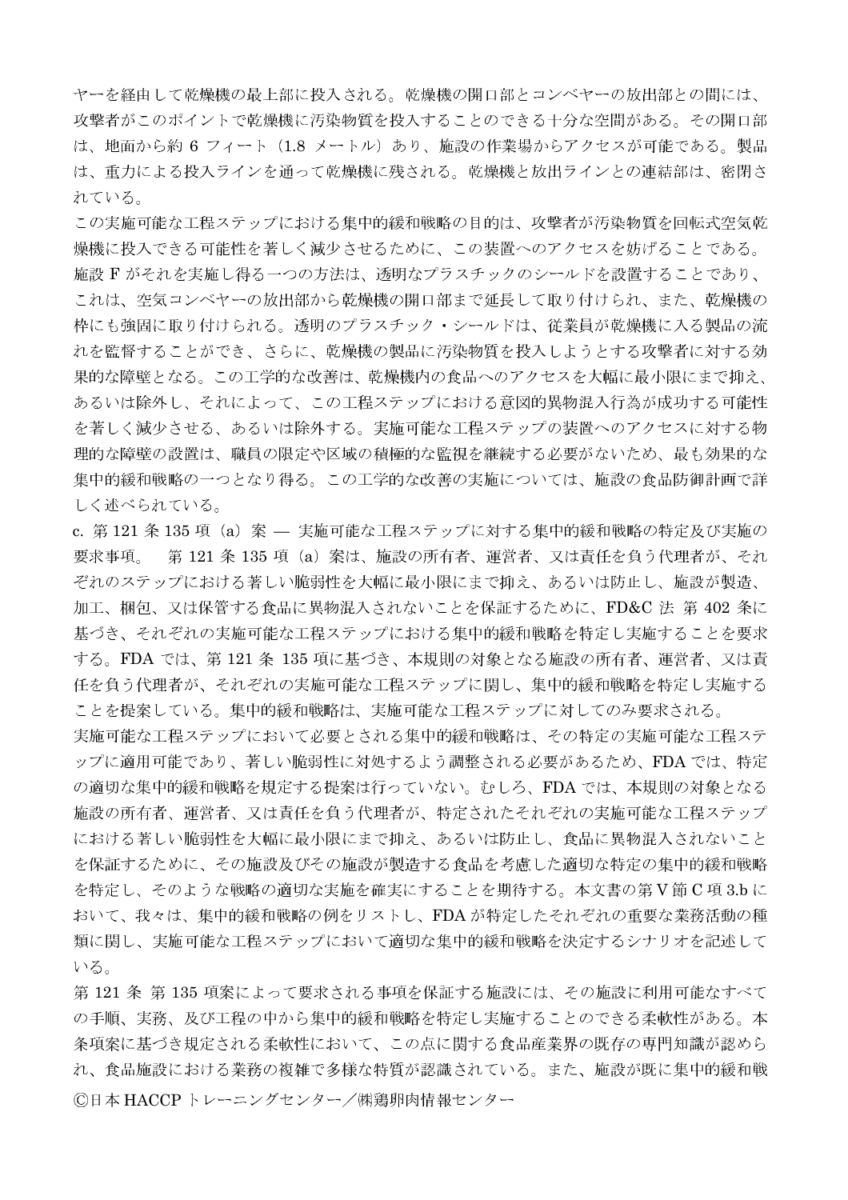ヤーを経由して乾燥機の最上部に投入される。乾燥機の開口部とコンベヤーの放出部との間には、 攻撃者がこのポイントで乾燥機に汚染物質を投入することのできる十分な空間がある。その開口部 は、地面から約 6 フィート(1.8 メートル)あり、施設の作業場からアクセスが可能である。製品 は、重力による投入ラインを通って乾燥機に残される。乾燥機と放出ラインとの連結部は、密閉さ れている。

この実施可能な工程ステップにおける集中的緩和戦略の目的は、攻撃者が汚染物質を回転式空気乾 燥機に投入できる可能性を著しく減少させるために、この装置へのアクセスを妨げることである。 施設 F がそれを実施し得る一つの方法は、透明なプラスチックのシールドを設置することであり、 これは、空気コンベヤーの放出部から乾燥機の開口部まで延長して取り付けられ、また、乾燥機の 枠にも強固に取り付けられる。透明のプラスチック・シールドは、従業員が乾燥機に入る製品の流 れを監督することができ、さらに、乾燥機の製品に汚染物質を投入しようとする攻撃者に対する効 果的な障壁となる。この工学的な改善は、乾燥機内の食品へのアクセスを大幅に最小限にまで抑え、 あるいは除外し、それによって、この工程ステップにおける意図的異物混入行為が成功する可能性 を著しく減少させる、あるいは除外する。実施可能な工程ステップの装置へのアクセスに対する物 理的な障壁の設置は、職員の限定や区域の積極的な監視を継続する必要がないため、最も効果的な 集中的緩和戦略の一つとなり得る。この工学的な改善の実施については、施設の食品防御計画で詳 しく述べられている。

c. 第121 条 135 項(a)案 — 実施可能な工程ステップに対する集中的緩和戦略の特定及び実施の 要求事項。 第121条135項 (a) 案は、施設の所有者、運営者、又は責任を負う代理者が、それ ぞれのステップにおける著しい脆弱性を大幅に最小限にまで抑え、あるいは防止し、施設が製造、 加工、梱包、又は保管する食品に異物混入されないことを保証するために、FD&C 法 第 402 条に 基づき、それぞれの実施可能な工程ステップにおける集中的緩和戦略を特定し実施することを要求 する。FDA では、第121 条 135 項に基づき、本規則の対象となる施設の所有者、運営者、又は責 任を負う代理者が、それぞれの実施可能な工程ステップに関し、集中的緩和戦略を特定し実施する ことを提案している。集中的緩和戦略は、実施可能な工程ステップに対してのみ要求される。

実施可能な工程ステップにおいて必要とされる集中的緩和戦略は、その特定の実施可能な工程ステ ップに適用可能であり、著しい脆弱性に対処するよう調整される必要があるため、FDA では、特定 の適切な集中的緩和戦略を規定する提案は行っていない。むしろ、FDAでは、本規則の対象となる 施設の所有者、運営者、又は責任を負う代理者が、特定されたそれぞれの実施可能な工程ステップ における著しい脆弱性を大幅に最小限にまで抑え、あるいは防止し、食品に異物混入されないこと を保証するために、その施設及びその施設が製造する食品を考慮した適切な特定の集中的緩和戦略 を特定し、そのような戦略の適切な実施を確実にすることを期待する。本文書の第V節 C 項3.bに おいて、我々は、集中的緩和戦略の例をリストし、FDAが特定したそれぞれの重要な業務活動の種 類に関し、実施可能な工程ステップにおいて適切な集中的緩和戦略を決定するシナリオを記述して いる。

第121条 第135 項案によって要求される事項を保証する施設には、その施設に利用可能なすべて の手順、実務、及び工程の中から集中的緩和戦略を特定し実施することのできる柔軟性がある。本 条項案に基づき規定される柔軟性において、この点に関する食品産業界の既存の専門知識が認めら れ、食品施設における業務の複雑で多様な特質が認識されている。また、施設が既に集中的緩和戦 ©日本 HACCP トレーニングセンター/㈱鶏卵肉情報センター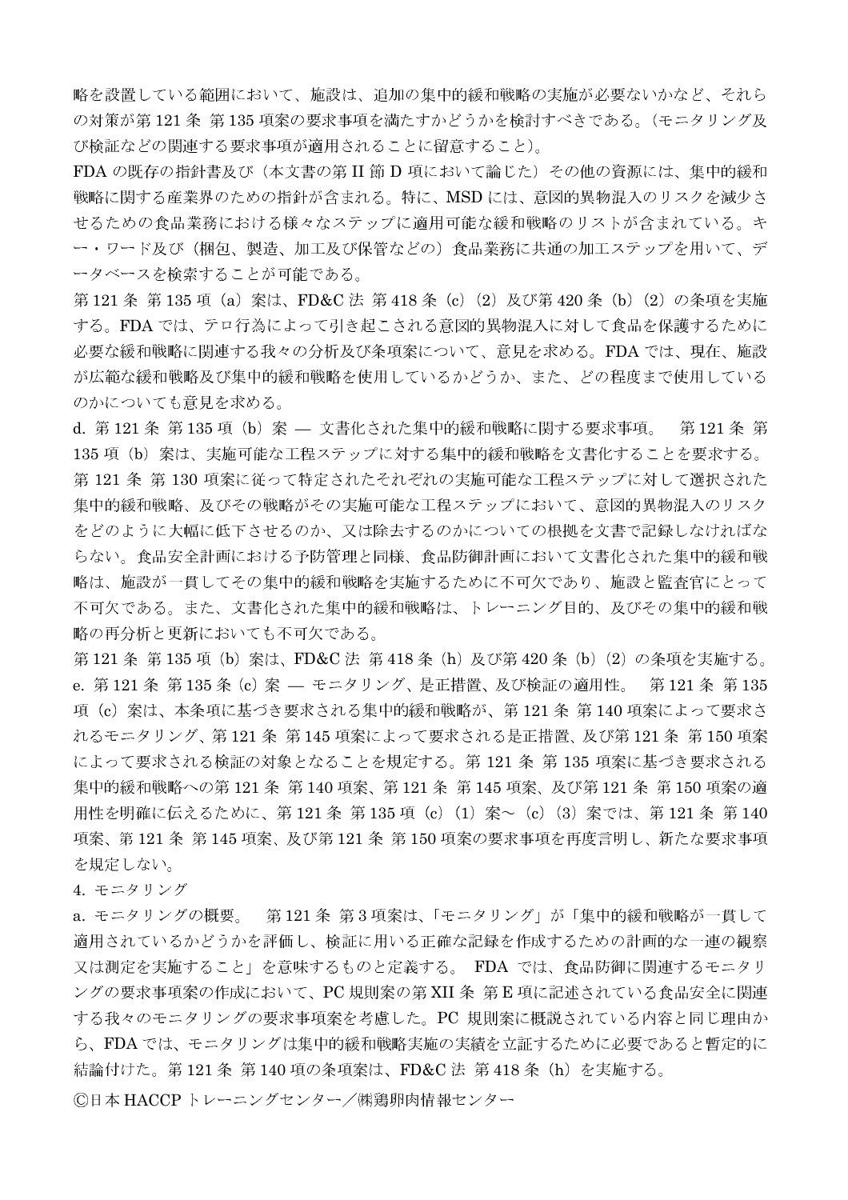略を設置している範囲において、施設は、追加の集中的緩和戦略の実施が必要ないかなど、それら の対策が第121条 第135項案の要求事項を満たすかどうかを検討すべきである。(モニタリング及 び検証などの関連する要求事項が適用されることに留意すること)。

FDA の既存の指針書及び(本文書の第 II 節 D 項において論じた)その他の資源には、集中的緩和 戦略に関する産業界のための指針が含まれる。特に、MSD には、意図的異物混入のリスクを減少さ せるための食品業務における様々なステップに適用可能な緩和戦略のリストが含まれている。キ ー・ワード及び(梱包、製造、加工及び保管などの)食品業務に共通の加工ステップを用いて、デ ータベースを検索することが可能である。

第121 条 第135 項 (a) 案は、FD&C 法 第418 条 (c) (2) 及び第420 条 (b) (2) の条項を実施 する。FDA では、テロ行為によって引き起こされる意図的異物混入に対して食品を保護するために 必要な緩和戦略に関連する我々の分析及び条項案について、意見を求める。FDA では、現在、施設 が広範な緩和戦略及び集中的緩和戦略を使用しているかどうか、また、どの程度まで使用している のかについても意見を求める。

d. 第121条 第135 項 (b) 案 – 文書化された集中的緩和戦略に関する要求事項。 第121条 第 135 項 (b) 案は、実施可能な工程ステップに対する集中的緩和戦略を文書化することを要求する。 第121条第130項案に従って特定されたそれぞれの実施可能な工程ステップに対して選択された 集中的緩和戦略、及びその戦略がその実施可能な工程ステップにおいて、意図的異物混入のリスク をどのように大幅に低下させるのか、又は除去するのかについての根拠を文書で記録しなければな らない。食品安全計画における予防管理と同様、食品防御計画において文書化された集中的緩和戦 略は、施設が一貫してその集中的緩和戦略を実施するために不可欠であり、施設と監査官にとって 不可欠である。また、文書化された集中的緩和戦略は、トレーニング目的、及びその集中的緩和戦 略の再分析と更新においても不可欠である。

第121 条 第135 項 (b) 案は、FD&C 法 第418 条 (h) 及び第420 条 (b) (2) の条項を実施する。 e. 第121条 第135条 (c) 案 – モニタリング、是正措置、及び検証の適用性。 第121条 第135 項 (c) 案は、本条項に基づき要求される集中的緩和戦略が、第121条 第140 項案によって要求さ れるモニタリング、第121条 第145 項案によって要求される是正措置、及び第121条 第150 項案 によって要求される検証の対象となることを規定する。第121条第135項案に基づき要求される 集中的緩和戦略への第121条 第140 項案、第121条 第145 項案、及び第121条 第150 項案の適 用性を明確に伝えるために、第121条 第135 項 (c) (1) 案~ (c) (3) 案では、第121 条 第140 項案、第121条 第145項案、及び第121条 第150項案の要求事項を再度言明し、新たな要求事項 を規定しない。

4. モニタリング

a. モニタリングの概要。 第121条 第3項案は、「モニタリング」が「集中的緩和戦略が一貫して 適用されているかどうかを評価し、検証に用いる正確な記録を作成するための計画的な一連の観察 又は測定を実施すること」を意味するものと定義する。 FDA では、食品防御に関連するモニタリ ングの要求事項案の作成において、PC規則案の第XII 条第E項に記述されている食品安全に関連 する我々のモニタリングの要求事項案を考慮した。PC 規則案に概説されている内容と同じ理由か ら、FDA では、モニタリングは集中的緩和戦略実施の実績を立証するために必要であると暫定的に 結論付けた。第121条 第140項の条項案は、FD&C法 第418条 (h) を実施する。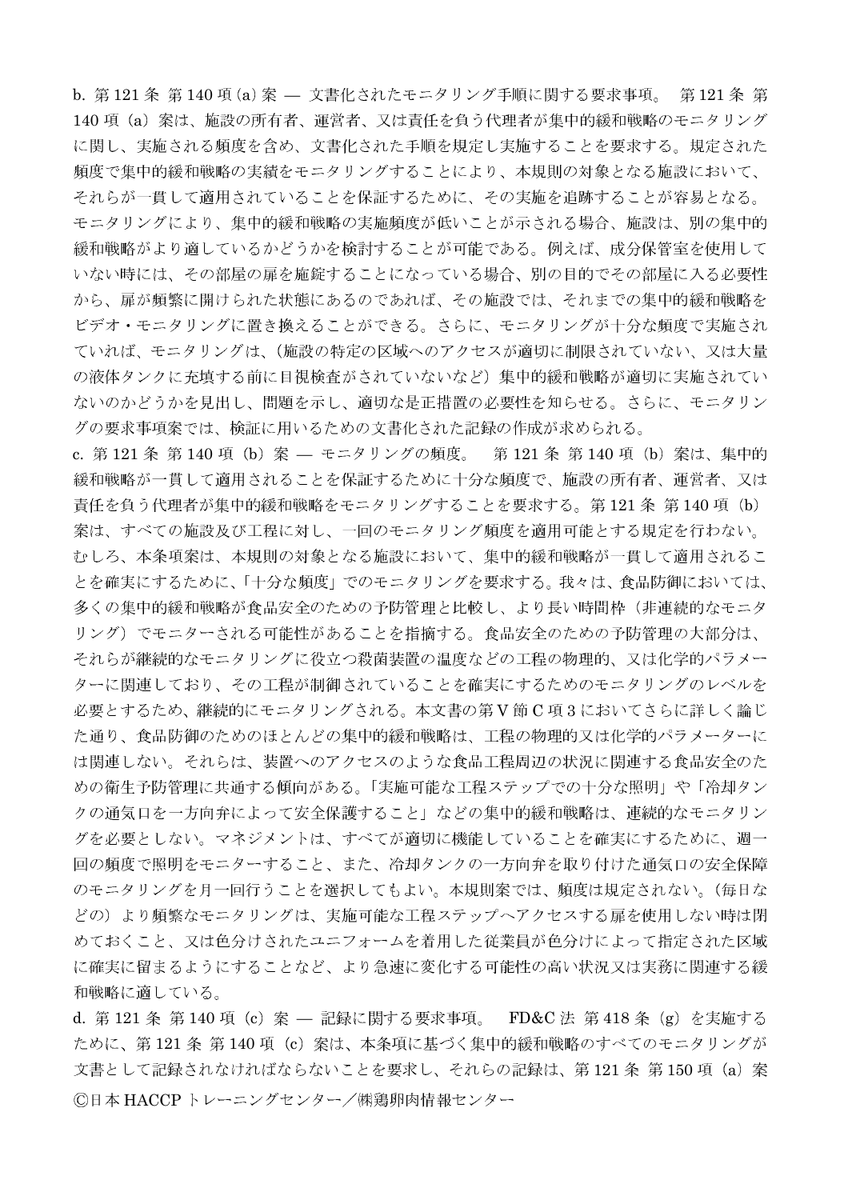b. 第121条 第140 項(a) 案 – 文書化されたモニタリング手順に関する要求事項。 第121 条 第 140 項 (a) 案は、施設の所有者、運営者、又は責任を負う代理者が集中的緩和戦略のモニタリング に関し、実施される頻度を含め、文書化された手順を規定し実施することを要求する。規定された 頻度で集中的緩和戦略の実績をモニタリングすることにより、本規則の対象となる施設において、 それらが一貫して適用されていることを保証するために、その実施を追跡することが容易となる。 モニタリングにより、集中的緩和戦略の実施頻度が低いことが示される場合、施設は、別の集中的 緩和戦略がより適しているかどうかを検討することが可能である。例えば、成分保管室を使用して いない時には、その部屋の扉を施錠することになっている場合、別の目的でその部屋に入る必要性 から、扉が頻繁に開けられた状態にあるのであれば、その施設では、それまでの集中的緩和戦略を ビデオ・モニタリングに置き換えることができる。さらに、モニタリングが十分な頻度で実施され ていれば、モニタリングは、(施設の特定の区域へのアクセスが適切に制限されていない、又は大量 の液体タンクに充填する前に目視検査がされていないなど)集中的緩和戦略が適切に実施されてい ないのかどうかを見出し、問題を示し、適切な是正措置の必要性を知らせる。さらに、モニタリン グの要求事項案では、検証に用いるための文書化された記録の作成が求められる。

c. 第121 条 第140 項 (b) 案 — モニタリングの頻度。 第121 条 第140 項 (b) 案は、集中的 緩和戦略が一貫して適用されることを保証するために十分な頻度で、施設の所有者、運営者、又は 責任を負う代理者が集中的緩和戦略をモニタリングすることを要求する。第121条 第140項 (b) 案は、すべての施設及び工程に対し、一回のモニタリング頻度を適用可能とする規定を行わない。 むしろ、本条項案は、本規則の対象となる施設において、集中的緩和戦略が一貫して適用されるこ とを確実にするために、「十分な頻度」でのモニタリングを要求する。我々は、食品防御においては、 多くの集中的緩和戦略が食品安全のための予防管理と比較し、より長い時間枠(非連続的なモニタ リング)でモニターされる可能性があることを指摘する。食品安全のための予防管理の大部分は、 それらが継続的なモニタリングに役立つ殺菌装置の温度などの工程の物理的、又は化学的パラメー ターに関連しており、その工程が制御されていることを確実にするためのモニタリングのレベルを 必要とするため、継続的にモニタリングされる。本文書の第V節C項3においてさらに詳しく論じ た通り、食品防御のためのほとんどの集中的緩和戦略は、工程の物理的又は化学的パラメーターに は関連しない。それらは、装置へのアクセスのような食品工程周辺の状況に関連する食品安全のた めの衛生予防管理に共通する傾向がある。「実施可能な工程ステップでの十分な照明」や「冷却タン クの通気口を一方向弁によって安全保護すること」などの集中的緩和戦略は、連続的なモニタリン グを必要としない。マネジメントは、すべてが適切に機能していることを確実にするために、週一 回の頻度で照明をモニターすること、また、冷却タンクの一方向弁を取り付けた通気口の安全保障 のモニタリングを月一回行うことを選択してもよい。本規則案では、頻度は規定されない。(毎日な どの)より頻繁なモニタリングは、実施可能な工程ステップへアクセスする扉を使用しない時は閉 めておくこと、又は色分けされたユニフォームを着用した従業員が色分けによって指定された区域 に確実に留まるようにすることなど、より急速に変化する可能性の高い状況又は実務に関連する緩 和戦略に適している。

d. 第121条 第140 項 (c) 案 – 記録に関する要求事項。 FD&C 法 第418 条 (g) を実施する ために、第121条 第140項 (c) 案は、本条項に基づく集中的緩和戦略のすべてのモニタリングが 文書として記録されなければならないことを要求し、それらの記録は、第121条第150項 (a) 案 ©日本 HACCP トレーニングセンター/㈱鶏卵肉情報センター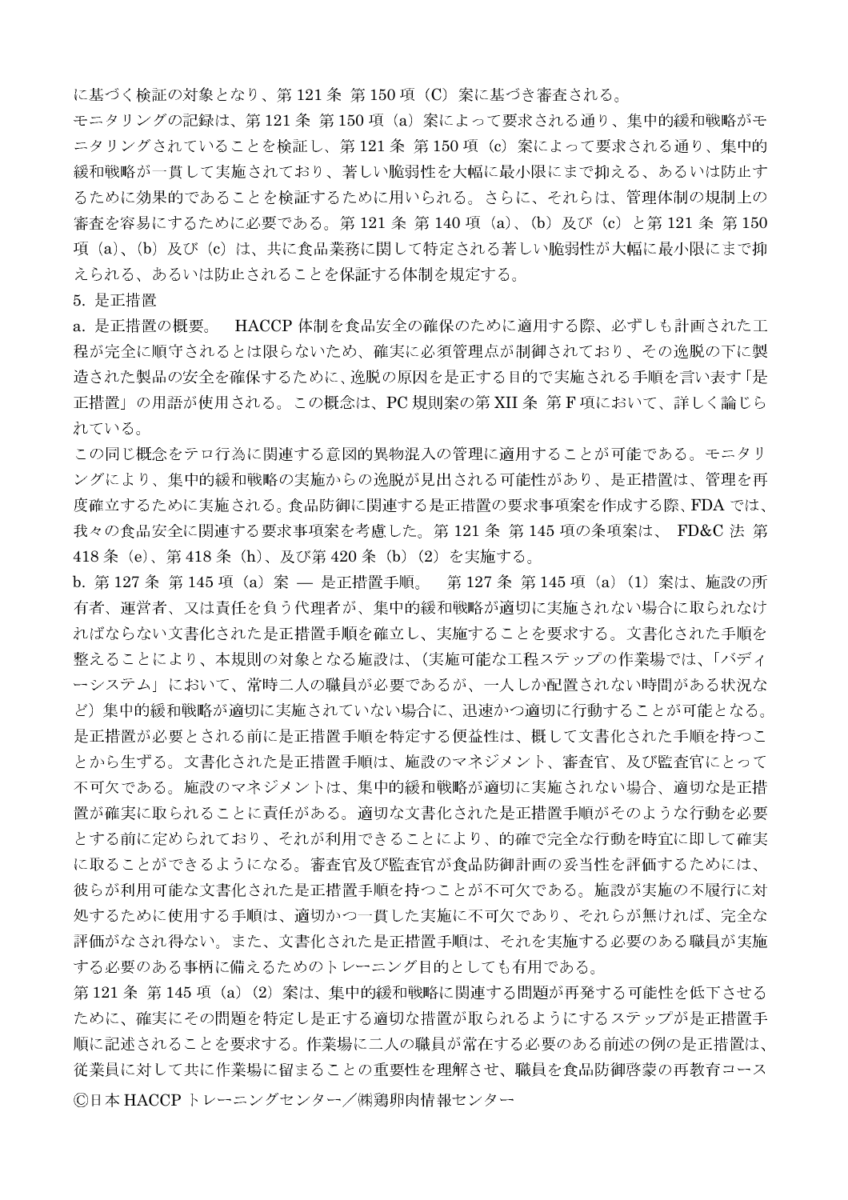に基づく検証の対象となり、第121条 第150項 (C) 案に基づき審査される。

モニタリングの記録は、第121条 第150項 (a) 案によって要求される通り、集中的緩和戦略がモ ニタリングされていることを検証し、第121条 第150項 (c) 案によって要求される通り、集中的 緩和戦略が一貫して実施されており、著しい脆弱性を大幅に最小限にまで抑える、あるいは防止す るために効果的であることを検証するために用いられる。さらに、それらは、管理体制の規制上の 審査を容易にするために必要である。第121 条 第140 項 (a)、(b) 及び (c) と第121 条 第150 項(a)、(b)及び(c)は、共に食品業務に関して特定される著しい脆弱性が大幅に最小限にまで抑 えられる、あるいは防止されることを保証する体制を規定する。

5. 是正措置

a. 是正措置の概要。 HACCP 体制を食品安全の確保のために適用する際、必ずしも計画された工 程が完全に順守されるとは限らないため、確実に必須管理点が制御されており、その逸脱の下に製 造された製品の安全を確保するために、逸脱の原因を是正する目的で実施される手順を言い表す「是 正措置」の用語が使用される。この概念は、PC 規則案の第 XII 条 第 F 項において、詳しく論じら れている。

この同じ概念をテロ行為に関連する意図的異物混入の管理に適用することが可能である。モニタリ ングにより、集中的緩和戦略の実施からの逸脱が見出される可能性があり、是正措置は、管理を再 度確立するために実施される。食品防御に関連する是正措置の要求事項案を作成する際、FDA では、 我々の食品安全に関連する要求事項案を考慮した。第121条第145項の条項案は、FD&C法第 418条 (e)、第418条 (h)、及び第420条 (b) (2) を実施する。

b. 第127条 第145 項 (a) 案 – 是正措置手順。 第127条 第145 項 (a) (1) 案は、施設の所 有者、運営者、又は責任を負う代理者が、集中的緩和戦略が適切に実施されない場合に取られなけ ればならない文書化された是正措置手順を確立し、実施することを要求する。文書化された手順を 整えることにより、本規則の対象となる施設は、(実施可能な工程ステップの作業場では、「バディ ーシステム」において、常時二人の職員が必要であるが、一人しか配置されない時間がある状況な ど)集中的緩和戦略が適切に実施されていない場合に、迅速かつ適切に行動することが可能となる。 是正措置が必要とされる前に是正措置手順を特定する便益性は、概して文書化された手順を持つこ とから生ずる。文書化された是正措置手順は、施設のマネジメント、審査官、及び監査官にとって 不可欠である。施設のマネジメントは、集中的緩和戦略が適切に実施されない場合、適切な是正措 置が確実に取られることに責任がある。適切な文書化された是正措置手順がそのような行動を必要 とする前に定められており、それが利用できることにより、的確で完全な行動を時官に即して確実 に取ることができるようになる。審査官及び監査官が食品防御計画の妥当性を評価するためには、 彼らが利用可能な文書化された是正措置手順を持つことが不可欠である。施設が実施の不履行に対 処するために使用する手順は、適切かつ一貫した実施に不可欠であり、それらが無ければ、完全な 評価がなされ得ない。また、文書化された是正措置手順は、それを実施する必要のある職員が実施 する必要のある事柄に備えるためのトレーニング目的としても有用である。

第121条 第145項 (a) (2) 案は、集中的緩和戦略に関連する問題が再発する可能性を低下させる ために、確実にその問題を特定し是正する適切な措置が取られるようにするステップが是正措置手 順に記述されることを要求する。作業場に二人の職員が常在する必要のある前述の例の是正措置は、 従業員に対して共に作業場に留まることの重要性を理解させ、職員を食品防御啓蒙の再教育コース ©日本 HACCP トレーニングセンター/㈱鶏卵肉情報センター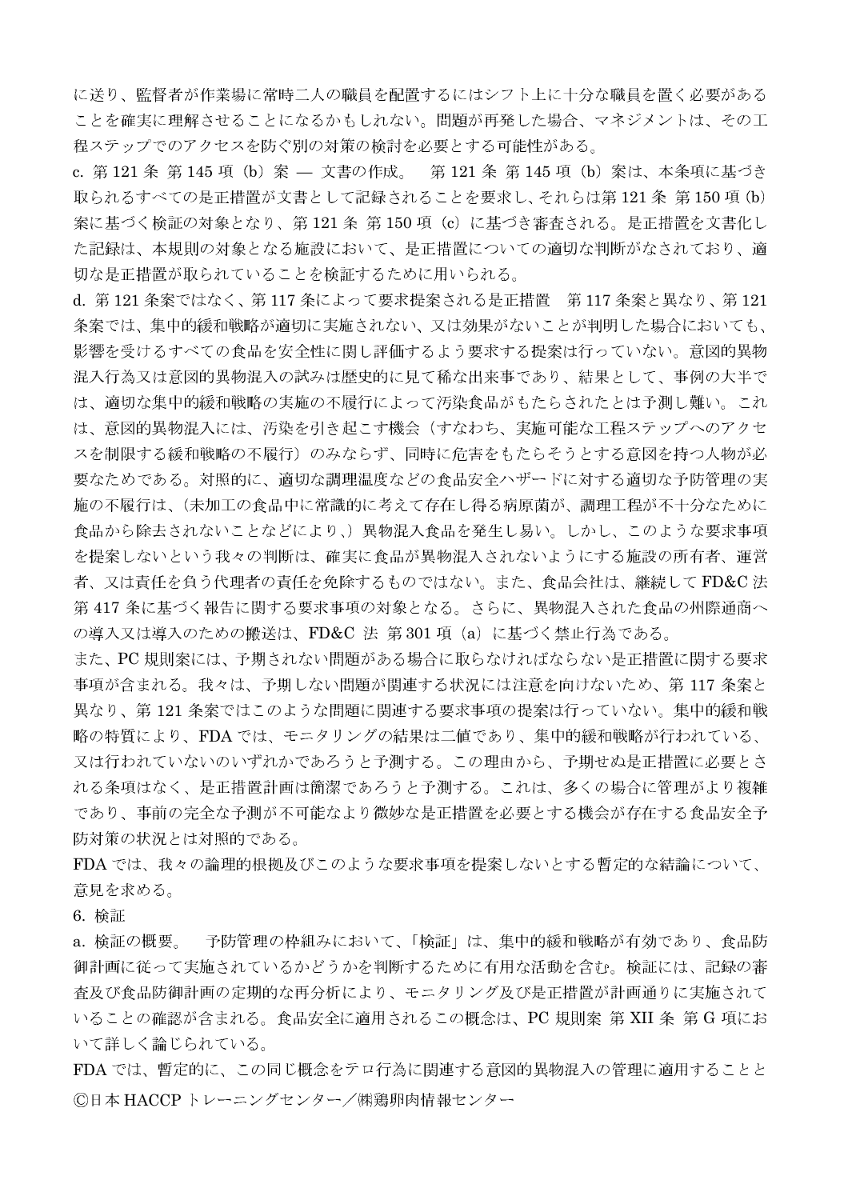に送り、監督者が作業場に常時二人の職員を配置するにはシフト上に十分な職員を置く必要がある ことを確実に理解させることになるかもしれない。問題が再発した場合、マネジメントは、その工 程ステップでのアクセスを防ぐ別の対策の検討を必要とする可能性がある。

c. 第121 条 第145 項 (b) 案 — 文書の作成。 第121 条 第145 項 (b) 案は、本条項に基づき 取られるすべての是正措置が文書として記録されることを要求し、それらは第121条 第150項 (b) 案に基づく検証の対象となり、第121条 第150項 (c) に基づき審査される。是正措置を文書化し た記録は、本規則の対象となる施設において、是正措置についての適切な判断がなされており、適 切な是正措置が取られていることを検証するために用いられる。

d. 第121条案ではなく、第117条によって要求提案される是正措置 第117条案と異なり、第121 条案では、集中的緩和戦略が適切に実施されない、又は効果がないことが判明した場合においても、 影響を受けるすべての食品を安全性に関し評価するよう要求する提案は行っていない。意図的異物 混入行為又は意図的異物混入の試みは歴史的に見て稀な出来事であり、結果として、事例の大半で は、適切な集中的緩和戦略の実施の不履行によって汚染食品がもたらされたとは予測し難い。これ は、意図的異物混入には、汚染を引き起こす機会(すなわち、実施可能な工程ステップへのアクセ スを制限する緩和戦略の不履行)のみならず、同時に危害をもたらそうとする意図を持つ人物が必 要なためである。対照的に、適切な調理温度などの食品安全ハザードに対する適切な予防管理の実 施の不履行は、(未加工の食品中に常識的に考えて存在し得る病原菌が、調理工程が不十分なために 食品から除去されないことなどにより、)異物混入食品を発生し易い。しかし、このような要求事項 を提案しないという我々の判断は、確実に食品が異物混入されないようにする施設の所有者、運営 者、又は責任を負う代理者の責任を免除するものではない。また、食品会社は、継続して FD&C法 第417条に基づく報告に関する要求事項の対象となる。さらに、異物混入された食品の州際通商へ の導入又は導入のための搬送は、FD&C 法 第301 項 (a) に基づく禁止行為である。

また、PC 規則案には、予期されない問題がある場合に取らなければならない是正措置に関する要求 事項が含まれる。我々は、予期しない問題が関連する状況には注意を向けないため、第117 条案と 異なり、第121条案ではこのような問題に関連する要求事項の提案は行っていない。集中的緩和戦 略の特質により、FDA では、モニタリングの結果は二値であり、集中的緩和戦略が行われている、 又は行われていないのいずれかであろうと予測する。この理由から、予期せぬ是正措置に必要とさ れる条項はなく、是正措置計画は簡潔であろうと予測する。これは、多くの場合に管理がより複雑 であり、事前の完全な予測が不可能なより微妙な是正措置を必要とする機会が存在する食品安全予 防対策の状況とは対照的である。

FDA では、我々の論理的根拠及びこのような要求事項を提案しないとする暫定的な結論について、 意見を求める。

6. 检証

予防管理の枠組みにおいて、「検証」は、集中的緩和戦略が有効であり、食品防 a. 検証の概要。 御計画に従って実施されているかどうかを判断するために有用な活動を含む。検証には、記録の審 査及び食品防御計画の定期的な再分析により、モニタリング及び是正措置が計画通りに実施されて いることの確認が含まれる。食品安全に適用されるこの概念は、PC 規則案 第 XII 条 第 G 項にお いて詳しく論じられている。

FDA では、暫定的に、この同じ概念をテロ行為に関連する意図的異物混入の管理に適用することと ©日本 HACCP トレーニングセンター/㈱鶏卵肉情報センター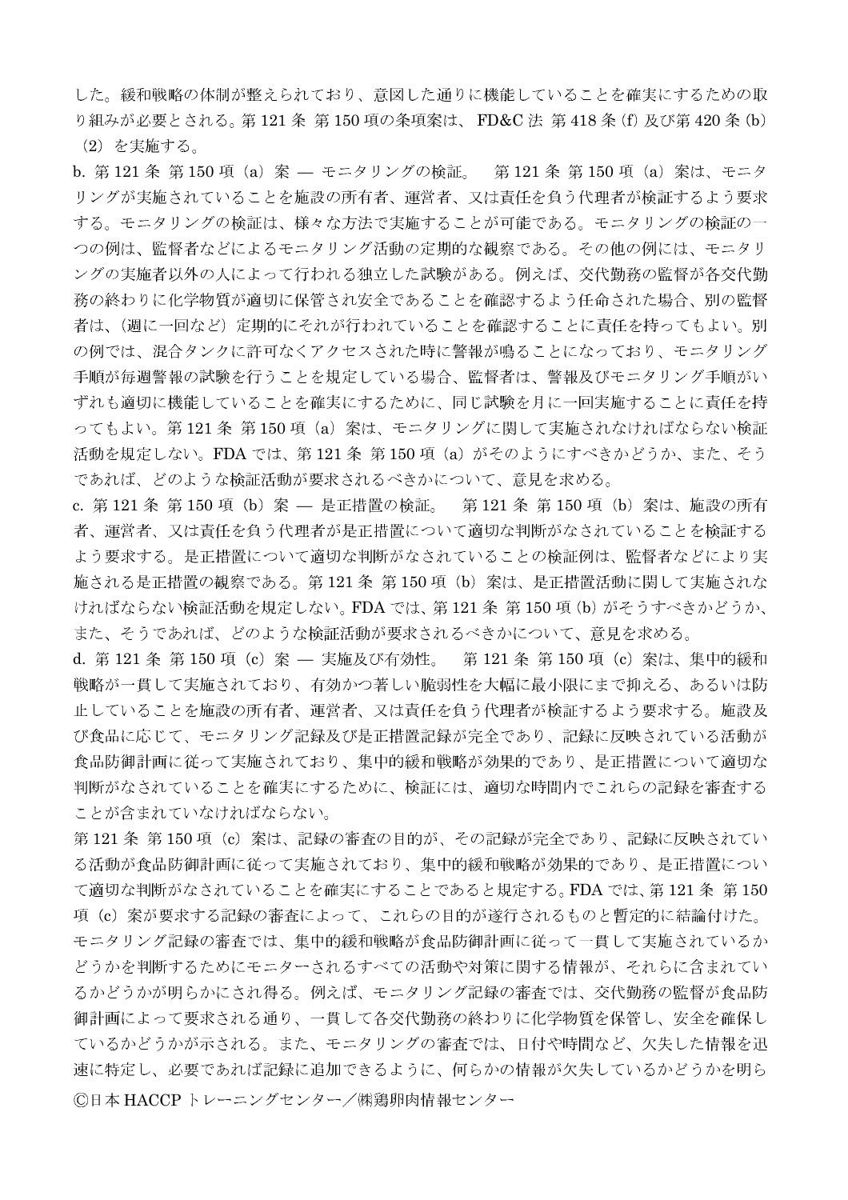した。緩和戦略の体制が整えられており、意図した通りに機能していることを確実にするための取 り組みが必要とされる。第121条 第150項の条項案は、FD&C法 第418条(f)及び第420条(b) (2)を実施する。

b. 第121条 第150 項 (a) 案 – モニタリングの検証。 第121 条 第150 項 (a) 案は、モニタ リングが実施されていることを施設の所有者、運営者、又は責任を負う代理者が検証するよう要求 する。モニタリングの検証は、様々な方法で実施することが可能である。モニタリングの検証の一 つの例は、監督者などによるモニタリング活動の定期的な観察である。その他の例には、モニタリ ングの実施者以外の人によって行われる独立した試験がある。例えば、交代勤務の監督が各交代勤 務の終わりに化学物質が適切に保管され安全であることを確認するよう任命された場合、別の監督 者は、(週に一回など)定期的にそれが行われていることを確認することに責任を持ってもよい。別 の例では、混合タンクに許可なくアクセスされた時に警報が鳴ることになっており、モニタリング 手順が毎週警報の試験を行うことを規定している場合、監督者は、警報及びモニタリング手順がい ずれも適切に機能していることを確実にするために、同じ試験を月に一回実施することに責任を持 ってもよい。第121条 第150項 (a) 案は、モニタリングに関して実施されなければならない検証 活動を規定しない。FDA では、第121 条 第150 項 (a) がそのようにすべきかどうか、また、そう であれば、どのような検証活動が要求されるべきかについて、意見を求める。

c. 第121 条 第150 項 (b) 案 — 是正措置の検証。 第121 条 第150 項 (b) 案は、施設の所有 者、運営者、又は責任を負う代理者が是正措置について適切な判断がなされていることを検証する よう要求する。是正措置について適切な判断がなされていることの検証例は、監督者などにより実 施される是正措置の観察である。第121条 第150項 (b) 案は、是正措置活動に関して実施されな ければならない検証活動を規定しない。FDA では、第121 条 第150 項 (b) がそうすべきかどうか、 また、そうであれば、どのような検証活動が要求されるべきかについて、意見を求める。

d. 第121 条 第150 項 (c) 案 — 実施及び有効性。 第121 条 第150 項 (c) 案は、集中的緩和 戦略が一貫して実施されており、有効かつ著しい脆弱性を大幅に最小限にまで抑える、あるいは防 止していることを施設の所有者、運営者、又は責任を負う代理者が検証するよう要求する。施設及 び食品に応じて、モニタリング記録及び是正措置記録が完全であり、記録に反映されている活動が 食品防御計画に従って実施されており、集中的緩和戦略が効果的であり、是正措置について適切な 判断がなされていることを確実にするために、検証には、適切な時間内でこれらの記録を審査する ことが含まれていなければならない。

第121条 第150項 (c) 案は、記録の審査の目的が、その記録が完全であり、記録に反映されてい る活動が食品防御計画に従って実施されており、集中的緩和戦略が効果的であり、是正措置につい て適切な判断がなされていることを確実にすることであると規定する。FDA では、第121 条 第150 項 (c) 案が要求する記録の審査によって、これらの目的が遂行されるものと暫定的に結論付けた。 モニタリング記録の審査では、集中的緩和戦略が食品防御計画に従って一貫して実施されているか どうかを判断するためにモニターされるすべての活動や対策に関する情報が、それらに含まれてい るかどうかが明らかにされ得る。例えば、モニタリング記録の審査では、交代勤務の監督が食品防 御計画によって要求される通り、一貫して各交代勤務の終わりに化学物質を保管し、安全を確保し ているかどうかが示される。また、モニタリングの審査では、日付や時間など、欠失した情報を迅 速に特定し、必要であれば記録に追加できるように、何らかの情報が欠失しているかどうかを明ら ©日本 HACCP トレーニングセンター/㈱鶏卵肉情報センター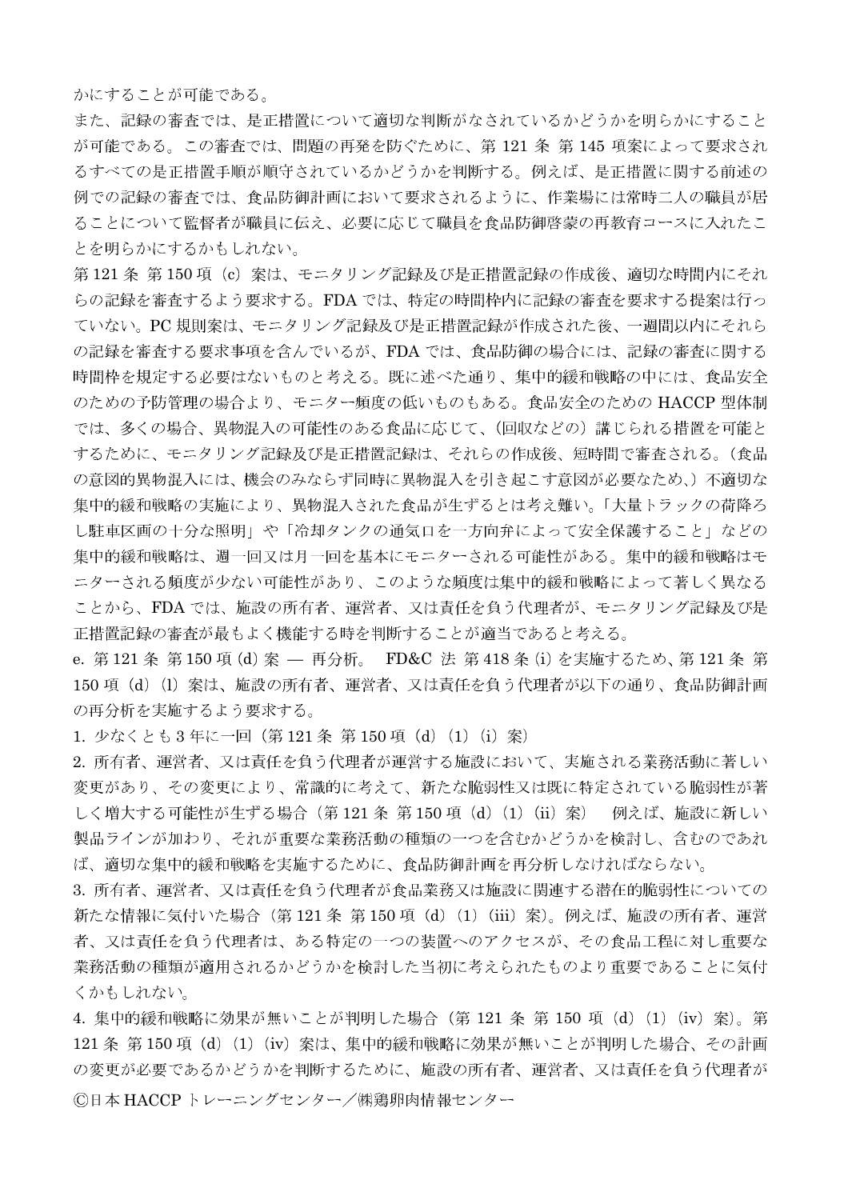かにすることが可能である。

また、記録の審査では、是正措置について適切な判断がなされているかどうかを明らかにすること が可能である。この審査では、問題の再発を防ぐために、第 121 条 第 145 項案によって要求され るすべての是正措置手順が順守されているかどうかを判断する。例えば、是正措置に関する前述の 例での記録の審査では、食品防御計画において要求されるように、作業場には常時二人の職員が居 ることについて監督者が職員に伝え、必要に応じて職員を食品防御啓蒙の再教育コースに入れたこ とを明らかにするかもしれない。

第121条 第150項 (c) 案は、モニタリング記録及び是正措置記録の作成後、適切な時間内にそれ らの記録を審査するよう要求する。FDA では、特定の時間枠内に記録の審査を要求する提案は行っ ていない。PC規則案は、モニタリング記録及び是正措置記録が作成された後、一週間以内にそれら の記録を審査する要求事項を含んでいるが、FDAでは、食品防御の場合には、記録の審査に関する 時間枠を規定する必要はないものと考える。既に述べた通り、集中的緩和戦略の中には、食品安全 のための予防管理の場合より、モニター頻度の低いものもある。食品安全のための HACCP 型体制 では、多くの場合、異物混入の可能性のある食品に応じて、(回収などの)講じられる措置を可能と するために、モニタリング記録及び是正措置記録は、それらの作成後、短時間で審査される。(食品 の意図的異物混入には、機会のみならず同時に異物混入を引き起こす意図が必要なため、)不適切な 集中的緩和戦略の実施により、異物混入された食品が生ずるとは考え難い。「大量トラックの荷降ろ し駐車区画の十分な照明」や「冷却タンクの通気口を一方向弁によって安全保護すること」などの 集中的緩和戦略は、週一回又は月一回を基本にモニターされる可能性がある。集中的緩和戦略はモ ニターされる頻度が少ない可能性があり、このような頻度は集中的緩和戦略によって著しく異なる ことから、FDA では、施設の所有者、運営者、又は責任を負う代理者が、モニタリング記録及び是 正措置記録の審査が最もよく機能する時を判断することが適当であると考える。

e. 第121条 第150 項 (d) 案 — 再分析。 FD&C 法 第418 条 (i) を実施するため、第121 条 第 150 項 (d) (l) 案は、施設の所有者、運営者、又は責任を負う代理者が以下の通り、食品防御計画 の再分析を実施するよう要求する。

1. 少なくとも3年に一回 (第121条 第150項 (d) (1) (i) 案)

2. 所有者、運営者、又は責任を負う代理者が運営する施設において、実施される業務活動に著しい 変更があり、その変更により、常識的に考えて、新たな脆弱性又は既に特定されている脆弱性が著 しく増大する可能性が生ずる場合 (第121条 第150 項 (d) (1) (ii) 案) 例えば、施設に新しい 製品ラインが加わり、それが重要な業務活動の種類の一つを含むかどうかを検討し、含むのであれ ば、適切な集中的緩和戦略を実施するために、食品防御計画を再分析しなければならない。

3. 所有者、運営者、又は責任を負う代理者が食品業務又は施設に関連する潜在的脆弱性についての 新たな情報に気付いた場合 (第121条 第150項 (d) (1) (iii) 案)。例えば、施設の所有者、運営 者、又は責任を負う代理者は、ある特定の一つの装置へのアクセスが、その食品工程に対し重要な 業務活動の種類が適用されるかどうかを検討した当初に考えられたものより重要であることに気付 くかもしれない。

4. 集中的緩和戦略に効果が無いことが判明した場合 (第 121 条 第 150 項 (d) (1) (iv) 案)。第 121 条 第150 項 (d) (1) (iv) 案は、集中的緩和戦略に効果が無いことが判明した場合、その計画 の変更が必要であるかどうかを判断するために、施設の所有者、運営者、又は責任を負う代理者が ©日本 HACCP トレーニングセンター/㈱鶏卵肉情報センター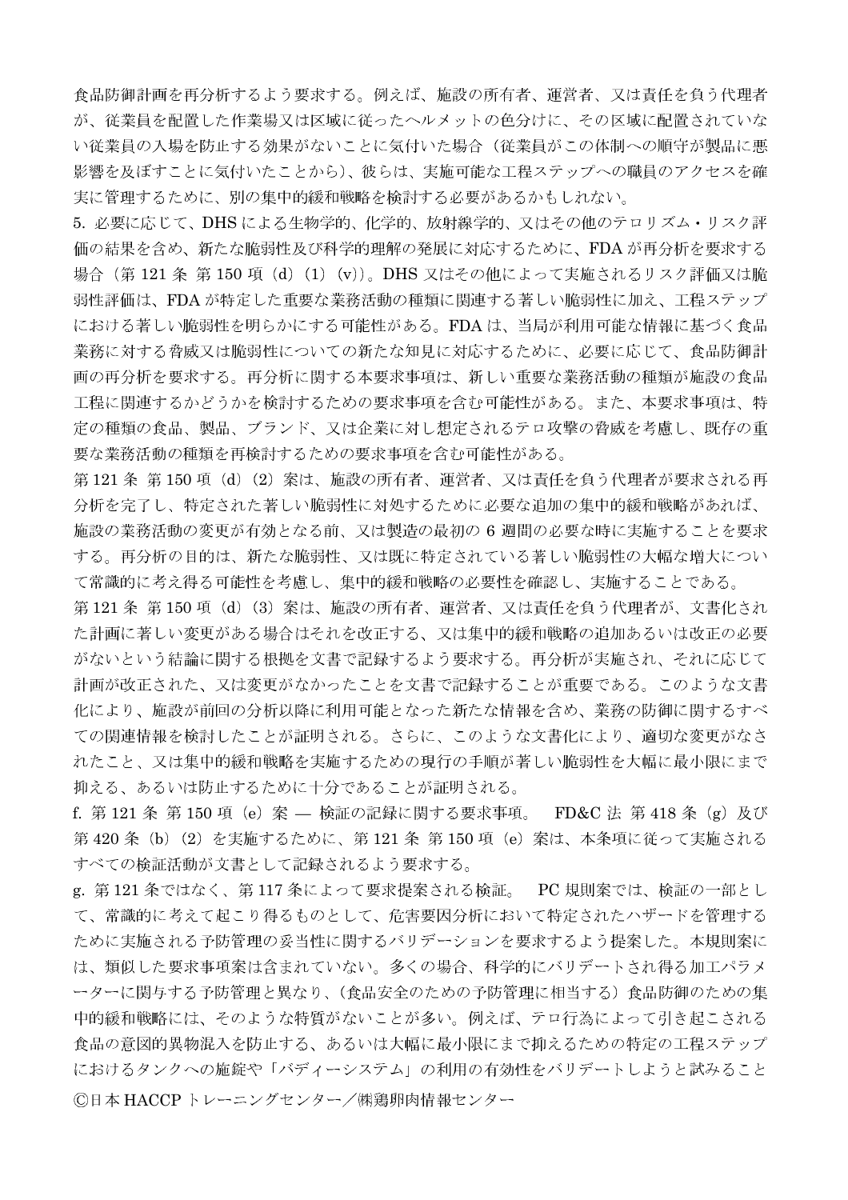食品防御計画を再分析するよう要求する。例えば、施設の所有者、運営者、又は責任を負う代理者 が、従業員を配置した作業場又は区域に従ったヘルメットの色分けに、その区域に配置されていな い従業員の入場を防止する効果がないことに気付いた場合(従業員がこの体制への順守が製品に悪 影響を及ぼすことに気付いたことから)、彼らは、実施可能な工程ステップへの職員のアクセスを確 実に管理するために、別の集中的緩和戦略を検討する必要があるかもしれない。

5. 必要に応じて、DHSによる生物学的、化学的、放射線学的、又はその他のテロリズム・リスク評 価の結果を含め、新たな脆弱性及び科学的理解の発展に対応するために、FDAが再分析を要求する 場合 (第121条 第150 項 (d) (1) (v))。DHS 又はその他によって実施されるリスク評価又は脆 弱性評価は、FDA が特定した重要な業務活動の種類に関連する著しい脆弱性に加え、工程ステップ における著しい脆弱性を明らかにする可能性がある。FDAは、当局が利用可能な情報に基づく食品 業務に対する脅威又は脆弱性についての新たな知見に対応するために、必要に応じて、食品防御計 画の再分析を要求する。再分析に関する本要求事項は、新しい重要な業務活動の種類が施設の食品 工程に関連するかどうかを検討するための要求事項を含む可能性がある。また、本要求事項は、特 定の種類の食品、製品、ブランド、又は企業に対し想定されるテロ攻撃の脅威を考慮し、既存の重 要な業務活動の種類を再検討するための要求事項を含む可能性がある。

第121条 第150項 (d) (2) 案は、施設の所有者、運営者、又は責任を負う代理者が要求される再 分析を完了し、特定された著しい脆弱性に対処するために必要な追加の集中的緩和戦略があれば、 施設の業務活動の変更が有効となる前、又は製造の最初の 6 週間の必要な時に実施することを要求 する。再分析の目的は、新たな脆弱性、又は既に特定されている著しい脆弱性の大幅な増大につい て常識的に考え得る可能性を考慮し、集中的緩和戦略の必要性を確認し、実施することである。

第121条 第150項 (d) (3) 案は、施設の所有者、運営者、又は責任を負う代理者が、文書化され た計画に著しい変更がある場合はそれを改正する、又は集中的緩和戦略の追加あるいは改正の必要 がないという結論に関する根拠を文書で記録するよう要求する。再分析が実施され、それに応じて 計画が改正された、又は変更がなかったことを文書で記録することが重要である。このような文書 化により、施設が前回の分析以降に利用可能となった新たな情報を含め、業務の防御に関するすべ ての関連情報を検討したことが証明される。さらに、このような文書化により、適切な変更がなさ れたこと、又は集中的緩和戦略を実施するための現行の手順が著しい脆弱性を大幅に最小限にまで 抑える、あるいは防止するために十分であることが証明される。

f. 第121条 第150 項 (e) 案 – 検証の記録に関する要求事項。 FD&C 法 第418 条 (g) 及び 第420条 (b) (2) を実施するために、第121 条 第150 項 (e) 案は、本条項に従って実施される すべての検証活動が文書として記録されるよう要求する。

g.第 121 条ではなく、第 117 条によって要求提案される検証。 PC 規則案では、検証の一部とし て、常識的に考えて起こり得るものとして、危害要因分析において特定されたハザードを管理する ために実施される予防管理の妥当性に関するバリデーションを要求するよう提案した。本規則案に は、類似した要求事項案は含まれていない。多くの場合、科学的にバリデートされ得る加工パラメ ーターに関与する予防管理と異なり、(食品安全のための予防管理に相当する)食品防御のための集 中的緩和戦略には、そのような特質がないことが多い。例えば、テロ行為によって引き起こされる 食品の意図的異物混入を防止する、あるいは大幅に最小限にまで抑えるための特定の工程ステップ におけるタンクへの施錠や「バディーシステム」の利用の有効性をバリデートしようと試みること ©日本 HACCP トレーニングセンター/㈱鶏卵肉情報センター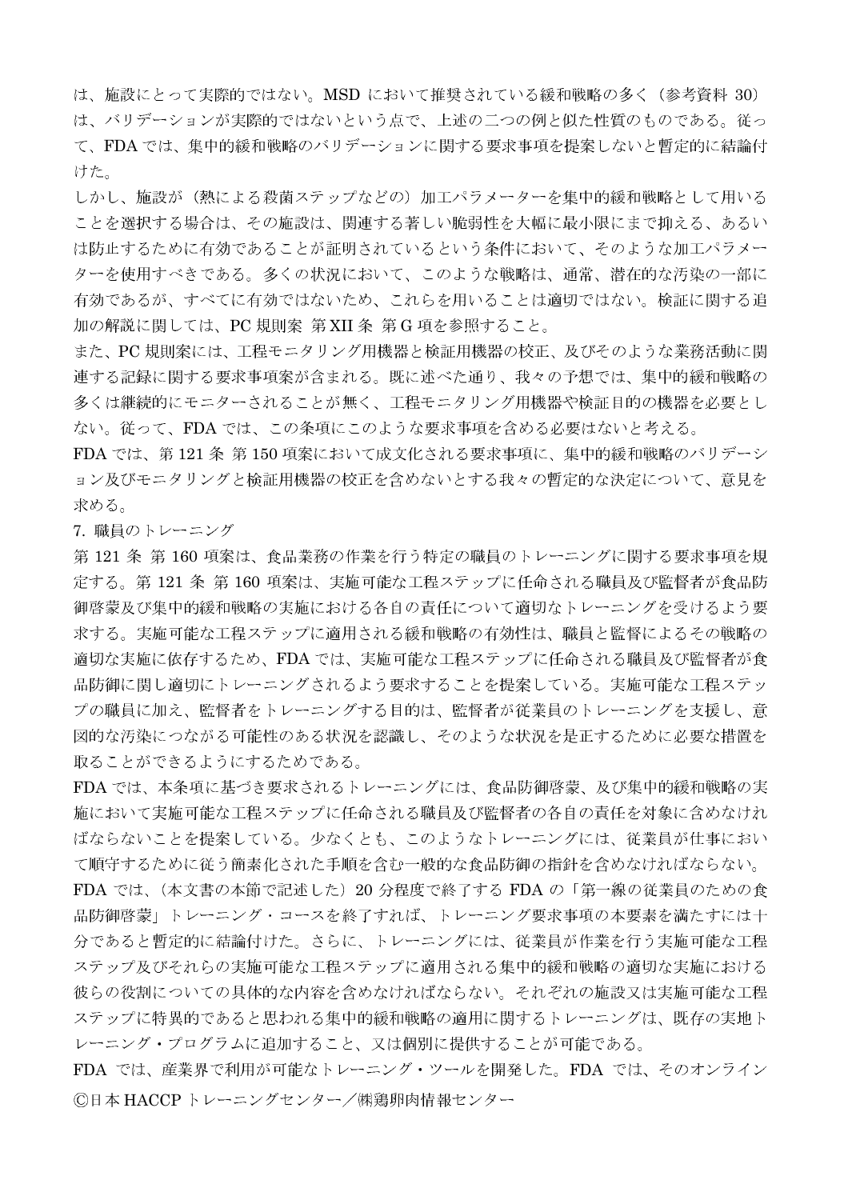は、施設にとって実際的ではない。MSD において推奨されている緩和戦略の多く (参考資料 30) は、バリデーションが実際的ではないという点で、上述の二つの例と似た性質のものである。従っ て、FDA では、集中的緩和戦略のバリデーションに関する要求事項を提案しないと暫定的に結論付 けた。

しかし、施設が(熱による殺菌ステップなどの)加工パラメーターを集中的緩和戦略として用いる ことを選択する場合は、その施設は、関連する著しい脆弱性を大幅に最小限にまで抑える、あるい は防止するために有効であることが証明されているという条件において、そのような加工パラメー ターを使用すべきである。多くの状況において、このような戦略は、通常、潜在的な汚染の一部に 有効であるが、すべてに有効ではないため、これらを用いることは適切ではない。検証に関する追 加の解説に関しては、PC 規則案 第 XII 条 第 G 項を参照すること。

また、PC規則案には、工程モニタリング用機器と検証用機器の校正、及びそのような業務活動に関 連する記録に関する要求事項案が含まれる。既に述べた通り、我々の予想では、集中的緩和戦略の 多くは継続的にモニターされることが無く、工程モニタリング用機器や検証目的の機器を必要とし ない。従って、FDAでは、この条項にこのような要求事項を含める必要はないと考える。

FDA では、第121条 第150 項案において成文化される要求事項に、集中的緩和戦略のバリデーシ ョン及びモニタリングと検証用機器の校正を含めないとする我々の暫定的な決定について、意見を 求める。

7. 職員のトレーニング

第121条 第160項案は、食品業務の作業を行う特定の職員のトレーニングに関する要求事項を規 定する。第121条 第160 項案は、実施可能な工程ステップに任命される職員及び監督者が食品防 御啓蒙及び集中的緩和戦略の実施における各自の責任について適切なトレーニングを受けるよう要 求する。実施可能な工程ステップに適用される緩和戦略の有効性は、職員と監督によるその戦略の 適切な実施に依存するため、FDAでは、実施可能な工程ステップに任命される職員及び監督者が食 品防御に関し適切にトレーニングされるよう要求することを提案している。実施可能な工程ステッ プの職員に加え、監督者をトレーニングする目的は、監督者が従業員のトレーニングを支援し、意 図的な汚染につながる可能性のある状況を認識し、そのような状況を是正するために必要な措置を 取ることができるようにするためである。

FDA では、本条項に基づき要求されるトレーニングには、食品防御啓蒙、及び集中的緩和戦略の実 施において実施可能な工程ステップに任命される職員及び監督者の各自の責任を対象に含めなけれ ばならないことを提案している。少なくとも、このようなトレーニングには、従業員が仕事におい て順守するために従う簡素化された手順を含む一般的な食品防御の指針を含めなければならない。 FDA では、(本文書の本節で記述した)20 分程度で終了する FDA の「第一線の従業員のための食 品防御啓蒙」トレーニング・コースを終了すれば、トレーニング要求事項の本要素を満たすには十 分であると暫定的に結論付けた。さらに、トレーニングには、従業員が作業を行う実施可能な工程 ステップ及びそれらの実施可能な工程ステップに適用される集中的緩和戦略の適切な実施における 彼らの役割についての具体的な内容を含めなければならない。それぞれの施設又は実施可能な工程 ステップに特異的であると思われる集中的緩和戦略の適用に関するトレーニングは、既存の実地ト レーニング・プログラムに追加すること、又は個別に提供することが可能である。

FDA では、産業界で利用が可能なトレーニング・ツールを開発した。FDA では、そのオンライン ©日本 HACCP トレーニングセンター/㈱鶏卵肉情報センター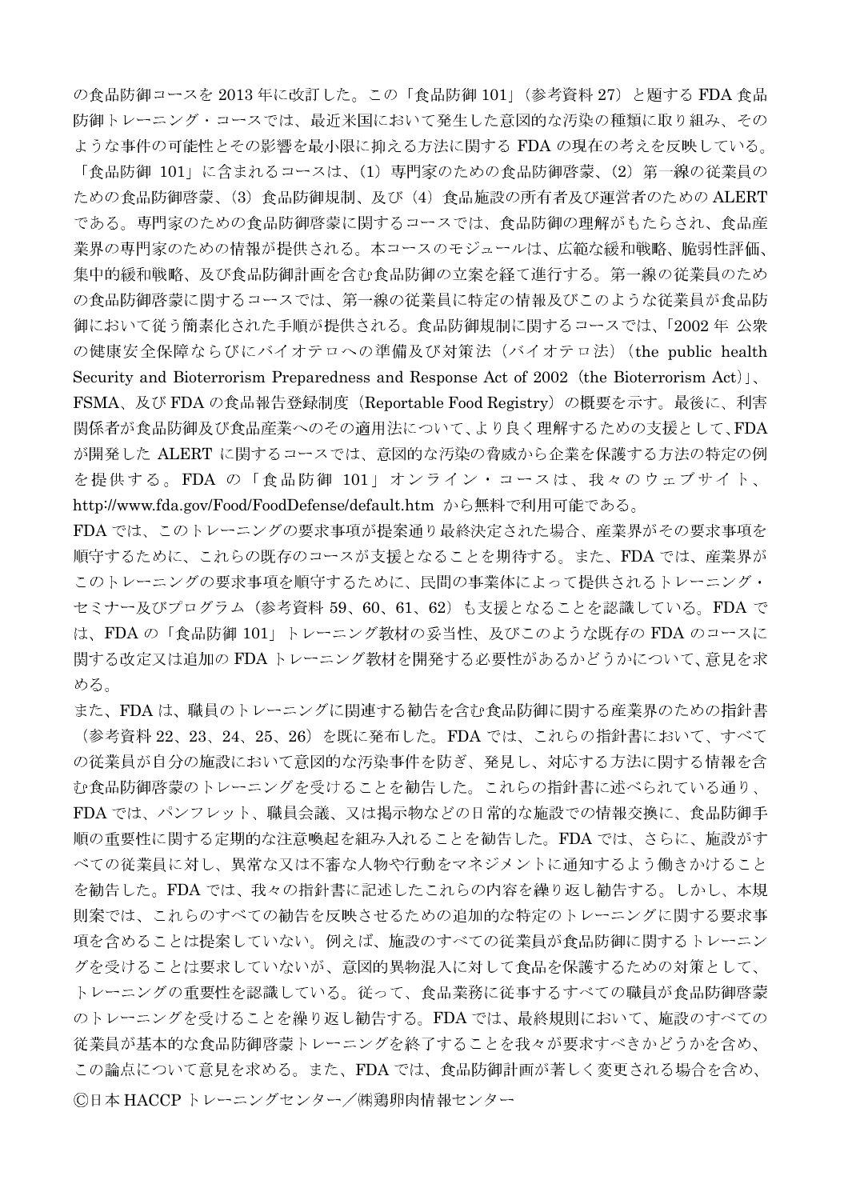の食品防御コースを 2013年に改訂した。この「食品防御 101」(参考資料 27) と題する FDA 食品 防御トレーニング・コースでは、最近米国において発生した意図的な汚染の種類に取り組み、その ような事件の可能性とその影響を最小限に抑える方法に関する FDA の現在の考えを反映している。

「食品防御 101」に含まれるコースは、(1) 専門家のための食品防御啓蒙、(2) 第一線の従業員の ための食品防御啓蒙、(3)食品防御規制、及び(4)食品施設の所有者及び運営者のためのALERT である。専門家のための食品防御啓蒙に関するコースでは、食品防御の理解がもたらされ、食品産 業界の専門家のための情報が提供される。本コースのモジュールは、広範な緩和戦略、脆弱性評価、 集中的緩和戦略、及び食品防御計画を含む食品防御の立案を経て進行する。第一線の従業員のため の食品防御啓蒙に関するコースでは、第一線の従業員に特定の情報及びこのような従業員が食品防 御において従う簡素化された手順が提供される。食品防御規制に関するコースでは、「2002年 公衆 の健康安全保障ならびにバイオテロへの準備及び対策法 (バイオテロ法) (the public health Security and Bioterrorism Preparedness and Response Act of 2002 (the Bioterrorism Act)  $\vert$ , FSMA、及び FDA の食品報告登録制度 (Reportable Food Registry) の概要を示す。最後に、利害 関係者が食品防御及び食品産業へのその適用法について、より良く理解するための支援として、FDA が開発した ALERT に関するコースでは、意図的な汚染の脅威から企業を保護する方法の特定の例 を提供する。FDA の「食品防御 101」オンライン・コースは、我々のウェブサイト、 http://www.fda.gov/Food/FoodDefense/default.htm から無料で利用可能である。

FDA では、このトレーニングの要求事項が提案通り最終決定された場合、産業界がその要求事項を 順守するために、これらの既存のコースが支援となることを期待する。また、FDA では、産業界が このトレーニングの要求事項を順守するために、民間の事業体によって提供されるトレーニング・ セミナー及びプログラム (参考資料 59、60、61、62) も支援となることを認識している。FDA で は、FDAの「食品防御 101」トレーニング教材の妥当性、及びこのような既存の FDA のコースに 関する改定又は追加の FDA トレーニング教材を開発する必要性があるかどうかについて、意見を求 める。

また、FDAは、職員のトレーニングに関連する勧告を含む食品防御に関する産業界のための指針書 (参考資料 22、23、24、25、26) を既に発布した。FDA では、これらの指針書において、すべて の従業員が自分の施設において意図的な汚染事件を防ぎ、発見し、対応する方法に関する情報を含 む食品防御啓蒙のトレーニングを受けることを勧告した。これらの指針書に述べられている通り、 FDA では、パンフレット、職員会議、又は掲示物などの日常的な施設での情報交換に、食品防御手 順の重要性に関する定期的な注意喚起を組み入れることを勧告した。FDA では、さらに、施設がす べての従業員に対し、異常な又は不審な人物や行動をマネジメントに通知するよう働きかけること を勧告した。FDA では、我々の指針書に記述したこれらの内容を繰り返し勧告する。しかし、本規 則案では、これらのすべての勧告を反映させるための追加的な特定のトレーニングに関する要求事 項を含めることは提案していない。例えば、施設のすべての従業員が食品防御に関するトレーニン グを受けることは要求していないが、意図的異物混入に対して食品を保護するための対策として、 トレーニングの重要性を認識している。従って、食品業務に従事するすべての職員が食品防御啓蒙 のトレーニングを受けることを繰り返し勧告する。FDAでは、最終規則において、施設のすべての 従業員が基本的な食品防御啓蒙トレーニングを終了することを我々が要求すべきかどうかを含め、 この論点について意見を求める。また、FDAでは、食品防御計画が著しく変更される場合を含め、 ©日本 HACCPトレーニングセンター/㈱鶏卵肉情報センター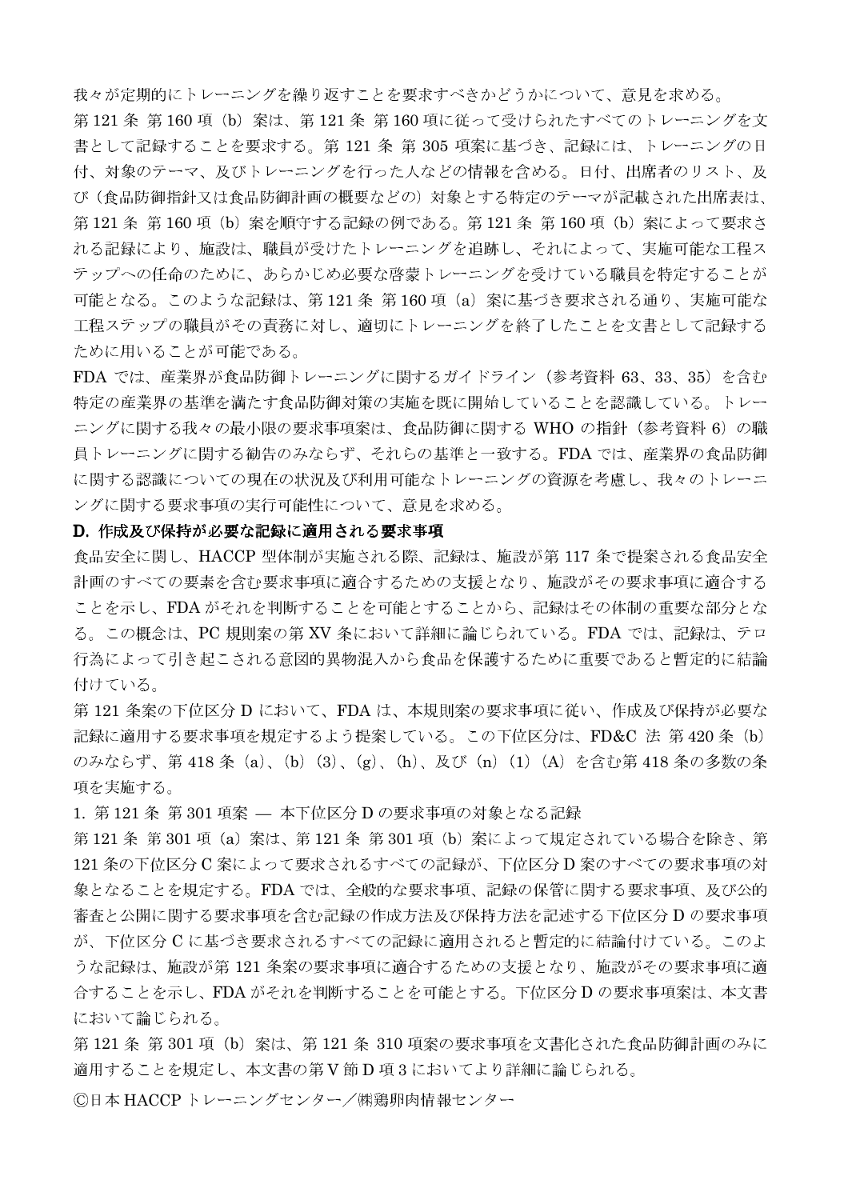我々が定期的にトレーニングを繰り返すことを要求すべきかどうかについて、意見を求める。

第121条 第160 項 (b) 案は、第121 条 第160 項に従って受けられたすべてのトレーニングを文 書として記録することを要求する。第121 条 第305 項案に基づき、記録には、トレーニングの日 付、対象のテーマ、及びトレーニングを行った人などの情報を含める。日付、出席者のリスト、及 び(食品防御指針又は食品防御計画の概要などの)対象とする特定のテーマが記載された出席表は、 第121条 第160項 (b) 案を順守する記録の例である。第121条 第160項 (b) 案によって要求さ れる記録により、施設は、職員が受けたトレーニングを追跡し、それによって、実施可能な工程ス テップへの任命のために、あらかじめ必要な啓蒙トレーニングを受けている職員を特定することが 可能となる。このような記録は、第121 条 第160 項 (a) 案に基づき要求される通り、実施可能な 工程ステップの職員がその責務に対し、適切にトレーニングを終了したことを文書として記録する ために用いることが可能である。

FDA では、産業界が食品防御トレーニングに関するガイドライン (参考資料 63、33、35) を含む 特定の産業界の基準を満たす食品防御対策の実施を既に開始していることを認識している。トレー ニングに関する我々の最小限の要求事項案は、食品防御に関する WHO の指針 (参考資料 6) の職 員トレーニングに関する勧告のみならず、それらの基準と一致する。FDA では、産業界の食品防御 に関する認識についての現在の状況及び利用可能なトレーニングの資源を考慮し、我々のトレーニ ングに関する要求事項の実行可能性について、意見を求める。

## D. 作成及び保持が必要な記録に適用される要求事項

食品安全に関し、HACCP 型体制が実施される際、記録は、施設が第 117 条で提案される食品安全 計画のすべての要素を含む要求事項に適合するための支援となり、施設がその要求事項に適合する ことを示し、FDAがそれを判断することを可能とすることから、記録はその体制の重要な部分とな る。この概念は、PC規則案の第 XV 条において詳細に論じられている。FDA では、記録は、テロ 行為によって引き起こされる意図的異物混入から食品を保護するために重要であると暫定的に結論 付けている。

第121条案の下位区分 D において、FDA は、本規則案の要求事項に従い、作成及び保持が必要な 記録に適用する要求事項を規定するよう提案している。この下位区分は、FD&C 法 第420 条 (b) のみならず、第418条 (a)、(b) (3)、(g)、(h)、及び (n) (1) (A) を含む第418条の多数の条 項を実施する。

1. 第121条 第301 項案 – 本下位区分 Dの要求事項の対象となる記録

第121条 第301項(a)案は、第121条 第301項(b)案によって規定されている場合を除き、第 121 条の下位区分 C 案によって要求されるすべての記録が、下位区分 D 案のすべての要求事項の対 象となることを規定する。FDAでは、全般的な要求事項、記録の保管に関する要求事項、及び公的 審査と公開に関する要求事項を含む記録の作成方法及び保持方法を記述する下位区分 D の要求事項 が、下位区分 C に基づき要求されるすべての記録に適用されると暫定的に結論付けている。このよ うな記録は、施設が第121 条案の要求事項に適合するための支援となり、施設がその要求事項に適 合することを示し、FDA がそれを判断することを可能とする。下位区分Dの要求事項案は、本文書 において論じられる。

第 121 条 第 301 項(b)案は、第 121 条 310 項案の要求事項を文書化された食品防御計画のみに 適用することを規定し、本文書の第V節D項3においてより詳細に論じられる。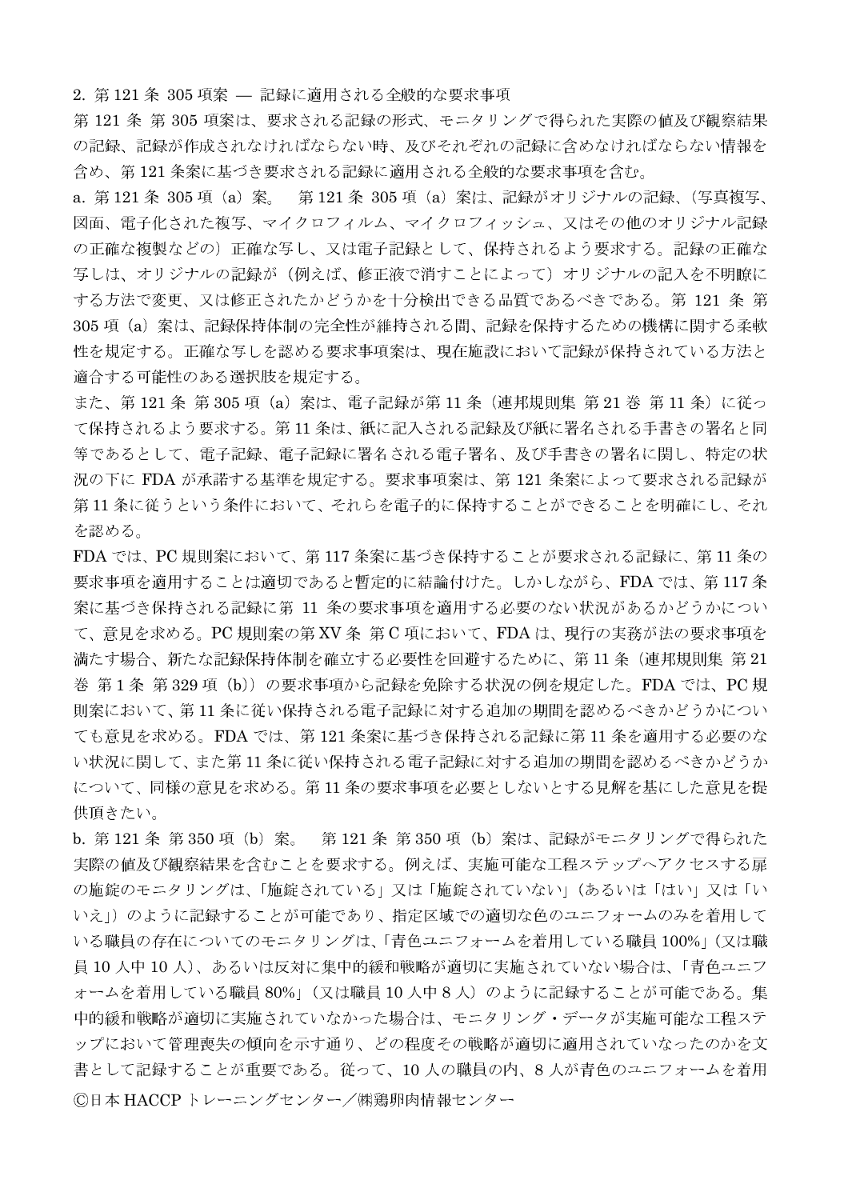2. 第121条 305 項案 – 記録に適用される全般的な要求事項

第121条第305項案は、要求される記録の形式、モニタリングで得られた実際の値及び観察結果 の記録、記録が作成されなければならない時、及びそれぞれの記録に含めなければならない情報を 含め、第121条案に基づき要求される記録に適用される全般的な要求事項を含む。

a. 第121条 305 項 (a) 案。 第121条 305 項 (a) 案は、記録がオリジナルの記録、(写真複写、 図面、電子化された複写、マイクロフィルム、マイクロフィッシュ、又はその他のオリジナル記録 の正確な複製などの)正確な写し、又は電子記録として、保持されるよう要求する。記録の正確な 写しは、オリジナルの記録が(例えば、修正液で消すことによって)オリジナルの記入を不明瞭に する方法で変更、又は修正されたかどうかを十分検出できる品質であるべきである。第 121 条 第 305 項 (a) 案は、記録保持体制の完全性が維持される間、記録を保持するための機構に関する柔軟 性を規定する。正確な写しを認める要求事項案は、現在施設において記録が保持されている方法と 適合する可能性のある選択肢を規定する。

また、第121条 第305項 (a) 案は、電子記録が第11条 (連邦規則集 第21巻 第11条) に従っ て保持されるよう要求する。第11条は、紙に記入される記録及び紙に署名される手書きの署名と同 等であるとして、電子記録、電子記録に署名される電子署名、及び手書きの署名に関し、特定の状 況の下に FDA が承諾する基準を規定する。要求事項案は、第121 条案によって要求される記録が 第11条に従うという条件において、それらを電子的に保持することができることを明確にし、それ を認める。

FDA では、PC 規則案において、第117 条案に基づき保持することが要求される記録に、第11 条の 要求事項を適用することは適切であると暫定的に結論付けた。しかしながら、FDA では、第117 条 案に基づき保持される記録に第 11 条の要求事項を適用する必要のない状況があるかどうかについ て、意見を求める。PC規則案の第 XV 条 第 C 項において、FDA は、現行の実務が法の要求事項を 満たす場合、新たな記録保持体制を確立する必要性を回避するために、第11条(連邦規則集 第21 巻 第1条 第329項 (b)) の要求事項から記録を免除する状況の例を規定した。FDA では、PC規 則案において、第11条に従い保持される電子記録に対する追加の期間を認めるべきかどうかについ ても意見を求める。FDA では、第 121 条案に基づき保持される記録に第 11 条を適用する必要のな い状況に関して、また第11条に従い保持される電子記録に対する追加の期間を認めるべきかどうか について、同様の意見を求める。第11条の要求事項を必要としないとする見解を基にした意見を提 供頂きたい。

b. 第121条 第350 項 (b) 案。 第121条 第350 項 (b) 案は、記録がモニタリングで得られた 実際の値及び観察結果を含むことを要求する。例えば、実施可能な工程ステップへアクセスする扉 の施錠のモニタリングは、「施錠されている」又は「施錠されていない」(あるいは「はい」又は「い いえ」)のように記録することが可能であり、指定区域での適切な色のユニフォームのみを着用して いる職員の存在についてのモニタリングは、「青色ユニフォームを着用している職員 100%」(又は職 員 10 人中 10 人)、あるいは反対に集中的緩和戦略が適切に実施されていない場合は、「青色ユニフ オームを着用している職員 80%」(又は職員 10人中8人)のように記録することが可能である。集 中的緩和戦略が適切に実施されていなかった場合は、モニタリング・データが実施可能な工程ステ ップにおいて管理喪失の傾向を示す通り、どの程度その戦略が適切に適用されていなったのかを文 書として記録することが重要である。従って、10人の職員の内、8人が青色のユニフォームを着用 ©日本 HACCPトレーニングセンター/㈱鶏卵肉情報センター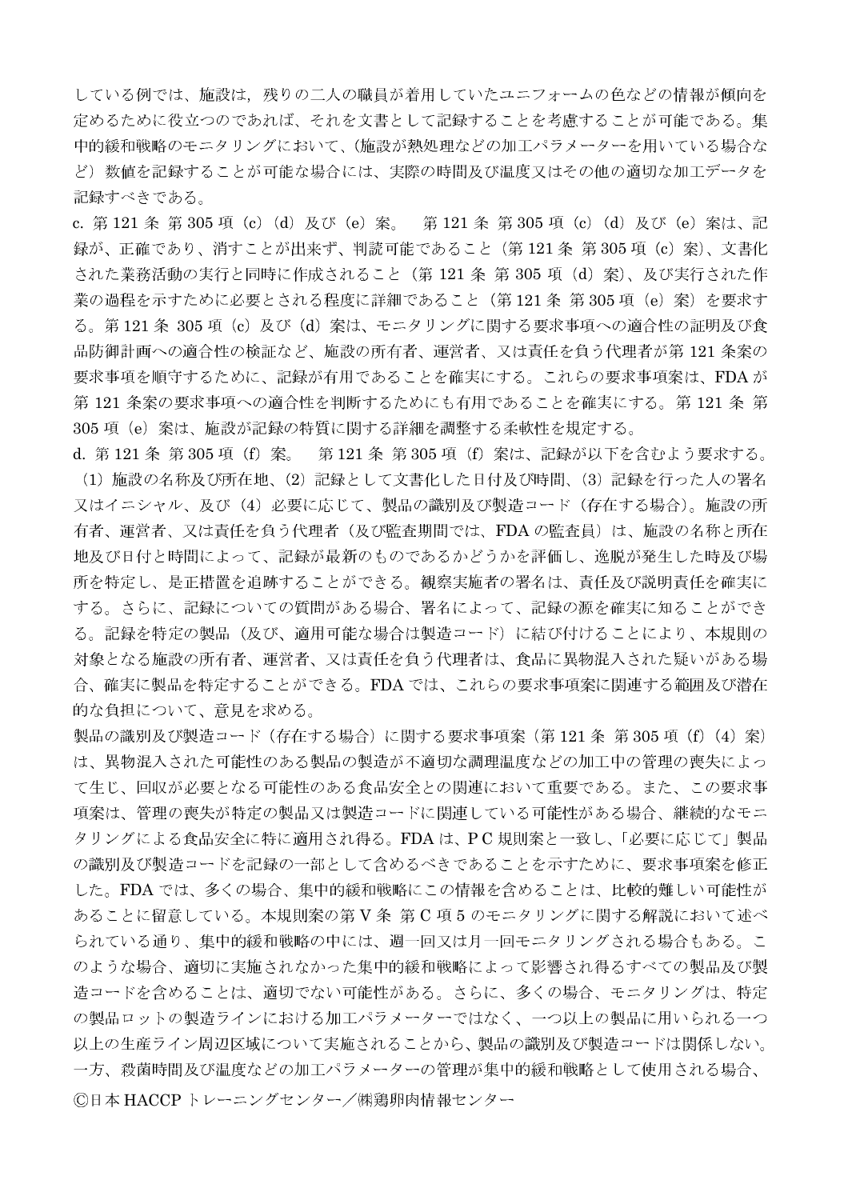している例では、施設は、残りの二人の職員が着用していたユニフォームの色などの情報が傾向を 定めるために役立つのであれば、それを文書として記録することを考慮することが可能である。集 中的緩和戦略のモニタリングにおいて、(施設が熱処理などの加工パラメーターを用いている場合な ど)数値を記録することが可能な場合には、実際の時間及び温度又はその他の適切な加工データを 記録すべきである。

c. 第 121 条 第 305 項(c)(d)及び(e)案。 第 121 条 第 305 項(c)(d)及び(e)案は、記 録が、正確であり、消すことが出来ず、判読可能であること (第121条 第305 項 (c) 案)、文書化 された業務活動の実行と同時に作成されること (第 121 条 第 305 項 (d) 案)、及び実行された作 業の過程を示すために必要とされる程度に詳細であること (第121条 第305項 (e) 案) を要求す る。第121条 305 項 (c) 及び (d) 案は、モニタリングに関する要求事項への適合性の証明及び食 品防御計画への適合性の検証など、施設の所有者、運営者、又は責任を負う代理者が第121条案の 要求事項を順守するために、記録が有用であることを確実にする。これらの要求事項案は、FDAが 第121 条案の要求事項への適合性を判断するためにも有用であることを確実にする。第121 条 第 305 項 (e) 案は、施設が記録の特質に関する詳細を調整する柔軟性を規定する。

d. 第121条 第305 項 (f) 案。 第121条 第305 項 (f) 案は、記録が以下を含むよう要求する。 (1) 施設の名称及び所在地、(2) 記録として文書化した日付及び時間、(3) 記録を行った人の署名 又はイニシャル、及び(4) 必要に応じて、製品の識別及び製造コード(存在する場合)。施設の所 有者、運営者、又は責任を負う代理者(及び監査期間では、FDA の監査員)は、施設の名称と所在 地及び日付と時間によって、記録が最新のものであるかどうかを評価し、逸脱が発生した時及び場 所を特定し、是正措置を追跡することができる。観察実施者の署名は、責任及び説明責任を確実に する。さらに、記録についての質問がある場合、署名によって、記録の源を確実に知ることができ る。記録を特定の製品(及び、適用可能な場合は製造コード)に結び付けることにより、本規則の 対象となる施設の所有者、運営者、又は責任を負う代理者は、食品に異物混入された疑いがある場 合、確実に製品を特定することができる。FDAでは、これらの要求事項案に関連する範囲及び潜在 的な負担について、意見を求める。

製品の識別及び製造コード(存在する場合)に関する要求事項案(第 121 条 第 305 項(f)(4)案) は、異物混入された可能性のある製品の製造が不適切な調理温度などの加工中の管理の喪失によっ て生じ、回収が必要となる可能性のある食品安全との関連において重要である。また、この要求事 項案は、管理の喪失が特定の製品又は製造コードに関連している可能性がある場合、継続的なモニ タリングによる食品安全に特に適用され得る。FDAは、PC規則案と一致し、「必要に応じて」製品 の識別及び製造コードを記録の一部として含めるべきであることを示すために、要求事項案を修正 した。FDA では、多くの場合、集中的緩和戦略にこの情報を含めることは、比較的難しい可能性が あることに留意している。本規則案の第V条 第C項5のモニタリングに関する解説において述べ られている通り、集中的緩和戦略の中には、週一回又は月一回モニタリングされる場合もある。こ のような場合、適切に実施されなかった集中的緩和戦略によって影響され得るすべての製品及び製 造コードを含めることは、適切でない可能性がある。さらに、多くの場合、モニタリングは、特定 の製品ロットの製造ラインにおける加工パラメーターではなく、一つ以上の製品に用いられる一つ 以上の生産ライン周辺区域について実施されることから、製品の識別及び製造コードは関係しない。 一方、殺菌時間及び温度などの加工パラメーターの管理が集中的緩和戦略として使用される場合、 ©日本 HACCP トレーニングセンター/㈱鶏卵肉情報センター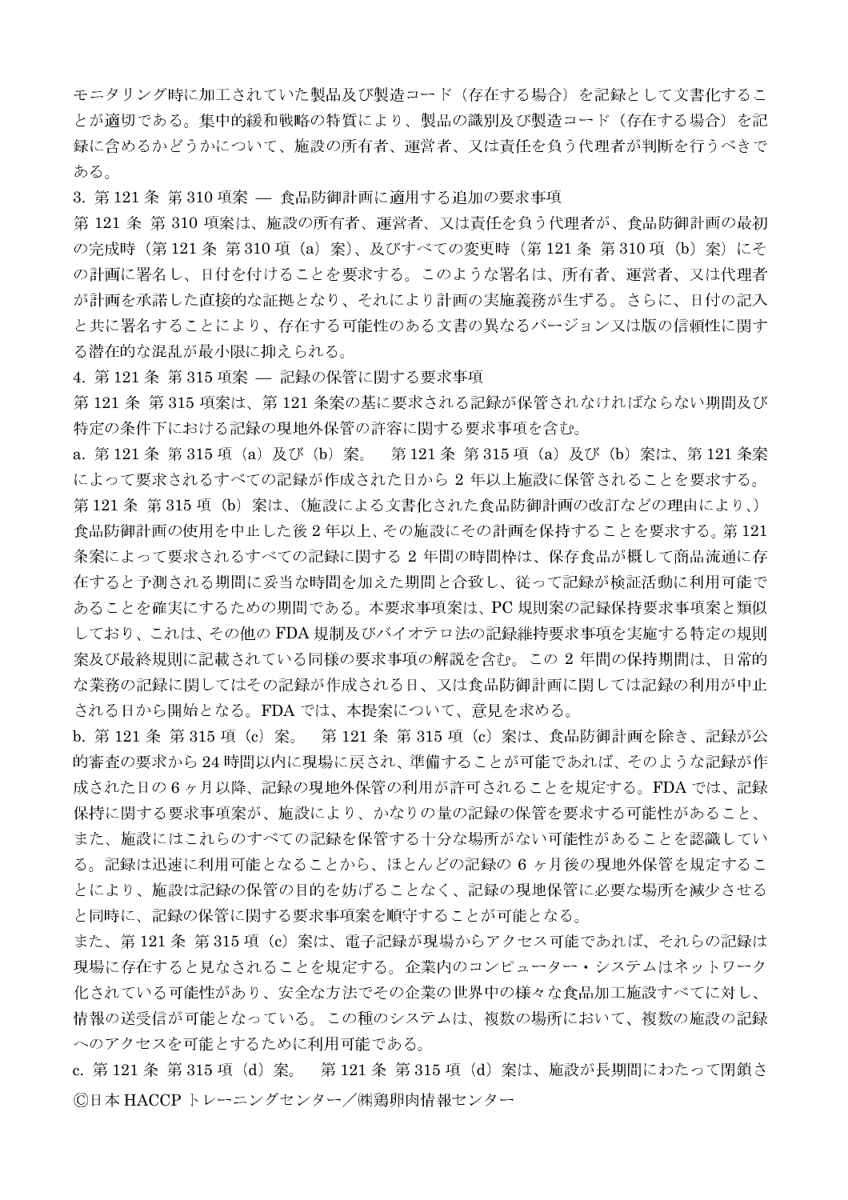モニタリング時に加工されていた製品及び製造コード(存在する場合)を記録として文書化するこ とが適切である。集中的緩和戦略の特質により、製品の識別及び製造コード(存在する場合)を記 録に含めるかどうかについて、施設の所有者、運営者、又は責任を負う代理者が判断を行うべきで ある。

3. 第121条 第310 項案 – 食品防御計画に適用する追加の要求事項

第121 条 第310 項案は、施設の所有者、運営者、又は責任を負う代理者が、食品防御計画の最初 の完成時 (第121条 第310 項 (a) 案)、及びすべての変更時 (第121条 第310 項 (b) 案) にそ の計画に署名し、日付を付けることを要求する。このような署名は、所有者、運営者、又は代理者 が計画を承諾した直接的な証拠となり、それにより計画の実施義務が生ずる。さらに、日付の記入 と共に署名することにより、存在する可能性のある文書の異なるバージョン又は版の信頼性に関す る潜在的な混乱が最小限に抑えられる。

4. 第121条 第315 項案 – 記録の保管に関する要求事項

第121条第315項案は、第121条案の基に要求される記録が保管されなければならない期間及び 特定の条件下における記録の現地外保管の許容に関する要求事項を含む。

a. 第121条 第315 項 (a) 及び (b) 案。 第121 条 第315 項 (a) 及び (b) 案は、第121 条案 によって要求されるすべての記録が作成された日から2年以上施設に保管されることを要求する。 第121条 第315項 (b) 案は、(施設による文書化された食品防御計画の改訂などの理由により、) 食品防御計画の使用を中止した後2年以上、その施設にその計画を保持することを要求する。第121 条案によって要求されるすべての記録に関する 2 年間の時間枠は、保存食品が概して商品流通に存 在すると予測される期間に妥当な時間を加えた期間と合致し、従って記録が検証活動に利用可能で あることを確実にするための期間である。本要求事項案は、PC規則案の記録保持要求事項案と類似 しており、これは、その他のFDA規制及びバイオテロ法の記録維持要求事項を実施する特定の規則 案及び最終規則に記載されている同様の要求事項の解説を含む。この 2 年間の保持期間は、日常的 な業務の記録に関してはその記録が作成される日、又は食品防御計画に関しては記録の利用が中止 される日から開始となる。FDAでは、本提案について、意見を求める。

b. 第121条 第315 項 (c) 案。 第121条 第315 項 (c) 案は、食品防御計画を除き、記録が公 的審査の要求から24時間以内に現場に戻され、準備することが可能であれば、そのような記録が作 成された日の6ヶ月以降、記録の現地外保管の利用が許可されることを規定する。FDA では、記録 保持に関する要求事項案が、施設により、かなりの量の記録の保管を要求する可能性があること、 また、施設にはこれらのすべての記録を保管する十分な場所がない可能性があることを認識してい る。記録は迅速に利用可能となることから、ほとんどの記録の6ヶ月後の現地外保管を規定するこ とにより、施設は記録の保管の目的を妨げることなく、記録の現地保管に必要な場所を減少させる と同時に、記録の保管に関する要求事項案を順守することが可能となる。

また、第 121 条 第 315 項(c)案は、電子記録が現場からアクセス可能であれば、それらの記録は 現場に存在すると見なされることを規定する。企業内のコンピューター・システムはネットワーク 化されている可能性があり、安全な方法でその企業の世界中の様々な食品加工施設すべてに対し、 情報の送受信が可能となっている。この種のシステムは、複数の場所において、複数の施設の記録 へのアクセスを可能とするために利用可能である。

c. 第121 条 第315 項 (d) 案。 第121 条 第315 項 (d) 案は、施設が長期間にわたって閉鎖さ ©日本 HACCP トレーニングセンター/㈱鶏卵肉情報センター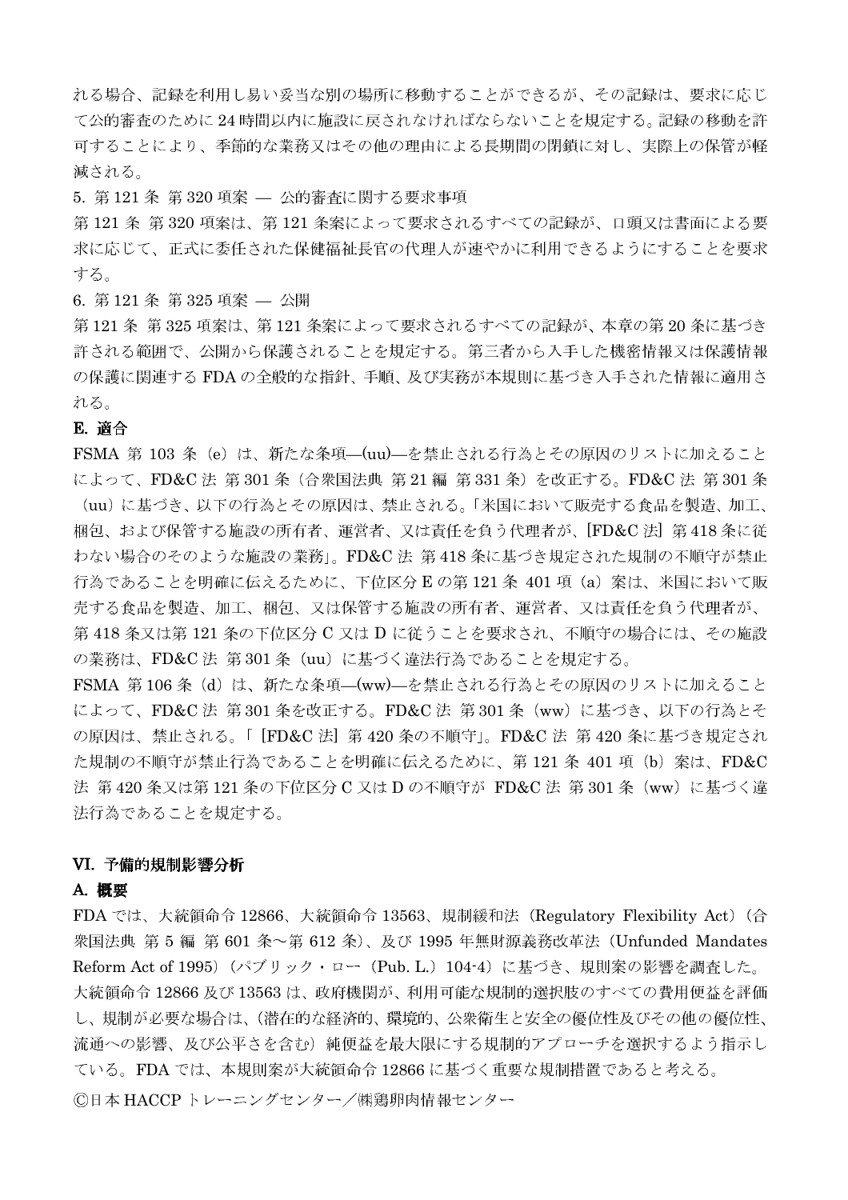れる場合、記録を利用し易い妥当な別の場所に移動することができるが、その記録は、要求に応じ て公的審査のために24時間以内に施設に戻されなければならないことを規定する。記録の移動を許 可することにより、季節的な業務又はその他の理由による長期間の閉鎖に対し、実際上の保管が軽 減される。

5. 第121条 第320 項案 – 公的審査に関する要求事項

第121条第320項案は、第121条案によって要求されるすべての記録が、口頭又は書面による要 求に応じて、正式に委任された保健福祉長官の代理人が速やかに利用できるようにすることを要求 する。

6. 第121条 第325 項案 — 公開

第121条 第325 項案は、第121 条案によって要求されるすべての記録が、本章の第20 条に基づき 許される範囲で、公開から保護されることを規定する。第三者から入手した機密情報又は保護情報 の保護に関連する FDA の全般的な指針、手順、及び実務が本規則に基づき入手された情報に適用さ れる。

### E. 適合

FSMA 第 103 条 (e) は、新たな条項–(uu)–を禁止される行為とその原因のリストに加えること によって、FD&C法 第301条 (合衆国法典 第21編 第331条) を改正する。FD&C法 第301条 (uu)に基づき、以下の行為とその原因は、禁止される。「米国において販売する食品を製造、加工、 梱包、および保管する施設の所有者、運営者、又は責任を負う代理者が、[FD&C法] 第418条に従 わない場合のそのような施設の業務」。FD&C法 第418条に基づき規定された規制の不順守が禁止 行為であることを明確に伝えるために、下位区分Eの第121条 401項 (a) 案は、米国において販 売する食品を製造、加工、梱包、又は保管する施設の所有者、運営者、又は責任を負う代理者が、 第418条又は第121条の下位区分C又はDに従うことを要求され、不順守の場合には、その施設 の業務は、FD&C法 第301条 (uu) に基づく違法行為であることを規定する。

FSMA 第106条 (d) は、新たな条項––(ww)––を禁止される行為とその原因のリストに加えること によって、FD&C法 第301条を改正する。FD&C法 第301条 (ww) に基づき、以下の行為とそ の原因は、禁止される。「[FD&C法] 第420条の不順守」。FD&C法 第420条に基づき規定され た規制の不順守が禁止行為であることを明確に伝えるために、第121条 401項 (b) 案は、FD&C 法 第420 条又は第121 条の下位区分 C 又は D の不順守が FD&C 法 第301 条 (ww) に基づく違 法行為であることを規定する。

### VI. 予備的規制影響分析

### A. 概要

FDA では、大統領命令 12866、大統領命令 13563、規制緩和法 (Regulatory Flexibility Act) (合 衆国法典 第 5 編 第 601 条~第 612 条)、及び 1995 年無財源義務改革法 (Unfunded Mandates Reform Act of 1995) (パブリック・ロー (Pub. L.) 104-4) に基づき、規則案の影響を調査した。 大統領命令 12866及び13563は、政府機関が、利用可能な規制的選択肢のすべての費用便益を評価 し、規制が必要な場合は、(潜在的な経済的、環境的、公衆衛生と安全の優位性及びその他の優位性、 流通への影響、及び公平さを含む)純便益を最大限にする規制的アプローチを選択するよう指示し ている。FDA では、本規則案が大統領命令 12866 に基づく重要な規制措置であると考える。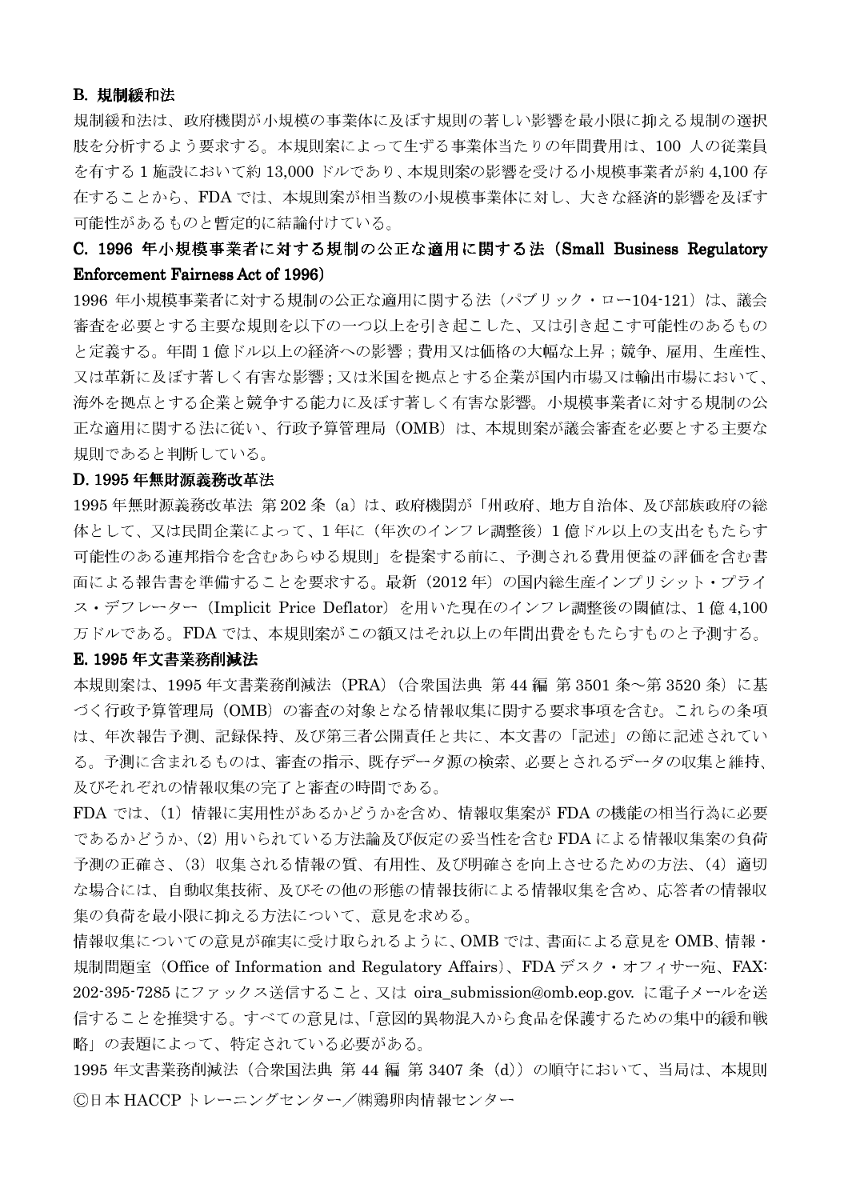### B. 規制緩和法

規制緩和法は、政府機関が小規模の事業体に及ぼす規則の著しい影響を最小限に抑える規制の選択 肢を分析するよう要求する。本規則案によって生ずる事業体当たりの年間費用は、100 人の従業員 を有する1施設において約13,000ドルであり、本規則案の影響を受ける小規模事業者が約4,100存 在することから、FDAでは、本規則案が相当数の小規模事業体に対し、大きな経済的影響を及ぼす 可能性があるものと暫定的に結論付けている。

# C. 1996 年小規模事業者に対する規制の公正な適用に関する法 (Small Business Regulatory **Enforcement Fairness Act of 1996)**

1996 年小規模事業者に対する規制の公正な適用に関する法(パブリック・ロー104-121)は、議会 審査を必要とする主要な規則を以下の一つ以上を引き起こした、又は引き起こす可能性のあるもの と定義する。年間1億ドル以上の経済への影響;費用又は価格の大幅な上昇;競争、雇用、生産性、 又は革新に及ぼす著しく有害な影響;又は米国を拠点とする企業が国内市場又は輸出市場において、 海外を拠点とする企業と競争する能力に及ぼす著しく有害な影響。小規模事業者に対する規制の公 正な適用に関する法に従い、行政予算管理局 (OMB) は、本規則案が議会審査を必要とする主要な 規則であると判断している。

### D. 1995 年無財源義務改革法

1995年無財源義務改革法 第202条 (a) は、政府機関が「州政府、地方自治体、及び部族政府の総 体として、又は民間企業によって、1年に(年次のインフレ調整後)1億ドル以上の支出をもたらす 可能性のある連邦指令を含むあらゆる規則」を提案する前に、予測される費用便益の評価を含む書 面による報告書を準備することを要求する。最新 (2012年) の国内総生産インプリシット・プライ ス・デフレーター (Implicit Price Deflator) を用いた現在のインフレ調整後の閾値は、1億4,100 万ドルである。FDA では、本規則案がこの額又はそれ以上の年間出費をもたらすものと予測する。

### E. 1995年文書業務削減法

本規則案は、1995年文書業務削減法 (PRA) (合衆国法典 第44編 第3501 条~第3520 条) に基 づく行政予算管理局 (OMB) の審査の対象となる情報収集に関する要求事項を含む。これらの条項 は、年次報告予測、記録保持、及び第三者公開責任と共に、本文書の「記述」の節に記述されてい る。予測に含まれるものは、審査の指示、既存データ源の検索、必要とされるデータの収集と維持、 及びそれぞれの情報収集の完了と審査の時間である。

FDA では、(1) 情報に実用性があるかどうかを含め、情報収集案が FDA の機能の相当行為に必要 であるかどうか、(2) 用いられている方法論及び仮定の妥当性を含む FDA による情報収集案の負荷 予測の正確さ、(3) 収集される情報の質、有用性、及び明確さを向上させるための方法、(4) 適切 な場合には、自動収集技術、及びその他の形態の情報技術による情報収集を含め、応答者の情報収 集の負荷を最小限に抑える方法について、意見を求める。

情報収集についての意見が確実に受け取られるように、OMBでは、書面による意見をOMB、情報・ 規制問題室 (Office of Information and Regulatory Affairs)、FDA デスク・オフィサー宛、FAX: 202-395-7285 にファックス送信すること、又は oira\_submission@omb.eop.gov. に電子メールを送 信することを推奨する。すべての意見は、「意図的異物混入から食品を保護するための集中的緩和戦 略」の表題によって、特定されている必要がある。

1995年文書業務削減法 (合衆国法典 第 44 編 第 3407 条 (d)) の順守において、当局は、本規則 ©日本 HACCP トレーニングセンター/㈱鶏卵肉情報センター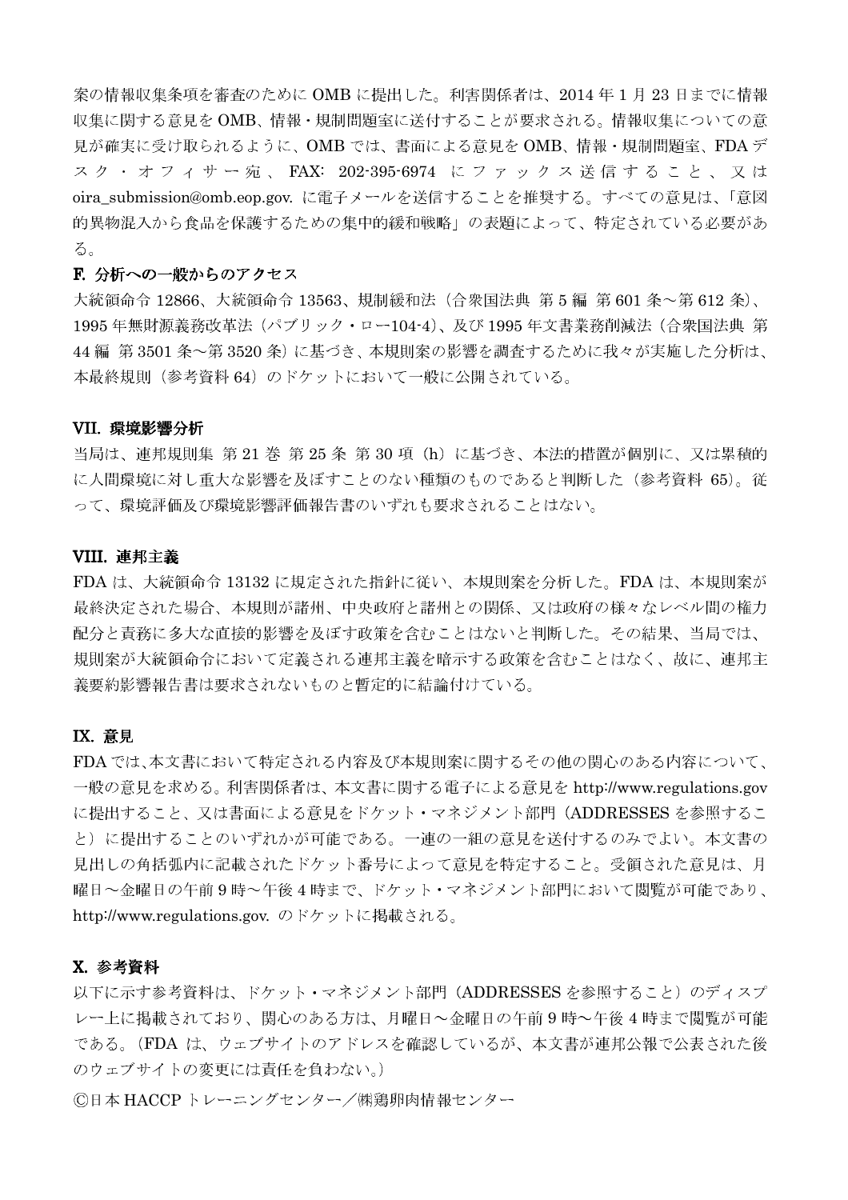案の情報収集条項を審査のために OMB に提出した。利害関係者は、2014年1月23日までに情報 収集に関する意見をOMB、情報·規制問題室に送付することが要求される。情報収集についての意 見が確実に受け取られるように、OMB では、書面による意見を OMB、情報・規制問題室、FDA デ スク·オフィサー宛、FAX: 202-395-6974 にファックス送信すること、又は oira\_submission@omb.eop.gov. に電子メールを送信することを推奨する。すべての意見は、「意図 的異物混入から食品を保護するための集中的緩和戦略」の表題によって、特定されている必要があ る。

#### F. 分析への一般からのアクセス

大統領命令 12866、大統領命令 13563、規制緩和法(合衆国法典 第 5 編 第 601 条~第 612 条)、 1995年無財源義務改革法 (パブリック・ロー104-4)、及び 1995年文書業務削減法 (合衆国法典 第 44編 第3501条~第3520条)に基づき、本規則案の影響を調査するために我々が実施した分析は、 本最終規則(参考資料 64)のドケットにおいて一般に公開されている。

### VII. 環境影響分析

当局は、連邦規則集 第 21 巻 第 25 条 第 30 項 (h) に基づき、本法的措置が個別に、又は累積的 に人間環境に対し重大な影響を及ぼすことのない種類のものであると判断した(参考資料 65)。従 って、環境評価及び環境影響評価報告書のいずれも要求されることはない。

### VIII. 連邦主義

FDA は、大統領命令 13132 に規定された指針に従い、本規則案を分析した。FDA は、本規則案が 最終決定された場合、本規則が諸州、中央政府と諸州との関係、又は政府の様々なレベル間の権力 配分と責務に多大な直接的影響を及ぼす政策を含むことはないと判断した。その結果、当局では、 規則案が大統領命令において定義される連邦主義を暗示する政策を含むことはなく、故に、連邦主 義要約影響報告書は要求されないものと暫定的に結論付けている。

### **IX. 意見**

FDAでは、本文書において特定される内容及び本規則案に関するその他の関心のある内容について、 一般の意見を求める。利害関係者は、本文書に関する電子による意見を http://www.regulations.gov に提出すること、又は書面による意見をドケット・マネジメント部門 (ADDRESSES を参照するこ と)に提出することのいずれかが可能である。一連の一組の意見を送付するのみでよい。本文書の 見出しの角括弧内に記載されたドケット番号によって意見を特定すること。受領された意見は、月 曜日~金曜日の午前9時~午後4時まで、ドケット・マネジメント部門において閲覧が可能であり、 http://www.regulations.gov. のドケットに掲載される。

# X. 参考資料

以下に示す参考資料は、ドケット・マネジメント部門 (ADDRESSES を参照すること) のディスプ レー上に掲載されており、関心のある方は、月曜日へ金曜日の午前9時へ午後4時まで閲覧が可能 である。(FDA は、ウェブサイトのアドレスを確認しているが、本文書が連邦公報で公表された後 のウェブサイトの変更には責任を負わない。)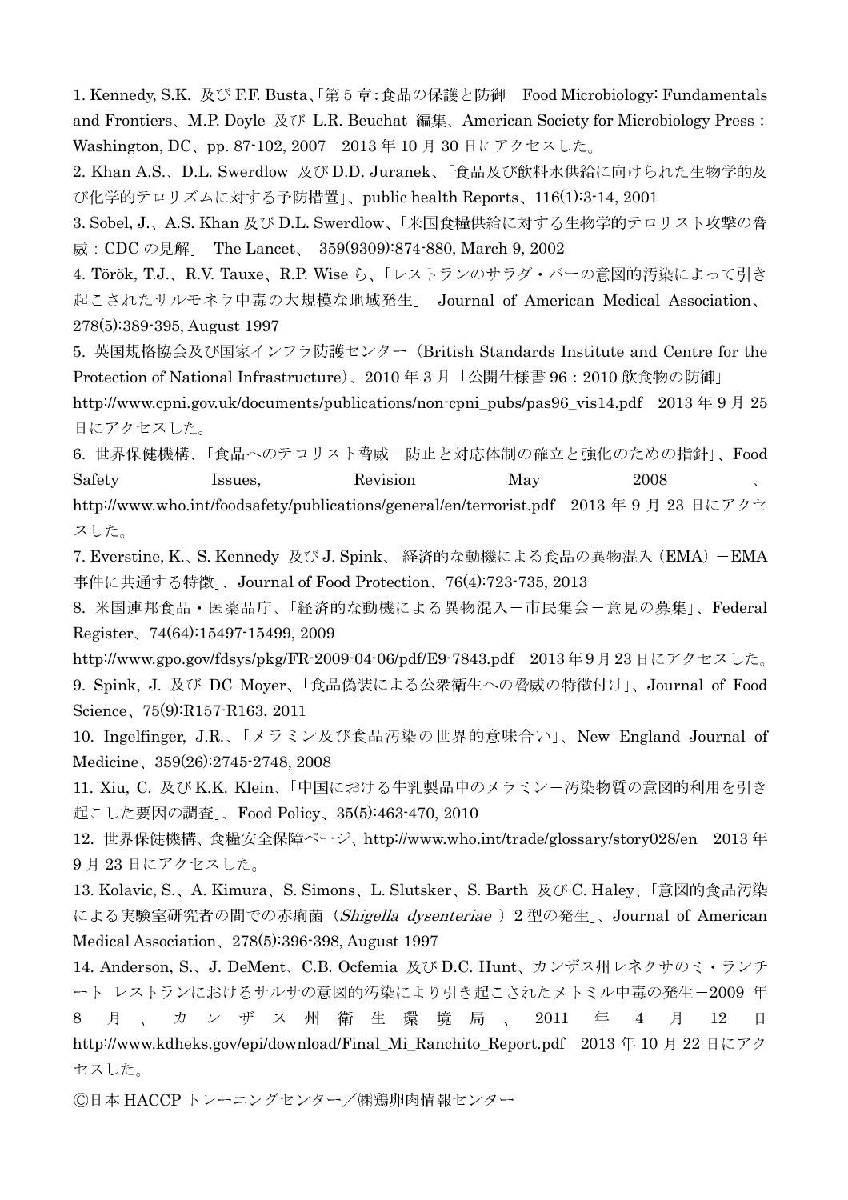1. Kennedy, S.K. 及び F.F. Busta、「第5章:食品の保護と防御」Food Microbiology: Fundamentals and Frontiers, M.P. Doyle 及び L.R. Beuchat 編集, American Society for Microbiology Press: Washington, DC、pp. 87-102, 2007 2013年10月30日にアクセスした。

2. Khan A.S.、D.L. Swerdlow 及び D.D. Juranek、「食品及び飲料水供給に向けられた生物学的及 び化学的テロリズムに対する予防措置」、public health Reports、116(1):3-14, 2001

3. Sobel, J.、A.S. Khan 及び D.L. Swerdlow、「米国食糧供給に対する生物学的テロリスト攻撃の脅 威: CDC の見解」 The Lancet、 359(9309):874-880, March 9, 2002

4. Török, T.J.、R.V. Tauxe、R.P. Wise ら、「レストランのサラダ・バーの意図的汚染によって引き 起こされたサルモネラ中毒の大規模な地域発生」 Journal of American Medical Association、 278(5):389-395, August 1997

5. 英国規格協会及び国家インフラ防護センター (British Standards Institute and Centre for the Protection of National Infrastructure)、2010年3月「公開仕様書96:2010飲食物の防御」

http://www.cpni.gov.uk/documents/publications/non-cpni\_pubs/pas96\_vis14.pdf 2013年9月25 日にアクセスした。

6. 世界保健機構、「食品へのテロリスト脅威ー防止と対応体制の確立と強化のための指針」、Food Safety Issues. Revision May 2008 http://www.who.int/foodsafety/publications/general/en/terrorist.pdf 2013年9月23日にアクセ スした。

7. Everstine, K.、S. Kennedy 及びJ. Spink、「経済的な動機による食品の異物混入 (EMA) - EMA 事件に共通する特徴」、Journal of Food Protection、76(4):723-735, 2013

8. 米国連邦食品·医薬品庁、「経済的な動機による異物混入ー市民集会ー意見の募集」、Federal Register, 74(64):15497-15499, 2009

http://www.gpo.gov/fdsys/pkg/FR-2009-04-06/pdf/E9-7843.pdf 2013年9月23日にアクセスした。 9. Spink, J. 及び DC Moyer、「食品偽装による公衆衛生への脅威の特徴付け」、Journal of Food Science, 75(9):R157-R163, 2011

10. Ingelfinger, J.R.、「メラミン及び食品汚染の世界的意味合い」、New England Journal of Medicine、359(26):2745-2748, 2008

11. Xiu, C. 及び K.K. Klein、「中国における牛乳製品中のメラミンー汚染物質の意図的利用を引き 起こした要因の調査」、Food Policy、35(5):463-470, 2010

12. 世界保健機構、食糧安全保障ページ、http://www.who.int/trade/glossary/story028/en 2013年 9月23日にアクセスした。

13. Kolavic, S., A. Kimura, S. Simons, L. Slutsker, S. Barth 及び C. Haley, 「意図的食品汚染 による実験室研究者の間での赤痢菌 (Shigella dysenteriae) 2型の発生」、Journal of American Medical Association, 278(5):396-398, August 1997

14. Anderson, S.、J. DeMent、C.B. Ocfemia 及びD.C. Hunt、カンザス州レネクサのミ・ランチ ート レストランにおけるサルサの意図的汚染により引き起こされたメトミル中毒の発生-2009年 月、カンザス州衛生環境局、 2011 年  $\overline{4}$ 月 12  $\mathbf{H}$ 8 http://www.kdheks.gov/epi/download/Final\_Mi\_Ranchito\_Report.pdf 2013年10月22日にアク セスした。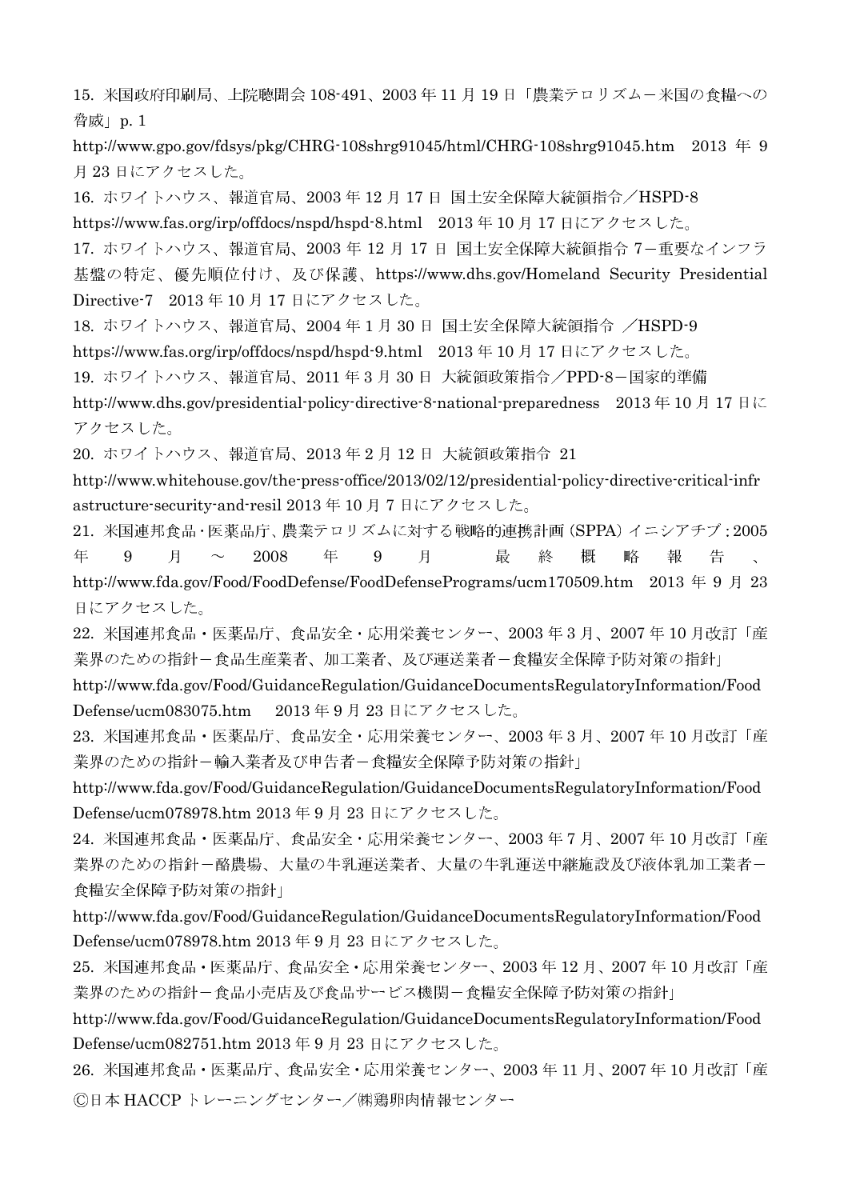15. 米国政府印刷局、上院聴聞会 108-491、2003年11月19日「農業テロリズムー米国の食糧への 脅威 | p. 1

http://www.gpo.gov/fdsys/pkg/CHRG-108shrg91045/html/CHRG-108shrg91045.htm 2013  $\#$  9 月23日にアクセスした。

16. ホワイトハウス、報道官局、2003年12月17日 国土安全保障大統領指令/HSPD-8

https://www.fas.org/irp/offdocs/nspd/hspd-8.html 2013年10月17日にアクセスした。

17. ホワイトハウス、報道官局、2003年12月17日 国土安全保障大統領指令 7-重要なインフラ

基盤の特定、優先順位付け、及び保護、https://www.dhs.gov/Homeland Security Presidential Directive-7 2013年10月17日にアクセスした。

18. ホワイトハウス、報道官局、2004年1月30日 国土安全保障大統領指令 /HSPD-9

https://www.fas.org/irp/offdocs/nspd/hspd-9.html 2013年10月17日にアクセスした。

19. ホワイトハウス、報道官局、2011年3月30日 大統領政策指令/PPD-8-国家的準備

http://www.dhs.gov/presidential-policy-directive-8-national-preparedness 2013年10月17日に アクセスした。

20. ホワイトハウス、報道官局、2013年2月12日 大統領政策指令 21

http://www.whitehouse.gov/the-press-office/2013/02/12/presidential-policy-directive-critical-infr astructure-security-and-resil 2013年10月7日にアクセスした。

21. 米国連邦食品·医薬品庁、農業テロリズムに対する戦略的連携計画 (SPPA) イニシアチブ: 2005 年  $\overline{9}$ 月 2008 年 9 月 最 終 概 略 報  $\sim$ 告 http://www.fda.gov/Food/FoodDefense/FoodDefensePrograms/ucm170509.htm 2013年9月23 日にアクセスした。

22. 米国連邦食品・医薬品庁、食品安全・応用栄養センター、2003年3月、2007年10月改訂「産 業界のための指針ー食品生産業者、加工業者、及び運送業者ー食糧安全保障予防対策の指針」

http://www.fda.gov/Food/GuidanceRegulation/GuidanceDocumentsRegulatoryInformation/Food Defense/ucm083075.htm 2013年9月23日にアクセスした。

23. 米国連邦食品・医薬品庁、食品安全・応用栄養センター、2003年3月、2007年10月改訂「産 業界のための指針ー輸入業者及び申告者ー食糧安全保障予防対策の指針」

http://www.fda.gov/Food/GuidanceRegulation/GuidanceDocumentsRegulatoryInformation/Food Defense/ucm078978.htm 2013年9月23日にアクセスした。

24. 米国連邦食品・医薬品庁、食品安全・応用栄養センター、2003年7月、2007年10月改訂「産 業界のための指針ー酪農場、大量の牛乳運送業者、大量の牛乳運送中継施設及び液体乳加工業者ー 食糧安全保障予防対策の指針」

http://www.fda.gov/Food/GuidanceRegulation/GuidanceDocumentsRegulatoryInformation/Food Defense/ucm078978.htm 2013年9月23日にアクセスした。

25. 米国連邦食品・医薬品庁、食品安全・応用栄養センター、2003年12月、2007年10月改訂「産 業界のための指針ー食品小売店及び食品サービス機関ー食糧安全保障予防対策の指針」

http://www.fda.gov/Food/GuidanceRegulation/GuidanceDocumentsRegulatoryInformation/Food Defense/ucm082751.htm 2013年9月23日にアクセスした。

26. 米国連邦食品・医薬品庁、食品安全・応用栄養センター、2003年11月、2007年10月改訂「産 ©日本 HACCPトレーニングセンター/㈱鶏卵肉情報センター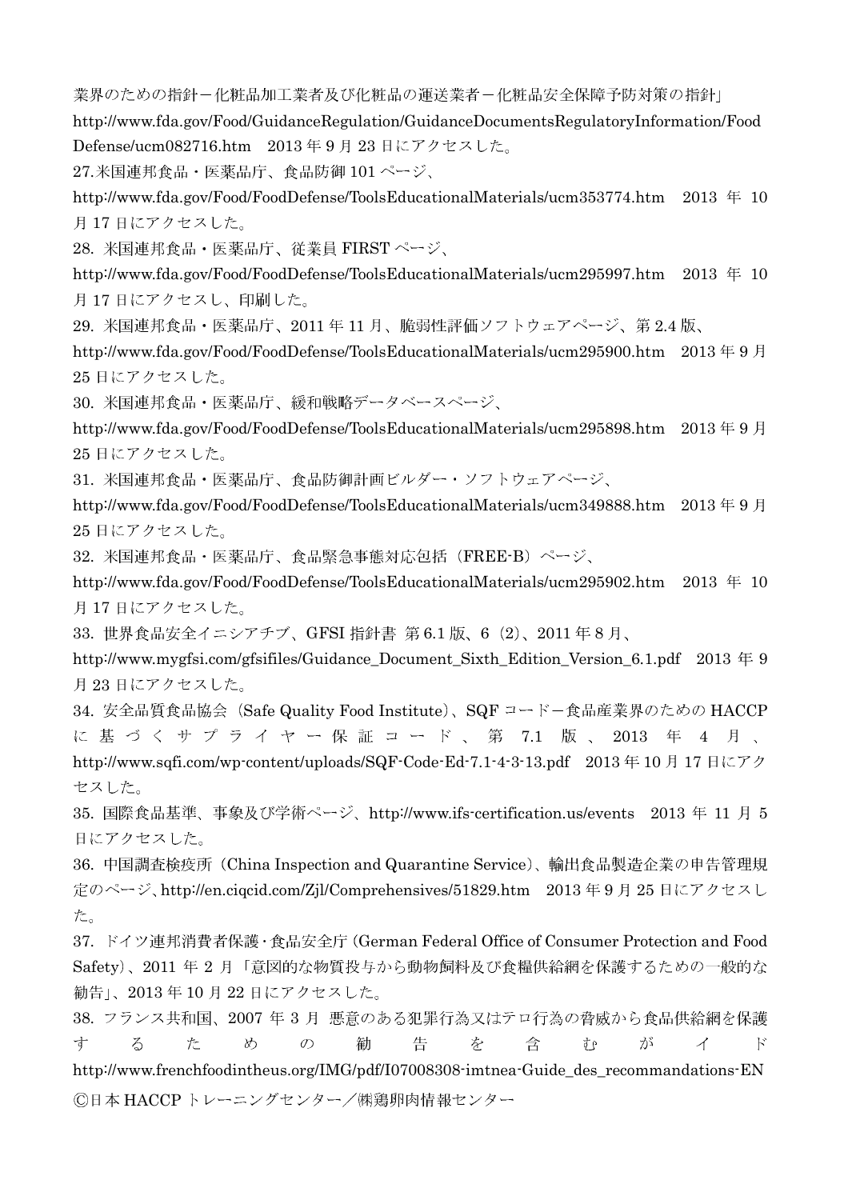業界のための指針ー化粧品加工業者及び化粧品の運送業者ー化粧品安全保障予防対策の指針」

http://www.fda.gov/Food/GuidanceRegulation/GuidanceDocumentsRegulatoryInformation/Food Defense/ucm082716.htm 2013年9月23日にアクセスした。

27. 米国連邦食品・医薬品庁、食品防御 101 ページ、

http://www.fda.gov/Food/FoodDefense/ToolsEducationalMaterials/ucm353774.htm 2013 年 10 月17日にアクセスした。

28. 米国連邦食品·医薬品庁、従業員 FIRSTページ、

http://www.fda.gov/Food/FoodDefense/ToolsEducationalMaterials/ucm295997.htm 2013年10 月17日にアクセスし、印刷した。

29. 米国連邦食品・医薬品庁、2011年11月、脆弱性評価ソフトウェアページ、第2.4版、

http://www.fda.gov/Food/FoodDefense/ToolsEducationalMaterials/ucm295900.htm 2013年9月 25日にアクセスした。

30. 米国連邦食品・医薬品庁、緩和戦略データベースページ、

http://www.fda.gov/Food/FoodDefense/ToolsEducationalMaterials/ucm295898.htm 2013年9月 25日にアクセスした。

31. 米国連邦食品·医薬品庁、食品防御計画ビルダー·ソフトウェアページ、

http://www.fda.gov/Food/FoodDefense/ToolsEducationalMaterials/ucm349888.htm 2013年9月 25日にアクセスした。

32. 米国連邦食品·医薬品庁、食品緊急事態対応包括 (FREE-B) ページ、

http://www.fda.gov/Food/FoodDefense/ToolsEducationalMaterials/ucm295902.htm 2013 年 10 月17日にアクセスした。

33. 世界食品安全イニシアチブ、GFSI 指針書 第 6.1 版、6 (2)、2011年8月、

http://www.mygfsi.com/gfsifiles/Guidance\_Document\_Sixth\_Edition\_Version\_6.1.pdf 2013年9 月23日にアクセスした。

34. 安全品質食品協会 (Safe Quality Food Institute)、SQF コードー食品産業界のための HACCP に基づくサプライヤー保証コード、第 7.1 版、2013 年 4 月、 http://www.sqfi.com/wp-content/uploads/SQF-Code-Ed-7.1-4-3-13.pdf 2013年10月17日にアク セスした。

35. 国際食品基準、事象及び学術ページ、http://www.ifs-certification.us/events 2013年 11月5 日にアクセスした。

36. 中国調査検疫所 (China Inspection and Quarantine Service)、輸出食品製造企業の申告管理規 定のページ、http://en.ciqcid.com/Zjl/Comprehensives/51829.htm 2013年9月25日にアクセスし た。

37. ドイツ連邦消費者保護·食品安全庁 (German Federal Office of Consumer Protection and Food Safety)、2011年2月「意図的な物質投与から動物飼料及び食糧供給網を保護するための一般的な 勧告」、2013年10月22日にアクセスした。

38. フランス共和国、2007年3月悪意のある犯罪行為又はテロ行為の脅威から食品供給網を保護 す  $\zeta$  $\dot{\tau}$  $x^{2}$  $\mathcal{D}$ 勧 告 な 含  $\vec{\sigma}$   $\rho$ が  $\mathcal{A}$  $\mathcal{E}$ http://www.frenchfoodintheus.org/IMG/pdf/I07008308-imtnea-Guide\_des\_recommandations-EN ©日本 HACCPトレーニングセンター/㈱鶏卵肉情報センター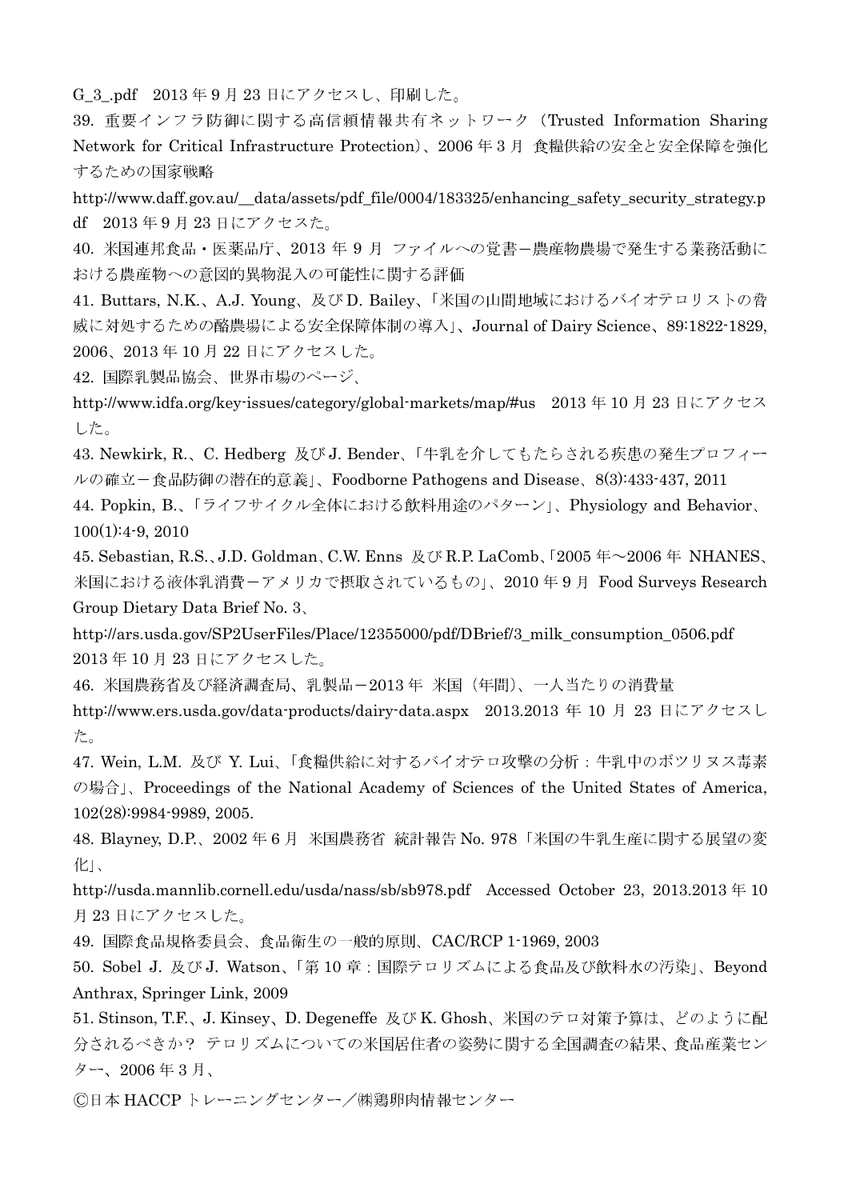G\_3\_pdf 2013年9月23日にアクセスし、印刷した。

39. 重要インフラ防御に関する高信頼情報共有ネットワーク (Trusted Information Sharing Network for Critical Infrastructure Protection)、2006年3月食糧供給の安全と安全保障を強化 するための国家戦略

http://www.daff.gov.au/ data/assets/pdf file/0004/183325/enhancing safety security strategy.p df 2013年9月23日にアクセスた。

40. 米国連邦食品・医薬品庁、2013年9月 ファイルへの覚書ー農産物農場で発生する業務活動に おける農産物への意図的異物混入の可能性に関する評価

41. Buttars, N.K.、A.J. Young、及び D. Bailey、「米国の山間地域におけるバイオテロリストの脅 威に対処するための酪農場による安全保障体制の導入」、Journal of Dairy Science、89:1822-1829, 2006、2013年10月22日にアクセスした。

42. 国際乳製品協会、世界市場のページ、

http://www.idfa.org/key-issues/category/global-markets/map/#us 2013年10月23日にアクセス した。

43. Newkirk, R.、C. Hedberg 及びJ. Bender、「牛乳を介してもたらされる疾患の発生プロフィー ルの確立-食品防御の潜在的意義」、Foodborne Pathogens and Disease、8(3):433-437, 2011

44. Popkin, B.、「ライフサイクル全体における飲料用途のパターン」、Physiology and Behavior、  $100(1):4-9.2010$ 

45. Sebastian, R.S., J.D. Goldman, C.W. Enns 及び R.P. LaComb, [2005年~2006年 NHANES, 米国における液体乳消費ーアメリカで摂取されているもの」、2010年9月 Food Surveys Research Group Dietary Data Brief No. 3.

http://ars.usda.gov/SP2UserFiles/Place/12355000/pdf/DBrief/3\_milk\_consumption\_0506.pdf 2013年10月23日にアクセスした。

46. 米国農務省及び経済調査局、乳製品-2013年 米国 (年間)、一人当たりの消費量

http://www.ers.usda.gov/data-products/dairy-data.aspx 2013.2013年10月23日にアクセスし た。

47. Wein, L.M. 及び Y. Lui、「食糧供給に対するバイオテロ攻撃の分析:牛乳中のボツリヌス毒素 の場合」、Proceedings of the National Academy of Sciences of the United States of America. 102(28):9984-9989, 2005.

48. Blayney, D.P.、2002年6月 米国農務省統計報告 No. 978「米国の牛乳生産に関する展望の変 化」、

http://usda.mannlib.cornell.edu/usda/nass/sb/sb978.pdf Accessed October 23, 2013.2013年10 月23日にアクセスした。

49. 国際食品規格委員会、食品衛生の一般的原則、CAC/RCP 1-1969, 2003

50. Sobel J. 及び J. Watson、「第10章:国際テロリズムによる食品及び飲料水の汚染」、Bevond Anthrax, Springer Link, 2009

51. Stinson, T.F.、J. Kinsey、D. Degeneffe 及び K. Ghosh、米国のテロ対策予算は、どのように配 分されるべきか? テロリズムについての米国居住者の姿勢に関する全国調査の結果、食品産業セン ター、2006年3月、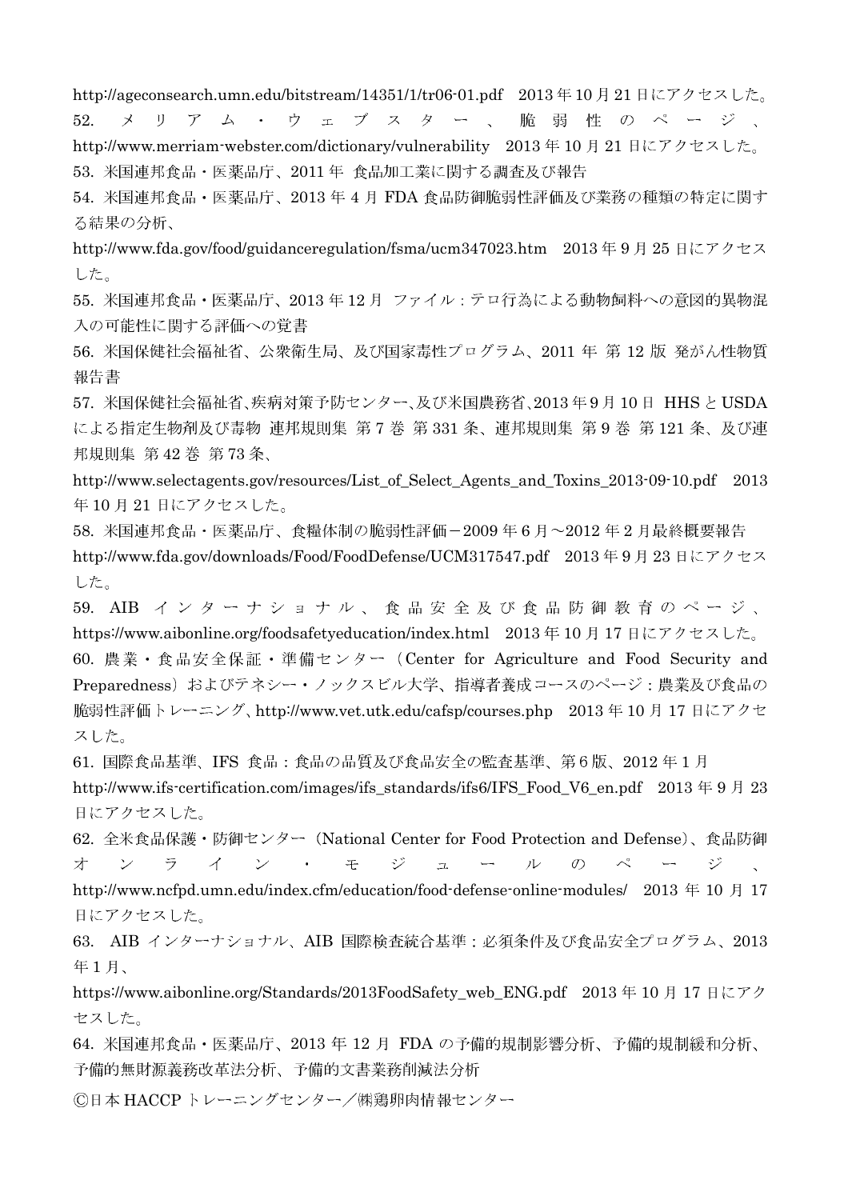http://ageconsearch.umn.edu/bitstream/14351/1/tr06-01.pdf 2013年10月21日にアクセスした。

ウェブスター、 52 リアム・  $\lambda$ 脆弱性のページ、

http://www.merriam-webster.com/dictionary/vulnerability 2013年10月21日にアクセスした。 53. 米国連邦食品・医薬品庁、2011年 食品加工業に関する調査及び報告

54. 米国連邦食品·医薬品庁、2013年4月 FDA 食品防御脆弱性評価及び業務の種類の特定に関す る結果の分析、

http://www.fda.gov/food/guidanceregulation/fsma/ucm347023.htm 2013年9月25日にアクセス した。

55. 米国連邦食品・医薬品庁、2013年12月 ファイル:テロ行為による動物飼料への意図的異物混 入の可能性に関する評価への覚書

56. 米国保健社会福祉省、公衆衛生局、及び国家毒性プログラム、2011 年 第 12 版 発がん性物質 報告書

57. 米国保健社会福祉省、疾病対策予防センター、及び米国農務省、2013年9月10日 HHSと USDA による指定生物剤及び毒物 連邦規則集 第7巻 第331条、連邦規則集 第9巻 第121条、及び連 邦規則集 第42巻 第73条、

http://www.selectagents.gov/resources/List\_of\_Select\_Agents\_and\_Toxins\_2013-09-10.pdf 2013 年10月21日にアクセスした。

58. 米国連邦食品・医薬品庁、食糧体制の脆弱性評価-2009年6月~2012年2月最終概要報告 http://www.fda.gov/downloads/Food/FoodDefense/UCM317547.pdf 2013年9月23日にアクセス した。

59. AIB インターナショナル、食品安全及び食品防御教育のページ、 https://www.aibonline.org/foodsafetyeducation/index.html 2013年10月17日にアクセスした。 60. 農業・食品安全保証・準備センター (Center for Agriculture and Food Security and Preparedness) およびテネシー・ノックスビル大学、指導者養成コースのページ:農業及び食品の 脆弱性評価トレーニング、http://www.vet.utk.edu/cafsp/courses.php 2013年10月17日にアクセ スした。

61. 国際食品基準、IFS 食品:食品の品質及び食品安全の監査基準、第6版、2012年1月 http://www.ifs-certification.com/images/ifs-standards/ifs6/IFS-Food-V6-en.pdf 2013年9月23 日にアクセスした。

62. 全米食品保護・防御センター (National Center for Food Protection and Defense)、食品防御 才  $\vee$ ラ  $\overrightarrow{A}$  $\overline{\mathscr{S}}$  $\sim$ 壬 ジ  $\mathcal{L}$ ル  $\mathcal{O}$ ジ  $\mathcal{L}^{\mathcal{L}}$ 

http://www.ncfpd.umn.edu/index.cfm/education/food-defense-online-modules/ 2013年10月17 日にアクセスした。

63. AIB インターナショナル、AIB 国際検査統合基準:必須条件及び食品安全プログラム、2013 年1月、

https://www.aibonline.org/Standards/2013FoodSafety\_web\_ENG.pdf 2013年10月17日にアク セスした。

64. 米国連邦食品・医薬品庁、2013 年 12 月 FDA の予備的規制影響分析、予備的規制緩和分析、 予備的無財源義務改革法分析、予備的文書業務削減法分析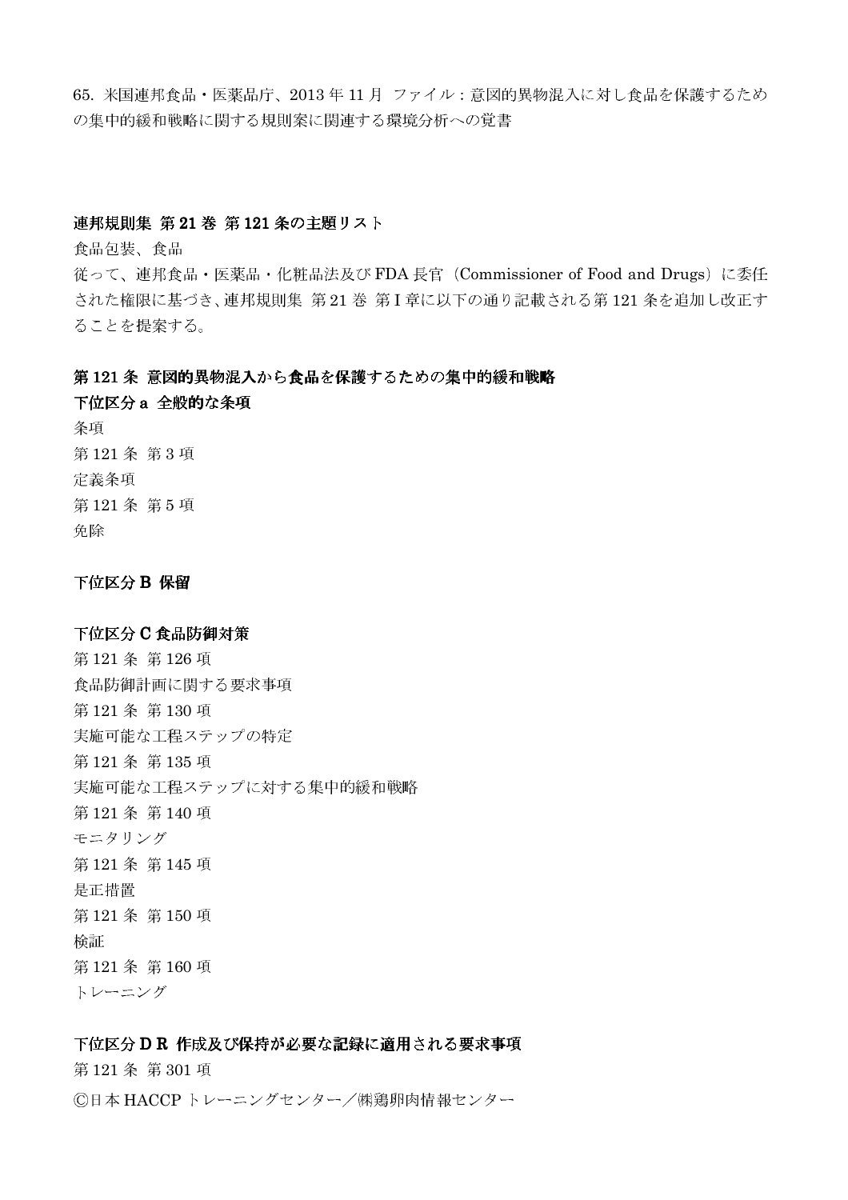65. 米国連邦食品・医薬品庁、2013年11月 ファイル:意図的異物混入に対し食品を保護するため の集中的緩和戦略に関する規則案に関連する環境分析への覚書

## 連邦規則集 第21巻 第121条の主題リスト

食品包装、食品

従って、連邦食品・医薬品・化粧品法及び FDA 長官 (Commissioner of Food and Drugs) に委任 された権限に基づき、連邦規則集 第21巻 第I章に以下の通り記載される第121条を追加し改正す ることを提案する。

# 第121条 意図的異物混入から食品を保護するための集中的緩和戦略

下位区分 a 全般的な条項 条項 第121条 第3項 定義条項 第121条 第5項 免除

下位区分 B 保留

# 下位区分C食品防御対策

第121条第126項 食品防御計画に関する要求事項 第121条第130項 実施可能な工程ステップの特定 第121条第135項 実施可能な工程ステップに対する集中的緩和戦略 第121条第140項 モニタリング 第121条第145項 是正措置 第121条第150項 检証 第121条第160項 トレーニング

# 下位区分DR 作成及び保持が必要な記録に適用される要求事項

第121条第301項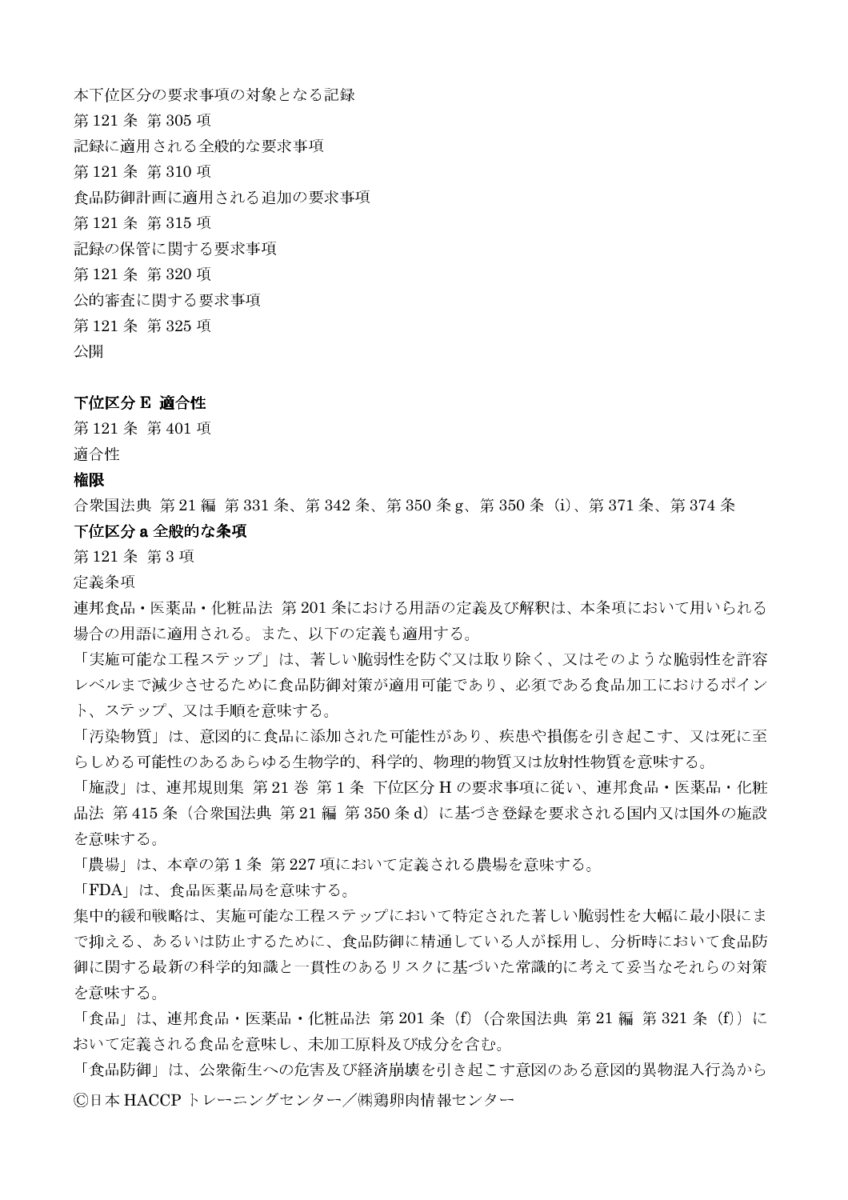本下位区分の要求事項の対象となる記録 第121条 第305 項 記録に適用される全般的な要求事項 第121条第310項 食品防御計画に適用される追加の要求事項 第121条第315項 記録の保管に関する要求事項 第121条 第320 項 公的審査に関する要求事項 第121条第325項 公開

### 下位区分 E 適合性

第121条第401項 適合性

#### 権限

合衆国法典 第 21 編 第 331 条、第 342 条、第 350 条 g、第 350 条 (i)、第 371 条、第 374 条 下位区分 a 全般的な条項

第121条 第3項

定義条項

連邦食品・医薬品・化粧品法 第201条における用語の定義及び解釈は、本条項において用いられる 場合の用語に適用される。また、以下の定義も適用する。

「実施可能な工程ステップ」は、著しい脆弱性を防ぐ又は取り除く、又はそのような脆弱性を許容 レベルまで減少させるために食品防御対策が適用可能であり、必須である食品加工におけるポイン ト、ステップ、又は手順を意味する。

「汚染物質」は、意図的に食品に添加された可能性があり、疾患や損傷を引き起こす、又は死に至 らしめる可能性のあるあらゆる生物学的、科学的、物理的物質又は放射性物質を意味する。

「施設」は、連邦規則集 第21 巻 第1条 下位区分 H の要求事項に従い、連邦食品・医薬品・化粧 品法 第415条 (合衆国法典 第21編 第350条d) に基づき登録を要求される国内又は国外の施設 を意味する。

「農場」は、本章の第1条 第227項において定義される農場を意味する。

「FDA」は、食品医薬品局を意味する。

集中的緩和戦略は、実施可能な工程ステップにおいて特定された著しい脆弱性を大幅に最小限にま で抑える、あるいは防止するために、食品防御に精通している人が採用し、分析時において食品防 御に関する最新の科学的知識と一貫性のあるリスクに基づいた常識的に考えて妥当なそれらの対策 を意味する。

「食品」は、連邦食品・医薬品・化粧品法 第 201 条 (f) (合衆国法典 第 21 編 第 321 条 (f)) に おいて定義される食品を意味し、未加工原料及び成分を含む。

「食品防御」は、公衆衛生への危害及び経済崩壊を引き起こす意図のある意図的異物混入行為から ©日本 HACCP トレーニングセンター/㈱鶏卵肉情報センター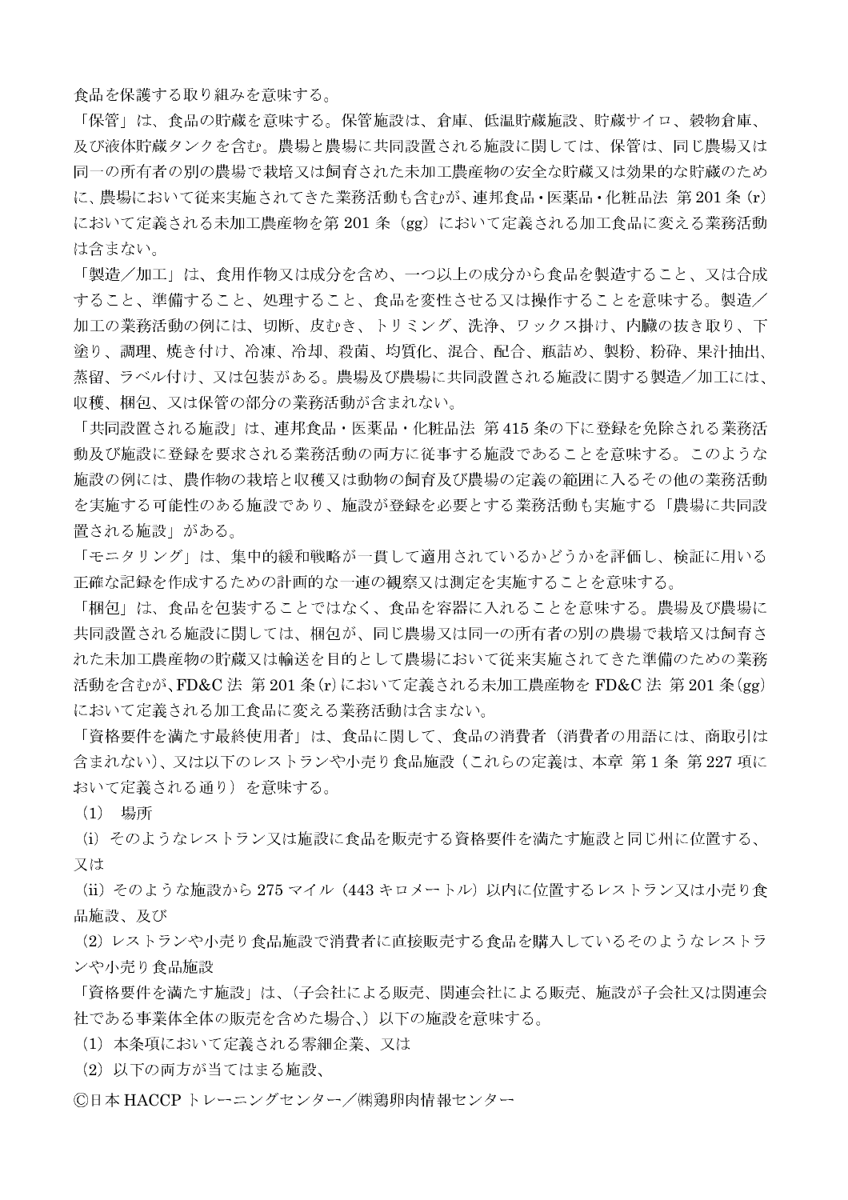食品を保護する取り組みを意味する。

「保管」は、食品の貯蔵を意味する。保管施設は、倉庫、低温貯蔵施設、貯蔵サイロ、穀物倉庫、 及び液体貯蔵タンクを含む。農場と農場に共同設置される施設に関しては、保管は、同じ農場又は 同一の所有者の別の農場で栽培又は飼育された未加工農産物の安全な貯蔵又は効果的な貯蔵のため に、農場において従来実施されてきた業務活動も含むが、連邦食品·医薬品·化粧品法 第201条 (r) において定義される未加工農産物を第 201 条(gg)において定義される加工食品に変える業務活動 は含まない。

「製造/加工」は、食用作物又は成分を含め、一つ以上の成分から食品を製造すること、又は合成 すること、準備すること、処理すること、食品を変性させる又は操作することを意味する。製造/ 加工の業務活動の例には、切断、皮むき、トリミング、洗浄、ワックス掛け、内臓の抜き取り、下 塗り、調理、焼き付け、冷凍、冷却、殺菌、均質化、混合、配合、瓶詰め、製粉、粉砕、果汁抽出、 蒸留、ラベル付け、又は包装がある。農場及び農場に共同設置される施設に関する製造/加工には、 収穫、梱包、又は保管の部分の業務活動が含まれない。

「共同設置される施設」は、連邦食品・医薬品・化粧品法 第415 条の下に登録を免除される業務活 動及び施設に登録を要求される業務活動の両方に従事する施設であることを意味する。このような 施設の例には、農作物の栽培と収穫又は動物の飼育及び農場の定義の範囲に入るその他の業務活動 を実施する可能性のある施設であり、施設が登録を必要とする業務活動も実施する「農場に共同設 置される施設」がある。

「モニタリング」は、集中的緩和戦略が一貫して適用されているかどうかを評価し、検証に用いる 正確な記録を作成するための計画的な一連の観察又は測定を実施することを意味する。

「梱包」は、食品を包装することではなく、食品を容器に入れることを意味する。農場及び農場に 共同設置される施設に関しては、梱包が、同じ農場又は同一の所有者の別の農場で栽培又は飼育さ れた未加工農産物の貯蔵又は輸送を目的として農場において従来実施されてきた準備のための業務 活動を含むが、FD&C 法 第201条 (r)において定義される未加工農産物を FD&C 法 第201条 (gg) において定義される加工食品に変える業務活動は含まない。

「資格要件を満たす最終使用者」は、食品に関して、食品の消費者(消費者の用語には、商取引は 含まれない)、又は以下のレストランや小売り食品施設(これらの定義は、本章 第1条 第227 項に おいて定義される通り)を意味する。

(1) 場所

(i) そのようなレストラン又は施設に食品を販売する資格要件を満たす施設と同じ州に位置する、 又は

(ii) そのような施設から 275 マイル (443 キロメートル) 以内に位置するレストラン又は小売り食 品施設、及び

(2) レストランや小売り食品施設で消費者に直接販売する食品を購入しているそのようなレストラ ンや小売り食品施設

「資格要件を満たす施設」は、(子会社による販売、関連会社による販売、施設が子会社又は関連会 社である事業体全体の販売を含めた場合、)以下の施設を意味する。

(1) 本条項において定義される零細企業、又は

(2) 以下の両方が当てはまる施設、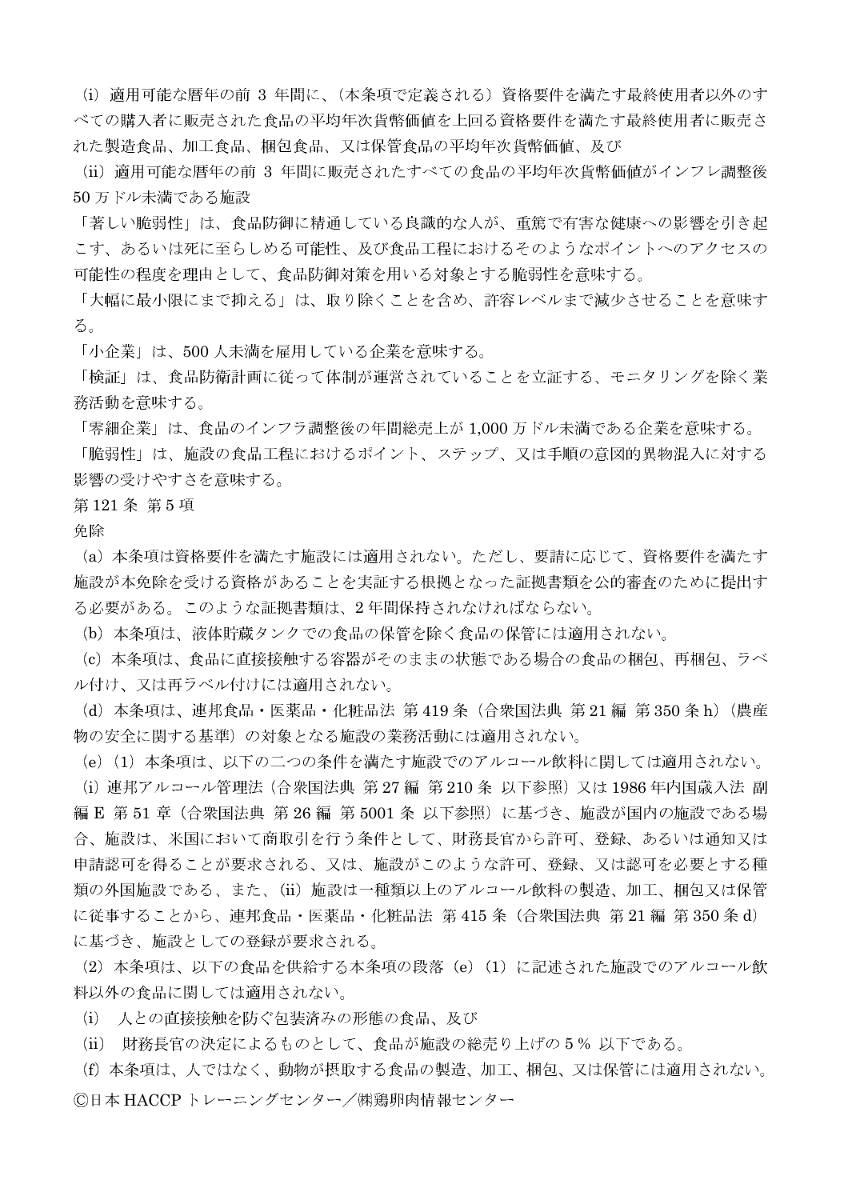(i) 適用可能な暦年の前 3 年間に、(本条項で定義される) 資格要件を満たす最終使用者以外のす べての購入者に販売された食品の平均年次貨幣価値を上回る資格要件を満たす最終使用者に販売さ れた製造食品、加工食品、梱包食品、又は保管食品の平均年次貨幣価値、及び

(ii) 適用可能な暦年の前 3 年間に販売されたすべての食品の平均年次貨幣価値がインフレ調整後 50万ドル未満である施設

「著しい脆弱性」は、食品防御に精通している良識的な人が、重篤で有害な健康への影響を引き起 こす、あるいは死に至らしめる可能性、及び食品工程におけるそのようなポイントへのアクセスの 可能性の程度を理由として、食品防御対策を用いる対象とする脆弱性を意味する。

「大幅に最小限にまで抑える」は、取り除くことを含め、許容レベルまで減少させることを意味す る。

「小企業」は、500人未満を雇用している企業を意味する。

「検証」は、食品防衛計画に従って体制が運営されていることを立証する、モニタリングを除く業 務活動を意味する。

「零細企業」は、食品のインフラ調整後の年間総売上が 1,000 万ドル未満である企業を意味する。

「脆弱性」は、施設の食品工程におけるポイント、ステップ、又は手順の意図的異物混入に対する 影響の受けやすさを意味する。

# 第121条 第5項

免除

(a) 本条項は資格要件を満たす施設には適用されない。ただし、要請に応じて、資格要件を満たす 施設が本免除を受ける資格があることを実証する根拠となった証拠書類を公的審査のために提出す る必要がある。このような証拠書類は、2年間保持されなければならない。

(b) 本条項は、液体貯蔵タンクでの食品の保管を除く食品の保管には適用されない。

(c) 本条項は、食品に直接接触する容器がそのままの状態である場合の食品の梱包、再梱包、ラベ ル付け、又は再ラベル付けには適用されない。

(d) 本条項は、連邦食品・医薬品・化粧品法 第419 条(合衆国法典 第21 編 第350 条 h)(農産 物の安全に関する基準)の対象となる施設の業務活動には適用されない。

(e) (1) 本条項は、以下の二つの条件を満たす施設でのアルコール飲料に関しては適用されない。

(i) 連邦アルコール管理法 (合衆国法典 第27編 第210条 以下参照) 又は 1986年内国歳入法 副 編E 第51章 (合衆国法典 第26編 第5001条 以下参照)に基づき、施設が国内の施設である場 合、施設は、米国において商取引を行う条件として、財務長官から許可、登録、あるいは通知又は 申請認可を得ることが要求される、又は、施設がこのような許可、登録、又は認可を必要とする種 類の外国施設である、また、(ii) 施設は一種類以上のアルコール飲料の製造、加工、梱包又は保管 に従事することから、連邦食品・医薬品・化粧品法 第415 条 (合衆国法典 第21 編 第350 条 d) に基づき、施設としての登録が要求される。

(2) 本条項は、以下の食品を供給する本条項の段落 (e) (1) に記述された施設でのアルコール飲 料以外の食品に関しては適用されない。

(i) 人との直接接触を防ぐ包装済みの形態の食品、及び

(ii) 財務長官の決定によるものとして、食品が施設の総売り上げの5%以下である。

(f) 本条項は、人ではなく、動物が摂取する食品の製造、加工、梱包、又は保管には適用されない。 ◎日本 HACCP トレーニングセンター/㈱鶏卵肉情報センター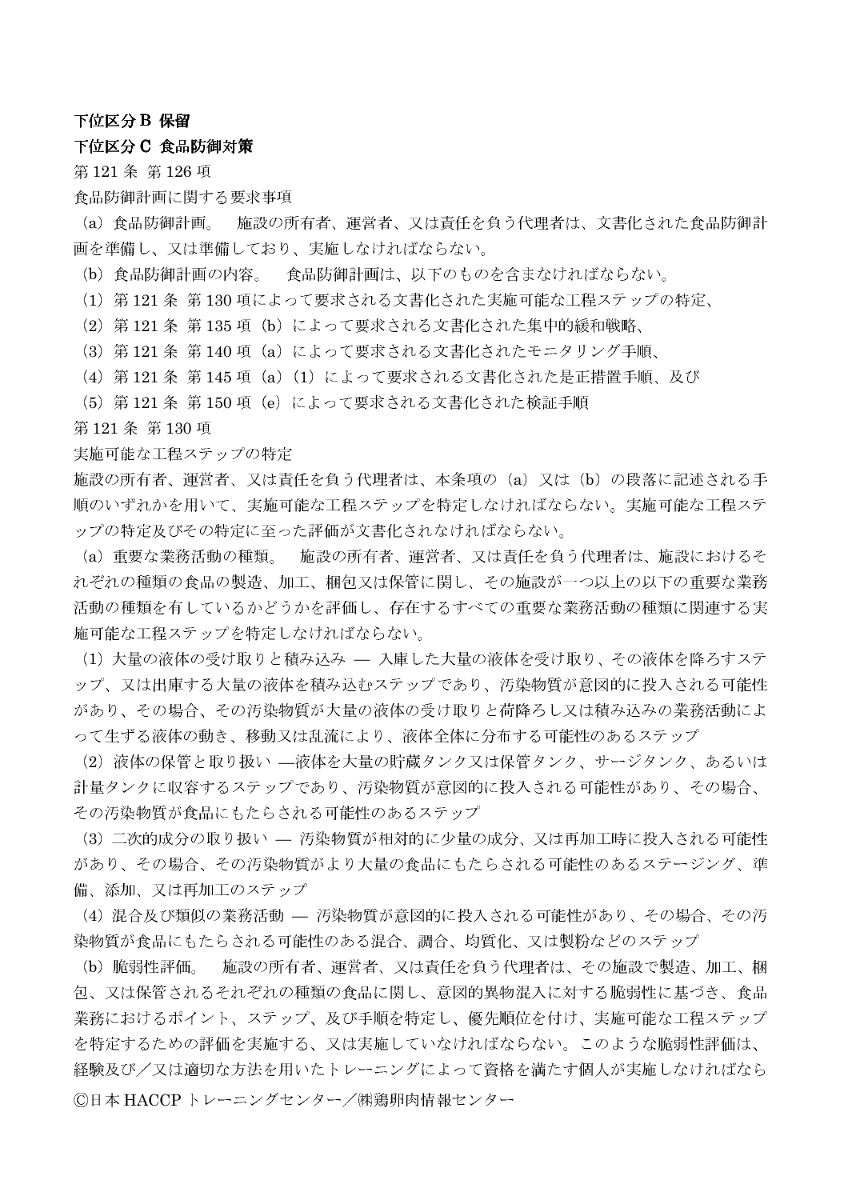## 下位区分 B 保留

## 下位区分 C 食品防御対策

第121条第126項

#### 食品防御計画に関する要求事項

施設の所有者、運営者、又は責任を負う代理者は、文書化された食品防御計 (a) 食品防御計画。 画を準備し、又は準備しており、実施しなければならない。

(b) 食品防御計画の内容。 食品防御計画は、以下のものを含まなければならない。

(1) 第121条 第130項によって要求される文書化された実施可能な工程ステップの特定、

(2) 第121条 第135 項 (b) によって要求される文書化された集中的緩和戦略、

(3) 第121条 第140項 (a) によって要求される文書化されたモニタリング手順、

(4) 第121条 第145 項 (a) (1) によって要求される文書化された是正措置手順、及び

(5) 第121条 第150項 (e) によって要求される文書化された検証手順

第121条第130項

#### 実施可能な工程ステップの特定

施設の所有者、運営者、又は責任を負う代理者は、本条項の (a) 又は (b) の段落に記述される手 順のいずれかを用いて、実施可能な工程ステップを特定しなければならない。実施可能な工程ステ ップの特定及びその特定に至った評価が文書化されなければならない。

(a) 重要な業務活動の種類。 施設の所有者、運営者、又は責任を負う代理者は、施設におけるそ れぞれの種類の食品の製造、加工、梱包又は保管に関し、その施設が一つ以上の以下の重要な業務 活動の種類を有しているかどうかを評価し、存在するすべての重要な業務活動の種類に関連する実 施可能な工程ステップを特定しなければならない。

(1) 大量の液体の受け取りと積み込み — 入庫した大量の液体を受け取り、その液体を降ろすステ ップ、又は出庫する大量の液体を積み込むステップであり、汚染物質が意図的に投入される可能性 があり、その場合、その汚染物質が大量の液体の受け取りと荷降ろし又は積み込みの業務活動によ って生ずる液体の動き、移動又は乱流により、液体全体に分布する可能性のあるステップ

(2) 液体の保管と取り扱い ––液体を大量の貯蔵タンク又は保管タンク、サージタンク、あるいは 計量タンクに収容するステップであり、汚染物質が意図的に投入される可能性があり、その場合、 その汚染物質が食品にもたらされる可能性のあるステップ

(3) 二次的成分の取り扱い – 汚染物質が相対的に少量の成分、又は再加工時に投入される可能性 があり、その場合、その汚染物質がより大量の食品にもたらされる可能性のあるステージング、準 備、添加、又は再加工のステップ

(4) 混合及び類似の業務活動 - 汚染物質が意図的に投入される可能性があり、その場合、その汚 染物質が食品にもたらされる可能性のある混合、調合、均質化、又は製粉などのステップ

施設の所有者、運営者、又は責任を負う代理者は、その施設で製造、加工、梱 (b) 脆弱性評価。 包、又は保管されるそれぞれの種類の食品に関し、意図的異物混入に対する脆弱性に基づき、食品 業務におけるポイント、ステップ、及び手順を特定し、優先順位を付け、実施可能な工程ステップ を特定するための評価を実施する、又は実施していなければならない。このような脆弱性評価は、 経験及び/又は適切な方法を用いたトレーニングによって資格を満たす個人が実施しなければなら ©日本 HACCP トレーニングセンター/㈱鶏卵肉情報センター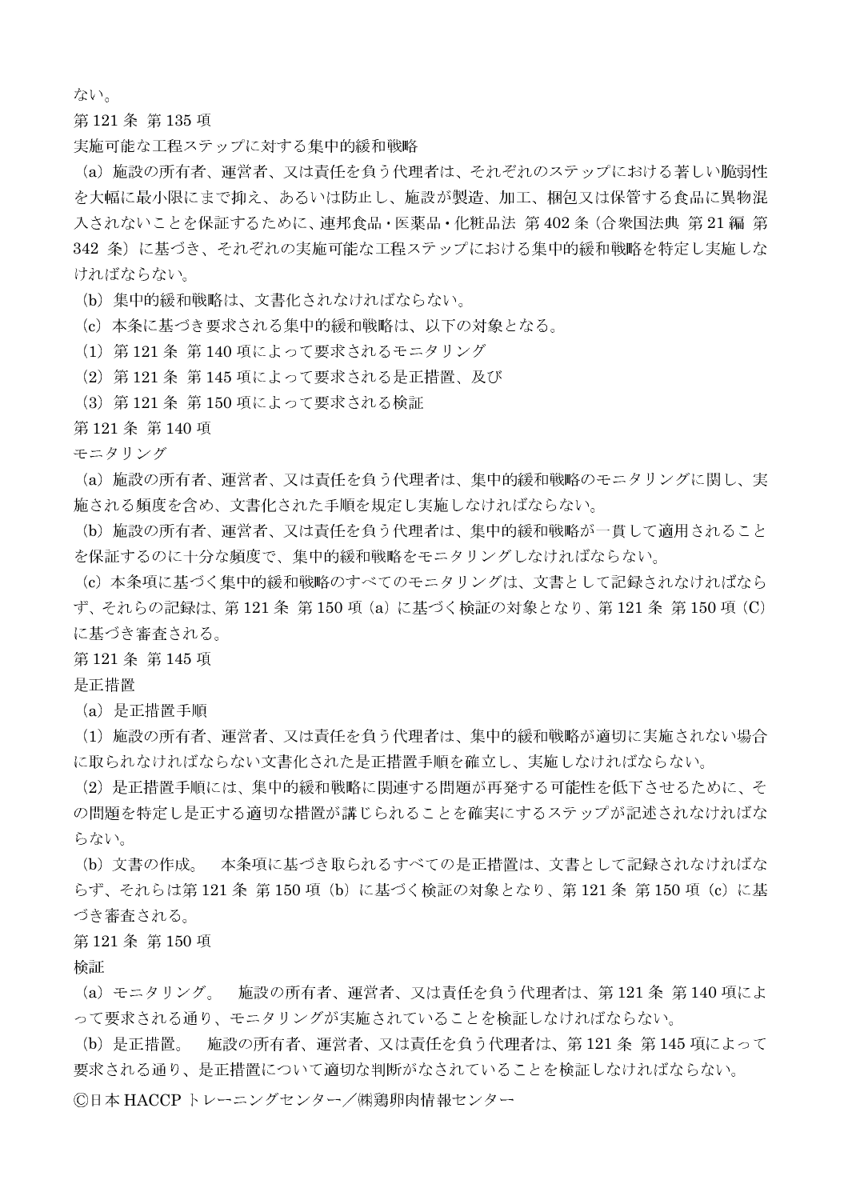ない。

第121条第135項

実施可能な工程ステップに対する集中的緩和戦略

(a) 施設の所有者、運営者、又は責任を負う代理者は、それぞれのステップにおける著しい脆弱性 を大幅に最小限にまで抑え、あるいは防止し、施設が製造、加工、梱包又は保管する食品に異物混 入されないことを保証するために、連邦食品・医薬品・化粧品法 第402条(合衆国法典 第21編 第 342 条)に基づき、それぞれの実施可能な工程ステップにおける集中的緩和戦略を特定し実施しな ければならない。

(b) 集中的緩和戦略は、文書化されなければならない。

(c) 本条に基づき要求される集中的緩和戦略は、以下の対象となる。

(1) 第121条 第140 項によって要求されるモニタリング

(2) 第121条 第145 項によって要求される是正措置、及び

(3) 第121条 第150 項によって要求される検証

第121条第140項

モニタリング

(a) 施設の所有者、運営者、又は責任を負う代理者は、集中的緩和戦略のモニタリングに関し、実 施される頻度を含め、文書化された手順を規定し実施しなければならない。

(b) 施設の所有者、運営者、又は責任を負う代理者は、集中的緩和戦略が一貫して適用されること を保証するのに十分な頻度で、集中的緩和戦略をモニタリングしなければならない。

(c) 本条項に基づく集中的緩和戦略のすべてのモニタリングは、文書として記録されなければなら ず、それらの記録は、第121条 第150項 (a) に基づく検証の対象となり、第121条 第150項 (C) に基づき審査される。

第121条第145項

是正措置

(a) 是正措置手順

(1) 施設の所有者、運営者、又は責任を負う代理者は、集中的緩和戦略が適切に実施されない場合 に取られなければならない文書化された是正措置手順を確立し、実施しなければならない。

(2) 是正措置手順には、集中的緩和戦略に関連する問題が再発する可能性を低下させるために、そ の問題を特定し是正する適切な措置が講じられることを確実にするステップが記述されなければな らない。

(b) 文書の作成。 本条項に基づき取られるすべての是正措置は、文書として記録されなければな らず、それらは第121条 第150項 (b) に基づく検証の対象となり、第121条 第150項 (c) に基 づき審査される。

### 第121条第150項

检証

(a) モニタリング。 施設の所有者、運営者、又は責任を負う代理者は、第121条第140 項によ って要求される通り、モニタリングが実施されていることを検証しなければならない。

(b) 是正措置。 - 施設の所有者、運営者、又は責任を負う代理者は、第 121 条 第 145 項によって 要求される通り、是正措置について適切な判断がなされていることを検証しなければならない。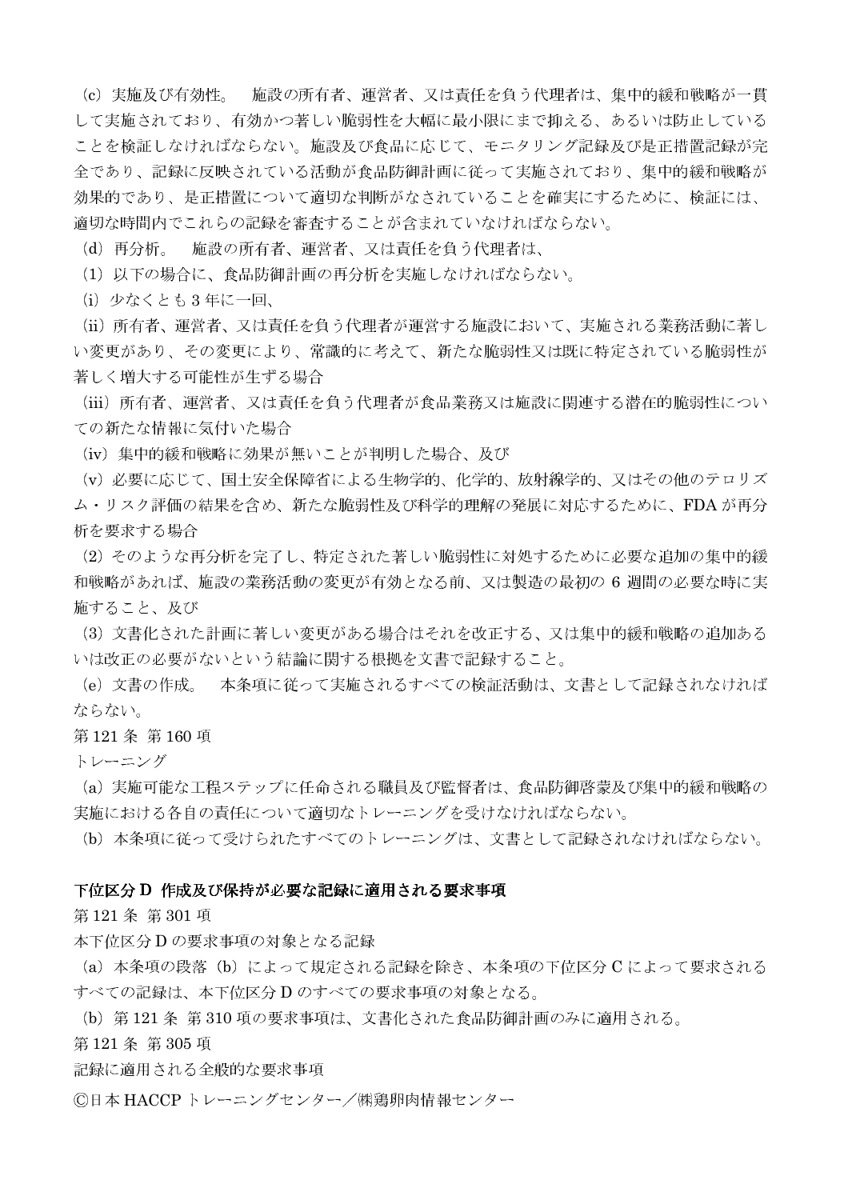施設の所有者、運営者、又は責任を負う代理者は、集中的緩和戦略が一貫 (c) 実施及び有効性。 して実施されており、有効かつ著しい脆弱性を大幅に最小限にまで抑える、あるいは防止している ことを検証しなければならない。施設及び食品に応じて、モニタリング記録及び是正措置記録が完 全であり、記録に反映されている活動が食品防御計画に従って実施されており、集中的緩和戦略が 効果的であり、是正措置について適切な判断がなされていることを確実にするために、検証には、 適切な時間内でこれらの記録を審査することが含まれていなければならない。

- 施設の所有者、運営者、又は責任を負う代理者は、 (d) 再分析。

(1) 以下の場合に、食品防御計画の再分析を実施しなければならない。

(i) 少なくとも3年に一回、

(ii) 所有者、運営者、又は責任を負う代理者が運営する施設において、実施される業務活動に著し い変更があり、その変更により、常識的に考えて、新たな脆弱性又は既に特定されている脆弱性が 著しく増大する可能性が生ずる場合

(iii) 所有者、運営者、又は責任を負う代理者が食品業務又は施設に関連する潜在的脆弱性につい ての新たな情報に気付いた場合

(iv) 集中的緩和戦略に効果が無いことが判明した場合、及び

(v) 必要に応じて、国十安全保障省による生物学的、化学的、放射線学的、又はその他のテロリズ ム・リスク評価の結果を含め、新たな脆弱性及び科学的理解の発展に対応するために、FDAが再分 析を要求する場合

(2) そのような再分析を完了し、特定された著しい脆弱性に対処するために必要な追加の集中的緩 和戦略があれば、施設の業務活動の変更が有効となる前、又は製造の最初の6週間の必要な時に実 施すること、及び

(3) 文書化された計画に著しい変更がある場合はそれを改正する、又は集中的緩和戦略の追加ある いは改正の必要がないという結論に関する根拠を文書で記録すること。

(e) 文書の作成。 本条項に従って実施されるすべての検証活動は、文書として記録されなければ ならない。

### 第121条第160項

トレーニング

(a) 実施可能な工程ステップに任命される職員及び監督者は、食品防御啓蒙及び集中的緩和戦略の 実施における各自の責任について適切なトレーニングを受けなければならない。

(b) 本条項に従って受けられたすべてのトレーニングは、文書として記録されなければならない。

### 下位区分 D 作成及び保持が必要な記録に適用される要求事項

第121条第301項

本下位区分 D の要求事項の対象となる記録

(a) 本条項の段落 (b) によって規定される記録を除き、本条項の下位区分 C によって要求される すべての記録は、本下位区分Dのすべての要求事項の対象となる。

(b) 第121条 第310項の要求事項は、文書化された食品防御計画のみに適用される。

第121条第305項

記録に適用される全般的な要求事項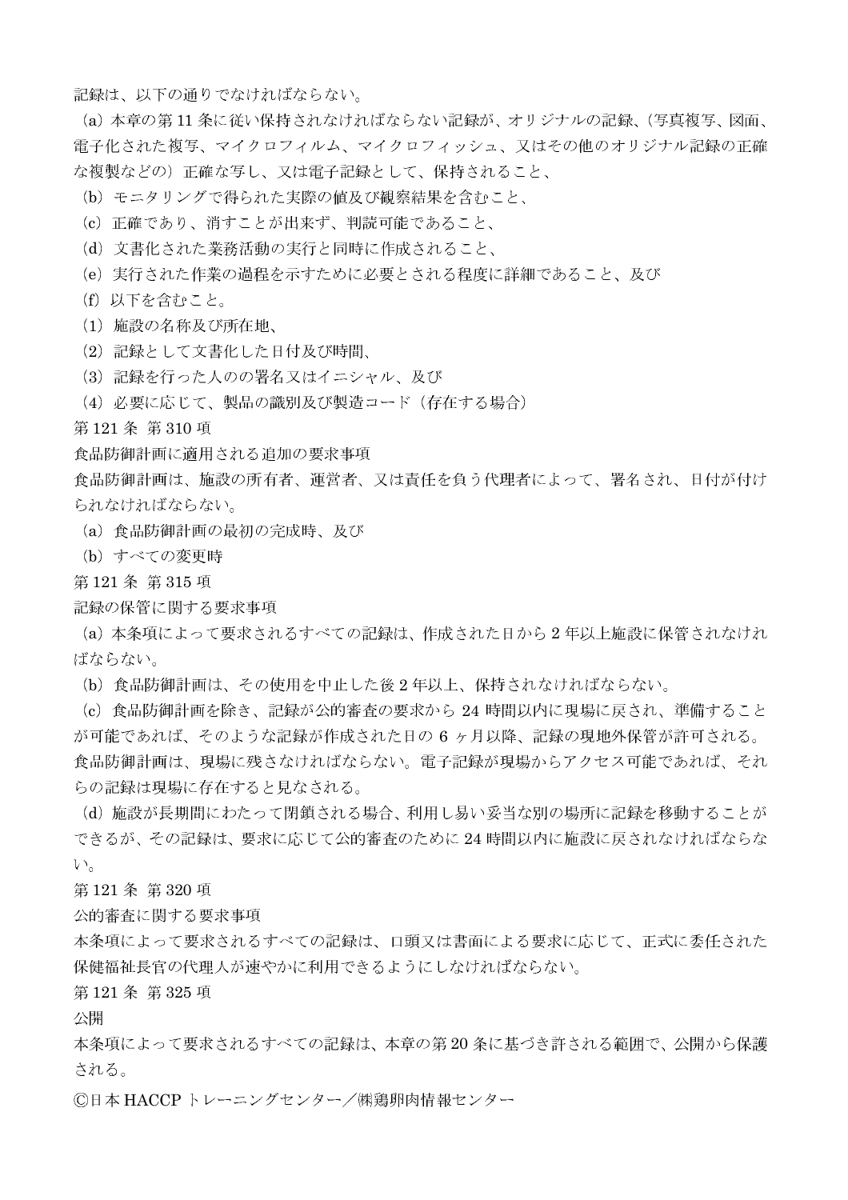記録は、以下の通りでなければならない。

(a) 本章の第11条に従い保持されなければならない記録が、オリジナルの記録、(写真複写、図面、 電子化された複写、マイクロフィルム、マイクロフィッシュ、又はその他のオリジナル記録の正確 な複製などの)正確な写し、又は電子記録として、保持されること、

- (b) モニタリングで得られた実際の値及び観察結果を含むこと、
- (c) 正確であり、消すことが出来ず、判読可能であること、
- (d) 文書化された業務活動の実行と同時に作成されること、
- (e) 実行された作業の過程を示すために必要とされる程度に詳細であること、及び
- (f) 以下を含むこと。
- (1) 施設の名称及び所在地、
- (2) 記録として文書化した日付及び時間、
- (3) 記録を行った人のの署名又はイニシャル、及び
- (4) 必要に応じて、製品の識別及び製造コード (存在する場合)

第121条第310項

- 食品防御計画に適用される追加の要求事項
- 食品防御計画は、施設の所有者、運営者、又は青任を負う代理者によって、署名され、日付が付け られなければならない。
- (a) 食品防御計画の最初の完成時、及び
- (b) すべての変更時
- 第121条第315項
- 記録の保管に関する要求事項

(a) 本条項によって要求されるすべての記録は、作成された日から2年以上施設に保管されなけれ ばならない。

- (b) 食品防御計画は、その使用を中止した後2年以上、保持されなければならない。
- (c) 食品防御計画を除き、記録が公的審査の要求から 24 時間以内に現場に戻され、準備すること が可能であれば、そのような記録が作成された日の6ヶ月以降、記録の現地外保管が許可される。 食品防御計画は、現場に残さなければならない。電子記録が現場からアクセス可能であれば、それ らの記録は現場に存在すると見なされる。

(d) 施設が長期間にわたって閉鎖される場合、利用し易い妥当な別の場所に記録を移動することが できるが、その記録は、要求に応じて公的審査のために24時間以内に施設に戻されなければならな  $V_{o}$ 

第121条第320項

公的審査に関する要求事項

本条項によって要求されるすべての記録は、口頭又は書面による要求に応じて、正式に委任された 保健福祉長官の代理人が速やかに利用できるようにしなければならない。

第121条第325項

公開

本条項によって要求されるすべての記録は、本章の第20条に基づき許される範囲で、公開から保護 される。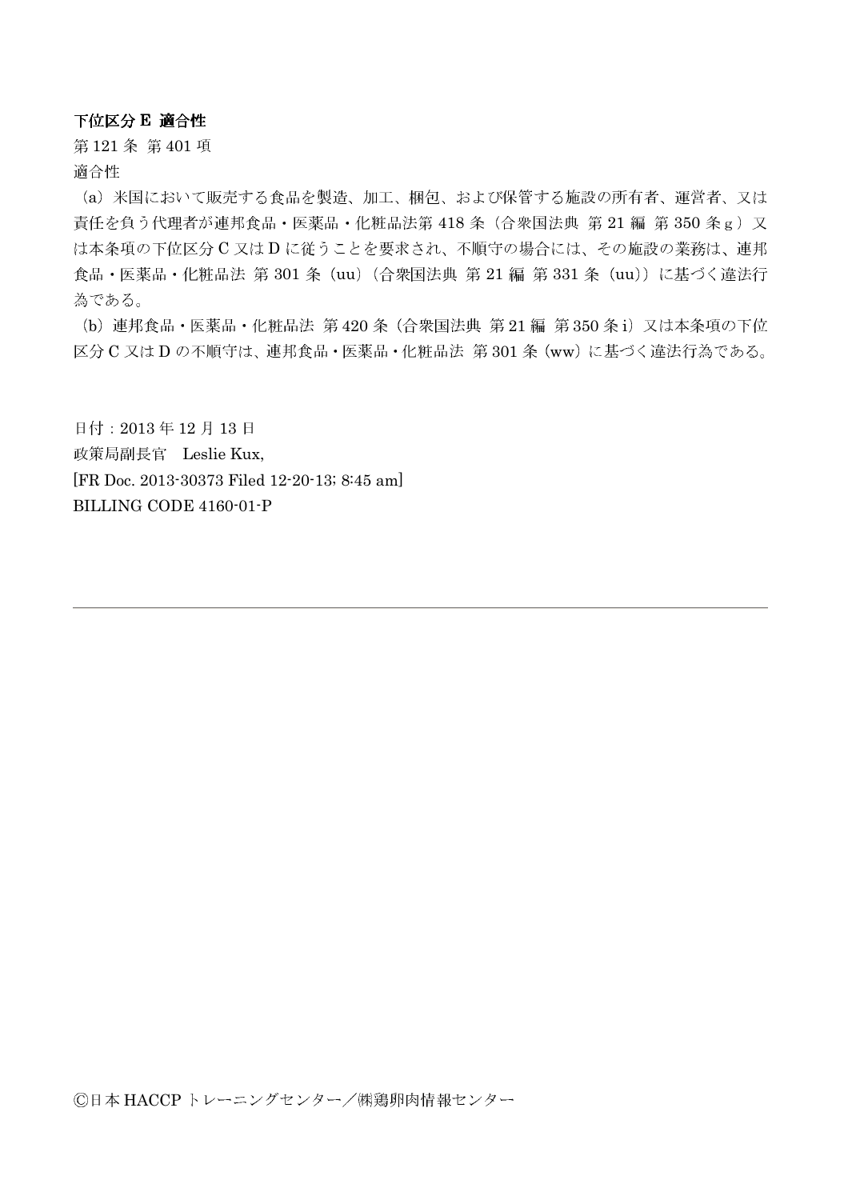下位区分 E 適合性

第121条第401項 適合性

(a) 米国において販売する食品を製造、加工、梱包、および保管する施設の所有者、運営者、又は 責任を負う代理者が連邦食品·医薬品·化粧品法第 418 条 (合衆国法典 第 21 編 第 350 条 g) 又 は本条項の下位区分C又はDに従うことを要求され、不順守の場合には、その施設の業務は、連邦 食品・医薬品・化粧品法 第 301 条 (uu) (合衆国法典 第 21 編 第 331 条 (uu)) に基づく違法行 為である。

(b) 連邦食品·医薬品·化粧品法 第420条 (合衆国法典 第21編 第350条i) 又は本条項の下位 区分 C 又は D の不順守は、連邦食品·医薬品·化粧品法 第301条 (ww) に基づく違法行為である。

日付: 2013年12月13日 政策局副長官 Leslie Kux, [FR Doc. 2013-30373 Filed 12-20-13; 8:45 am] BILLING CODE 4160-01-P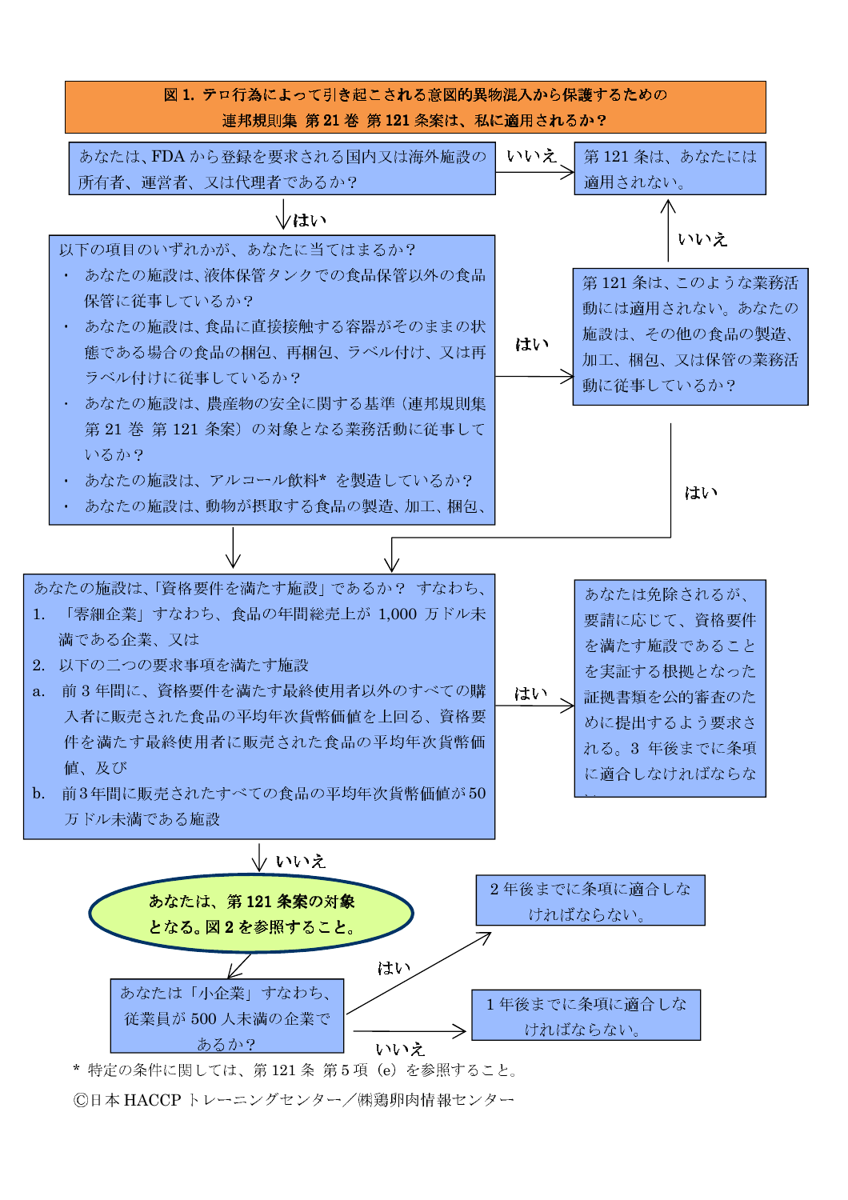